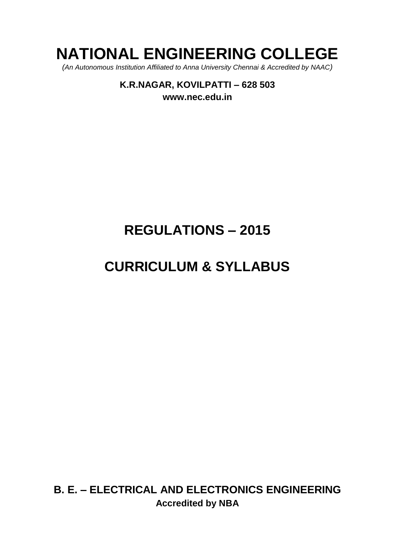# **NATIONAL ENGINEERING COLLEGE**

*(An Autonomous Institution Affiliated to Anna University Chennai & Accredited by NAAC)*

**K.R.NAGAR, KOVILPATTI – 628 503 [www.nec.edu.in](http://www.nec.edu.in/)**

# **REGULATIONS – 2015**

# **CURRICULUM & SYLLABUS**

**B. E. – ELECTRICAL AND ELECTRONICS ENGINEERING Accredited by NBA**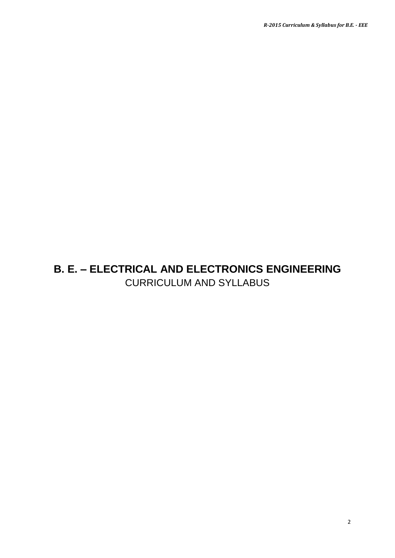# **B. E. – ELECTRICAL AND ELECTRONICS ENGINEERING** CURRICULUM AND SYLLABUS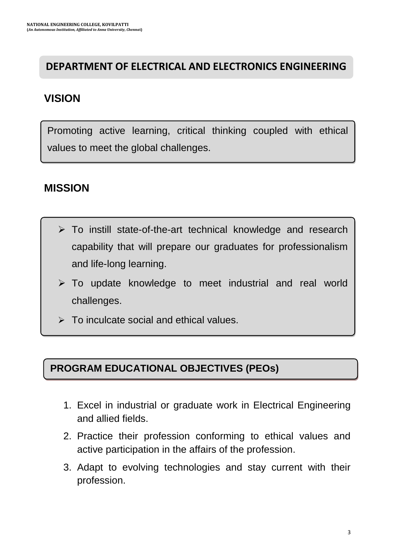# **DEPARTMENT OF ELECTRICAL AND ELECTRONICS ENGINEERING**

# **VISION**

Promoting active learning, critical thinking coupled with ethical values to meet the global challenges.

# **MISSION**

- $\triangleright$  To instill state-of-the-art technical knowledge and research capability that will prepare our graduates for professionalism and life-long learning.
- $\triangleright$  To update knowledge to meet industrial and real world challenges.
- $\triangleright$  To inculcate social and ethical values.

# **PROGRAM EDUCATIONAL OBJECTIVES (PEOs)**

- 1. Excel in industrial or graduate work in Electrical Engineering and allied fields.
- 2. Practice their profession conforming to ethical values and active participation in the affairs of the profession.
- 3. Adapt to evolving technologies and stay current with their profession.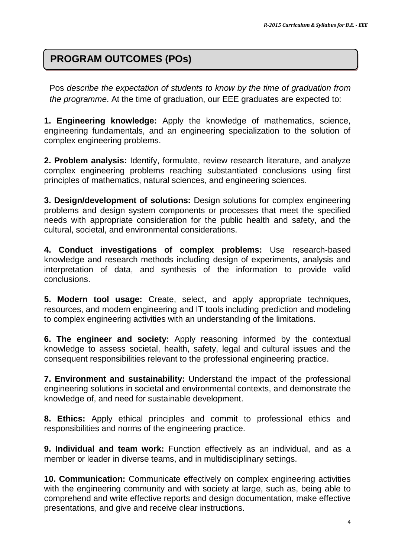# **PROGRAM OUTCOMES (POs)**

Pos *describe the expectation of students to know by the time of graduation from the programme*. At the time of graduation, our EEE graduates are expected to:

**1. Engineering knowledge:** Apply the knowledge of mathematics, science, engineering fundamentals, and an engineering specialization to the solution of complex engineering problems.

**2. Problem analysis:** Identify, formulate, review research literature, and analyze complex engineering problems reaching substantiated conclusions using first principles of mathematics, natural sciences, and engineering sciences.

**3. Design/development of solutions:** Design solutions for complex engineering problems and design system components or processes that meet the specified needs with appropriate consideration for the public health and safety, and the cultural, societal, and environmental considerations.

**4. Conduct investigations of complex problems:** Use research-based knowledge and research methods including design of experiments, analysis and interpretation of data, and synthesis of the information to provide valid conclusions.

**5. Modern tool usage:** Create, select, and apply appropriate techniques, resources, and modern engineering and IT tools including prediction and modeling to complex engineering activities with an understanding of the limitations.

**6. The engineer and society:** Apply reasoning informed by the contextual knowledge to assess societal, health, safety, legal and cultural issues and the consequent responsibilities relevant to the professional engineering practice.

**7. Environment and sustainability:** Understand the impact of the professional engineering solutions in societal and environmental contexts, and demonstrate the knowledge of, and need for sustainable development.

**8. Ethics:** Apply ethical principles and commit to professional ethics and responsibilities and norms of the engineering practice.

**9. Individual and team work:** Function effectively as an individual, and as a member or leader in diverse teams, and in multidisciplinary settings.

**10. Communication:** Communicate effectively on complex engineering activities with the engineering community and with society at large, such as, being able to comprehend and write effective reports and design documentation, make effective presentations, and give and receive clear instructions.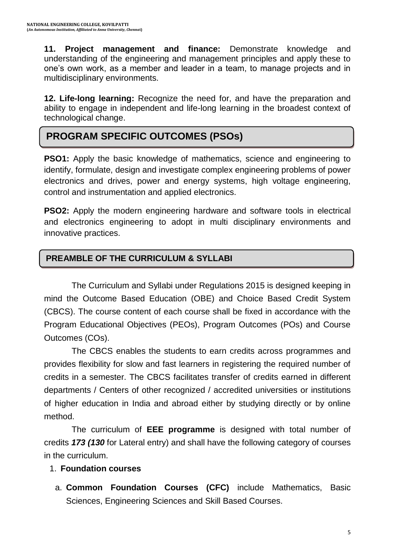**11. Project management and finance:** Demonstrate knowledge and understanding of the engineering and management principles and apply these to one"s own work, as a member and leader in a team, to manage projects and in multidisciplinary environments.

**12. Life-long learning:** Recognize the need for, and have the preparation and ability to engage in independent and life-long learning in the broadest context of technological change.

# **PROGRAM SPECIFIC OUTCOMES (PSOs)**

**PSO1:** Apply the basic knowledge of mathematics, science and engineering to identify, formulate, design and investigate complex engineering problems of power electronics and drives, power and energy systems, high voltage engineering, control and instrumentation and applied electronics.

**PSO2:** Apply the modern engineering hardware and software tools in electrical and electronics engineering to adopt in multi disciplinary environments and innovative practices.

# **PREAMBLE OF THE CURRICULUM & SYLLABI**

The Curriculum and Syllabi under Regulations 2015 is designed keeping in mind the Outcome Based Education (OBE) and Choice Based Credit System (CBCS). The course content of each course shall be fixed in accordance with the Program Educational Objectives (PEOs), Program Outcomes (POs) and Course Outcomes (COs).

The CBCS enables the students to earn credits across programmes and provides flexibility for slow and fast learners in registering the required number of credits in a semester. The CBCS facilitates transfer of credits earned in different departments / Centers of other recognized / accredited universities or institutions of higher education in India and abroad either by studying directly or by online method.

The curriculum of **EEE programme** is designed with total number of credits *173 (130* for Lateral entry) and shall have the following category of courses in the curriculum.

### 1. **Foundation courses**

a. **Common Foundation Courses (CFC)** include Mathematics, Basic Sciences, Engineering Sciences and Skill Based Courses.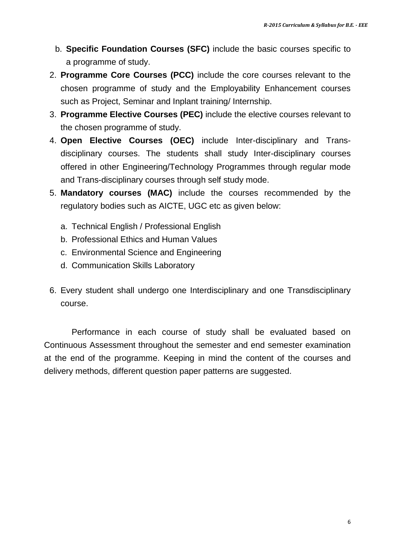- b. **Specific Foundation Courses (SFC)** include the basic courses specific to a programme of study.
- 2. **Programme Core Courses (PCC)** include the core courses relevant to the chosen programme of study and the Employability Enhancement courses such as Project, Seminar and Inplant training/ Internship.
- 3. **Programme Elective Courses (PEC)** include the elective courses relevant to the chosen programme of study.
- 4. **Open Elective Courses (OEC)** include Inter-disciplinary and Transdisciplinary courses. The students shall study Inter-disciplinary courses offered in other Engineering/Technology Programmes through regular mode and Trans-disciplinary courses through self study mode.
- 5. **Mandatory courses (MAC)** include the courses recommended by the regulatory bodies such as AICTE, UGC etc as given below:
	- a. Technical English / Professional English
	- b. Professional Ethics and Human Values
	- c. Environmental Science and Engineering
	- d. Communication Skills Laboratory
- 6. Every student shall undergo one Interdisciplinary and one Transdisciplinary course.

Performance in each course of study shall be evaluated based on Continuous Assessment throughout the semester and end semester examination at the end of the programme. Keeping in mind the content of the courses and delivery methods, different question paper patterns are suggested.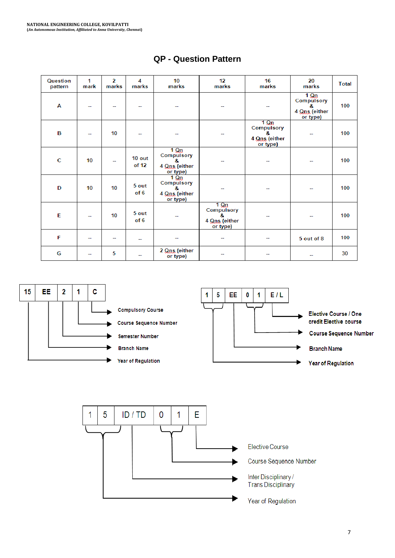| Question<br>pattern | 1<br>mark | $\overline{2}$<br>marks | 4<br>marks        | 10<br>marks                                                   | 12<br>marks                                                   | 16<br>marks                                                   | 20<br>marks                                                   | <b>Total</b> |
|---------------------|-----------|-------------------------|-------------------|---------------------------------------------------------------|---------------------------------------------------------------|---------------------------------------------------------------|---------------------------------------------------------------|--------------|
| Α                   | --        | --                      |                   |                                                               |                                                               | --                                                            | $1 \Omega n$<br>Compulsory<br>8.<br>4 Qns (either<br>or type) | 100          |
| в                   | н.        | 10                      | н.                |                                                               | --                                                            | $1 \Omega n$<br>Compulsory<br>8.<br>4 Qns (either<br>or type) | ۰.                                                            | 100          |
| c                   | 10        | -−                      | $10$ out<br>of 12 | $1 \Omega n$<br>Compulsory<br>8.<br>4 Qns (either<br>or type) |                                                               |                                                               |                                                               | 100          |
| D                   | 10        | 10                      | 5 out<br>of 6     | $1 \Omega n$<br>Compulsory<br>ጼ<br>4 Qns (either<br>or type)  |                                                               |                                                               |                                                               | 100          |
| E                   | --        | 10                      | 5 out<br>of 6     |                                                               | $1 \Omega n$<br>Compulsory<br>8.<br>4 Qns (either<br>or type) |                                                               |                                                               | 100          |
| F                   | --        | --                      | --                |                                                               | --                                                            | --                                                            | 5 out of 8                                                    | 100          |
| G                   | --        | 5                       | --                | 2 Qns (either<br>or type)                                     |                                                               |                                                               | --                                                            | 30           |

# **QP - Question Pattern**



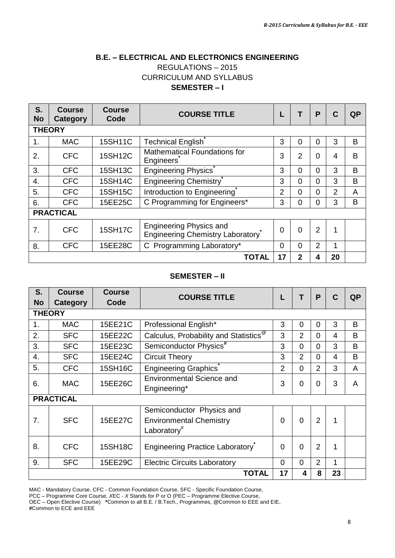#### **B.E. – ELECTRICAL AND ELECTRONICS ENGINEERING** REGULATIONS – 2015 CURRICULUM AND SYLLABUS **SEMESTER – I**

| S.<br><b>No</b>  | Course<br>Category | Course<br>Code | <b>COURSE TITLE</b>                                                |          | Т              | P              | C  | <b>QP</b> |  |
|------------------|--------------------|----------------|--------------------------------------------------------------------|----------|----------------|----------------|----|-----------|--|
|                  | <b>THEORY</b>      |                |                                                                    |          |                |                |    |           |  |
| $\mathbf 1$ .    | <b>MAC</b>         | 15SH11C        | Technical English                                                  | 3        | 0              | $\Omega$       | 3  | B         |  |
| 2.               | <b>CFC</b>         | 15SH12C        | <b>Mathematical Foundations for</b><br>Engineers                   | 3        | $\overline{2}$ | $\Omega$       | 4  | B         |  |
| 3.               | <b>CFC</b>         | 15SH13C        | <b>Engineering Physics</b>                                         | 3        | 0              | 0              | 3  | B         |  |
| $\overline{4}$ . | <b>CFC</b>         | 15SH14C        | <b>Engineering Chemistry</b>                                       | 3        | $\Omega$       | 0              | 3  | B         |  |
| 5.               | <b>CFC</b>         | 15SH15C        | Introduction to Engineering                                        | 2        | $\Omega$       | 0              | 2  | A         |  |
| 6.               | <b>CFC</b>         | 15EE25C        | C Programming for Engineers*                                       | 3        | 0              | 0              | 3  | B         |  |
|                  | <b>PRACTICAL</b>   |                |                                                                    |          |                |                |    |           |  |
| 7.               | <b>CFC</b>         | <b>15SH17C</b> | <b>Engineering Physics and</b><br>Engineering Chemistry Laboratory | $\Omega$ | $\Omega$       | $\overline{2}$ | 1  |           |  |
| 8.               | <b>CFC</b>         | 15EE28C        | C Programming Laboratory*                                          | 0        | $\Omega$       | $\overline{2}$ | 1  |           |  |
|                  |                    |                | TOTAL                                                              | 17       | $\mathbf{2}$   | 4              | 20 |           |  |

#### **SEMESTER – II**

| S.<br><b>No</b>  | <b>Course</b><br>Category | <b>Course</b><br>Code | <b>COURSE TITLE</b>                                                                    |                | Т              | P              | $\mathbf C$             | <b>QP</b> |
|------------------|---------------------------|-----------------------|----------------------------------------------------------------------------------------|----------------|----------------|----------------|-------------------------|-----------|
|                  | <b>THEORY</b>             |                       |                                                                                        |                |                |                |                         |           |
| 1 <sub>1</sub>   | <b>MAC</b>                | 15EE21C               | Professional English*                                                                  | 3              | 0              | 0              | 3                       | B         |
| 2.               | <b>SFC</b>                | 15EE22C               | Calculus, Probability and Statistics <sup>@</sup>                                      | 3              | $\overline{2}$ | $\Omega$       | $\overline{\mathbf{4}}$ | B         |
| 3.               | <b>SFC</b>                | 15EE23C               | Semiconductor Physics <sup>#</sup>                                                     | 3              | $\Omega$       | 0              | 3                       | B         |
| $\overline{4}$ . | <b>SFC</b>                | 15EE24C               | <b>Circuit Theory</b>                                                                  | 3              | $\overline{2}$ | $\Omega$       | 4                       | B         |
| 5.               | <b>CFC</b>                | 15SH16C               | <b>Engineering Graphics</b>                                                            | $\overline{2}$ | $\mathbf 0$    | $\overline{2}$ | 3                       | A         |
| 6.               | <b>MAC</b>                | 15EE26C               | <b>Environmental Science and</b><br>Engineering*                                       | 3              | 0              | 0              | 3                       | A         |
|                  | <b>PRACTICAL</b>          |                       |                                                                                        |                |                |                |                         |           |
| 7 <sub>1</sub>   | <b>SFC</b>                | 15EE27C               | Semiconductor Physics and<br><b>Environmental Chemistry</b><br>Laboratory <sup>#</sup> | $\Omega$       | $\Omega$       | $\overline{2}$ | 1                       |           |
| 8.               | <b>CFC</b>                | 15SH18C               | Engineering Practice Laboratory                                                        | $\Omega$       | $\Omega$       | $\overline{2}$ | 1                       |           |
| 9.               | <b>SFC</b>                | 15EE29C               | <b>Electric Circuits Laboratory</b>                                                    | 0              | $\mathbf 0$    | $\overline{2}$ | 1                       |           |
|                  | <b>TOTAL</b>              |                       |                                                                                        |                |                | 8              | 23                      |           |

MAC - Mandatory Course, CFC - Common Foundation Course, SFC - Specific Foundation Course,

PCC – Programme Core Course, *X*EC - *X* Stands for P or O (PEC – Programme Elective Course, OEC – Open Elective Course) **\***Common to all B.E. / B.Tech., Programmes, **@**Common to EEE and EIE, **#**Common to ECE and EEE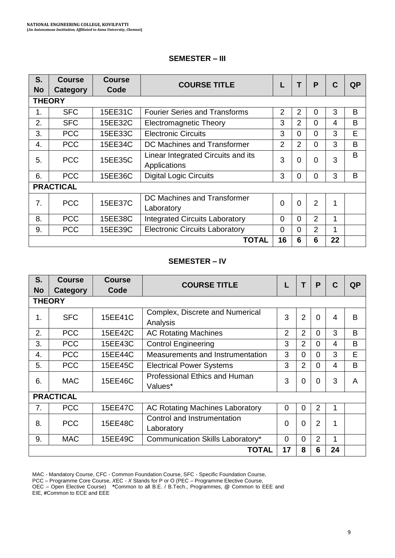#### **SEMESTER – III**

| S.<br><b>No</b> | <b>Course</b><br>Category | <b>Course</b><br>Code | <b>COURSE TITLE</b>                                |                | т        | P        | C  | <b>QP</b> |  |
|-----------------|---------------------------|-----------------------|----------------------------------------------------|----------------|----------|----------|----|-----------|--|
|                 | <b>THEORY</b>             |                       |                                                    |                |          |          |    |           |  |
| 1.              | <b>SFC</b>                | 15EE31C               | <b>Fourier Series and Transforms</b>               | $\overline{2}$ | 2        | $\Omega$ | 3  | B         |  |
| 2.              | <b>SFC</b>                | 15EE32C               | <b>Electromagnetic Theory</b>                      | 3              | 2        | $\Omega$ | 4  | B         |  |
| 3.              | <b>PCC</b>                | 15EE33C               | <b>Electronic Circuits</b>                         | 3              | $\Omega$ | $\Omega$ | 3  | Е         |  |
| 4.              | <b>PCC</b>                | 15EE34C               | DC Machines and Transformer                        | $\mathbf{2}$   | 2        | $\Omega$ | 3  | B         |  |
| 5.              | <b>PCC</b>                | 15EE35C               | Linear Integrated Circuits and its<br>Applications | 3              | $\Omega$ | $\Omega$ | 3  | B         |  |
| 6.              | <b>PCC</b>                | 15EE36C               | <b>Digital Logic Circuits</b>                      | 3              | $\Omega$ | 0        | 3  | B         |  |
|                 | <b>PRACTICAL</b>          |                       |                                                    |                |          |          |    |           |  |
| 7.              | <b>PCC</b>                | 15EE37C               | DC Machines and Transformer<br>Laboratory          | $\Omega$       | $\Omega$ | 2        | 1  |           |  |
| 8.              | <b>PCC</b>                | 15EE38C               | <b>Integrated Circuits Laboratory</b>              | $\Omega$       | $\Omega$ | 2        | 1  |           |  |
| 9.              | <b>PCC</b>                | 15EE39C               | <b>Electronic Circuits Laboratory</b>              | $\Omega$       | $\Omega$ | 2        | 1  |           |  |
|                 |                           |                       | TOTAL                                              | 16             | 6        | 6        | 22 |           |  |

#### **SEMESTER – IV**

| S.        | <b>Course</b>    | <b>Course</b> | <b>COURSE TITLE</b>                         |          | Т        | P              | $\mathbf C$  | QP |
|-----------|------------------|---------------|---------------------------------------------|----------|----------|----------------|--------------|----|
| <b>No</b> | Category         | Code          |                                             |          |          |                |              |    |
|           | <b>THEORY</b>    |               |                                             |          |          |                |              |    |
| 1.        | <b>SFC</b>       | 15EE41C       | Complex, Discrete and Numerical<br>Analysis | 3        | 2        | $\Omega$       | 4            | B  |
| 2.        | <b>PCC</b>       | 15EE42C       | <b>AC Rotating Machines</b>                 | 2        | 2        | $\Omega$       | 3            | B  |
| 3.        | <b>PCC</b>       | 15EE43C       | <b>Control Engineering</b>                  | 3        | 2        | $\Omega$       | 4            | B  |
| 4.        | <b>PCC</b>       | 15EE44C       | Measurements and Instrumentation            | 3        | $\Omega$ | $\Omega$       | 3            | E  |
| 5.        | <b>PCC</b>       | 15EE45C       | <b>Electrical Power Systems</b>             | 3        | 2        | $\Omega$       | 4            | B  |
| 6.        | <b>MAC</b>       | 15EE46C       | Professional Ethics and Human<br>Values*    | 3        | $\Omega$ | $\Omega$       | 3            | A  |
|           | <b>PRACTICAL</b> |               |                                             |          |          |                |              |    |
| 7.        | <b>PCC</b>       | 15EE47C       | <b>AC Rotating Machines Laboratory</b>      | $\Omega$ | $\Omega$ | $\overline{2}$ | $\mathbf{1}$ |    |
| 8.        | <b>PCC</b>       | 15EE48C       | Control and Instrumentation<br>Laboratory   | $\Omega$ | $\Omega$ | $\overline{2}$ | 1            |    |
| 9.        | <b>MAC</b>       | 15EE49C       | Communication Skills Laboratory*            | $\Omega$ | $\Omega$ | $\overline{2}$ | 1            |    |
|           |                  |               | <b>TOTAL</b>                                | 17       | 8        | 6              | 24           |    |

MAC - Mandatory Course, CFC - Common Foundation Course, SFC - Specific Foundation Course,

PCC – Programme Core Course, *X*EC - *X* Stands for P or O (PEC – Programme Elective Course, OEC – Open Elective Course) **\***Common to all B.E. / B.Tech., Programmes, **@** Common to EEE and

EIE, **#**Common to ECE and EEE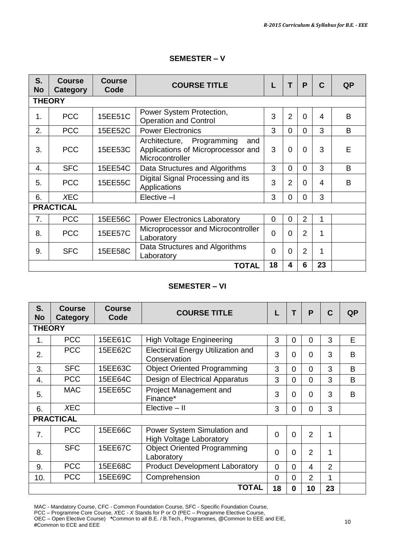#### **SEMESTER – V**

| S.<br><b>No</b>  | <b>Course</b><br>Category | Course<br>Code | <b>COURSE TITLE</b>                                                                       |          | т              | P              | C  | QP |
|------------------|---------------------------|----------------|-------------------------------------------------------------------------------------------|----------|----------------|----------------|----|----|
|                  | <b>THEORY</b>             |                |                                                                                           |          |                |                |    |    |
| 1.               | <b>PCC</b>                | 15EE51C        | Power System Protection,<br><b>Operation and Control</b>                                  | 3        | $\overline{2}$ | $\Omega$       | 4  | B  |
| 2.               | <b>PCC</b>                | 15EE52C        | <b>Power Electronics</b>                                                                  | 3        | $\Omega$       | $\Omega$       | 3  | B  |
| 3.               | <b>PCC</b>                | 15EE53C        | Architecture, Programming<br>and<br>Applications of Microprocessor and<br>Microcontroller | 3        | $\Omega$       | 0              | 3  | E  |
| 4.               | <b>SFC</b>                | 15EE54C        | Data Structures and Algorithms                                                            | 3        | $\Omega$       | $\Omega$       | 3  | B  |
| 5.               | <b>PCC</b>                | 15EE55C        | Digital Signal Processing and its<br>Applications                                         | 3        | $\overline{2}$ | 0              | 4  | B  |
| 6.               | <b>XEC</b>                |                | Elective -I                                                                               | 3        | $\Omega$       | $\Omega$       | 3  |    |
|                  | <b>PRACTICAL</b>          |                |                                                                                           |          |                |                |    |    |
| $\overline{7}$ . | <b>PCC</b>                | 15EE56C        | <b>Power Electronics Laboratory</b>                                                       | 0        | 0              | 2              | 1  |    |
| 8.               | <b>PCC</b>                | 15EE57C        | Microprocessor and Microcontroller<br>Laboratory                                          | $\Omega$ | $\Omega$       | 2              | 1  |    |
| 9.               | <b>SFC</b>                | 15EE58C        | Data Structures and Algorithms<br>Laboratory                                              | $\Omega$ | $\Omega$       | $\overline{2}$ | 1  |    |
|                  |                           |                | TOTAL                                                                                     | 18       | 4              | 6              | 23 |    |

#### **SEMESTER – VI**

| S.<br><b>No</b> | Course<br>Category | <b>Course</b><br>Code | <b>COURSE TITLE</b>                                           |          | т        | P              | C  | QP           |
|-----------------|--------------------|-----------------------|---------------------------------------------------------------|----------|----------|----------------|----|--------------|
| <b>THEORY</b>   |                    |                       |                                                               |          |          |                |    |              |
| 1.              | <b>PCC</b>         | 15EE61C               | <b>High Voltage Engineering</b>                               | 3        | 0        | 0              | 3  | E            |
| 2.              | <b>PCC</b>         | 15EE62C               | <b>Electrical Energy Utilization and</b><br>Conservation      | 3        | 0        | 0              | 3  | B            |
| 3.              | <b>SFC</b>         | 15EE63C               | <b>Object Oriented Programming</b>                            | 3        | $\Omega$ | $\Omega$       | 3  | B            |
| 4.              | <b>PCC</b>         | 15EE64C               | Design of Electrical Apparatus                                | 3        | $\Omega$ | $\Omega$       | 3  | B            |
| 5.              | MAC                | 15EE65C               | Project Management and<br>Finance*                            | 3        | $\Omega$ | $\Omega$       | 3  | <sub>B</sub> |
| 6.              | <b>XEC</b>         |                       | Elective - II                                                 | 3        | $\Omega$ | 0              | 3  |              |
|                 | <b>PRACTICAL</b>   |                       |                                                               |          |          |                |    |              |
| 7.              | <b>PCC</b>         | 15EE66C               | Power System Simulation and<br><b>High Voltage Laboratory</b> | $\Omega$ | $\Omega$ | $\overline{2}$ | 1  |              |
| 8.              | <b>SFC</b>         | 15EE67C               | <b>Object Oriented Programming</b><br>Laboratory              | 0        | $\Omega$ | $\overline{2}$ | 1  |              |
| 9.              | <b>PCC</b>         | 15EE68C               | <b>Product Development Laboratory</b>                         | $\Omega$ | $\Omega$ | 4              | 2  |              |
| 10.             | <b>PCC</b>         | 15EE69C               | Comprehension                                                 | $\Omega$ | $\Omega$ | $\overline{2}$ | 1  |              |
|                 |                    |                       | TOTAL                                                         | 18       | 0        | 10             | 23 |              |

MAC - Mandatory Course, CFC - Common Foundation Course, SFC - Specific Foundation Course,

PCC – Programme Core Course, *X*EC - *X* Stands for P or O (PEC – Programme Elective Course, OEC – Open Elective Course) **\***Common to all B.E. / B.Tech., Programmes, **@**Common to EEE and EIE, **#**Common to ECE and EEE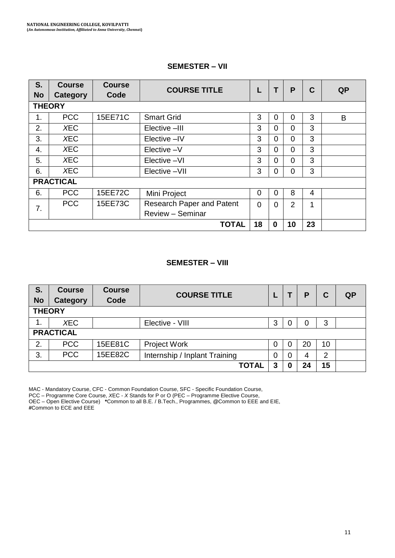#### **SEMESTER – VII**

| S.<br><b>No</b> | <b>Course</b><br><b>Category</b> | <b>Course</b><br>Code | <b>COURSE TITLE</b>       |          | т        | P        | C  | <b>QP</b> |
|-----------------|----------------------------------|-----------------------|---------------------------|----------|----------|----------|----|-----------|
| <b>THEORY</b>   |                                  |                       |                           |          |          |          |    |           |
| 1.              | <b>PCC</b>                       | 15EE71C               | <b>Smart Grid</b>         | 3        | 0        | 0        | 3  | B         |
| 2.              | <b>XEC</b>                       |                       | Elective -III             | 3        | $\Omega$ | 0        | 3  |           |
| 3.              | <b>XEC</b>                       |                       | Elective -IV              | 3        | $\Omega$ | 0        | 3  |           |
| 4.              | <b>XEC</b>                       |                       | Elective -V               | 3        | $\Omega$ | $\Omega$ | 3  |           |
| 5.              | <b>XEC</b>                       |                       | Elective -VI              | 3        | $\Omega$ | $\Omega$ | 3  |           |
| 6.              | <b>XEC</b>                       |                       | Elective -VII             | 3        | $\Omega$ | $\Omega$ | 3  |           |
|                 | <b>PRACTICAL</b>                 |                       |                           |          |          |          |    |           |
| 6.              | <b>PCC</b>                       | 15EE72C               | Mini Project              | $\Omega$ | $\Omega$ | 8        | 4  |           |
| 7.              | <b>PCC</b>                       | 15EE73C               | Research Paper and Patent | $\Omega$ | $\Omega$ | 2        | 1  |           |
|                 |                                  |                       | Review - Seminar          |          |          |          |    |           |
|                 |                                  |                       | <b>TOTAL</b>              | 18       | 0        | 10       | 23 |           |

#### **SEMESTER – VIII**

| S <sub>1</sub><br><b>No</b> | <b>Course</b><br>Category | <b>Course</b><br>Code | <b>COURSE TITLE</b>           |          |   | Ρ  | C  | <b>QP</b> |
|-----------------------------|---------------------------|-----------------------|-------------------------------|----------|---|----|----|-----------|
| <b>THEORY</b>               |                           |                       |                               |          |   |    |    |           |
| 1.                          | XEC                       |                       | Elective - VIII               | 3        |   | 0  | 3  |           |
|                             | <b>PRACTICAL</b>          |                       |                               |          |   |    |    |           |
| 2.                          | <b>PCC</b>                | 15EE81C               | Project Work                  | 0        | 0 | 20 | 10 |           |
| 3.                          | <b>PCC</b>                | 15EE82C               | Internship / Inplant Training | $\Omega$ | 0 | 4  | 2  |           |
|                             |                           |                       | <b>TOTAL</b>                  | 3        | 0 | 24 | 15 |           |

MAC - Mandatory Course, CFC - Common Foundation Course, SFC - Specific Foundation Course,

PCC – Programme Core Course, *X*EC - *X* Stands for P or O (PEC – Programme Elective Course, OEC – Open Elective Course) **\***Common to all B.E. / B.Tech., Programmes, **@**Common to EEE and EIE, **#**Common to ECE and EEE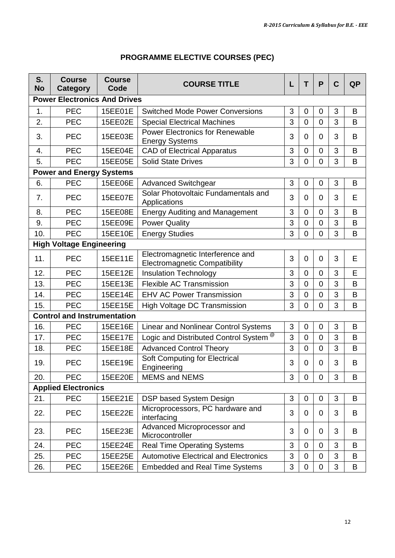| S.<br><b>No</b> | <b>Course</b><br>Category           | <b>Course</b><br>Code | <b>COURSE TITLE</b>                                                      | L              | т                | P              | $\mathbf c$ | <b>QP</b> |  |  |
|-----------------|-------------------------------------|-----------------------|--------------------------------------------------------------------------|----------------|------------------|----------------|-------------|-----------|--|--|
|                 | <b>Power Electronics And Drives</b> |                       |                                                                          |                |                  |                |             |           |  |  |
| 1.              | <b>PEC</b>                          | 15EE01E               | Switched Mode Power Conversions                                          | 3              | 0                | 0              | 3           | B         |  |  |
| 2.              | <b>PEC</b>                          | 15EE02E               | Special Electrical Machines                                              | 3              | 0                | 0              | 3           | B         |  |  |
| 3.              | <b>PEC</b>                          | 15EE03E               | Power Electronics for Renewable<br><b>Energy Systems</b>                 | 3              | 0                | $\overline{0}$ | 3           | B         |  |  |
| 4.              | <b>PEC</b>                          | 15EE04E               | <b>CAD of Electrical Apparatus</b>                                       | 3              | 0                | $\mathbf 0$    | 3           | B         |  |  |
| 5.              | <b>PEC</b>                          | 15EE05E               | <b>Solid State Drives</b>                                                | 3              | 0                | $\overline{0}$ | 3           | B         |  |  |
|                 | <b>Power and Energy Systems</b>     |                       |                                                                          |                |                  |                |             |           |  |  |
| 6.              | <b>PEC</b>                          | 15EE06E               | <b>Advanced Switchgear</b>                                               | 3              | 0                | $\Omega$       | 3           | B         |  |  |
| 7.              | <b>PEC</b>                          | 15EE07E               | Solar Photovoltaic Fundamentals and<br>Applications                      | 3              | 0                | 0              | 3           | Е         |  |  |
| 8.              | <b>PEC</b>                          | 15EE08E               | <b>Energy Auditing and Management</b>                                    | 3              | 0                | $\Omega$       | 3           | B         |  |  |
| 9.              | <b>PEC</b>                          | 15EE09E               | <b>Power Quality</b>                                                     | 3              | 0                | $\overline{0}$ | 3           | В         |  |  |
| 10.             | PEC                                 | 15EE10E               | <b>Energy Studies</b>                                                    | 3              | 0                | 0              | 3           | B         |  |  |
|                 | <b>High Voltage Engineering</b>     |                       |                                                                          |                |                  |                |             |           |  |  |
| 11.             | <b>PEC</b>                          | 15EE11E               | Electromagnetic Interference and<br><b>Electromagnetic Compatibility</b> | 3              | $\mathbf 0$      | $\mathbf 0$    | 3           | Е         |  |  |
| 12.             | <b>PEC</b>                          | 15EE12E               | <b>Insulation Technology</b>                                             | 3              | $\Omega$         | $\mathbf 0$    | 3           | E         |  |  |
| 13.             | <b>PEC</b>                          | 15EE13E               | Flexible AC Transmission                                                 | 3              | 0                | $\mathbf 0$    | 3           | B         |  |  |
| 14.             | <b>PEC</b>                          | 15EE14E               | <b>EHV AC Power Transmission</b>                                         | 3              | 0                | $\mathbf 0$    | 3           | B         |  |  |
| 15.             | <b>PEC</b>                          | 15EE15E               | High Voltage DC Transmission                                             | 3              | 0                | $\overline{0}$ | 3           | B         |  |  |
|                 | <b>Control and Instrumentation</b>  |                       |                                                                          |                |                  |                |             |           |  |  |
| 16.             | PEC                                 | 15EE16E               | Linear and Nonlinear Control Systems                                     | 3              | 0                | 0              | 3           | B         |  |  |
| 17.             | <b>PEC</b>                          | <b>15EE17E</b>        | Logic and Distributed Control System <sup>®</sup>                        | 3              | $\overline{0}$   | $\overline{0}$ | 3           | B         |  |  |
| 18.             | PEC                                 | 15EE18E               | <b>Advanced Control Theory</b>                                           | 3              | 0                | $\Omega$       | 3           | B         |  |  |
| 19.             | <b>PEC</b>                          | 15EE19E               | <b>Soft Computing for Electrical</b><br>Engineering                      | 3              | $\Omega$         | $\Omega$       | 3           | B         |  |  |
| 20.             | <b>PEC</b>                          | 15EE20E               | <b>MEMS and NEMS</b>                                                     | 3              | 0                | 0              | 3           | B         |  |  |
|                 | <b>Applied Electronics</b>          |                       |                                                                          |                |                  |                |             |           |  |  |
| 21.             | <b>PEC</b>                          | 15EE21E               | DSP based System Design                                                  | 3              | 0                | 0              | 3           | B         |  |  |
| 22.             | <b>PEC</b>                          | 15EE22E               | Microprocessors, PC hardware and<br>interfacing                          | 3              | 0                | $\Omega$       | 3           | B         |  |  |
| 23.             | <b>PEC</b>                          | 15EE23E               | Advanced Microprocessor and<br>Microcontroller                           | 3              | 0                | 0              | 3           | В         |  |  |
| 24.             | <b>PEC</b>                          | 15EE24E               | <b>Real Time Operating Systems</b>                                       | 3              | 0                | $\overline{0}$ | 3           | B         |  |  |
| 25.             | PEC                                 | 15EE25E               | <b>Automotive Electrical and Electronics</b>                             | 3              | $\boldsymbol{0}$ | $\mathbf 0$    | 3           | B         |  |  |
| 26.             | PEC                                 | 15EE26E               | <b>Embedded and Real Time Systems</b>                                    | $\overline{3}$ | $\overline{0}$   | $\overline{0}$ | 3           | B         |  |  |

# **PROGRAMME ELECTIVE COURSES (PEC)**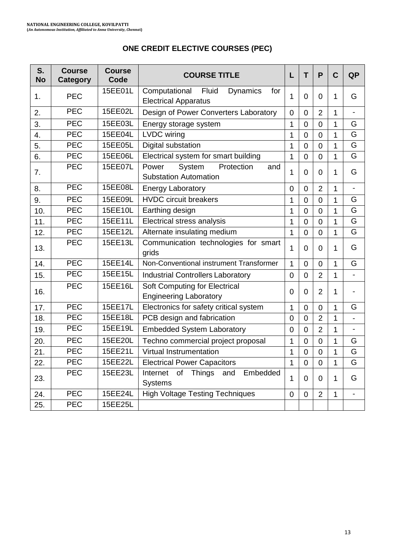# **ONE CREDIT ELECTIVE COURSES (PEC)**

| S.<br><b>No</b> | <b>Course</b><br>Category | Course<br>Code | <b>COURSE TITLE</b>                                                             | L              | T              | P              | C            | <b>QP</b>                |
|-----------------|---------------------------|----------------|---------------------------------------------------------------------------------|----------------|----------------|----------------|--------------|--------------------------|
| $\mathbf{1}$ .  | <b>PEC</b>                | 15EE01L        | Computational<br>Fluid<br><b>Dynamics</b><br>for<br><b>Electrical Apparatus</b> | 1              | 0              | 0              | 1            | G                        |
| 2.              | PEC                       | 15EE02L        | Design of Power Converters Laboratory                                           | $\Omega$       | 0              | $\overline{2}$ | 1            | $\overline{\phantom{0}}$ |
| 3.              | <b>PEC</b>                | 15EE03L        | Energy storage system                                                           | $\mathbf{1}$   | $\overline{0}$ | $\overline{0}$ | 1            | G                        |
| 4.              | <b>PEC</b>                | 15EE04L        | <b>LVDC</b> wiring                                                              | 1              | $\overline{0}$ | $\Omega$       | 1            | G                        |
| 5.              | <b>PEC</b>                | 15EE05L        | Digital substation                                                              | 1              | $\Omega$       | $\Omega$       | 1            | G                        |
| 6.              | PEC                       | 15EE06L        | Electrical system for smart building                                            | 1              | 0              | $\overline{0}$ | 1            | G                        |
| 7.              | PEC                       | 15EE07L        | System<br>Power<br>Protection<br>and<br><b>Substation Automation</b>            | 1              | 0              | 0              | 1            | G                        |
| 8.              | <b>PEC</b>                | 15EE08L        | <b>Energy Laboratory</b>                                                        | $\mathbf 0$    | $\Omega$       | $\overline{2}$ | 1            | $\overline{a}$           |
| 9.              | <b>PEC</b>                | 15EE09L        | <b>HVDC</b> circuit breakers                                                    | 1              | $\Omega$       | 0              | 1            | G                        |
| 10.             | <b>PEC</b>                | 15EE10L        | Earthing design                                                                 | 1              | $\Omega$       | 0              | $\mathbf{1}$ | G                        |
| 11.             | PEC                       | 15EE11L        | Electrical stress analysis                                                      | 1              | $\Omega$       | $\Omega$       | 1            | G                        |
| 12.             | <b>PEC</b>                | 15EE12L        | Alternate insulating medium                                                     |                | $\Omega$       | $\Omega$       | 1            | G                        |
| 13.             | <b>PEC</b>                | 15EE13L        | Communication technologies for smart<br>grids                                   | 1              | $\Omega$       | $\Omega$       | 1            | G                        |
| 14.             | <b>PEC</b>                | 15EE14L        | Non-Conventional instrument Transformer                                         | 1              | 0              | $\Omega$       | 1            | G                        |
| 15.             | <b>PEC</b>                | 15EE15L        | <b>Industrial Controllers Laboratory</b>                                        | $\Omega$       | $\Omega$       | $\overline{2}$ | 1            | $\overline{a}$           |
| 16.             | <b>PEC</b>                | 15EE16L        | Soft Computing for Electrical<br><b>Engineering Laboratory</b>                  | $\Omega$       | $\Omega$       | $\overline{2}$ | 1            | $\overline{\phantom{a}}$ |
| 17.             | <b>PEC</b>                | 15EE17L        | Electronics for safety critical system                                          | 1              | $\overline{0}$ | 0              | 1            | G                        |
| 18.             | $\overline{PEC}$          | 15EE18L        | PCB design and fabrication                                                      | $\overline{0}$ | 0              | $\overline{2}$ | 1            | $\overline{a}$           |
| 19.             | <b>PEC</b>                | 15EE19L        | <b>Embedded System Laboratory</b>                                               | 0              | $\Omega$       | $\overline{2}$ | 1            | $\overline{\phantom{0}}$ |
| 20.             | <b>PEC</b>                | 15EE20L        | Techno commercial project proposal                                              | $\mathbf{1}$   | 0              | 0              | 1            | G                        |
| 21.             | <b>PEC</b>                | 15EE21L        | Virtual Instrumentation                                                         | 1              | 0              | $\mathbf 0$    | 1            | G                        |
| 22.             | <b>PEC</b>                | 15EE22L        | <b>Electrical Power Capacitors</b>                                              | $\overline{1}$ | $\overline{0}$ | $\overline{0}$ | 1            | G                        |
| 23.             | <b>PEC</b>                | 15EE23L        | Things<br>Internet<br>of<br>Embedded<br>and<br>Systems                          | 1              | $\Omega$       | $\Omega$       | 1            | G                        |
| 24.             | <b>PEC</b>                | 15EE24L        | <b>High Voltage Testing Techniques</b>                                          | $\overline{0}$ | $\Omega$       | $\overline{2}$ | 1            | $\overline{\phantom{a}}$ |
| 25.             | PEC                       | 15EE25L        |                                                                                 |                |                |                |              |                          |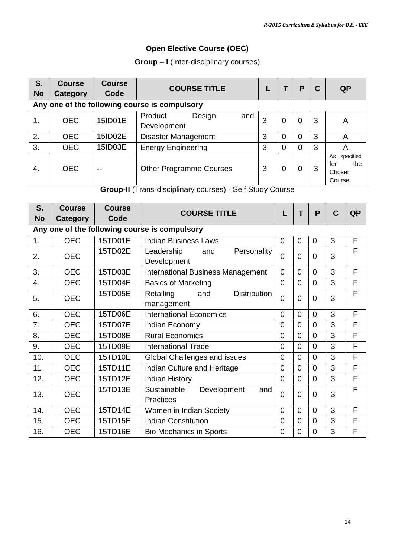# **Open Elective Course (OEC)**

**Group – I** (Inter-disciplinary courses)

| S.<br><b>No</b> | <b>Course</b><br>Category | <b>Course</b><br>Code | <b>COURSE TITLE</b>                           |   |   | P        | C | <b>QP</b>                                         |
|-----------------|---------------------------|-----------------------|-----------------------------------------------|---|---|----------|---|---------------------------------------------------|
|                 |                           |                       | Any one of the following course is compulsory |   |   |          |   |                                                   |
| 1.              | <b>OEC</b>                | 15ID01E               | Product<br>Design<br>and<br>Development       | 3 | 0 | $\Omega$ | 3 | A                                                 |
| 2.              | <b>OEC</b>                | 15ID02E               | Disaster Management                           | 3 | 0 | 0        | 3 | Α                                                 |
| 3.              | <b>OEC</b>                | 15ID03E               | <b>Energy Engineering</b>                     | 3 | 0 | 0        | 3 | Α                                                 |
| 4.              | OEC.                      | --                    | <b>Other Programme Courses</b>                | 3 | 0 | 0        | 3 | specified<br>As<br>the<br>for<br>Chosen<br>Course |

**Group-II** (Trans-disciplinary courses) - Self Study Course

| S.                                            | <b>Course</b> | <b>Course</b> | <b>COURSE TITLE</b>                                   | L              | т        | P        | $\mathbf c$ | <b>QP</b> |  |  |
|-----------------------------------------------|---------------|---------------|-------------------------------------------------------|----------------|----------|----------|-------------|-----------|--|--|
| <b>No</b>                                     | Category      | Code          |                                                       |                |          |          |             |           |  |  |
| Any one of the following course is compulsory |               |               |                                                       |                |          |          |             |           |  |  |
| 1.                                            | <b>OEC</b>    | 15TD01E       | <b>Indian Business Laws</b>                           | $\Omega$       | 0        | $\Omega$ | 3           | F         |  |  |
| 2.                                            | <b>OEC</b>    | 15TD02E       | Leadership<br>Personality<br>and<br>Development       | $\overline{0}$ | $\Omega$ | $\Omega$ | 3           | F         |  |  |
| 3.                                            | <b>OEC</b>    | 15TD03E       | <b>International Business Management</b>              | 0              | $\Omega$ | $\Omega$ | 3           | F         |  |  |
| 4.                                            | <b>OEC</b>    | 15TD04E       | <b>Basics of Marketing</b>                            | $\overline{0}$ | 0        | $\Omega$ | 3           | F         |  |  |
| 5.                                            | <b>OEC</b>    | 15TD05E       | <b>Distribution</b><br>Retailing<br>and<br>management | $\overline{0}$ | $\Omega$ | $\Omega$ | 3           | F         |  |  |
| 6.                                            | <b>OEC</b>    | 15TD06E       | <b>International Economics</b>                        | $\Omega$       | $\Omega$ | $\Omega$ | 3           | F         |  |  |
| 7.                                            | <b>OEC</b>    | 15TD07E       | Indian Economy                                        | $\Omega$       | 0        | $\Omega$ | 3           | F         |  |  |
| 8.                                            | <b>OEC</b>    | 15TD08E       | <b>Rural Economics</b>                                | $\overline{0}$ | 0        | $\Omega$ | 3           | F         |  |  |
| 9.                                            | <b>OEC</b>    | 15TD09E       | International Trade                                   | $\Omega$       | $\Omega$ | $\Omega$ | 3           | F         |  |  |
| 10.                                           | <b>OEC</b>    | 15TD10E       | Global Challenges and issues                          | $\Omega$       | 0        | $\Omega$ | 3           | F         |  |  |
| 11.                                           | <b>OEC</b>    | 15TD11E       | Indian Culture and Heritage                           | $\Omega$       | 0        | $\Omega$ | 3           | F         |  |  |
| 12.                                           | <b>OEC</b>    | 15TD12E       | <b>Indian History</b>                                 | $\overline{0}$ | 0        | $\Omega$ | 3           | F         |  |  |
| 13.                                           | <b>OEC</b>    | 15TD13E       | Sustainable<br>Development<br>and<br>Practices        | $\Omega$       | 0        | $\Omega$ | 3           | F         |  |  |
| 14.                                           | <b>OEC</b>    | 15TD14E       | Women in Indian Society                               | $\mathbf 0$    | 0        | $\Omega$ | 3           | F         |  |  |
| 15.                                           | <b>OEC</b>    | 15TD15E       | <b>Indian Constitution</b>                            | $\overline{0}$ | 0        | $\Omega$ | 3           | F         |  |  |
| 16.                                           | <b>OEC</b>    | 15TD16E       | <b>Bio Mechanics in Sports</b>                        | 0              | 0        | $\Omega$ | 3           | F         |  |  |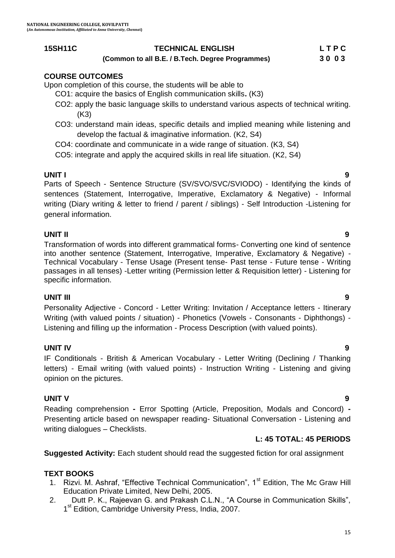#### **15SH11C TECHNICAL ENGLISH L T P C**

 **(Common to all B.E. / B.Tech. Degree Programmes) 3 0 0 3**

#### **COURSE OUTCOMES**

Upon completion of this course, the students will be able to

- CO1: acquire the basics of English communication skills**.** (K3)
- CO2: apply the basic language skills to understand various aspects of technical writing. (K3)
- CO3: understand main ideas, specific details and implied meaning while listening and develop the factual & imaginative information. (K2, S4)
- CO4: coordinate and communicate in a wide range of situation. (K3, S4)
- CO5: integrate and apply the acquired skills in real life situation. (K2, S4)

**UNIT I 9** Parts of Speech - Sentence Structure (SV/SVO/SVC/SVIODO) - Identifying the kinds of sentences (Statement, Interrogative, Imperative, Exclamatory & Negative) - Informal writing (Diary writing & letter to friend / parent / siblings) - Self Introduction -Listening for general information.

#### **UNIT II 9**

Transformation of words into different grammatical forms- Converting one kind of sentence into another sentence (Statement, Interrogative, Imperative, Exclamatory & Negative) - Technical Vocabulary - Tense Usage (Present tense- Past tense - Future tense - Writing passages in all tenses) -Letter writing (Permission letter & Requisition letter) - Listening for specific information.

#### **UNIT III 9**

Personality Adjective - Concord - Letter Writing: Invitation / Acceptance letters - Itinerary Writing (with valued points / situation) - Phonetics (Vowels - Consonants - Diphthongs) - Listening and filling up the information - Process Description (with valued points).

#### **UNIT IV 9**

IF Conditionals - British & American Vocabulary - Letter Writing (Declining / Thanking letters) - Email writing (with valued points) - Instruction Writing - Listening and giving opinion on the pictures.

#### **UNIT V 9**

Reading comprehension **-** Error Spotting (Article, Preposition, Modals and Concord) **-** Presenting article based on newspaper reading- Situational Conversation - Listening and writing dialogues – Checklists.

#### **L: 45 TOTAL: 45 PERIODS**

**Suggested Activity:** Each student should read the suggested fiction for oral assignment

#### **TEXT BOOKS**

- 1. Rizvi. M. Ashraf, "Effective Technical Communication", 1<sup>st</sup> Edition, The Mc Graw Hill Education Private Limited, New Delhi, 2005.
- 2. Dutt P. K., Rajeevan G. and Prakash C.L.N., "A Course in Communication Skills", 1<sup>st</sup> Edition, Cambridge University Press, India, 2007.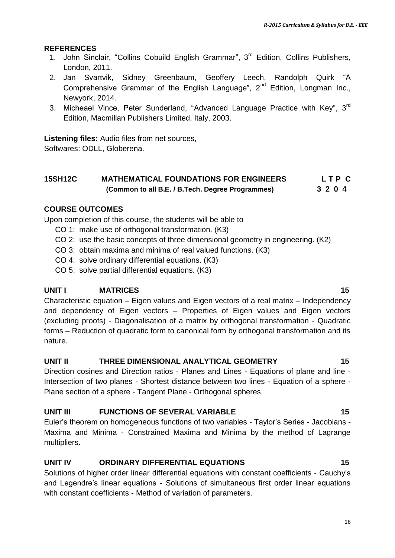#### **REFERENCES**

- 1. John Sinclair, "Collins Cobuild English Grammar", 3<sup>rd</sup> Edition, Collins Publishers, London, 2011.
- 2. [Jan Svartvik,](https://www.google.co.in/search?biw=1024&bih=576&q=jan+svartvik&stick=H4sIAAAAAAAAAGOovnz8BQMDgwUHnxCXfq6-QV6SmUWxpRKYbVqem5xUpiWTnWyln5Sfn61fXpRZUpKaF1-eX5RtlVhakpFfpDedVfvFD4ETJcEfbsvvsX3qX_HuLQAx7IAcVQAAAA&sa=X&ei=dIYbVdvzPMSVuATNu4DIAg&ved=0CJYBEJsTKAEwEA) Sidney Greenbaum, Geoffery Leech, [Randolph Quirk](https://www.google.co.in/search?biw=1024&bih=576&q=randolph+quirk&stick=H4sIAAAAAAAAAGOovnz8BQMDgzkHnxCXfq6-QV6SmUWxpRIniG1cYlFUqCWTnWyln5Sfn61fXpRZUpKaF1-eX5RtlVhakpFfxB_W37_s6Y77f4pOrksIPb1Y-HuiEwCx_kweVAAAAA&sa=X&ei=dIYbVdvzPMSVuATNu4DIAg&ved=0CJgBEJsTKAMwEA) "A Comprehensive Grammar of the English Language",  $2^{nd}$  Edition, Longman Inc., Newyork, 2014.
- 3. Micheael Vince, Peter Sunderland, "Advanced Language Practice with Key", 3<sup>rd</sup> Edition, Macmillan Publishers Limited, Italy, 2003.

**Listening files:** Audio files from net sources,

Softwares: ODLL, Globerena.

### **15SH12C MATHEMATICAL FOUNDATIONS FOR ENGINEERS L T P C (Common to all B.E. / B.Tech. Degree Programmes) 3 2 0 4**

#### **COURSE OUTCOMES**

Upon completion of this course, the students will be able to

- CO 1: make use of orthogonal transformation. (K3)
- CO 2: use the basic concepts of three dimensional geometry in engineering. (K2)
- CO 3: obtain maxima and minima of real valued functions. (K3)
- CO 4: solve ordinary differential equations. (K3)
- CO 5: solve partial differential equations. (K3)

nature.

**UNIT I MATRICES 15** Characteristic equation – Eigen values and Eigen vectors of a real matrix – Independency and dependency of Eigen vectors – Properties of Eigen values and Eigen vectors (excluding proofs) - Diagonalisation of a matrix by orthogonal transformation - Quadratic forms – Reduction of quadratic form to canonical form by orthogonal transformation and its

#### **UNIT II THREE DIMENSIONAL ANALYTICAL GEOMETRY 15**

Direction cosines and Direction ratios - Planes and Lines - Equations of plane and line - Intersection of two planes - Shortest distance between two lines - Equation of a sphere - Plane section of a sphere - Tangent Plane - Orthogonal spheres.

#### UNIT III FUNCTIONS OF SEVERAL VARIABLE **15**

Euler"s theorem on homogeneous functions of two variables - Taylor"s Series - Jacobians - Maxima and Minima - Constrained Maxima and Minima by the method of Lagrange multipliers.

#### **UNIT IV ORDINARY DIFFERENTIAL EQUATIONS 15**

Solutions of higher order linear differential equations with constant coefficients - Cauchy"s and Legendre"s linear equations - Solutions of simultaneous first order linear equations with constant coefficients - Method of variation of parameters.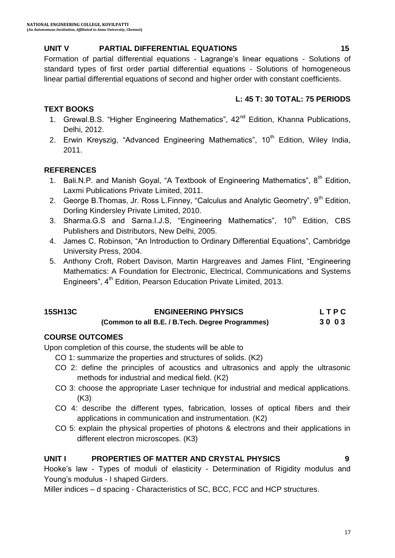#### **UNIT V PARTIAL DIFFERENTIAL EQUATIONS 15**

Formation of partial differential equations - Lagrange"s linear equations - Solutions of standard types of first order partial differential equations - Solutions of homogeneous linear partial differential equations of second and higher order with constant coefficients.

#### **L: 45 T: 30 TOTAL: 75 PERIODS**

#### **TEXT BOOKS**

- 1. Grewal.B.S. "Higher Engineering Mathematics", 42<sup>nd</sup> Edition, Khanna Publications, Delhi, 2012.
- 2. Erwin Kreyszig, "Advanced Engineering Mathematics",  $10<sup>th</sup>$  Edition, Wiley India, 2011.

#### **REFERENCES**

- 1. Bali.N.P. and Manish Goyal, "A Textbook of Engineering Mathematics", 8<sup>th</sup> Edition, Laxmi Publications Private Limited, 2011.
- 2. George B.Thomas, Jr. Ross L.Finney, "Calculus and Analytic Geometry". 9<sup>th</sup> Edition. Dorling Kindersley Private Limited, 2010.
- 3. Sharma.G.S and Sarna.I.J.S, "Engineering Mathematics",  $10<sup>th</sup>$  Edition, CBS Publishers and Distributors, New Delhi, 2005.
- 4. James C. Robinson, "An Introduction to Ordinary Differential Equations", Cambridge University Press, 2004.
- 5. Anthony Croft, Robert Davison, Martin Hargreaves and James Flint, "Engineering Mathematics: A Foundation for Electronic, Electrical, Communications and Systems Engineers", 4<sup>th</sup> Edition, Pearson Education Private Limited, 2013.

# **15SH13C ENGINEERING PHYSICS L T P C**

# **(Common to all B.E. / B.Tech. Degree Programmes) 3 0 0 3**

#### **COURSE OUTCOMES**

Upon completion of this course, the students will be able to

- CO 1: summarize the properties and structures of solids. (K2)
- CO 2: define the principles of acoustics and ultrasonics and apply the ultrasonic methods for industrial and medical field. (K2)
- CO 3: choose the appropriate Laser technique for industrial and medical applications. (K3)
- CO 4: describe the different types, fabrication, losses of optical fibers and their applications in communication and instrumentation. (K2)
- CO 5: explain the physical properties of photons & electrons and their applications in different electron microscopes. (K3)

#### **UNIT I PROPERTIES OF MATTER AND CRYSTAL PHYSICS 9**

Hooke's law - Types of moduli of elasticity - Determination of Rigidity modulus and Young"s modulus - I shaped Girders.

Miller indices – d spacing - Characteristics of SC, BCC, FCC and HCP structures.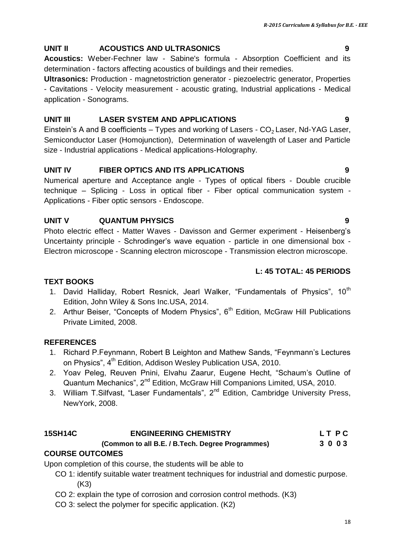# **UNIT II ACOUSTICS AND ULTRASONICS 9**

**Acoustics:** Weber-Fechner law - Sabine's formula - Absorption Coefficient and its determination - factors affecting acoustics of buildings and their remedies.

**Ultrasonics:** Production - magnetostriction generator - piezoelectric generator, Properties - Cavitations - Velocity measurement - acoustic grating, Industrial applications - Medical application - Sonograms.

# **UNIT III LASER SYSTEM AND APPLICATIONS 9**

Einstein's A and B coefficients – Types and working of Lasers -  $CO<sub>2</sub>$  Laser, Nd-YAG Laser, Semiconductor Laser (Homojunction), Determination of wavelength of Laser and Particle size - Industrial applications - Medical applications-Holography.

# **UNIT IV FIBER OPTICS AND ITS APPLICATIONS 9**

Numerical aperture and Acceptance angle - Types of optical fibers - Double crucible technique – Splicing - Loss in optical fiber - Fiber optical communication system - Applications - Fiber optic sensors - Endoscope.

# **UNIT V QUANTUM PHYSICS 9**

Photo electric effect - Matter Waves - Davisson and Germer experiment - Heisenberg"s Uncertainty principle - Schrodinger"s wave equation - particle in one dimensional box - Electron microscope - Scanning electron microscope - Transmission electron microscope.

# **L: 45 TOTAL: 45 PERIODS**

## **TEXT BOOKS**

- 1. David Halliday, Robert Resnick, Jearl Walker, "Fundamentals of Physics", 10<sup>th</sup> Edition, John Wiley & Sons Inc.USA, 2014.
- 2. Arthur Beiser, "Concepts of Modern Physics",  $6<sup>th</sup>$  Edition, McGraw Hill Publications Private Limited, 2008.

# **REFERENCES**

- 1. Richard P.Feynmann, Robert B Leighton and Mathew Sands, "Feynmann"s Lectures on Physics", 4<sup>th</sup> Edition, Addison Wesley Publication USA, 2010.
- 2. Yoav Peleg, Reuven Pnini, Elvahu Zaarur, Eugene Hecht, "Schaum"s Outline of Quantum Mechanics", 2<sup>nd</sup> Edition, McGraw Hill Companions Limited, USA, 2010.
- 3. William T. Silfvast, "Laser Fundamentals", 2<sup>nd</sup> Edition, Cambridge University Press, NewYork, 2008.

# **15SH14C ENGINEERING CHEMISTRY L T P C**

# **(Common to all B.E. / B.Tech. Degree Programmes) 3 0 0 3**

# **COURSE OUTCOMES**

Upon completion of this course, the students will be able to

- CO 1: identify suitable water treatment techniques for industrial and domestic purpose. (K3)
- CO 2: explain the type of corrosion and corrosion control methods. (K3)
- CO 3: select the polymer for specific application. (K2)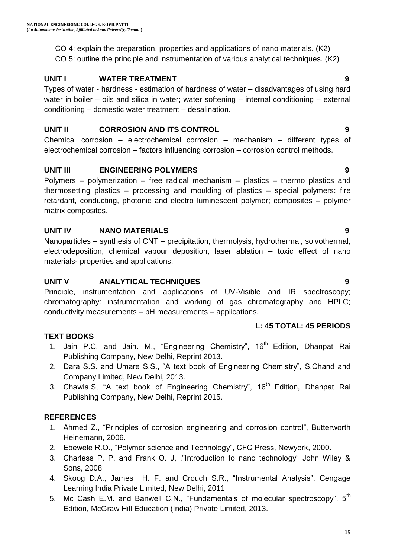CO 4: explain the preparation, properties and applications of nano materials. (K2) CO 5: outline the principle and instrumentation of various analytical techniques. (K2)

### **UNIT I WATER TREATMENT 9**

Types of water - hardness - estimation of hardness of water – disadvantages of using hard water in boiler – oils and silica in water; water softening – internal conditioning – external conditioning – domestic water treatment – desalination.

#### **UNIT II CORROSION AND ITS CONTROL 9**

Chemical corrosion – electrochemical corrosion – mechanism – different types of electrochemical corrosion – factors influencing corrosion – corrosion control methods.

### **UNIT III ENGINEERING POLYMERS 9**

Polymers – polymerization – free radical mechanism – plastics – thermo plastics and thermosetting plastics – processing and moulding of plastics – special polymers: fire retardant, conducting, photonic and electro luminescent polymer; composites – polymer matrix composites.

### **UNIT IV NANO MATERIALS 9**

Nanoparticles – synthesis of CNT – precipitation, thermolysis, hydrothermal, solvothermal, electrodeposition, chemical vapour deposition, laser ablation – toxic effect of nano materials- properties and applications.

#### **UNIT V ANALYTICAL TECHNIQUES 9**

Principle, instrumentation and applications of UV-Visible and IR spectroscopy; chromatography: instrumentation and working of gas chromatography and HPLC; conductivity measurements – pH measurements – applications.

#### **L: 45 TOTAL: 45 PERIODS**

#### **TEXT BOOKS**

- 1. Jain P.C. and Jain. M., "Engineering Chemistry", 16<sup>th</sup> Edition, Dhanpat Rai Publishing Company, New Delhi, Reprint 2013.
- 2. Dara S.S. and Umare S.S., "A text book of Engineering Chemistry", S.Chand and Company Limited, New Delhi, 2013.
- 3. Chawla.S, "A text book of Engineering Chemistry", 16<sup>th</sup> Edition, Dhanpat Rai Publishing Company, New Delhi, Reprint 2015.

### **REFERENCES**

- 1. Ahmed Z., "Principles of corrosion engineering and corrosion control", Butterworth Heinemann, 2006.
- 2. Ebewele R.O., "Polymer science and Technology", CFC Press, Newyork, 2000.
- 3. Charless P. P. and Frank O. J, ,"Introduction to nano technology" John Wiley & Sons, 2008
- 4. Skoog D.A., James H. F. and Crouch S.R., "Instrumental Analysis", Cengage Learning India Private Limited, New Delhi, 2011
- 5. Mc Cash E.M. and Banwell C.N., "Fundamentals of molecular spectroscopy", 5<sup>th</sup> Edition, McGraw Hill Education (India) Private Limited, 2013.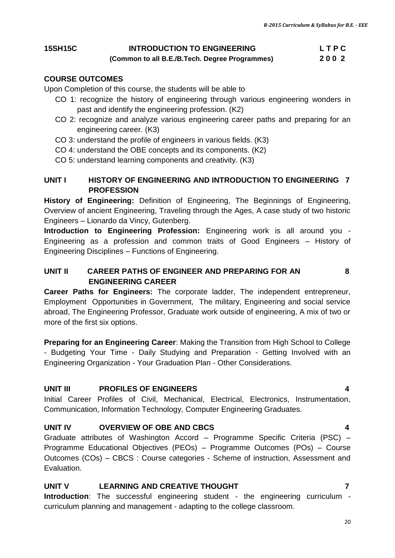#### **15SH15C INTRODUCTION TO ENGINEERING L T P C**

 **(Common to all B.E./B.Tech. Degree Programmes) 2 0 0 2**

#### **COURSE OUTCOMES**

Upon Completion of this course, the students will be able to

- CO 1: recognize the history of engineering through various engineering wonders in past and identify the engineering profession. (K2)
- CO 2: recognize and analyze various engineering career paths and preparing for an engineering career. (K3)
- CO 3: understand the profile of engineers in various fields. (K3)
- CO 4: understand the OBE concepts and its components. (K2)
- CO 5: understand learning components and creativity. (K3)

#### **UNIT I HISTORY OF ENGINEERING AND INTRODUCTION TO ENGINEERING 7 PROFESSION**

**History of Engineering:** Definition of Engineering, The Beginnings of Engineering, Overview of ancient Engineering, Traveling through the Ages, A case study of two historic Engineers – Lionardo da Vincy, Gutenberg.

**Introduction to Engineering Profession:** Engineering work is all around you - Engineering as a profession and common traits of Good Engineers – History of Engineering Disciplines – Functions of Engineering.

#### **UNIT II CAREER PATHS OF ENGINEER AND PREPARING FOR AN 8 ENGINEERING CAREER**

**Career Paths for Engineers:** The corporate ladder, The independent entrepreneur, Employment Opportunities in Government, The military, Engineering and social service abroad, The Engineering Professor, Graduate work outside of engineering, A mix of two or more of the first six options.

**Preparing for an Engineering Career**: Making the Transition from High School to College - Budgeting Your Time - Daily Studying and Preparation - Getting Involved with an Engineering Organization - Your Graduation Plan - Other Considerations.

#### **UNIT III PROFILES OF ENGINEERS 4**

Initial Career Profiles of Civil, Mechanical, Electrical, Electronics, Instrumentation, Communication, Information Technology, Computer Engineering Graduates.

#### **UNIT IV OVERVIEW OF OBE AND CBCS 4**

Graduate attributes of Washington Accord – Programme Specific Criteria (PSC) – Programme Educational Objectives (PEOs) – Programme Outcomes (POs) – Course Outcomes (COs) – CBCS : Course categories - Scheme of instruction, Assessment and Evaluation.

#### **UNIT V LEARNING AND CREATIVE THOUGHT 7**

**Introduction**: The successful engineering student - the engineering curriculum curriculum planning and management - adapting to the college classroom.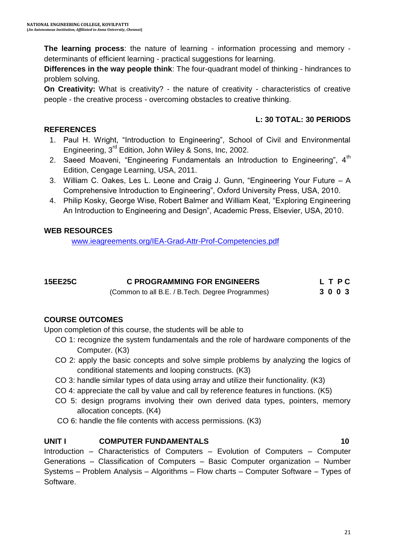**The learning process**: the nature of learning - information processing and memory determinants of efficient learning - practical suggestions for learning.

**Differences in the way people think**: The four-quadrant model of thinking - hindrances to problem solving.

**On Creativity:** What is creativity? - the nature of creativity - characteristics of creative people - the creative process - overcoming obstacles to creative thinking.

#### **L: 30 TOTAL: 30 PERIODS**

- 1. Paul H. Wright, "Introduction to Engineering", School of Civil and Environmental Engineering, 3rd Edition, John Wiley & Sons, Inc, 2002.
- 2. Saeed Moaveni, "Engineering Fundamentals an Introduction to Engineering",  $4<sup>th</sup>$ Edition, Cengage Learning, USA, 2011.
- 3. William C. Oakes, Les L. Leone and Craig J. Gunn, "Engineering Your Future A Comprehensive Introduction to Engineering", Oxford University Press, USA, 2010.
- 4. Philip Kosky, George Wise, Robert Balmer and William Keat, "Exploring Engineering An Introduction to Engineering and Design", Academic Press, Elsevier, USA, 2010.

#### **WEB RESOURCES**

[www.ieagreements.org/IEA-Grad-Attr-Prof-Competencies.pdf](http://www.ieagreements.org/IEA-Grad-Attr-Prof-Competencies.pdf)

| 15EE25C | <b>C PROGRAMMING FOR ENGINEERS</b>               | LTPC |
|---------|--------------------------------------------------|------|
|         | (Common to all B.E. / B.Tech. Degree Programmes) | 3003 |

#### **COURSE OUTCOMES**

Upon completion of this course, the students will be able to

- CO 1: recognize the system fundamentals and the role of hardware components of the Computer. (K3)
- CO 2: apply the basic concepts and solve simple problems by analyzing the logics of conditional statements and looping constructs. (K3)
- CO 3: handle similar types of data using array and utilize their functionality. (K3)
- CO 4: appreciate the call by value and call by reference features in functions. (K5)
- CO 5: design programs involving their own derived data types, pointers, memory allocation concepts. (K4)
- CO 6: handle the file contents with access permissions. (K3)

#### **UNIT I** COMPUTER FUNDAMENTALS 10

Introduction – Characteristics of Computers – Evolution of Computers – Computer Generations – Classification of Computers – Basic Computer organization – Number Systems – Problem Analysis – Algorithms – Flow charts – Computer Software – Types of Software.

### **REFERENCES**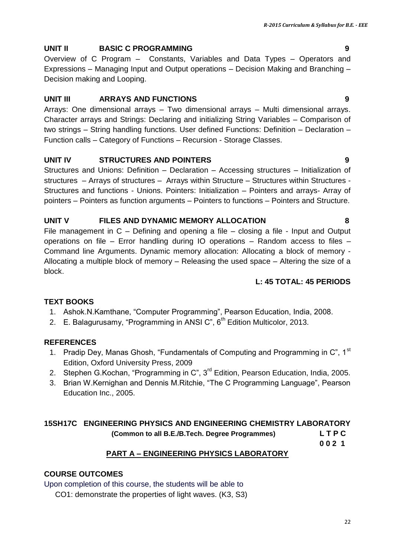#### **UNIT II BASIC C PROGRAMMING 9**

Overview of C Program – Constants, Variables and Data Types – Operators and Expressions – Managing Input and Output operations – Decision Making and Branching – Decision making and Looping.

#### **UNIT III ARRAYS AND FUNCTIONS 9**

Arrays: One dimensional arrays – Two dimensional arrays – Multi dimensional arrays. Character arrays and Strings: Declaring and initializing String Variables – Comparison of two strings – String handling functions. User defined Functions: Definition – Declaration – Function calls – Category of Functions – Recursion - Storage Classes.

#### **UNIT IV STRUCTURES AND POINTERS 9**

Structures and Unions: Definition – Declaration – Accessing structures – Initialization of structures – Arrays of structures – Arrays within Structure – Structures within Structures - Structures and functions - Unions. Pointers: Initialization – Pointers and arrays- Array of pointers – Pointers as function arguments – Pointers to functions – Pointers and Structure.

#### **UNIT V FILES AND DYNAMIC MEMORY ALLOCATION 8**

File management in C – Defining and opening a file – closing a file - Input and Output operations on file – Error handling during IO operations – Random access to files – Command line Arguments. Dynamic memory allocation: Allocating a block of memory - Allocating a multiple block of memory – Releasing the used space – Altering the size of a block.

#### **L: 45 TOTAL: 45 PERIODS**

#### **TEXT BOOKS**

- 1. Ashok.N.Kamthane, "Computer Programming", Pearson Education, India, 2008.
- 2. E. Balagurusamy, "Programming in ANSI C",  $6<sup>th</sup>$  Edition Multicolor, 2013.

#### **REFERENCES**

- 1. Pradip Dey, Manas Ghosh, "Fundamentals of Computing and Programming in C",  $1<sup>st</sup>$ Edition, Oxford University Press, 2009
- 2. Stephen G.Kochan, "Programming in C", 3<sup>rd</sup> Edition, Pearson Education, India, 2005.
- 3. Brian W.Kernighan and Dennis M.Ritchie, "The C Programming Language", Pearson Education Inc., 2005.

#### **15SH17C ENGINEERING PHYSICS AND ENGINEERING CHEMISTRY LABORATORY (Common to all B.E./B.Tech. Degree Programmes) L T P C**

**0 0 2 1**

#### **PART A – ENGINEERING PHYSICS LABORATORY**

#### **COURSE OUTCOMES**

Upon completion of this course, the students will be able to

CO1: demonstrate the properties of light waves. (K3, S3)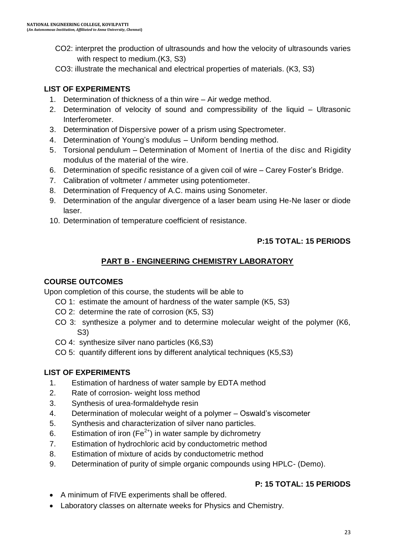- CO2: interpret the production of ultrasounds and how the velocity of ultrasounds varies with respect to medium.(K3, S3)
- CO3: illustrate the mechanical and electrical properties of materials. (K3, S3)

## **LIST OF EXPERIMENTS**

- 1. Determination of thickness of a thin wire Air wedge method.
- 2. Determination of velocity of sound and compressibility of the liquid Ultrasonic Interferometer.
- 3. Determination of Dispersive power of a prism using Spectrometer.
- 4. Determination of Young"s modulus Uniform bending method.
- 5. Torsional pendulum Determination of Moment of Inertia of the disc and Rigidity modulus of the material of the wire.
- 6. Determination of specific resistance of a given coil of wire Carey Foster"s Bridge.
- 7. Calibration of voltmeter / ammeter using potentiometer.
- 8. Determination of Frequency of A.C. mains using Sonometer.
- 9. Determination of the angular divergence of a laser beam using He-Ne laser or diode laser.
- 10. Determination of temperature coefficient of resistance.

## **P:15 TOTAL: 15 PERIODS**

# **PART B - ENGINEERING CHEMISTRY LABORATORY**

#### **COURSE OUTCOMES**

Upon completion of this course, the students will be able to

- CO 1: estimate the amount of hardness of the water sample (K5, S3)
- CO 2: determine the rate of corrosion (K5, S3)
- CO 3: synthesize a polymer and to determine molecular weight of the polymer (K6, S3)
- CO 4: synthesize silver nano particles (K6,S3)
- CO 5: quantify different ions by different analytical techniques (K5,S3)

### **LIST OF EXPERIMENTS**

- 1. Estimation of hardness of water sample by EDTA method
- 2. Rate of corrosion- weight loss method
- 3. Synthesis of urea-formaldehyde resin
- 4. Determination of molecular weight of a polymer Oswald"s viscometer
- 5. Synthesis and characterization of silver nano particles.
- 6. Estimation of iron  $(Fe^{2+})$  in water sample by dichrometry
- 7. Estimation of hydrochloric acid by conductometric method
- 8. Estimation of mixture of acids by conductometric method
- 9. Determination of purity of simple organic compounds using HPLC- (Demo).

# **P: 15 TOTAL: 15 PERIODS**

- A minimum of FIVE experiments shall be offered.
- Laboratory classes on alternate weeks for Physics and Chemistry.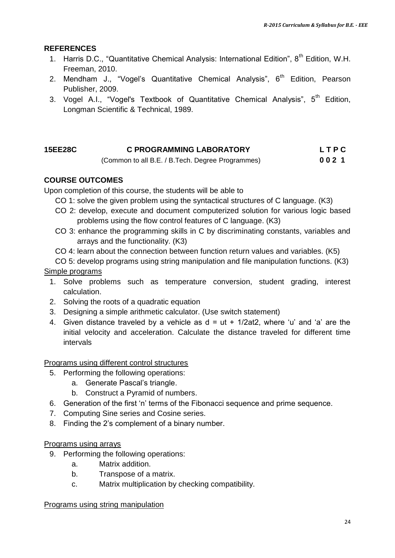#### **REFERENCES**

- 1. Harris D.C., "Quantitative Chemical Analysis: International Edition", 8<sup>th</sup> Edition. W.H. Freeman, 2010.
- 2. Mendham J., "Vogel's Quantitative Chemical Analysis",  $6<sup>th</sup>$  Edition, Pearson Publisher, 2009.
- 3. [Vogel](https://www.google.co.in/search?tbo=p&tbm=bks&q=inauthor:%22Arthur+Israel+Vogel%22) A.I., "Vogel's Textbook of Quantitative Chemical Analysis",  $5<sup>th</sup>$  Edition, Longman Scientific & Technical, 1989.

| <b>15EE28C</b> | <b>C PROGRAMMING LABORATORY</b>                  | <b>LTPC</b> |  |
|----------------|--------------------------------------------------|-------------|--|
|                | (Common to all B.E. / B.Tech. Degree Programmes) | 0021        |  |

#### **COURSE OUTCOMES**

Upon completion of this course, the students will be able to

- CO 1: solve the given problem using the syntactical structures of C language. (K3)
- CO 2: develop, execute and document computerized solution for various logic based problems using the flow control features of C language. (K3)
- CO 3: enhance the programming skills in C by discriminating constants, variables and arrays and the functionality. (K3)
- CO 4: learn about the connection between function return values and variables. (K5)
- CO 5: develop programs using string manipulation and file manipulation functions. (K3) Simple programs
	- 1. Solve problems such as temperature conversion, student grading, interest calculation.
	- 2. Solving the roots of a quadratic equation
	- 3. Designing a simple arithmetic calculator. (Use switch statement)
	- 4. Given distance traveled by a vehicle as  $d = ut + 1/2at2$ , where 'u' and 'a' are the initial velocity and acceleration. Calculate the distance traveled for different time intervals

Programs using different control structures

- 5. Performing the following operations:
	- a. Generate Pascal"s triangle.
	- b. Construct a Pyramid of numbers.
- 6. Generation of the first 'n' terms of the Fibonacci sequence and prime sequence.
- 7. Computing Sine series and Cosine series.
- 8. Finding the 2"s complement of a binary number.

#### Programs using arrays

- 9. Performing the following operations:
	- a. Matrix addition.
	- b. Transpose of a matrix.
	- c. Matrix multiplication by checking compatibility.

#### Programs using string manipulation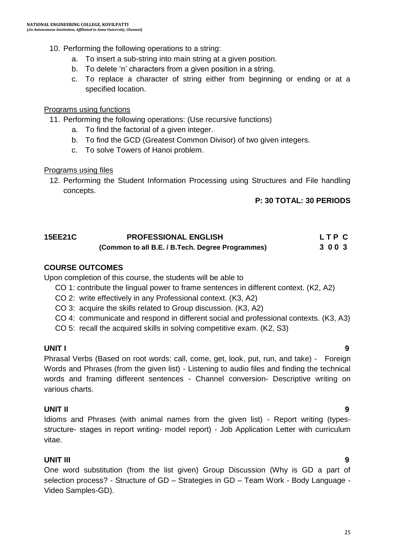#### 10. Performing the following operations to a string:

- a. To insert a sub-string into main string at a given position.
- b. To delete 'n' characters from a given position in a string.
- c. To replace a character of string either from beginning or ending or at a specified location.

#### Programs using functions

- 11. Performing the following operations: (Use recursive functions)
	- a. To find the factorial of a given integer.
	- b. To find the GCD (Greatest Common Divisor) of two given integers.
	- c. To solve Towers of Hanoi problem.

#### Programs using files

12. Performing the Student Information Processing using Structures and File handling concepts.

#### **P: 30 TOTAL: 30 PERIODS**

#### **15EE21C PROFESSIONAL ENGLISH L T P C (Common to all B.E. / B.Tech. Degree Programmes) 3 0 0 3**

#### **COURSE OUTCOMES**

Upon completion of this course, the students will be able to

- CO 1: contribute the lingual power to frame sentences in different context. (K2, A2)
- CO 2: write effectively in any Professional context. (K3, A2)
- CO 3: acquire the skills related to Group discussion. (K3, A2)
- CO 4: communicate and respond in different social and professional contexts. (K3, A3)
- CO 5: recall the acquired skills in solving competitive exam. (K2, S3)

#### **UNIT I 9**

Phrasal Verbs (Based on root words: call, come, get, look, put, run, and take) - Foreign Words and Phrases (from the given list) - Listening to audio files and finding the technical words and framing different sentences - Channel conversion- Descriptive writing on various charts.

#### **UNIT II 9**

Idioms and Phrases (with animal names from the given list) - Report writing (typesstructure- stages in report writing- model report) - Job Application Letter with curriculum vitae.

#### **UNIT III 9**

One word substitution (from the list given) Group Discussion (Why is GD a part of selection process? - Structure of GD – Strategies in GD – Team Work - Body Language - Video Samples-GD).

#### 25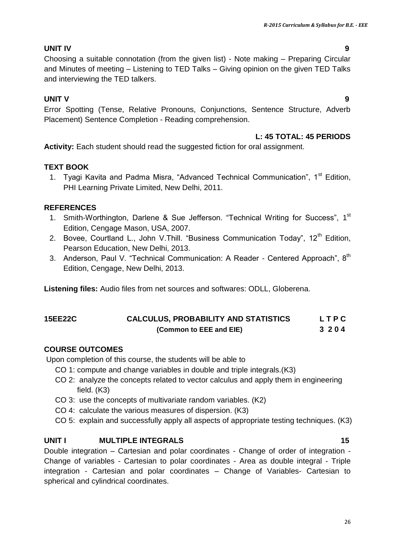#### **UNIT IV 9**

Choosing a suitable connotation (from the given list) - Note making – Preparing Circular and Minutes of meeting – Listening to TED Talks – Giving opinion on the given TED Talks and interviewing the TED talkers.

#### **UNIT V 9**

Error Spotting (Tense, Relative Pronouns, Conjunctions, Sentence Structure, Adverb Placement) Sentence Completion - Reading comprehension.

#### **L: 45 TOTAL: 45 PERIODS**

**Activity:** Each student should read the suggested fiction for oral assignment.

#### **TEXT BOOK**

1. Tyagi Kavita and Padma Misra, "Advanced Technical Communication", 1<sup>st</sup> Edition, PHI Learning Private Limited, New Delhi, 2011.

#### **REFERENCES**

- 1. Smith-Worthington, Darlene & Sue Jefferson. "Technical Writing for Success", 1<sup>st</sup> Edition, Cengage Mason, USA, 2007.
- 2. Bovee, Courtland L., John V. Thill. "Business Communication Todav", 12<sup>th</sup> Edition. Pearson Education, New Delhi, 2013.
- 3. Anderson, Paul V. "Technical Communication: A Reader Centered Approach", 8<sup>th</sup> Edition, Cengage, New Delhi, 2013.

**Listening files:** Audio files from net sources and softwares: ODLL, Globerena.

### **15EE22C CALCULUS, PROBABILITY AND STATISTICS L T P C (Common to EEE and EIE) 3 2 0 4**

#### **COURSE OUTCOMES**

Upon completion of this course, the students will be able to

- CO 1: compute and change variables in double and triple integrals.(K3)
- CO 2: analyze the concepts related to vector calculus and apply them in engineering field. (K3)
- CO 3: use the concepts of multivariate random variables. (K2)
- CO 4: calculate the various measures of dispersion. (K3)
- CO 5: explain and successfully apply all aspects of appropriate testing techniques. (K3)

#### **UNIT I MULTIPLE INTEGRALS** 15

Double integration – Cartesian and polar coordinates - Change of order of integration - Change of variables - Cartesian to polar coordinates - Area as double integral - Triple integration - Cartesian and polar coordinates – Change of Variables- Cartesian to spherical and cylindrical coordinates.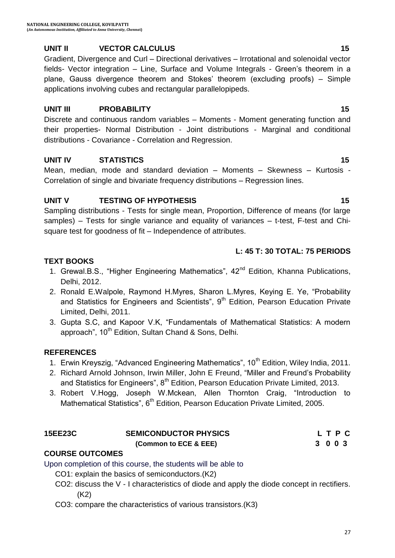#### **UNIT II VECTOR CALCULUS 15**

Gradient, Divergence and Curl – Directional derivatives – Irrotational and solenoidal vector fields- Vector integration – Line, Surface and Volume Integrals - Green"s theorem in a plane, Gauss divergence theorem and Stokes" theorem (excluding proofs) – Simple applications involving cubes and rectangular parallelopipeds.

#### **UNIT III** PROBABILITY 15

Discrete and continuous random variables – Moments - Moment generating function and their properties- Normal Distribution - Joint distributions - Marginal and conditional distributions - Covariance - Correlation and Regression.

#### **UNIT IV STATISTICS 15**

Mean, median, mode and standard deviation – Moments – Skewness – Kurtosis - Correlation of single and bivariate frequency distributions – Regression lines.

#### **UNIT V TESTING OF HYPOTHESIS 15 15**

Sampling distributions - Tests for single mean, Proportion, Difference of means (for large samples) – Tests for single variance and equality of variances – t-test, F-test and Chisquare test for goodness of fit – Independence of attributes.

#### **L: 45 T: 30 TOTAL: 75 PERIODS**

#### **TEXT BOOKS**

- 1. Grewal.B.S., "Higher Engineering Mathematics",  $42^{nd}$  Edition, Khanna Publications, Delhi, 2012.
- 2. Ronald E.Walpole, Raymond H.Myres, Sharon L.Myres, Keying E. Ye, "Probability and Statistics for Engineers and Scientists", 9<sup>th</sup> Edition, Pearson Education Private Limited, Delhi, 2011.
- 3. Gupta S.C, and Kapoor V.K, "Fundamentals of Mathematical Statistics: A modern approach", 10<sup>th</sup> Edition, Sultan Chand & Sons, Delhi.

#### **REFERENCES**

- 1. Erwin Kreyszig, "Advanced Engineering Mathematics", 10<sup>th</sup> Edition, Wiley India, 2011.
- 2. [Richard Arnold Johnson,](https://www.google.co.in/search?tbm=bks&tbm=bks&q=inauthor:%22Richard+Arnold+Johnson%22&sa=X&ei=HhslVbXCD8OiugTVnICoBg&ved=0CCQQ9AgwAQ) [Irwin Miller,](https://www.google.co.in/search?tbm=bks&q=inauthor:%22Irwin+Miller%22&sa=X&ei=HhslVbXCD8OiugTVnICoBg&ved=0CCUQ9AgwAQ&biw=1366&bih=601&dpr=1) [John E Freund](https://www.google.co.in/search?tbm=bks&tbm=bks&q=inauthor:%22John+E+Freund%22&sa=X&ei=HhslVbXCD8OiugTVnICoBg&ved=0CCYQ9AgwAQ), "Miller and Freund"s Probability and Statistics for Engineers", 8<sup>th</sup> Edition, Pearson Education Private Limited, 2013.
- 3. Robert V.Hogg, Joseph W.Mckean, Allen Thornton Craig, "Introduction to Mathematical Statistics", 6<sup>th</sup> Edition, Pearson Education Private Limited, 2005.

### **15EE23C SEMICONDUCTOR PHYSICS L T P C (Common to ECE & EEE) 3 0 0 3**

#### **COURSE OUTCOMES**

Upon completion of this course, the students will be able to

- CO1: explain the basics of semiconductors.(K2)
- CO2: discuss the V I characteristics of diode and apply the diode concept in rectifiers. (K2)
- CO3: compare the characteristics of various transistors.(K3)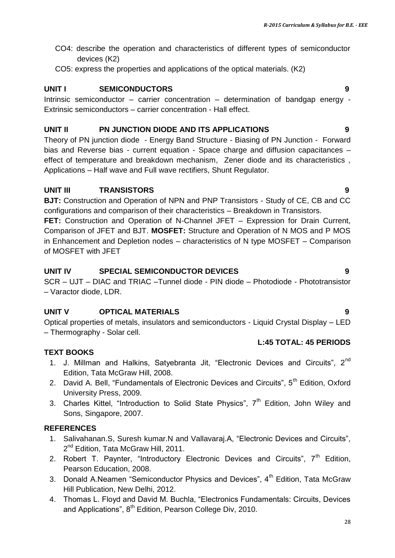- CO4: describe the operation and characteristics of different types of semiconductor devices (K2)
- CO5: express the properties and applications of the optical materials. (K2)

#### **UNIT I SEMICONDUCTORS 9**

Intrinsic semiconductor – carrier concentration – determination of bandgap energy - Extrinsic semiconductors – carrier concentration - Hall effect.

#### **UNIT II PN JUNCTION DIODE AND ITS APPLICATIONS 9**

Theory of PN junction diode - Energy Band Structure - Biasing of PN Junction - Forward bias and Reverse bias - current equation - Space charge and diffusion capacitances – effect of temperature and breakdown mechanism, Zener diode and its characteristics , Applications – Half wave and Full wave rectifiers, Shunt Regulator.

#### **UNIT III TRANSISTORS 9**

**BJT:** Construction and Operation of NPN and PNP Transistors - Study of CE, CB and CC configurations and comparison of their characteristics – Breakdown in Transistors.

**FET:** Construction and Operation of N-Channel JFET – Expression for Drain Current, Comparison of JFET and BJT. **MOSFET:** Structure and Operation of N MOS and P MOS in Enhancement and Depletion nodes – characteristics of N type MOSFET – Comparison of MOSFET with JFET

### **UNIT IV SPECIAL SEMICONDUCTOR DEVICES 9**

SCR – UJT – DIAC and TRIAC –Tunnel diode - PIN diode – Photodiode - Phototransistor – Varactor diode, LDR.

### **UNIT V OPTICAL MATERIALS 9**

Optical properties of metals, insulators and semiconductors - Liquid Crystal Display – LED – Thermography - Solar cell.

#### **L:45 TOTAL: 45 PERIODS**

#### **TEXT BOOKS**

- 1. J. Millman and Halkins, Satyebranta Jit, "Electronic Devices and Circuits",  $2^{nd}$ Edition, Tata McGraw Hill, 2008.
- 2. David A. Bell, "Fundamentals of Electronic Devices and Circuits", 5<sup>th</sup> Edition, Oxford University Press, 2009.
- 3. Charles Kittel, "Introduction to Solid State Physics", 7<sup>th</sup> Edition, John Wiley and Sons, Singapore, 2007.

#### **REFERENCES**

- 1. Salivahanan.S, Suresh kumar.N and Vallavaraj.A, "Electronic Devices and Circuits", 2<sup>nd</sup> Edition, Tata McGraw Hill, 2011.
- 2. Robert T. Paynter, "Introductory Electronic Devices and Circuits",  $7<sup>th</sup>$  Edition, Pearson Education, 2008.
- 3. Donald A.Neamen "Semiconductor Physics and Devices",  $4<sup>th</sup>$  Edition, Tata McGraw Hill Publication, New Delhi, 2012.
- 4. Thomas L. Floyd and David M. Buchla, "Electronics Fundamentals: Circuits, Devices and Applications", 8<sup>th</sup> Edition, Pearson College Div, 2010.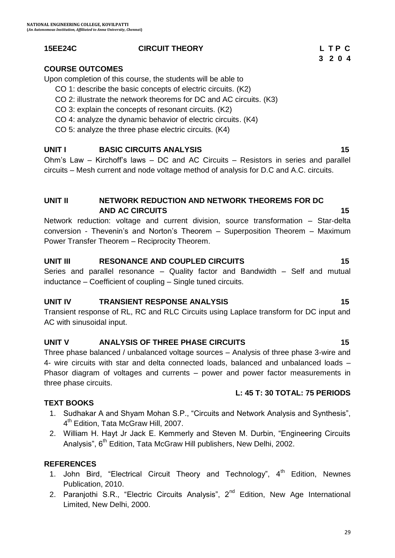#### **15EE24C CIRCUIT THEORY L T P C**

29

#### **COURSE OUTCOMES**

Upon completion of this course, the students will be able to

- CO 1: describe the basic concepts of electric circuits. (K2)
- CO 2: illustrate the network theorems for DC and AC circuits. (K3)
- CO 3: explain the concepts of resonant circuits. (K2)
- CO 4: analyze the dynamic behavior of electric circuits. (K4)
- CO 5: analyze the three phase electric circuits. (K4)

# **UNIT I** BASIC CIRCUITS ANALYSIS **15**

Ohm"s Law – Kirchoff"s laws – DC and AC Circuits – Resistors in series and parallel circuits – Mesh current and node voltage method of analysis for D.C and A.C. circuits.

# **UNIT II NETWORK REDUCTION AND NETWORK THEOREMS FOR DC AND AC CIRCUITS 15**

Network reduction: voltage and current division, source transformation – Star-delta conversion - Thevenin"s and Norton"s Theorem – Superposition Theorem – Maximum Power Transfer Theorem – Reciprocity Theorem.

# **UNIT III RESONANCE AND COUPLED CIRCUITS 15**

Series and parallel resonance – Quality factor and Bandwidth – Self and mutual inductance – Coefficient of coupling – Single tuned circuits.

# **UNIT IV TRANSIENT RESPONSE ANALYSIS 15**

Transient response of RL, RC and RLC Circuits using Laplace transform for DC input and AC with sinusoidal input.

# **UNIT V ANALYSIS OF THREE PHASE CIRCUITS 15**

Three phase balanced / unbalanced voltage sources – Analysis of three phase 3-wire and 4- wire circuits with star and delta connected loads, balanced and unbalanced loads – Phasor diagram of voltages and currents – power and power factor measurements in three phase circuits.

# **TEXT BOOKS**

- 1. Sudhakar A and Shyam Mohan S.P., "Circuits and Network Analysis and Synthesis", 4<sup>th</sup> Edition, Tata McGraw Hill, 2007.
- 2. William H. Hayt Jr Jack E. Kemmerly and Steven M. Durbin, "Engineering Circuits Analysis", 6<sup>th</sup> Edition, Tata McGraw Hill publishers, New Delhi, 2002.

# **REFERENCES**

- 1. John Bird, "Electrical Circuit Theory and Technology", 4<sup>th</sup> Edition, Newnes Publication, 2010.
- 2. Paranjothi S.R., "Electric Circuits Analysis", 2<sup>nd</sup> Edition, New Age International Limited, New Delhi, 2000.

 **3 2 0 4**

**L: 45 T: 30 TOTAL: 75 PERIODS**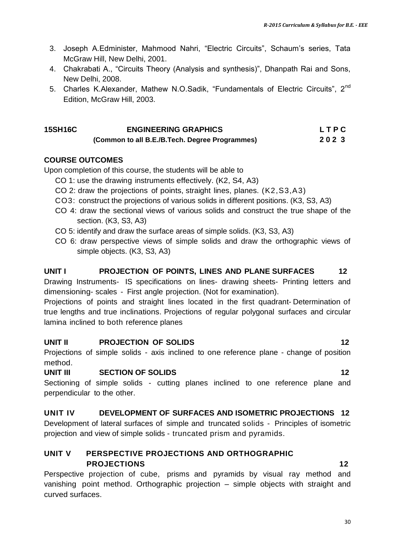- 3. Joseph A.Edminister, Mahmood Nahri, "Electric Circuits", Schaum"s series, Tata McGraw Hill, New Delhi, 2001.
- 4. Chakrabati A., "Circuits Theory (Analysis and synthesis)", Dhanpath Rai and Sons, New Delhi, 2008.
- 5. Charles K.Alexander, Mathew N.O.Sadik, "Fundamentals of Electric Circuits", 2<sup>nd</sup> Edition, McGraw Hill, 2003.

# **15SH16C ENGINEERING GRAPHICS L T P C**

 **(Common to all B.E./B.Tech. Degree Programmes) 2 0 2 3**

#### **COURSE OUTCOMES**

Upon completion of this course, the students will be able to

- CO 1: use the drawing instruments effectively. (K2, S4, A3)
- CO 2: draw the projections of points, straight lines, planes. (K2,S3,A3)
- CO3: construct the projections of various solids in different positions. (K3, S3, A3)
- CO 4: draw the sectional views of various solids and construct the true shape of the section. (K3, S3, A3)
- CO 5: identify and draw the surface areas of simple solids. (K3, S3, A3)
- CO 6: draw perspective views of simple solids and draw the orthographic views of simple objects. (K3, S3, A3)

#### **UNIT I PROJECTION OF POINTS, LINES AND PLANE SURFACES 12**

Drawing Instruments- IS specifications on lines- drawing sheets- Printing letters and dimensioning- scales - First angle projection. (Not for examination).

Projections of points and straight lines located in the first quadrant- Determination of true lengths and true inclinations. Projections of regular polygonal surfaces and circular lamina inclined to both reference planes

#### **UNIT II PROJECTION OF SOLIDS 12**

Projections of simple solids - axis inclined to one reference plane - change of position method.

#### **UNIT III SECTION OF SOLIDS 12**

Sectioning of simple solids - cutting planes inclined to one reference plane and perpendicular to the other.

#### **UNIT IV DEVELOPMENT OF SURFACES AND ISOMETRIC PROJECTIONS 12**

Development of lateral surfaces of simple and truncated solids - Principles of isometric projection and view of simple solids - truncated prism and pyramids.

#### **UNIT V PERSPECTIVE PROJECTIONS AND ORTHOGRAPHIC PROJECTIONS 12**

Perspective projection of cube, prisms and pyramids by visual ray method and vanishing point method. Orthographic projection – simple objects with straight and curved surfaces.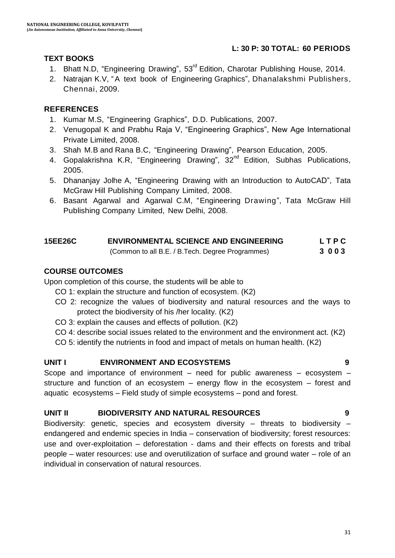#### **L: 30 P: 30 TOTAL: 60 PERIODS**

#### **TEXT BOOKS**

- 1. Bhatt N.D, "Engineering Drawing", 53<sup>rd</sup> Edition, Charotar Publishing House, 2014.
- 2. Natrajan K.V, "A text book of Engineering Graphics", Dhanalakshmi Publishers, Chennai, 2009.

#### **REFERENCES**

- 1. Kumar M.S, "Engineering Graphics", D.D. Publications, 2007.
- 2. Venugopal K and Prabhu Raja V, "Engineering Graphics", New Age International Private Limited, 2008.
- 3. Shah M.B and Rana B.C, "Engineering Drawing", Pearson Education, 2005.
- 4. Gopalakrishna K.R, "Engineering Drawing", 32<sup>nd</sup> Edition, Subhas Publications, 2005.
- 5. Dhananjay Jolhe A, "Engineering Drawing with an Introduction to AutoCAD", Tata McGraw Hill Publishing Company Limited, 2008.
- 6. Basant Agarwal and Agarwal C.M, "Engineering Drawing", Tata McGraw Hill Publishing Company Limited, New Delhi, 2008.

| 15EE26C | <b>ENVIRONMENTAL SCIENCE AND ENGINEERING</b>     | <b>LTPC</b> |  |
|---------|--------------------------------------------------|-------------|--|
|         | (Common to all B.E. / B.Tech. Degree Programmes) | 3003        |  |

### **COURSE OUTCOMES**

Upon completion of this course, the students will be able to

- CO 1: explain the structure and function of ecosystem. (K2)
- CO 2: recognize the values of biodiversity and natural resources and the ways to protect the biodiversity of his /her locality. (K2)
- CO 3: explain the causes and effects of pollution. (K2)
- CO 4: describe social issues related to the environment and the environment act. (K2)
- CO 5: identify the nutrients in food and impact of metals on human health. (K2)

#### **UNIT I ENVIRONMENT AND ECOSYSTEMS 9**

Scope and importance of environment – need for public awareness – ecosystem – structure and function of an ecosystem – energy flow in the ecosystem – forest and aquatic ecosystems – Field study of simple ecosystems – pond and forest.

#### **UNIT II BIODIVERSITY AND NATURAL RESOURCES 9**

Biodiversity: genetic, species and ecosystem diversity – threats to biodiversity – endangered and endemic species in India – conservation of biodiversity; forest resources: use and over-exploitation – deforestation - dams and their effects on forests and tribal people – water resources: use and overutilization of surface and ground water – role of an individual in conservation of natural resources.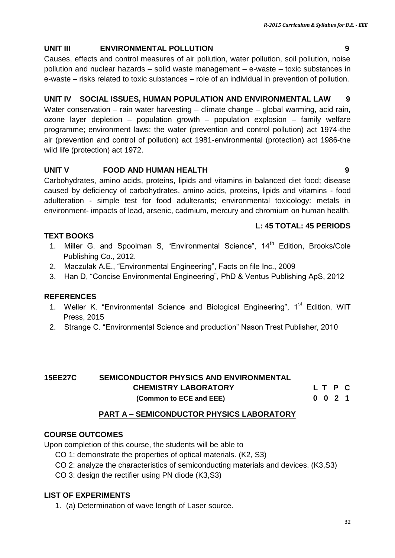#### **UNIT III ENVIRONMENTAL POLLUTION 9**

Causes, effects and control measures of air pollution, water pollution, soil pollution, noise pollution and nuclear hazards – solid waste management – e-waste – toxic substances in e-waste – risks related to toxic substances – role of an individual in prevention of pollution.

### **UNIT IV SOCIAL ISSUES, HUMAN POPULATION AND ENVIRONMENTAL LAW 9**

Water conservation – rain water harvesting – climate change – global warming, acid rain, ozone layer depletion – population growth – population explosion – family welfare programme; environment laws: the water (prevention and control pollution) act 1974-the air (prevention and control of pollution) act 1981-environmental (protection) act 1986-the wild life (protection) act 1972.

#### **UNIT V FOOD AND HUMAN HEALTH 9**

Carbohydrates, amino acids, proteins, lipids and vitamins in balanced diet food; disease caused by deficiency of carbohydrates, amino acids, proteins, lipids and vitamins - food adulteration - simple test for food adulterants; environmental toxicology: metals in environment- impacts of lead, arsenic, cadmium, mercury and chromium on human health.

#### **L: 45 TOTAL: 45 PERIODS**

#### **TEXT BOOKS**

- 1. Miller G. and Spoolman S, "Environmental Science", 14<sup>th</sup> Edition, Brooks/Cole Publishing Co., 2012.
- 2. Maczulak A.E., "Environmental Engineering", Facts on file Inc., 2009
- 3. Han D, "Concise Environmental Engineering", PhD & Ventus Publishing ApS, 2012

### **REFERENCES**

- 1. Weller K. "Environmental Science and Biological Engineering", 1<sup>st</sup> Edition, WIT Press, 2015
- 2. Strange C. "Environmental Science and production" Nason Trest Publisher, 2010

#### **15EE27C SEMICONDUCTOR PHYSICS AND ENVIRONMENTAL CHEMISTRY LABORATORY L T P C (Common to ECE and EEE) 0 0 2 1**

#### **PART A – SEMICONDUCTOR PHYSICS LABORATORY**

#### **COURSE OUTCOMES**

Upon completion of this course, the students will be able to

- CO 1: demonstrate the properties of optical materials. (K2, S3)
- CO 2: analyze the characteristics of semiconducting materials and devices. (K3,S3)
- CO 3: design the rectifier using PN diode (K3,S3)

#### **LIST OF EXPERIMENTS**

1. (a) Determination of wave length of Laser source.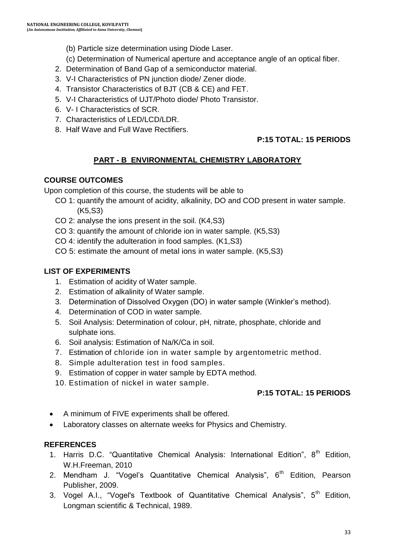- (b) Particle size determination using Diode Laser.
- (c) Determination of Numerical aperture and acceptance angle of an optical fiber.
- 2. Determination of Band Gap of a semiconductor material.
- 3. V-I Characteristics of PN junction diode/ Zener diode.
- 4. Transistor Characteristics of BJT (CB & CE) and FET.
- 5. V-I Characteristics of UJT/Photo diode/ Photo Transistor.
- 6. V- I Characteristics of SCR.
- 7. Characteristics of LED/LCD/LDR.
- 8. Half Wave and Full Wave Rectifiers.

## **P:15 TOTAL: 15 PERIODS**

## **PART - B ENVIRONMENTAL CHEMISTRY LABORATORY**

#### **COURSE OUTCOMES**

Upon completion of this course, the students will be able to

- CO 1: quantify the amount of acidity, alkalinity, DO and COD present in water sample. (K5,S3)
- CO 2: analyse the ions present in the soil. (K4,S3)
- CO 3: quantify the amount of chloride ion in water sample. (K5,S3)
- CO 4: identify the adulteration in food samples. (K1,S3)
- CO 5: estimate the amount of metal ions in water sample. (K5,S3)

### **LIST OF EXPERIMENTS**

- 1. Estimation of acidity of Water sample.
- 2. Estimation of alkalinity of Water sample.
- 3. Determination of Dissolved Oxygen (DO) in water sample (Winkler"s method).
- 4. Determination of COD in water sample.
- 5. Soil Analysis: Determination of colour, pH, nitrate, phosphate, chloride and sulphate ions.
- 6. Soil analysis: Estimation of Na/K/Ca in soil.
- 7. Estimation of chloride ion in water sample by argentometric method.
- 8. Simple adulteration test in food samples.
- 9. Estimation of copper in water sample by EDTA method.
- 10. Estimation of nickel in water sample.

### **P:15 TOTAL: 15 PERIODS**

- A minimum of FIVE experiments shall be offered.
- Laboratory classes on alternate weeks for Physics and Chemistry.

### **REFERENCES**

- 1. Harris D.C. "Quantitative Chemical Analysis: International Edition",  $8^{th}$  Edition, W.H.Freeman, 2010
- 2. Mendham J. "Vogel's Quantitative Chemical Analysis",  $6<sup>th</sup>$  Edition, Pearson Publisher, 2009.
- 3. Vogel A.I., "Vogel's Textbook of Quantitative Chemical Analysis", 5<sup>th</sup> Edition, Longman scientific & Technical, 1989.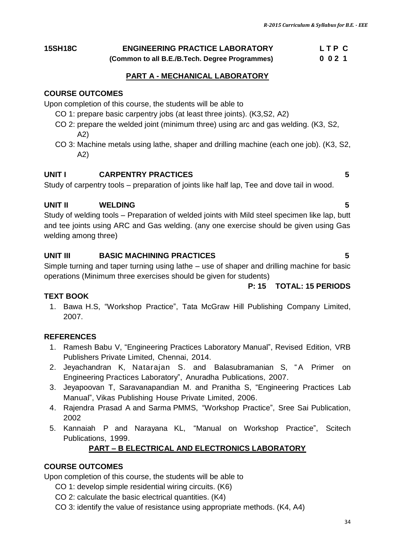# **15SH18C ENGINEERING PRACTICE LABORATORY L T P C**

 **(Common to all B.E./B.Tech. Degree Programmes) 0 0 2 1**

#### **PART A - MECHANICAL LABORATORY**

#### **COURSE OUTCOMES**

Upon completion of this course, the students will be able to

- CO 1: prepare basic carpentry jobs (at least three joints). (K3,S2, A2)
- CO 2: prepare the welded joint (minimum three) using arc and gas welding. (K3, S2, A2)
- CO 3: Machine metals using lathe, shaper and drilling machine (each one job). (K3, S2, A2)

#### **UNIT I CARPENTRY PRACTICES 5**

Study of carpentry tools – preparation of joints like half lap, Tee and dove tail in wood.

#### **UNIT II WELDING 5**

Study of welding tools – Preparation of welded joints with Mild steel specimen like lap, butt and tee joints using ARC and Gas welding. (any one exercise should be given using Gas welding among three)

#### **UNIT III BASIC MACHINING PRACTICES 5**

Simple turning and taper turning using lathe – use of shaper and drilling machine for basic operations (Minimum three exercises should be given for students)

#### **TEXT BOOK**

1. Bawa H.S, "Workshop Practice", Tata McGraw Hill Publishing Company Limited, 2007.

#### **REFERENCES**

- 1. Ramesh Babu V, "Engineering Practices Laboratory Manual", Revised Edition, VRB Publishers Private Limited, Chennai, 2014.
- 2. Jeyachandran K, Natarajan S. and Balasubramanian S, "A Primer on Engineering Practices Laboratory", Anuradha Publications, 2007.
- 3. Jeyapoovan T, Saravanapandian M. and Pranitha S, "Engineering Practices Lab Manual", Vikas Publishing House Private Limited, 2006.
- 4. Rajendra Prasad A and Sarma PMMS, "Workshop Practice", Sree Sai Publication, 2002
- 5. Kannaiah P and Narayana KL, "Manual on Workshop Practice", Scitech Publications, 1999.

#### **PART – B ELECTRICAL AND ELECTRONICS LABORATORY**

#### **COURSE OUTCOMES**

Upon completion of this course, the students will be able to

- CO 1: develop simple residential wiring circuits. (K6)
- CO 2: calculate the basic electrical quantities. (K4)
- CO 3: identify the value of resistance using appropriate methods. (K4, A4)

#### **P: 15 TOTAL: 15 PERIODS**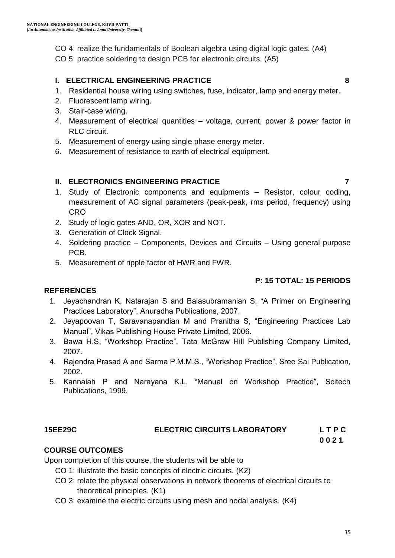CO 4: realize the fundamentals of Boolean algebra using digital logic gates. (A4) CO 5: practice soldering to design PCB for electronic circuits. (A5)

#### **I. ELECTRICAL ENGINEERING PRACTICE 8**

- 1. Residential house wiring using switches, fuse, indicator, lamp and energy meter.
- 2. Fluorescent lamp wiring.
- 3. Stair-case wiring.
- 4. Measurement of electrical quantities voltage, current, power & power factor in RLC circuit.
- 5. Measurement of energy using single phase energy meter.
- 6. Measurement of resistance to earth of electrical equipment.

#### **II. ELECTRONICS ENGINEERING PRACTICE 7**

- 1. Study of Electronic components and equipments Resistor, colour coding, measurement of AC signal parameters (peak-peak, rms period, frequency) using **CRO**
- 2. Study of logic gates AND, OR, XOR and NOT.
- 3. Generation of Clock Signal.
- 4. Soldering practice Components, Devices and Circuits Using general purpose PCB.
- 5. Measurement of ripple factor of HWR and FWR.

### **P: 15 TOTAL: 15 PERIODS**

#### **REFERENCES**

- 1. Jeyachandran K, Natarajan S and Balasubramanian S, "A Primer on Engineering Practices Laboratory", Anuradha Publications, 2007.
- 2. Jeyapoovan T, Saravanapandian M and Pranitha S, "Engineering Practices Lab Manual", Vikas Publishing House Private Limited, 2006.
- 3. Bawa H.S, "Workshop Practice", Tata McGraw Hill Publishing Company Limited, 2007.
- 4. Rajendra Prasad A and Sarma P.M.M.S., "Workshop Practice", Sree Sai Publication, 2002.
- 5. Kannaiah P and Narayana K.L, "Manual on Workshop Practice", Scitech Publications, 1999.

### **15EE29C ELECTRIC CIRCUITS LABORATORY L T P C**

# **0 0 2 1**

#### **COURSE OUTCOMES**

Upon completion of this course, the students will be able to

- CO 1: illustrate the basic concepts of electric circuits. (K2)
- CO 2: relate the physical observations in network theorems of electrical circuits to theoretical principles. (K1)
- CO 3: examine the electric circuits using mesh and nodal analysis. (K4)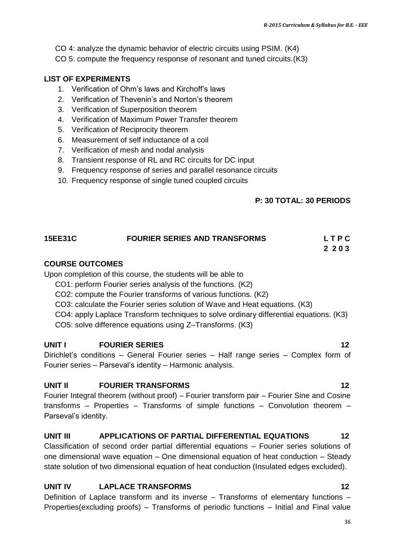- CO 4: analyze the dynamic behavior of electric circuits using PSIM. (K4)
- CO 5: compute the frequency response of resonant and tuned circuits.(K3)

#### **LIST OF EXPERIMENTS**

- 1. Verification of Ohm"s laws and Kirchoff"s laws
- 2. Verification of Thevenin"s and Norton"s theorem
- 3. Verification of Superposition theorem
- 4. Verification of Maximum Power Transfer theorem
- 5. Verification of Reciprocity theorem
- 6. Measurement of self inductance of a coil
- 7. Verification of mesh and nodal analysis
- 8. Transient response of RL and RC circuits for DC input
- 9. Frequency response of series and parallel resonance circuits
- 10. Frequency response of single tuned coupled circuits

#### **P: 30 TOTAL: 30 PERIODS**

#### **15EE31C FOURIER SERIES AND TRANSFORMS L T P C 2 2 0 3**

#### **COURSE OUTCOMES**

Upon completion of this course, the students will be able to

- CO1: perform Fourier series analysis of the functions. (K2)
- CO2: compute the Fourier transforms of various functions. (K2)
- CO3: calculate the Fourier series solution of Wave and Heat equations. (K3)
- CO4: apply Laplace Transform techniques to solve ordinary differential equations. (K3)
- CO5: solve difference equations using Z–Transforms. (K3)

#### **UNIT I FOURIER SERIES** 12

Dirichlet"s conditions – General Fourier series – Half range series – Complex form of Fourier series – Parseval"s identity – Harmonic analysis.

#### **UNIT II FOURIER TRANSFORMS 12**

Fourier Integral theorem (without proof) – Fourier transform pair – Fourier Sine and Cosine transforms – Properties – Transforms of simple functions – Convolution theorem – Parseval"s identity.

#### **UNIT III APPLICATIONS OF PARTIAL DIFFERENTIAL EQUATIONS 12**

Classification of second order partial differential equations – Fourier series solutions of one dimensional wave equation – One dimensional equation of heat conduction – Steady state solution of two dimensional equation of heat conduction (Insulated edges excluded).

#### **UNIT IV LAPLACE TRANSFORMS 12**

Definition of Laplace transform and its inverse – Transforms of elementary functions – Properties(excluding proofs) – Transforms of periodic functions – Initial and Final value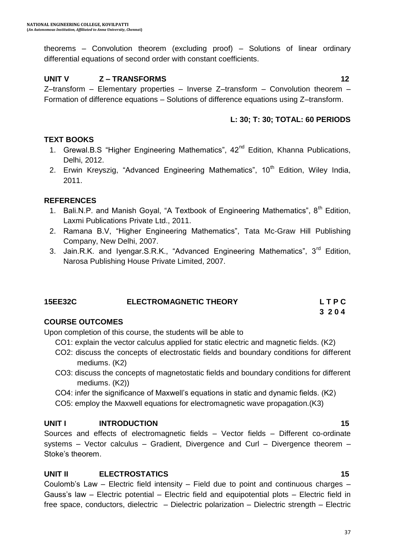theorems – Convolution theorem (excluding proof) – Solutions of linear ordinary differential equations of second order with constant coefficients.

## **UNIT V Z – TRANSFORMS 12**

Z–transform – Elementary properties – Inverse Z–transform – Convolution theorem – Formation of difference equations – Solutions of difference equations using Z–transform.

## **L: 30; T: 30; TOTAL: 60 PERIODS**

## **TEXT BOOKS**

- 1. Grewal.B.S "Higher Engineering Mathematics", 42<sup>nd</sup> Edition, Khanna Publications, Delhi, 2012.
- 2. Erwin Kreyszig, "Advanced Engineering Mathematics", 10<sup>th</sup> Edition, Wilev India. 2011.

## **REFERENCES**

- 1. Bali.N.P. and Manish Goyal, "A Textbook of Engineering Mathematics",  $8<sup>th</sup>$  Edition, Laxmi Publications Private Ltd., 2011.
- 2. Ramana B.V, "Higher Engineering Mathematics", Tata Mc-Graw Hill Publishing Company, New Delhi, 2007.
- 3. Jain.R.K. and Iyengar.S.R.K., "Advanced Engineering Mathematics",  $3<sup>rd</sup>$  Edition, Narosa Publishing House Private Limited, 2007.

| <b>15EE32C</b> | <b>ELECTROMAGNETIC THEORY</b> | <b>LTPC</b> |
|----------------|-------------------------------|-------------|
|                |                               | 3204        |

## **COURSE OUTCOMES**

Upon completion of this course, the students will be able to

- CO1: explain the vector calculus applied for static electric and magnetic fields. (K2)
- CO2: discuss the concepts of electrostatic fields and boundary conditions for different mediums. (K2)
- CO3: discuss the concepts of magnetostatic fields and boundary conditions for different mediums. (K2))
- CO4: infer the significance of Maxwell"s equations in static and dynamic fields. (K2)
- CO5: employ the Maxwell equations for electromagnetic wave propagation.(K3)

## **UNIT I INTRODUCTION 15**

Sources and effects of electromagnetic fields – Vector fields – Different co-ordinate systems – Vector calculus – Gradient, Divergence and Curl – Divergence theorem – Stoke's theorem.

## **UNIT II ELECTROSTATICS** 15

Coulomb"s Law – Electric field intensity – Field due to point and continuous charges – Gauss's law - Electric potential - Electric field and equipotential plots - Electric field in free space, conductors, dielectric – Dielectric polarization – Dielectric strength – Electric

#### 37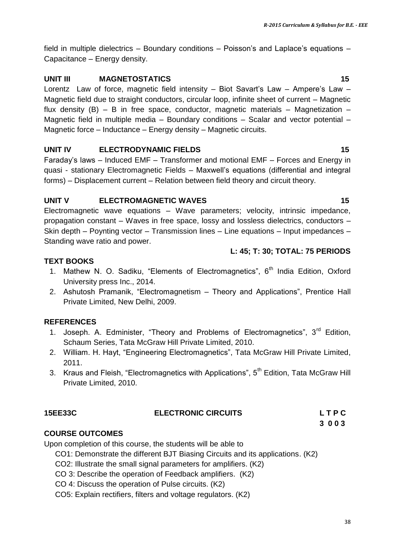field in multiple dielectrics – Boundary conditions – Poisson's and Laplace's equations – Capacitance – Energy density.

#### **UNIT III MAGNETOSTATICS 15**

Lorentz Law of force, magnetic field intensity - Biot Savart's Law - Ampere's Law -Magnetic field due to straight conductors, circular loop, infinite sheet of current – Magnetic flux density  $(B) - B$  in free space, conductor, magnetic materials – Magnetization – Magnetic field in multiple media – Boundary conditions – Scalar and vector potential – Magnetic force – Inductance – Energy density – Magnetic circuits.

#### **UNIT IV ELECTRODYNAMIC FIELDS 15**

Faraday"s laws – Induced EMF – Transformer and motional EMF – Forces and Energy in quasi - stationary Electromagnetic Fields – Maxwell"s equations (differential and integral forms) – Displacement current – Relation between field theory and circuit theory.

#### **UNIT V ELECTROMAGNETIC WAVES 15**

Electromagnetic wave equations – Wave parameters; velocity, intrinsic impedance, propagation constant – Waves in free space, lossy and lossless dielectrics, conductors – Skin depth – Poynting vector – Transmission lines – Line equations – Input impedances – Standing wave ratio and power.

#### **L: 45; T: 30; TOTAL: 75 PERIODS**

## **TEXT BOOKS**

- 1. Mathew N. O. Sadiku, "Elements of Electromagnetics",  $6<sup>th</sup>$  India Edition, Oxford University press Inc., 2014.
- 2. Ashutosh Pramanik, "Electromagnetism Theory and Applications", Prentice Hall Private Limited, New Delhi, 2009.

## **REFERENCES**

- 1. Joseph. A. Edminister, "Theory and Problems of Electromagnetics",  $3^{\text{rd}}$  Edition, Schaum Series, Tata McGraw Hill Private Limited, 2010.
- 2. William. H. Hayt, "Engineering Electromagnetics", Tata McGraw Hill Private Limited, 2011.
- 3. Kraus and Fleish, "Electromagnetics with Applications", 5<sup>th</sup> Edition, Tata McGraw Hill Private Limited, 2010.

## **15EE33C ELECTRONIC CIRCUITS L T P C**

#### **3 0 0 3**

## **COURSE OUTCOMES**

Upon completion of this course, the students will be able to

- CO1: Demonstrate the different BJT Biasing Circuits and its applications. (K2)
- CO2: Illustrate the small signal parameters for amplifiers. (K2)
- CO 3: Describe the operation of Feedback amplifiers. (K2)
- CO 4: Discuss the operation of Pulse circuits. (K2)
- CO5: Explain rectifiers, filters and voltage regulators. (K2)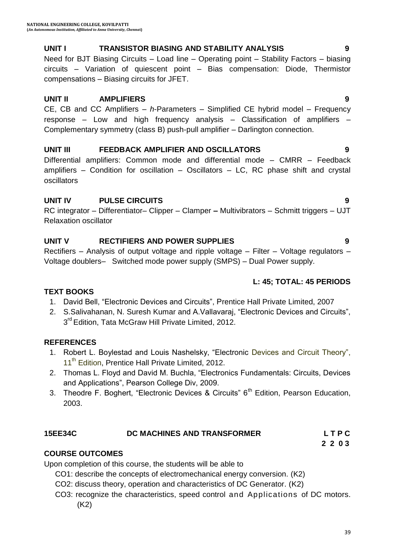## **UNIT I TRANSISTOR BIASING AND STABILITY ANALYSIS 9**

Need for BJT Biasing Circuits – Load line – Operating point – Stability Factors – biasing circuits – Variation of quiescent point – Bias compensation: Diode, Thermistor compensations – Biasing circuits for JFET.

## **UNIT II AMPLIFIERS 9**

CE, CB and CC Amplifiers – *h*-Parameters – Simplified CE hybrid model – Frequency response – Low and high frequency analysis – Classification of amplifiers – Complementary symmetry (class B) push-pull amplifier – Darlington connection.

## **UNIT III FEEDBACK AMPLIFIER AND OSCILLATORS 9**

Differential amplifiers: Common mode and differential mode – CMRR – Feedback amplifiers – Condition for oscillation – Oscillators – LC, RC phase shift and crystal oscillators

## **UNIT IV PULSE CIRCUITS 9**

RC integrator – Differentiator– Clipper – Clamper **–** Multivibrators – Schmitt triggers – UJT Relaxation oscillator

## **UNIT V RECTIFIERS AND POWER SUPPLIES 9**

Rectifiers – Analysis of output voltage and ripple voltage – Filter – Voltage regulators – Voltage doublers– Switched mode power supply (SMPS) – Dual Power supply.

## **L: 45; TOTAL: 45 PERIODS**

## **TEXT BOOKS**

- 1. David Bell, "Electronic Devices and Circuits", Prentice Hall Private Limited, 2007
- 2. S.Salivahanan, N. Suresh Kumar and A.Vallavaraj, "Electronic Devices and Circuits", 3<sup>rd</sup> Edition, Tata McGraw Hill Private Limited, 2012.

## **REFERENCES**

- 1. Robert L. Boylestad and Louis Nashelsky, "Electronic Devices and Circuit Theory", 11<sup>th</sup> Edition, Prentice Hall Private Limited, 2012.
- 2. Thomas L. Floyd and David M. Buchla, "Electronics Fundamentals: Circuits, Devices and Applications", Pearson College Div, 2009.
- 3. Theodre F. Boghert, "Electronic Devices & Circuits"  $6<sup>th</sup>$  Edition, Pearson Education, 2003.

## **15EE34C DC MACHINES AND TRANSFORMER L T P C**

## **COURSE OUTCOMES**

Upon completion of this course, the students will be able to

- CO1: describe the concepts of electromechanical energy conversion. (K2)
- CO2: discuss theory, operation and characteristics of DC Generator. (K2)
- CO3: recognize the characteristics, speed control and Applications of DC motors. (K2)

 **2 2 0 3**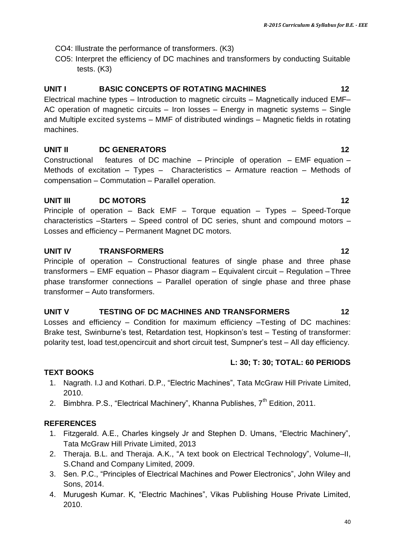- CO4: Illustrate the performance of transformers. (K3)
- CO5: Interpret the efficiency of DC machines and transformers by conducting Suitable tests. (K3)

## **UNIT I BASIC CONCEPTS OF ROTATING MACHINES** 12

Electrical machine types – Introduction to magnetic circuits – Magnetically induced EMF– AC operation of magnetic circuits – Iron losses – Energy in magnetic systems – Single and Multiple excited systems – MMF of distributed windings – Magnetic fields in rotating machines.

## **UNIT II DC GENERATORS 12**

Constructional features of DC machine – Principle of operation – EMF equation – Methods of excitation – Types – Characteristics – Armature reaction – Methods of compensation – Commutation – Parallel operation.

## **UNIT III DC MOTORS 12**

Principle of operation – Back EMF – Torque equation – Types – Speed-Torque characteristics –Starters – Speed control of DC series, shunt and compound motors – Losses and efficiency – Permanent Magnet DC motors.

## **UNIT IV TRANSFORMERS 12**

Principle of operation – Constructional features of single phase and three phase transformers – EMF equation – Phasor diagram – Equivalent circuit – Regulation – Three phase transformer connections – Parallel operation of single phase and three phase transformer – Auto transformers.

## UNIT V TESTING OF DC MACHINES AND TRANSFORMERS 12

Losses and efficiency – Condition for maximum efficiency –Testing of DC machines: Brake test, Swinburne's test, Retardation test, Hopkinson's test - Testing of transformer: polarity test, load test,opencircuit and short circuit test, Sumpner"s test – All day efficiency.

## **L: 30; T: 30; TOTAL: 60 PERIODS**

## **TEXT BOOKS**

- 1. Nagrath. I.J and Kothari. D.P., "Electric Machines", Tata McGraw Hill Private Limited, 2010.
- 2. Bimbhra. P.S., "Electrical Machinery", Khanna Publishes, 7<sup>th</sup> Edition, 2011.

## **REFERENCES**

- 1. Fitzgerald. A.E., Charles kingsely Jr and Stephen D. Umans, "Electric Machinery", Tata McGraw Hill Private Limited, 2013
- 2. Theraja. B.L. and Theraja. A.K., "A text book on Electrical Technology", Volume–II, S.Chand and Company Limited, 2009.
- 3. Sen. P.C., "Principles of Electrical Machines and Power Electronics", John Wiley and Sons, 2014.
- 4. Murugesh Kumar. K, "Electric Machines", Vikas Publishing House Private Limited, 2010.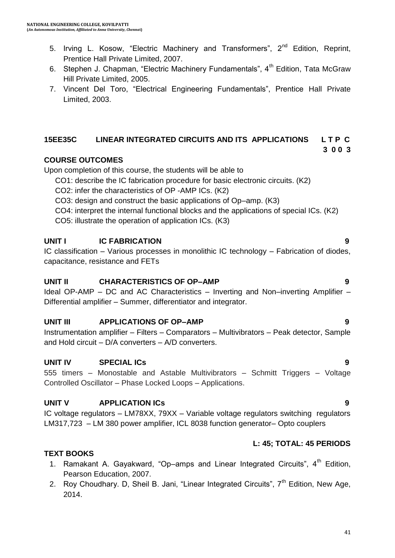- 5. Irving L. Kosow, "Electric Machinery and Transformers",  $2^{nd}$  Edition, Reprint, Prentice Hall Private Limited, 2007.
- 6. Stephen J. Chapman, "Electric Machinery Fundamentals",  $4<sup>th</sup>$  Edition, Tata McGraw Hill Private Limited, 2005.
- 7. Vincent Del Toro, "Electrical Engineering Fundamentals", Prentice Hall Private Limited, 2003.

## **15EE35C LINEAR INTEGRATED CIRCUITS AND ITS APPLICATIONS L T P C**

## **COURSE OUTCOMES**

Upon completion of this course, the students will be able to

- CO1: describe the IC fabrication procedure for basic electronic circuits. (K2)
- CO2: infer the characteristics of OP -AMP ICs. (K2)
- CO3: design and construct the basic applications of Op–amp. (K3)
- CO4: interpret the internal functional blocks and the applications of special ICs. (K2)
- CO5: illustrate the operation of application ICs. (K3)

## **UNIT I IC FABRICATION 9**

IC classification – Various processes in monolithic IC technology – Fabrication of diodes, capacitance, resistance and FETs

## **UNIT II CHARACTERISTICS OF OP–AMP 9**

Ideal OP-AMP – DC and AC Characteristics – Inverting and Non–inverting Amplifier – Differential amplifier – Summer, differentiator and integrator.

## **UNIT III APPLICATIONS OF OP–AMP 9**

Instrumentation amplifier – Filters – Comparators – Multivibrators – Peak detector, Sample and Hold circuit – D/A converters – A/D converters.

## **UNIT IV SPECIAL ICs 9**

555 timers – Monostable and Astable Multivibrators – Schmitt Triggers – Voltage Controlled Oscillator – Phase Locked Loops – Applications.

## **UNIT V APPLICATION ICs 9**

IC voltage regulators – LM78XX, 79XX – Variable voltage regulators switching regulators LM317,723 – LM 380 power amplifier, ICL 8038 function generator– Opto couplers

## **L: 45; TOTAL: 45 PERIODS**

## **TEXT BOOKS**

- 1. Ramakant A. Gayakward, "Op–amps and Linear Integrated Circuits",  $4<sup>th</sup>$  Edition, Pearson Education, 2007.
- 2. Roy Choudhary. D, Sheil B. Jani, "Linear Integrated Circuits",  $7<sup>th</sup>$  Edition, New Age, 2014.

**3 0 0 3**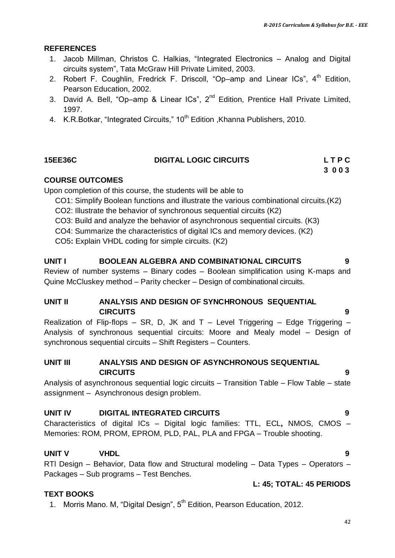#### **REFERENCES**

- 1. Jacob Millman, Christos C. Halkias, "Integrated Electronics Analog and Digital circuits system", Tata McGraw Hill Private Limited, 2003.
- 2. Robert F. Coughlin, Fredrick F. Driscoll, "Op–amp and Linear ICs",  $4<sup>th</sup>$  Edition, Pearson Education, 2002.
- 3. David A. Bell, "Op-amp & Linear ICs", 2<sup>nd</sup> Edition, Prentice Hall Private Limited, 1997.
- 4. K.R.Botkar, "Integrated Circuits," 10<sup>th</sup> Edition , Khanna Publishers, 2010.

## **15EE36C DIGITAL LOGIC CIRCUITS L T P C**

 **3 0 0 3**

## **COURSE OUTCOMES**

Upon completion of this course, the students will be able to

- CO1: Simplify Boolean functions and illustrate the various combinational circuits.(K2)
- CO2: Illustrate the behavior of synchronous sequential circuits (K2)
- CO3: Build and analyze the behavior of asynchronous sequential circuits. (K3)
- CO4: Summarize the characteristics of digital ICs and memory devices. (K2)

CO5**:** Explain VHDL coding for simple circuits. (K2)

#### **UNIT I BOOLEAN ALGEBRA AND COMBINATIONAL CIRCUITS 9**

Review of number systems – Binary codes – Boolean simplification using K-maps and Quine McCluskey method – Parity checker – Design of combinational circuits.

## **UNIT II ANALYSIS AND DESIGN OF SYNCHRONOUS SEQUENTIAL CIRCUITS 9**

Realization of Flip-flops – SR, D, JK and  $T$  – Level Triggering – Edge Triggering – Analysis of synchronous sequential circuits: Moore and Mealy model – Design of synchronous sequential circuits – Shift Registers – Counters.

#### **UNIT III ANALYSIS AND DESIGN OF ASYNCHRONOUS SEQUENTIAL CIRCUITS 9**

Analysis of asynchronous sequential logic circuits – Transition Table – Flow Table – state assignment – Asynchronous design problem.

## **UNIT IV DIGITAL INTEGRATED CIRCUITS 9**

Characteristics of digital ICs – Digital logic families: TTL, ECL**,** NMOS, CMOS – Memories: ROM, PROM, EPROM, PLD, PAL, PLA and FPGA – Trouble shooting.

## **UNIT V VHDL 9**

RTl Design – Behavior, Data flow and Structural modeling – Data Types – Operators – Packages – Sub programs – Test Benches.

#### **TEXT BOOKS**

1. Morris Mano. M, "Digital Design", 5<sup>th</sup> Edition, Pearson Education, 2012.

**L: 45; TOTAL: 45 PERIODS**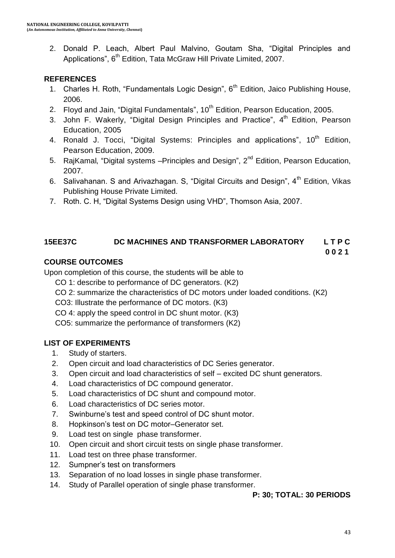2. Donald P. Leach, Albert Paul Malvino, Goutam Sha, "Digital Principles and Applications", 6<sup>th</sup> Edition, Tata McGraw Hill Private Limited, 2007.

## **REFERENCES**

- 1. Charles H. Roth, "Fundamentals Logic Design", 6<sup>th</sup> Edition, Jaico Publishing House, 2006.
- 2. Floyd and Jain, "Digital Fundamentals",  $10<sup>th</sup>$  Edition, Pearson Education, 2005.
- 3. John F. Wakerly, "Digital Design Principles and Practice", 4<sup>th</sup> Edition, Pearson Education, 2005
- 4. Ronald J. Tocci, "Digital Systems: Principles and applications", 10<sup>th</sup> Edition, Pearson Education, 2009.
- 5. RajKamal, "Digital systems Principles and Design", 2<sup>nd</sup> Edition, Pearson Education, 2007.
- 6. Salivahanan. S and Arivazhagan. S, "Digital Circuits and Design", 4<sup>th</sup> Edition, Vikas Publishing House Private Limited.
- 7. Roth. C. H, "Digital Systems Design using VHD", Thomson Asia, 2007.

## **15EE37C DC MACHINES AND TRANSFORMER LABORATORY L T P C**

#### **0 0 2 1**

## **COURSE OUTCOMES**

Upon completion of this course, the students will be able to

- CO 1: describe to performance of DC generators. (K2)
- CO 2: summarize the characteristics of DC motors under loaded conditions. (K2)

CO3: Illustrate the performance of DC motors. (K3)

CO 4: apply the speed control in DC shunt motor. (K3)

CO5: summarize the performance of transformers (K2)

## **LIST OF EXPERIMENTS**

- 1. Study of starters.
- 2. Open circuit and load characteristics of DC Series generator.
- 3. Open circuit and load characteristics of self excited DC shunt generators.
- 4. Load characteristics of DC compound generator.
- 5. Load characteristics of DC shunt and compound motor.
- 6. Load characteristics of DC series motor.
- 7. Swinburne"s test and speed control of DC shunt motor.
- 8. Hopkinson"s test on DC motor–Generator set.
- 9. Load test on single phase transformer.
- 10. Open circuit and short circuit tests on single phase transformer.
- 11. Load test on three phase transformer.
- 12. Sumpner"s test on transformers
- 13. Separation of no load losses in single phase transformer.
- 14. Study of Parallel operation of single phase transformer.

## **P: 30; TOTAL: 30 PERIODS**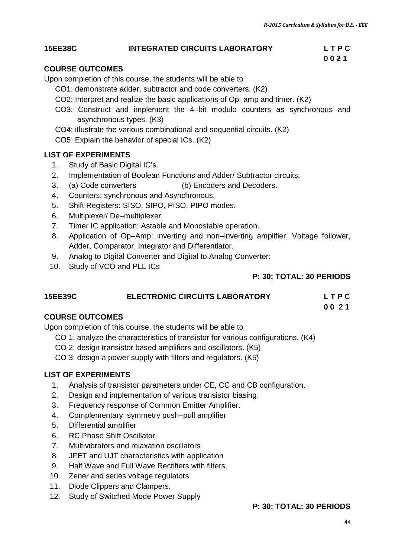#### **15EE38C INTEGRATED CIRCUITS LABORATORY L T P C**

#### **COURSE OUTCOMES**

Upon completion of this course, the students will be able to

- CO1: demonstrate adder, subtractor and code converters. (K2)
- CO2: Interpret and realize the basic applications of Op–amp and timer. (K2)
- CO3: Construct and implement the 4–bit modulo counters as synchronous and asynchronous types. (K3)
- CO4: iIlustrate the various combinational and sequential circuits. (K2)
- CO5: Explain the behavior of special ICs. (K2)

#### **LIST OF EXPERIMENTS**

- 1. Study of Basic Digital IC"s.
- 2. Implementation of Boolean Functions and Adder/ Subtractor circuits.
- 3. (a) Code converters (b) Encoders and Decoders.
- 4. Counters: synchronous and Asynchronous.
- 5. Shift Registers: SISO, SIPO, PISO, PIPO modes.
- 6. Multiplexer/ De–multiplexer
- 7. Timer IC application: Astable and Monostable operation.
- 8. Application of Op–Amp: inverting and non–inverting amplifier, Voltage follower, Adder, Comparator, Integrator and Differentiator.
- 9. Analog to Digital Converter and Digital to Analog Converter:
- 10. Study of VCO and PLL ICs

#### **P: 30; TOTAL: 30 PERIODS**

## **15EE39C ELECTRONIC CIRCUITS LABORATORY L T P C**

**0 0 2 1**

#### **COURSE OUTCOMES**

Upon completion of this course, the students will be able to

- CO 1: analyze the characteristics of transistor for various configurations. (K4)
- CO 2: design transistor based amplifiers and oscillators. (K5)
- CO 3: design a power supply with filters and regulators. (K5)

#### **LIST OF EXPERIMENTS**

- 1. Analysis of transistor parameters under CE, CC and CB configuration.
- 2. Design and implementation of various transistor biasing.
- 3. Frequency response of Common Emitter Amplifier.
- 4. Complementary symmetry push–pull amplifier
- 5. Differential amplifier
- 6. RC Phase Shift Oscillator.
- 7. Multivibrators and relaxation oscillators
- 8. JFET and UJT characteristics with application
- 9. Half Wave and Full Wave Rectifiers with filters.
- 10. Zener and series voltage regulators
- 11. Diode Clippers and Clampers.
- 12. Study of Switched Mode Power Supply

#### **P: 30; TOTAL: 30 PERIODS**

 **0 0 2 1**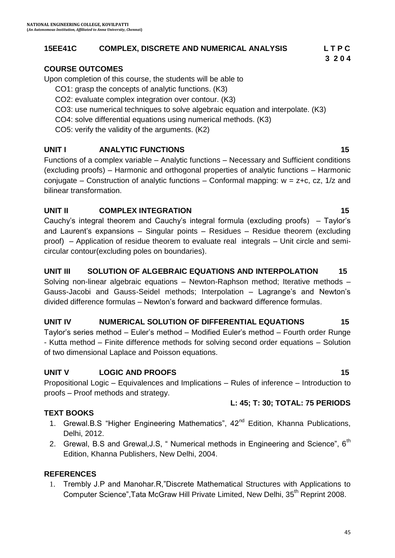## **15EE41C COMPLEX, DISCRETE AND NUMERICAL ANALYSIS L T P C**

## **COURSE OUTCOMES**

Upon completion of this course, the students will be able to

- CO1: grasp the concepts of analytic functions. (K3)
- CO2: evaluate complex integration over contour. (K3)
- CO3: use numerical techniques to solve algebraic equation and interpolate. (K3)
- CO4: solve differential equations using numerical methods. (K3)
- CO5: verify the validity of the arguments. (K2)

## **UNIT I ANALYTIC FUNCTIONS 15**

Functions of a complex variable – Analytic functions – Necessary and Sufficient conditions (excluding proofs) – Harmonic and orthogonal properties of analytic functions – Harmonic conjugate – Construction of analytic functions – Conformal mapping:  $w = z+c$ , cz, 1/z and bilinear transformation.

## **UNIT II COMPLEX INTEGRATION 15**

Cauchy"s integral theorem and Cauchy"s integral formula (excluding proofs) – Taylor"s and Laurent"s expansions – Singular points – Residues – Residue theorem (excluding proof) – Application of residue theorem to evaluate real integrals – Unit circle and semicircular contour(excluding poles on boundaries).

## **UNIT III SOLUTION OF ALGEBRAIC EQUATIONS AND INTERPOLATION 15**

Solving non-linear algebraic equations – Newton-Raphson method; Iterative methods – Gauss-Jacobi and Gauss-Seidel methods; Interpolation – Lagrange"s and Newton"s divided difference formulas – Newton"s forward and backward difference formulas.

## UNIT IV MUMERICAL SOLUTION OF DIFFERENTIAL EQUATIONS 45

Taylor"s series method – Euler"s method – Modified Euler"s method – Fourth order Runge - Kutta method – Finite difference methods for solving second order equations – Solution of two dimensional Laplace and Poisson equations.

## **UNIT V LOGIC AND PROOFS 15**

Propositional Logic – Equivalences and Implications – Rules of inference – Introduction to proofs – Proof methods and strategy.

## **TEXT BOOKS**

- 1. Grewal.B.S "Higher Engineering Mathematics", 42<sup>nd</sup> Edition, Khanna Publications, Delhi, 2012.
- 2. Grewal, B.S and Grewal, J.S, "Numerical methods in Engineering and Science", 6<sup>th</sup> Edition, Khanna Publishers, New Delhi, 2004.

## **REFERENCES**

1. Trembly J.P and Manohar.R,"Discrete Mathematical Structures with Applications to Computer Science", Tata McGraw Hill Private Limited, New Delhi, 35<sup>th</sup> Reprint 2008.

## **L: 45; T: 30; TOTAL: 75 PERIODS**

**3 2 0 4**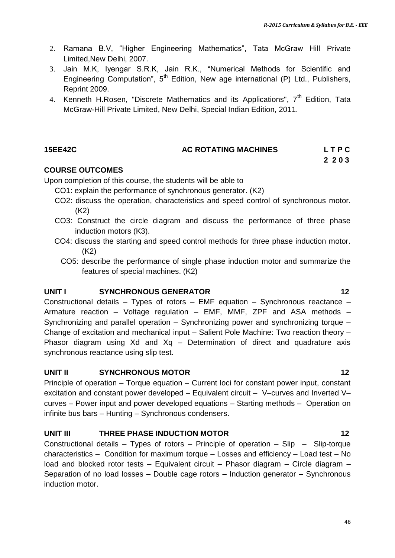- 2. Ramana B.V, "Higher Engineering Mathematics", Tata McGraw Hill Private Limited,New Delhi, 2007.
- 3. Jain M.K, Iyengar S.R.K, Jain R.K., "Numerical Methods for Scientific and Engineering Computation",  $5<sup>th</sup>$  Edition, New age international (P) Ltd., Publishers, Reprint 2009.
- 4. Kenneth H.Rosen, "Discrete Mathematics and its Applications", 7<sup>th</sup> Edition, Tata McGraw-Hill Private Limited, New Delhi, Special Indian Edition, 2011.

## **15EE42C AC ROTATING MACHINES L T P C**

## **2 2 0 3**

## **COURSE OUTCOMES**

Upon completion of this course, the students will be able to

- CO1: explain the performance of synchronous generator. (K2)
- CO2: discuss the operation, characteristics and speed control of synchronous motor. (K2)
- CO3: Construct the circle diagram and discuss the performance of three phase induction motors (K3).
- CO4: discuss the starting and speed control methods for three phase induction motor. (K2)
	- CO5: describe the performance of single phase induction motor and summarize the features of special machines. (K2)

## **UNIT I SYNCHRONOUS GENERATOR 12**

Constructional details – Types of rotors – EMF equation – Synchronous reactance – Armature reaction – Voltage regulation – EMF, MMF, ZPF and ASA methods – Synchronizing and parallel operation – Synchronizing power and synchronizing torque – Change of excitation and mechanical input – Salient Pole Machine: Two reaction theory – Phasor diagram using Xd and Xq – Determination of direct and quadrature axis synchronous reactance using slip test.

## **UNIT II SYNCHRONOUS MOTOR 12**

Principle of operation – Torque equation – Current loci for constant power input, constant excitation and constant power developed – Equivalent circuit – V–curves and Inverted V– curves – Power input and power developed equations – Starting methods – Operation on infinite bus bars – Hunting – Synchronous condensers.

## **UNIT III THREE PHASE INDUCTION MOTOR 12**

Constructional details – Types of rotors – Principle of operation – Slip – Slip-torque characteristics – Condition for maximum torque – Losses and efficiency – Load test – No load and blocked rotor tests – Equivalent circuit – Phasor diagram – Circle diagram – Separation of no load losses – Double cage rotors – Induction generator – Synchronous induction motor.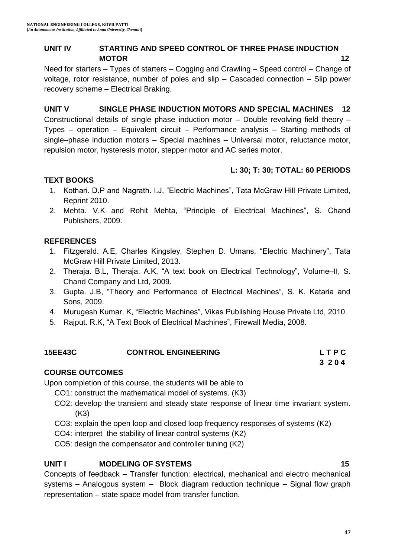## **UNIT IV STARTING AND SPEED CONTROL OF THREE PHASE INDUCTION MOTOR** 12

Need for starters – Types of starters – Cogging and Crawling – Speed control – Change of voltage, rotor resistance, number of poles and slip – Cascaded connection – Slip power recovery scheme – Electrical Braking.

## **UNIT V SINGLE PHASE INDUCTION MOTORS AND SPECIAL MACHINES 12**

Constructional details of single phase induction motor – Double revolving field theory – Types – operation – Equivalent circuit – Performance analysis – Starting methods of single–phase induction motors – Special machines – Universal motor, reluctance motor, repulsion motor, hysteresis motor, stepper motor and AC series motor.

## **L: 30; T: 30; TOTAL: 60 PERIODS**

## **TEXT BOOKS**

- 1. Kothari. D.P and Nagrath. I.J, "Electric Machines", Tata McGraw Hill Private Limited, Reprint 2010.
- 2. Mehta. V.K and Rohit Mehta, "Principle of Electrical Machines", S. Chand Publishers, 2009.

## **REFERENCES**

- 1. Fitzgerald. A.E, Charles Kingsley, Stephen D. Umans, "Electric Machinery", Tata McGraw Hill Private Limited, 2013.
- 2. Theraja. B.L, Theraja. A.K, "A text book on Electrical Technology", Volume–II, S. Chand Company and Ltd, 2009.
- 3. Gupta. J.B, "Theory and Performance of Electrical Machines", S. K. Kataria and Sons, 2009.
- 4. Murugesh Kumar. K, "Electric Machines", Vikas Publishing House Private Ltd, 2010.
- 5. [Rajput](http://www.google.co.in/search?tbo=p&tbm=bks&q=inauthor:%22R.+K.+Rajput%22&source=gbs_metadata_r&cad=6). R.K, "A Text Book of Electrical Machines", Firewall Media, 2008.

## **15EE43C CONTROL ENGINEERING L T P C**

## **COURSE OUTCOMES**

Upon completion of this course, the students will be able to

- CO1: construct the mathematical model of systems. (K3)
- CO2: develop the transient and steady state response of linear time invariant system. (K3)
- CO3: explain the open loop and closed loop frequency responses of systems (K2)
- CO4: interpret the stability of linear control systems (K2)
- CO5: design the compensator and controller tuning (K2)

## **UNIT I MODELING OF SYSTEMS** 15

Concepts of feedback – Transfer function: electrical, mechanical and electro mechanical systems – Analogous system – Block diagram reduction technique – Signal flow graph representation – state space model from transfer function.

**3 2 0 4**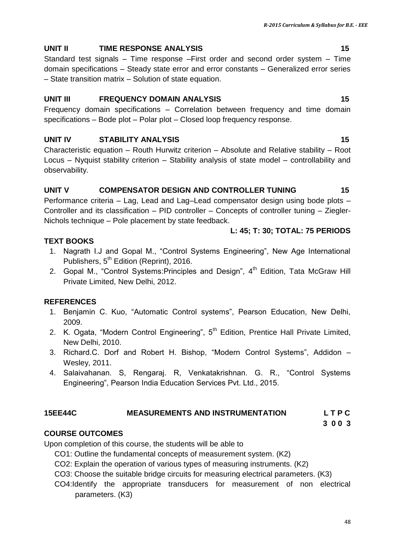## **UNIT II** TIME RESPONSE ANALYSIS 15

Standard test signals – Time response –First order and second order system – Time domain specifications – Steady state error and error constants – Generalized error series – State transition matrix – Solution of state equation.

## **UNIT III FREQUENCY DOMAIN ANALYSIS 15**

Frequency domain specifications – Correlation between frequency and time domain specifications – Bode plot – Polar plot – Closed loop frequency response.

## **UNIT IV STABILITY ANALYSIS 15**

Characteristic equation – Routh Hurwitz criterion – Absolute and Relative stability – Root Locus – Nyquist stability criterion – Stability analysis of state model – controllability and observability.

## UNIT V COMPENSATOR DESIGN AND CONTROLLER TUNING 15

Performance criteria – Lag, Lead and Lag–Lead compensator design using bode plots – Controller and its classification – PID controller – Concepts of controller tuning – Ziegler-Nichols technique – Pole placement by state feedback.

## **L: 45; T: 30; TOTAL: 75 PERIODS**

- **TEXT BOOKS**
	- 1. Nagrath I.J and Gopal M., "Control Systems Engineering", New Age International Publishers, 5<sup>th</sup> Edition (Reprint), 2016.
	- 2. Gopal M., "Control Systems: Principles and Design", 4<sup>th</sup> Edition, Tata McGraw Hill Private Limited, New Delhi, 2012.

## **REFERENCES**

- 1. Benjamin C. Kuo, "Automatic Control systems", Pearson Education, New Delhi, 2009.
- 2. K. Ogata, "Modern Control Engineering", 5<sup>th</sup> Edition, Prentice Hall Private Limited, New Delhi, 2010.
- 3. Richard.C. Dorf and Robert H. Bishop, "Modern Control Systems", Addidon Wesley, 2011.
- 4. Salaivahanan. S, Rengaraj. R, Venkatakrishnan. G. R., "Control Systems Engineering", Pearson India Education Services Pvt. Ltd., 2015.

## **15EE44C MEASUREMENTS AND INSTRUMENTATION L T P C**

## **3 0 0 3**

## **COURSE OUTCOMES**

Upon completion of this course, the students will be able to

- CO1: Outline the fundamental concepts of measurement system. (K2)
- CO2: Explain the operation of various types of measuring instruments. (K2)
- CO3: Choose the suitable bridge circuits for measuring electrical parameters. (K3)
- CO4:Identify the appropriate transducers for measurement of non electrical parameters. (K3)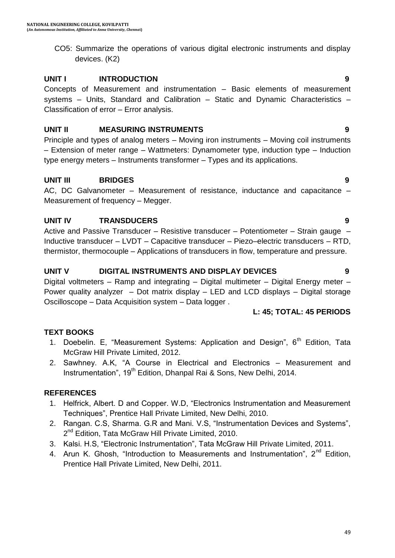CO5: Summarize the operations of various digital electronic instruments and display devices. (K2)

## **UNIT I INTRODUCTION 9**

Concepts of Measurement and instrumentation – Basic elements of measurement systems – Units, Standard and Calibration – Static and Dynamic Characteristics – Classification of error – Error analysis.

## **UNIT II MEASURING INSTRUMENTS 9**

Principle and types of analog meters – Moving iron instruments – Moving coil instruments – Extension of meter range – Wattmeters: Dynamometer type, induction type – Induction type energy meters – Instruments transformer – Types and its applications.

## **UNIT III BRIDGES 9**

AC, DC Galvanometer – Measurement of resistance, inductance and capacitance – Measurement of frequency – Megger.

## **UNIT IV TRANSDUCERS 9**

Active and Passive Transducer – Resistive transducer – Potentiometer – Strain gauge – Inductive transducer – LVDT – Capacitive transducer – Piezo–electric transducers – RTD, thermistor, thermocouple – Applications of transducers in flow, temperature and pressure.

## **UNIT V DIGITAL INSTRUMENTS AND DISPLAY DEVICES 9**

Digital voltmeters – Ramp and integrating – Digital multimeter – Digital Energy meter – Power quality analyzer – Dot matrix display – LED and LCD displays – Digital storage Oscilloscope – Data Acquisition system – Data logger .

## **L: 45; TOTAL: 45 PERIODS**

## **TEXT BOOKS**

- 1. Doebelin. E, "Measurement Systems: Application and Design", 6<sup>th</sup> Edition, Tata McGraw Hill Private Limited, 2012.
- 2. Sawhney. A.K, "A Course in Electrical and Electronics Measurement and Instrumentation", 19<sup>th</sup> Edition, Dhanpal Rai & Sons, New Delhi, 2014.

## **REFERENCES**

- 1. Helfrick, Albert. D and Copper. W.D, "Electronics Instrumentation and Measurement Techniques", Prentice Hall Private Limited, New Delhi, 2010.
- 2. Rangan. C.S, Sharma. G.R and Mani. V.S, "Instrumentation Devices and Systems", 2<sup>nd</sup> Edition, Tata McGraw Hill Private Limited, 2010.
- 3. Kalsi. H.S, "Electronic Instrumentation", Tata McGraw Hill Private Limited, 2011.
- 4. Arun K. Ghosh, "Introduction to Measurements and Instrumentation", 2<sup>nd</sup> Edition. Prentice Hall Private Limited, New Delhi, 2011.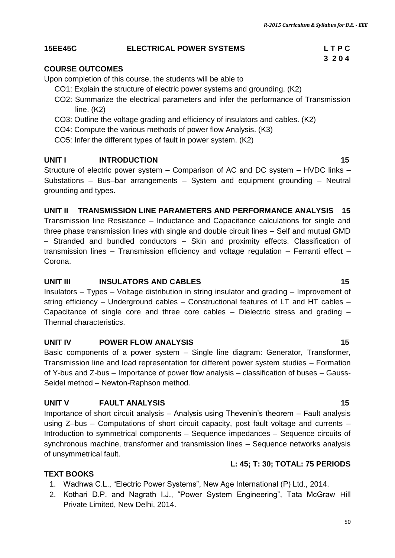**3 2 0 4**

## **15EE45C ELECTRICAL POWER SYSTEMS L T P C**

#### **COURSE OUTCOMES**

Upon completion of this course, the students will be able to

- CO1: Explain the structure of electric power systems and grounding. (K2)
- CO2: Summarize the electrical parameters and infer the performance of Transmission line. (K2)
- CO3: Outline the voltage grading and efficiency of insulators and cables. (K2)
- CO4: Compute the various methods of power flow Analysis. (K3)
- CO5: Infer the different types of fault in power system. (K2)

#### **UNIT I INTRODUCTION 15**

Structure of electric power system – Comparison of AC and DC system – HVDC links – Substations – Bus–bar arrangements – System and equipment grounding – Neutral grounding and types.

#### **UNIT II TRANSMISSION LINE PARAMETERS AND PERFORMANCE ANALYSIS 15**

Transmission line Resistance – Inductance and Capacitance calculations for single and three phase transmission lines with single and double circuit lines – Self and mutual GMD – Stranded and bundled conductors – Skin and proximity effects. Classification of transmission lines – Transmission efficiency and voltage regulation – Ferranti effect – Corona.

#### **UNIT III INSULATORS AND CABLES 15**

Insulators – Types – Voltage distribution in string insulator and grading – Improvement of string efficiency – Underground cables – Constructional features of LT and HT cables – Capacitance of single core and three core cables – Dielectric stress and grading – Thermal characteristics.

#### **UNIT IV POWER FLOW ANALYSIS 15 15**

Basic components of a power system – Single line diagram: Generator, Transformer, Transmission line and load representation for different power system studies – Formation of Y-bus and Z-bus – Importance of power flow analysis – classification of buses – Gauss-Seidel method – Newton-Raphson method.

#### **UNIT V FAULT ANALYSIS 15**

Importance of short circuit analysis – Analysis using Thevenin"s theorem – Fault analysis using Z–bus – Computations of short circuit capacity, post fault voltage and currents – Introduction to symmetrical components – Sequence impedances – Sequence circuits of synchronous machine, transformer and transmission lines – Sequence networks analysis of unsymmetrical fault.

#### **L: 45; T: 30; TOTAL: 75 PERIODS**

## **TEXT BOOKS**

- 1. Wadhwa C.L., "Electric Power Systems", New Age International (P) Ltd., 2014.
- 2. Kothari D.P. and Nagrath I.J., "Power System Engineering", Tata McGraw Hill Private Limited, New Delhi, 2014.

## 50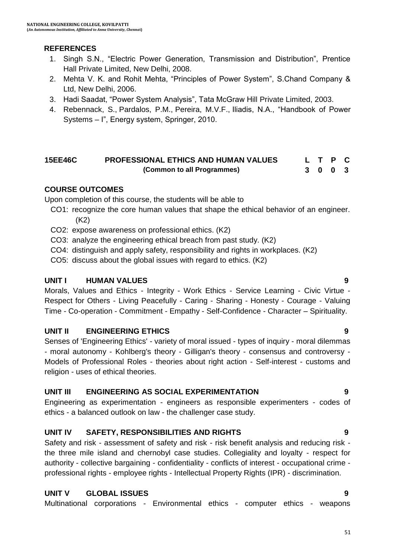## **REFERENCES**

- 1. Singh S.N., "Electric Power Generation, Transmission and Distribution", Prentice Hall Private Limited, New Delhi, 2008.
- 2. Mehta V. K. and Rohit Mehta, "Principles of Power System", S.Chand Company & Ltd, New Delhi, 2006.
- 3. Hadi Saadat, "Power System Analysis", Tata McGraw Hill Private Limited, 2003.
- 4. Rebennack, S., Pardalos, P.M., Pereira, M.V.F., Iliadis, N.A., "Handbook of Power Systems – I", Energy system, Springer, 2010.

#### **15EE46C PROFESSIONAL ETHICS AND HUMAN VALUES (Common to all Programmes) L T P C 3 0 0 3**

## **COURSE OUTCOMES**

Upon completion of this course, the students will be able to

- CO1: recognize the core human values that shape the ethical behavior of an engineer. (K2)
- CO2: expose awareness on professional ethics. (K2)
- CO3: analyze the engineering ethical breach from past study. (K2)
- CO4: distinguish and apply safety, responsibility and rights in workplaces. (K2)
- CO5: discuss about the global issues with regard to ethics. (K2)

## **UNIT I HUMAN VALUES 9**

Morals, Values and Ethics - Integrity - Work Ethics - Service Learning - Civic Virtue - Respect for Others - Living Peacefully - Caring - Sharing - Honesty - Courage - Valuing Time - Co-operation - Commitment - Empathy - Self-Confidence - Character – Spirituality.

## **UNIT II ENGINEERING ETHICS 9**

Senses of 'Engineering Ethics' - variety of moral issued - types of inquiry - moral dilemmas - moral autonomy - Kohlberg's theory - Gilligan's theory - consensus and controversy - Models of Professional Roles - theories about right action - Self-interest - customs and religion - uses of ethical theories.

## **UNIT III ENGINEERING AS SOCIAL EXPERIMENTATION 9**

Engineering as experimentation - engineers as responsible experimenters - codes of ethics - a balanced outlook on law - the challenger case study.

## **UNIT IV SAFETY, RESPONSIBILITIES AND RIGHTS 9**

Safety and risk - assessment of safety and risk - risk benefit analysis and reducing risk the three mile island and chernobyl case studies. Collegiality and loyalty - respect for authority - collective bargaining - confidentiality - conflicts of interest - occupational crime professional rights - employee rights - Intellectual Property Rights (IPR) - discrimination.

## **UNIT V GLOBAL ISSUES 9**

Multinational corporations - Environmental ethics - computer ethics - weapons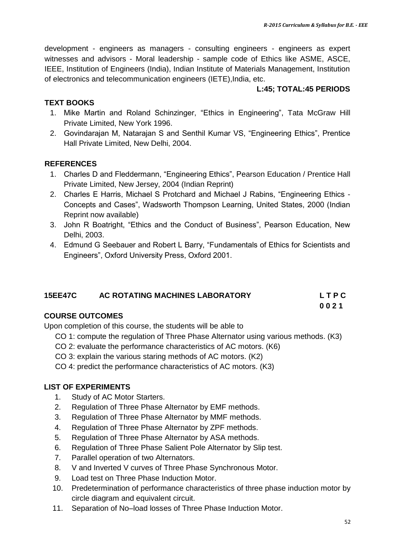development - engineers as managers - consulting engineers - engineers as expert witnesses and advisors - Moral leadership - sample code of Ethics like ASME, ASCE, IEEE, Institution of Engineers (India), Indian Institute of Materials Management, Institution of electronics and telecommunication engineers (IETE),India, etc.

## **L:45; TOTAL:45 PERIODS**

## **TEXT BOOKS**

- 1. Mike Martin and Roland Schinzinger, "Ethics in Engineering", Tata McGraw Hill Private Limited, New York 1996.
- 2. Govindarajan M, Natarajan S and Senthil Kumar VS, "Engineering Ethics", Prentice Hall Private Limited, New Delhi, 2004.

## **REFERENCES**

- 1. Charles D and Fleddermann, "Engineering Ethics", Pearson Education / Prentice Hall Private Limited, New Jersey, 2004 (Indian Reprint)
- 2. Charles E Harris, Michael S Protchard and Michael J Rabins, "Engineering Ethics Concepts and Cases", Wadsworth Thompson Learning, United States, 2000 (Indian Reprint now available)
- 3. John R Boatright, "Ethics and the Conduct of Business", Pearson Education, New Delhi, 2003.
- 4. Edmund G Seebauer and Robert L Barry, "Fundamentals of Ethics for Scientists and Engineers", Oxford University Press, Oxford 2001.

## **15EE47C AC ROTATING MACHINES LABORATORY L T P C 0 0 2 1**

## **COURSE OUTCOMES**

Upon completion of this course, the students will be able to

- CO 1: compute the regulation of Three Phase Alternator using various methods. (K3)
- CO 2: evaluate the performance characteristics of AC motors. (K6)
- CO 3: explain the various staring methods of AC motors. (K2)
- CO 4: predict the performance characteristics of AC motors. (K3)

## **LIST OF EXPERIMENTS**

- 1. Study of AC Motor Starters.
- 2. Regulation of Three Phase Alternator by EMF methods.
- 3. Regulation of Three Phase Alternator by MMF methods.
- 4. Regulation of Three Phase Alternator by ZPF methods.
- 5. Regulation of Three Phase Alternator by ASA methods.
- 6. Regulation of Three Phase Salient Pole Alternator by Slip test.
- 7. Parallel operation of two Alternators.
- 8. V and Inverted V curves of Three Phase Synchronous Motor.
- 9. Load test on Three Phase Induction Motor.
- 10. Predetermination of performance characteristics of three phase induction motor by circle diagram and equivalent circuit.
- 11. Separation of No–load losses of Three Phase Induction Motor.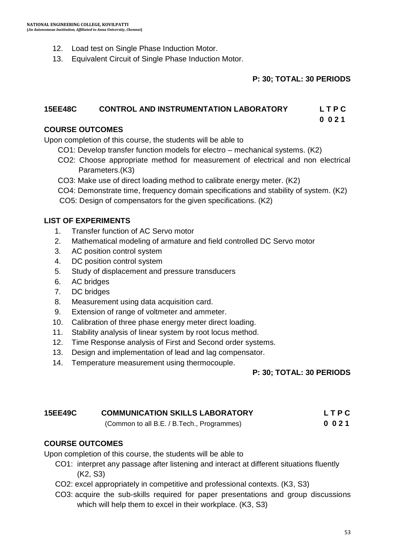- 12. Load test on Single Phase Induction Motor.
- 13. Equivalent Circuit of Single Phase Induction Motor.

#### **P: 30; TOTAL: 30 PERIODS**

#### **15EE48C CONTROL AND INSTRUMENTATION LABORATORY L T P C**

 **0 0 2 1**

#### **COURSE OUTCOMES**

Upon completion of this course, the students will be able to

- CO1: Develop transfer function models for electro mechanical systems. (K2)
- CO2: Choose appropriate method for measurement of electrical and non electrical Parameters.(K3)
- CO3: Make use of direct loading method to calibrate energy meter. (K2)
- CO4: Demonstrate time, frequency domain specifications and stability of system. (K2)

CO5: Design of compensators for the given specifications. (K2)

#### **LIST OF EXPERIMENTS**

- 1. Transfer function of AC Servo motor
- 2. Mathematical modeling of armature and field controlled DC Servo motor
- 3. AC position control system
- 4. DC position control system
- 5. Study of displacement and pressure transducers
- 6. AC bridges
- 7. DC bridges
- 8. Measurement using data acquisition card.
- 9. Extension of range of voltmeter and ammeter.
- 10. Calibration of three phase energy meter direct loading.
- 11. Stability analysis of linear system by root locus method.
- 12. Time Response analysis of First and Second order systems.
- 13. Design and implementation of lead and lag compensator.
- 14. Temperature measurement using thermocouple.

#### **P: 30; TOTAL: 30 PERIODS**

| <b>15EE49C</b> | <b>COMMUNICATION SKILLS LABORATORY</b>     | LTPC |
|----------------|--------------------------------------------|------|
|                | (Common to all B.E. / B.Tech., Programmes) | 0021 |

#### **COURSE OUTCOMES**

Upon completion of this course, the students will be able to

- CO1: interpret any passage after listening and interact at different situations fluently (K2, S3)
- CO2: excel appropriately in competitive and professional contexts. (K3, S3)
- CO3: acquire the sub-skills required for paper presentations and group discussions which will help them to excel in their workplace. (K3, S3)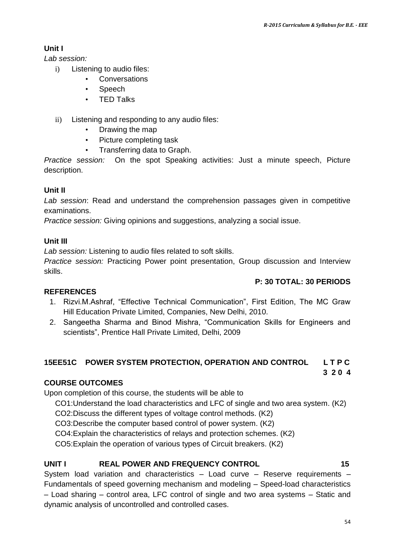## **Unit I**

*Lab session:* 

- i) Listening to audio files:
	- Conversations
	- Speech
	- **TED Talks**
- ii) Listening and responding to any audio files:
	- Drawing the map
	- Picture completing task
	- Transferring data to Graph.

*Practice session:* On the spot Speaking activities: Just a minute speech, Picture description.

## **Unit II**

*Lab session*: Read and understand the comprehension passages given in competitive examinations.

*Practice session:* Giving opinions and suggestions, analyzing a social issue.

## **Unit III**

*Lab session:* Listening to audio files related to soft skills.

*Practice session:* Practicing Power point presentation, Group discussion and Interview skills.

## **P: 30 TOTAL: 30 PERIODS**

## **REFERENCES**

- 1. Rizvi.M.Ashraf, "Effective Technical Communication", First Edition, The MC Graw Hill Education Private Limited, Companies, New Delhi, 2010.
- 2. Sangeetha Sharma and Binod Mishra, "Communication Skills for Engineers and scientists", Prentice Hall Private Limited, Delhi, 2009

## **15EE51C POWER SYSTEM PROTECTION, OPERATION AND CONTROL L T P C**

**3 2 0 4**

## **COURSE OUTCOMES**

Upon completion of this course, the students will be able to

CO1:Understand the load characteristics and LFC of single and two area system. (K2)

- CO2:Discuss the different types of voltage control methods. (K2)
- CO3:Describe the computer based control of power system. (K2)

CO4:Explain the characteristics of relays and protection schemes. (K2)

CO5:Explain the operation of various types of Circuit breakers. (K2)

## **UNIT I REAL POWER AND FREQUENCY CONTROL 15**

System load variation and characteristics – Load curve – Reserve requirements – Fundamentals of speed governing mechanism and modeling – Speed-load characteristics – Load sharing – control area, LFC control of single and two area systems – Static and dynamic analysis of uncontrolled and controlled cases.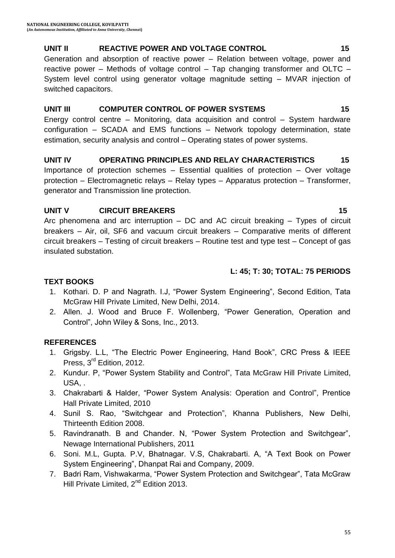## **UNIT II REACTIVE POWER AND VOLTAGE CONTROL 15**

Generation and absorption of reactive power – Relation between voltage, power and reactive power – Methods of voltage control – Tap changing transformer and OLTC – System level control using generator voltage magnitude setting – MVAR injection of switched capacitors.

## **UNIT III COMPUTER CONTROL OF POWER SYSTEMS** 15

Energy control centre – Monitoring, data acquisition and control – System hardware configuration – SCADA and EMS functions – Network topology determination, state estimation, security analysis and control – Operating states of power systems.

## **UNIT IV OPERATING PRINCIPLES AND RELAY CHARACTERISTICS 15**

Importance of protection schemes – Essential qualities of protection – Over voltage protection – Electromagnetic relays – Relay types – Apparatus protection – Transformer, generator and Transmission line protection.

## **UNIT V CIRCUIT BREAKERS 15**

Arc phenomena and arc interruption – DC and AC circuit breaking – Types of circuit breakers – Air, oil, SF6 and vacuum circuit breakers – Comparative merits of different circuit breakers – Testing of circuit breakers – Routine test and type test – Concept of gas insulated substation.

## **L: 45; T: 30; TOTAL: 75 PERIODS**

## **TEXT BOOKS**

- 1. Kothari. D. P and Nagrath. I.J, "Power System Engineering", Second Edition, Tata McGraw Hill Private Limited, New Delhi, 2014.
- 2. Allen. J. Wood and Bruce F. Wollenberg, "Power Generation, Operation and Control", John Wiley & Sons, Inc., 2013.

## **REFERENCES**

- 1. Grigsby. L.L, "The Electric Power Engineering, Hand Book", CRC Press & IEEE Press, 3<sup>rd</sup> Edition, 2012.
- 2. Kundur. P, "Power System Stability and Control", Tata McGraw Hill Private Limited, USA, .
- 3. Chakrabarti & Halder, "Power System Analysis: Operation and Control", Prentice Hall Private Limited, 2010
- 4. Sunil S. Rao, "Switchgear and Protection", Khanna Publishers, New Delhi, Thirteenth Edition 2008.
- 5. Ravindranath. B and Chander. N, "Power System Protection and Switchgear", Newage International Publishers, 2011
- 6. Soni. M.L, Gupta. P.V, Bhatnagar. V.S, Chakrabarti. A, "A Text Book on Power System Engineering", Dhanpat Rai and Company, 2009.
- 7. Badri Ram, Vishwakarma, "Power System Protection and Switchgear", Tata McGraw Hill Private Limited, 2<sup>nd</sup> Edition 2013.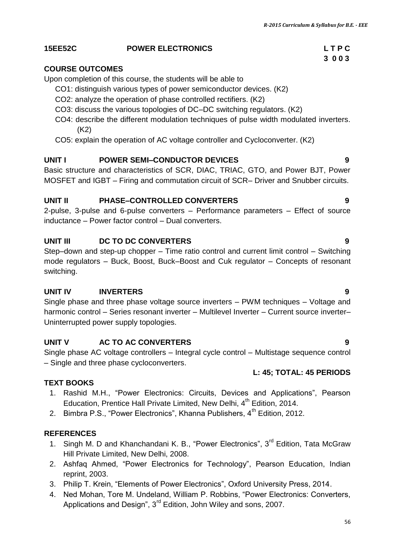## **15EE52C POWER ELECTRONICS L T P C**

## **COURSE OUTCOMES**

Upon completion of this course, the students will be able to

- CO1: distinguish various types of power semiconductor devices. (K2)
- CO2: analyze the operation of phase controlled rectifiers. (K2)
- CO3: discuss the various topologies of DC–DC switching regulators. (K2)
- CO4: describe the different modulation techniques of pulse width modulated inverters. (K2)
- CO5: explain the operation of AC voltage controller and Cycloconverter. (K2)

#### **UNIT I POWER SEMI–CONDUCTOR DEVICES 9**

Basic structure and characteristics of SCR, DIAC, TRIAC, GTO, and Power BJT, Power MOSFET and IGBT – Firing and commutation circuit of SCR– Driver and Snubber circuits.

#### **UNIT II PHASE–CONTROLLED CONVERTERS 9**

2-pulse, 3-pulse and 6-pulse converters – Performance parameters – Effect of source inductance – Power factor control – Dual converters.

#### **UNIT III DC TO DC CONVERTERS 9**

Step–down and step-up chopper – Time ratio control and current limit control – Switching mode regulators – Buck, Boost, Buck–Boost and Cuk regulator – Concepts of resonant switching.

#### **UNIT IV INVERTERS 9**

Single phase and three phase voltage source inverters – PWM techniques – Voltage and harmonic control – Series resonant inverter – Multilevel Inverter – Current source inverter– Uninterrupted power supply topologies.

#### **UNIT V AC TO AC CONVERTERS 9**

Single phase AC voltage controllers – Integral cycle control – Multistage sequence control – Single and three phase cycloconverters.

#### **L: 45; TOTAL: 45 PERIODS**

#### **TEXT BOOKS**

- 1. Rashid M.H., "Power Electronics: Circuits, Devices and Applications", Pearson Education, Prentice Hall Private Limited, New Delhi, 4<sup>th</sup> Edition, 2014.
- 2. Bimbra P.S., "Power Electronics", Khanna Publishers, 4<sup>th</sup> Edition, 2012.

#### **REFERENCES**

- 1. Singh M. D and Khanchandani K. B., "Power Electronics", 3<sup>rd</sup> Edition, Tata McGraw Hill Private Limited, New Delhi, 2008.
- 2. Ashfaq Ahmed, "Power Electronics for Technology", Pearson Education, Indian reprint, 2003.
- 3. Philip T. Krein, "Elements of Power Electronics", Oxford University Press, 2014.
- 4. Ned Mohan, Tore M. Undeland, William P. Robbins, "Power Electronics: Converters, Applications and Design", 3<sup>rd</sup> Edition, John Wiley and sons, 2007.

# **3 0 0 3**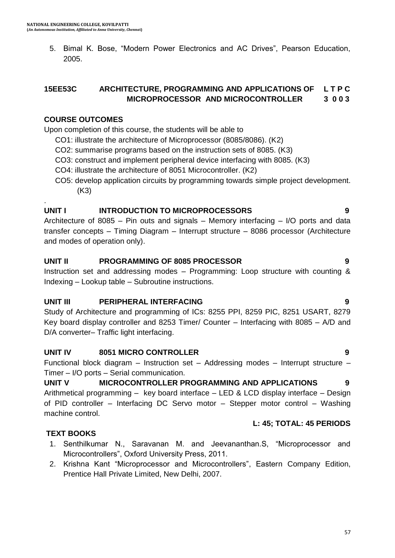5. Bimal K. Bose, "Modern Power Electronics and AC Drives", Pearson Education, 2005.

#### **15EE53C ARCHITECTURE, PROGRAMMING AND APPLICATIONS OF L T P C MICROPROCESSOR AND MICROCONTROLLER 3 0 0 3**

#### **COURSE OUTCOMES**

.

Upon completion of this course, the students will be able to

- CO1: illustrate the architecture of Microprocessor (8085/8086). (K2)
- CO2: summarise programs based on the instruction sets of 8085. (K3)
- CO3: construct and implement peripheral device interfacing with 8085. (K3)
- CO4: illustrate the architecture of 8051 Microcontroller. (K2)
- CO5: develop application circuits by programming towards simple project development. (K3)

#### **UNIT I INTRODUCTION TO MICROPROCESSORS 9**

Architecture of 8085 – Pin outs and signals – Memory interfacing – I/O ports and data transfer concepts – Timing Diagram – Interrupt structure – 8086 processor (Architecture and modes of operation only).

#### **UNIT II PROGRAMMING OF 8085 PROCESSOR 9**

Instruction set and addressing modes – Programming: Loop structure with counting & Indexing – Lookup table – Subroutine instructions.

#### **UNIT III PERIPHERAL INTERFACING 9**

Study of Architecture and programming of ICs: 8255 PPI, 8259 PIC, 8251 USART, 8279 Key board display controller and 8253 Timer/ Counter – Interfacing with 8085 – A/D and D/A converter– Traffic light interfacing.

## **UNIT IV 8051 MICRO CONTROLLER 9**

Functional block diagram – Instruction set – Addressing modes – Interrupt structure – Timer – I/O ports – Serial communication.

## **UNIT V MICROCONTROLLER PROGRAMMING AND APPLICATIONS 9**

Arithmetical programming – key board interface – LED & LCD display interface – Design of PID controller – Interfacing DC Servo motor – Stepper motor control – Washing machine control.

## **L: 45; TOTAL: 45 PERIODS**

## **TEXT BOOKS**

- 1. Senthilkumar N., Saravanan M. and Jeevananthan.S, "Microprocessor and Microcontrollers", Oxford University Press, 2011.
- 2. Krishna Kant "Microprocessor and Microcontrollers", Eastern Company Edition, Prentice Hall Private Limited, New Delhi, 2007.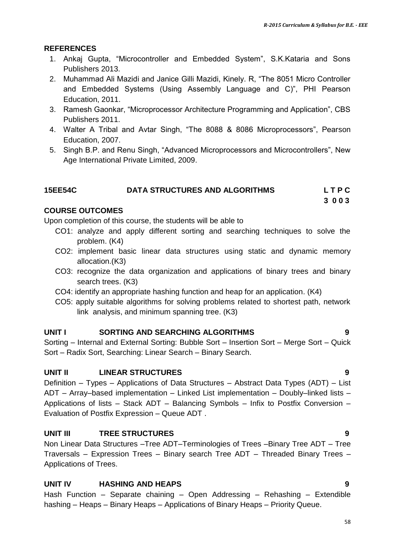#### **REFERENCES**

- 1. Ankaj Gupta, "Microcontroller and Embedded System", S.K.Kataria and Sons Publishers 2013.
- 2. Muhammad Ali Mazidi and Janice Gilli Mazidi, Kinely. R, "The 8051 Micro Controller and Embedded Systems (Using Assembly Language and C)", PHI Pearson Education, 2011.
- 3. Ramesh Gaonkar, "Microprocessor Architecture Programming and Application", CBS Publishers 2011.
- 4. Walter A Tribal and Avtar Singh, "The 8088 & 8086 Microprocessors", Pearson Education, 2007.
- 5. Singh B.P. and Renu Singh, "Advanced Microprocessors and Microcontrollers", New Age International Private Limited, 2009.

## **15EE54C DATA STRUCTURES AND ALGORITHMS L T P C**

**3 0 0 3** 

#### **COURSE OUTCOMES**

Upon completion of this course, the students will be able to

- CO1: analyze and apply different sorting and searching techniques to solve the problem. (K4)
- CO2: implement basic linear data structures using static and dynamic memory allocation.(K3)
- CO3: recognize the data organization and applications of binary trees and binary search trees. (K3)
- CO4: identify an appropriate hashing function and heap for an application. (K4)
- CO5: apply suitable algorithms for solving problems related to shortest path, network link analysis, and minimum spanning tree. (K3)

#### **UNIT I SORTING AND SEARCHING ALGORITHMS 9**

Sorting – Internal and External Sorting: Bubble Sort – Insertion Sort – Merge Sort – Quick Sort – Radix Sort, Searching: Linear Search – Binary Search.

#### **UNIT II LINEAR STRUCTURES 9**

Definition – Types – Applications of Data Structures – Abstract Data Types (ADT) – List ADT – Array–based implementation – Linked List implementation – Doubly–linked lists – Applications of lists – Stack ADT – Balancing Symbols – Infix to Postfix Conversion – Evaluation of Postfix Expression – Queue ADT .

## **UNIT III TREE STRUCTURES 9**

Non Linear Data Structures –Tree ADT–Terminologies of Trees –Binary Tree ADT – Tree Traversals – Expression Trees – Binary search Tree ADT – Threaded Binary Trees – Applications of Trees.

#### **UNIT IV HASHING AND HEAPS 9**

Hash Function – Separate chaining – Open Addressing – Rehashing – Extendible hashing – Heaps – Binary Heaps – Applications of Binary Heaps – Priority Queue.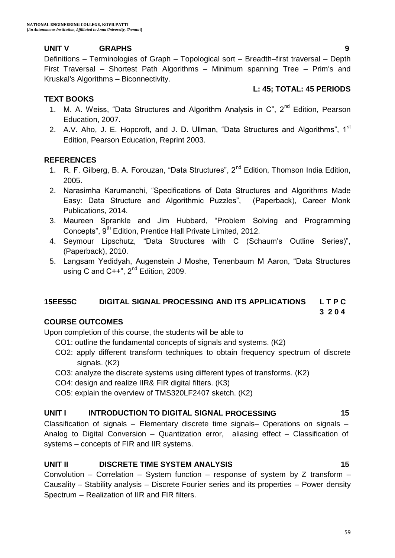## **UNIT V GRAPHS 9**

Definitions – Terminologies of Graph – Topological sort – Breadth–first traversal – Depth First Traversal – Shortest Path Algorithms – Minimum spanning Tree – Prim's and Kruskal's Algorithms – Biconnectivity.

## **TEXT BOOKS**

- 1. M. A. Weiss, "Data Structures and Algorithm Analysis in C", 2<sup>nd</sup> Edition. Pearson Education, 2007.
- 2. A.V. Aho, J. E. Hopcroft, and J. D. Ullman, "Data Structures and Algorithms",  $1<sup>st</sup>$ Edition, Pearson Education, Reprint 2003.

## **REFERENCES**

- 1. R. F. Gilberg, B. A. Forouzan, "Data Structures", 2<sup>nd</sup> Edition, Thomson India Edition, 2005.
- 2. Narasimha Karumanchi, "Specifications of Data Structures and Algorithms Made Easy: Data Structure and Algorithmic Puzzles", (Paperback), Career Monk Publications, 2014.
- 3. Maureen Sprankle and Jim Hubbard, "Problem Solving and Programming Concepts", 9<sup>th</sup> Edition, Prentice Hall Private Limited, 2012.
- 4. Seymour Lipschutz, "Data Structures with C (Schaum's Outline Series)", (Paperback), 2010.
- 5. Langsam Yedidyah, Augenstein J Moshe, Tenenbaum M Aaron, "Data Structures using C and  $C++$ ",  $2^{nd}$  Edition, 2009.

## **15EE55C DIGITAL SIGNAL PROCESSING AND ITS APPLICATIONS L T P C**

## **COURSE OUTCOMES**

Upon completion of this course, the students will be able to

- CO1: outline the fundamental concepts of signals and systems. (K2)
- CO2: apply different transform techniques to obtain frequency spectrum of discrete signals. (K2)

**3 2 0 4**

- CO3: analyze the discrete systems using different types of transforms. (K2)
- CO4: design and realize IIR& FIR digital filters. (K3)
- CO5: explain the overview of TMS320LF2407 sketch. (K2)

#### **UNIT I INTRODUCTION TO DIGITAL SIGNAL PROCESSING 15**

Classification of signals – Elementary discrete time signals– Operations on signals – Analog to Digital Conversion – Quantization error, aliasing effect – Classification of systems – concepts of FIR and IIR systems.

## **UNIT II DISCRETE TIME SYSTEM ANALYSIS 15**

Convolution – Correlation – System function – response of system by Z transform – Causality – Stability analysis – Discrete Fourier series and its properties – Power density Spectrum – Realization of IIR and FIR filters.

**L: 45; TOTAL: 45 PERIODS**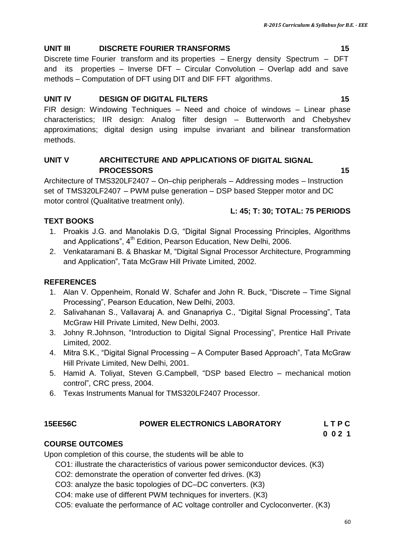## **UNIT III DISCRETE FOURIER TRANSFORMS 15**

Discrete time Fourier transform and its properties – Energy density Spectrum – DFT and its properties – Inverse DFT – Circular Convolution – Overlap add and save methods – Computation of DFT using DIT and DIF FFT algorithms.

## **UNIT IV DESIGN OF DIGITAL FILTERS 15**

FIR design: Windowing Techniques – Need and choice of windows – Linear phase characteristics; IIR design: Analog filter design – Butterworth and Chebyshev approximations; digital design using impulse invariant and bilinear transformation methods.

## **UNIT V ARCHITECTURE AND APPLICATIONS OF DIGITAL SIGNAL PROCESSORS 15**

Architecture of [TMS320LF2407](http://www.ti.com/product/TMS320LF2407) – On–chip peripherals – Addressing modes – Instruction set of [TMS320LF2407](http://www.ti.com/product/TMS320LF2407) – PWM pulse generation – DSP based Stepper motor and DC motor control (Qualitative treatment only).

## **L: 45; T: 30; TOTAL: 75 PERIODS**

## **TEXT BOOKS**

- 1. Proakis J.G. and Manolakis D.G, "Digital Signal Processing Principles, Algorithms and Applications", 4<sup>th</sup> Edition, Pearson Education, New Delhi, 2006.
- 2. Venkataramani B. & Bhaskar M, "Digital Signal Processor Architecture, Programming and Application", Tata McGraw Hill Private Limited, 2002.

## **REFERENCES**

- 1. Alan V. Oppenheim, Ronald W. Schafer and John R. Buck, "Discrete Time Signal Processing", Pearson Education, New Delhi, 2003.
- 2. Salivahanan S., Vallavaraj A. and Gnanapriya C., "Digital Signal Processing", Tata McGraw Hill Private Limited, New Delhi, 2003.
- 3. Johny R.Johnson, "Introduction to Digital Signal Processing", Prentice Hall Private Limited, 2002.
- 4. Mitra S.K., "Digital Signal Processing A Computer Based Approach", Tata McGraw Hill Private Limited, New Delhi, 2001.
- 5. Hamid A. Toliyat, Steven G.Campbell, "DSP based Electro mechanical motion control", CRC press, 2004.
- 6. Texas Instruments Manual for [TMS320LF2407](http://www.ti.com/product/TMS320LF2407) Processor.

## **15EE56C POWER ELECTRONICS LABORATORY L T P C**

**0 0 2 1**

## **COURSE OUTCOMES**

Upon completion of this course, the students will be able to

CO1: illustrate the characteristics of various power semiconductor devices. (K3)

- CO2: demonstrate the operation of converter fed drives. (K3)
- CO3: analyze the basic topologies of DC–DC converters. (K3)
- CO4: make use of different PWM techniques for inverters. (K3)
- CO5: evaluate the performance of AC voltage controller and Cycloconverter. (K3)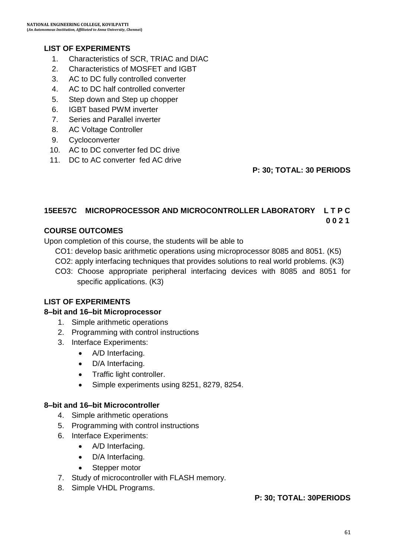## **LIST OF EXPERIMENTS**

- 1. Characteristics of SCR, TRIAC and DIAC
- 2. Characteristics of MOSFET and IGBT
- 3. AC to DC fully controlled converter
- 4. AC to DC half controlled converter
- 5. Step down and Step up chopper
- 6. IGBT based PWM inverter
- 7. Series and Parallel inverter
- 8. AC Voltage Controller
- 9. Cycloconverter
- 10. AC to DC converter fed DC drive
- 11. DC to AC converter fed AC drive

**P: 30; TOTAL: 30 PERIODS**

#### **15EE57C MICROPROCESSOR AND MICROCONTROLLER LABORATORY L T P C 0 0 2 1**

## **COURSE OUTCOMES**

Upon completion of this course, the students will be able to

- CO1: develop basic arithmetic operations using microprocessor 8085 and 8051. (K5)
- CO2: apply interfacing techniques that provides solutions to real world problems. (K3)
- CO3: Choose appropriate peripheral interfacing devices with 8085 and 8051 for specific applications. (K3)

## **LIST OF EXPERIMENTS**

#### **8–bit and 16–bit Microprocessor**

- 1. Simple arithmetic operations
- 2. Programming with control instructions
- 3. Interface Experiments:
	- A/D Interfacing.
	- D/A Interfacing.
	- Traffic light controller.
	- Simple experiments using 8251, 8279, 8254.

#### **8–bit and 16–bit Microcontroller**

- 4. Simple arithmetic operations
- 5. Programming with control instructions
- 6. Interface Experiments:
	- A/D Interfacing.
	- D/A Interfacing.
	- Stepper motor
- 7. Study of microcontroller with FLASH memory.
- 8. Simple VHDL Programs.

## **P: 30; TOTAL: 30PERIODS**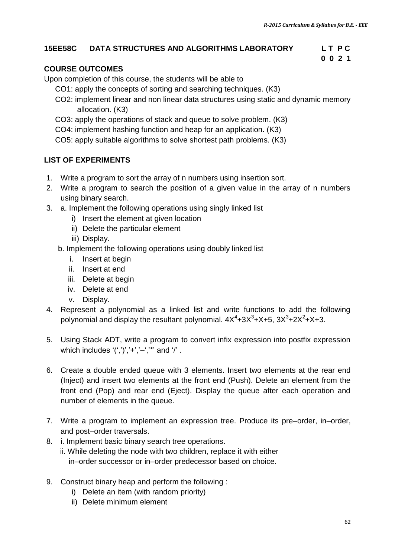**0 0 2 1** 

#### **15EE58C DATA STRUCTURES AND ALGORITHMS LABORATORY L T P C**

## **COURSE OUTCOMES**

Upon completion of this course, the students will be able to

- CO1: apply the concepts of sorting and searching techniques. (K3)
- CO2: implement linear and non linear data structures using static and dynamic memory allocation. (K3)
- CO3: apply the operations of stack and queue to solve problem. (K3)
- CO4: implement hashing function and heap for an application. (K3)
- CO5: apply suitable algorithms to solve shortest path problems. (K3)

#### **LIST OF EXPERIMENTS**

- 1. Write a program to sort the array of n numbers using insertion sort.
- 2. Write a program to search the position of a given value in the array of n numbers using binary search.
- 3. a. Implement the following operations using singly linked list
	- i) Insert the element at given location
	- ii) Delete the particular element
	- iii) Display.
	- b. Implement the following operations using doubly linked list
		- i. Insert at begin
		- ii. Insert at end
		- iii. Delete at begin
		- iv. Delete at end
		- v. Display.
- 4. Represent a polynomial as a linked list and write functions to add the following polynomial and display the resultant polynomial.  $4X^4$ +3 $X^3$ +X+5, 3 $X^3$ +2 $X^2$ +X+3.
- 5. Using Stack ADT, write a program to convert infix expression into postfix expression which includes  $'(','')', '+'', '-'', '''$  and  $'$ .
- 6. Create a double ended queue with 3 elements. Insert two elements at the rear end (Inject) and insert two elements at the front end (Push). Delete an element from the front end (Pop) and rear end (Eject). Display the queue after each operation and number of elements in the queue.
- 7. Write a program to implement an expression tree. Produce its pre–order, in–order, and post–order traversals.
- 8. i. Implement basic binary search tree operations.
	- ii. While deleting the node with two children, replace it with either in–order successor or in–order predecessor based on choice.
- 9. Construct binary heap and perform the following :
	- i) Delete an item (with random priority)
	- ii) Delete minimum element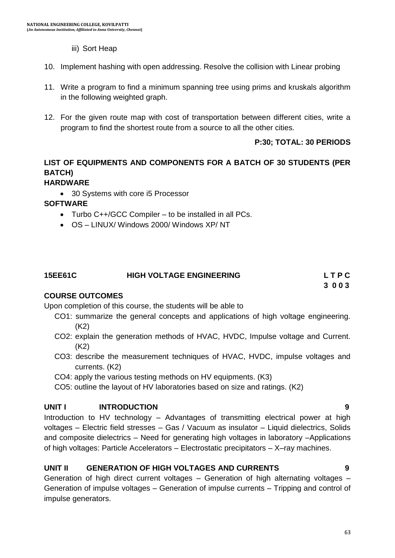- iii) Sort Heap
- 10. Implement hashing with open addressing. Resolve the collision with Linear probing
- 11. Write a program to find a minimum spanning tree using prims and kruskals algorithm in the following weighted graph.
- 12. For the given route map with cost of transportation between different cities, write a program to find the shortest route from a source to all the other cities.

#### **P:30; TOTAL: 30 PERIODS**

## **LIST OF EQUIPMENTS AND COMPONENTS FOR A BATCH OF 30 STUDENTS (PER BATCH)**

## **HARDWARE**

30 Systems with core i5 Processor

#### **SOFTWARE**

- Turbo C++/GCC Compiler to be installed in all PCs.
- OS LINUX/ Windows 2000/ Windows XP/ NT

| <b>15EE61C</b> | <b>HIGH VOLTAGE ENGINEERING</b> | LTPC |
|----------------|---------------------------------|------|
|                |                                 |      |

## **3 0 0 3**

#### **COURSE OUTCOMES**

Upon completion of this course, the students will be able to

- CO1: summarize the general concepts and applications of high voltage engineering. (K2)
- CO2: explain the generation methods of HVAC, HVDC, Impulse voltage and Current. (K2)
- CO3: describe the measurement techniques of HVAC, HVDC, impulse voltages and currents. (K2)
- CO4: apply the various testing methods on HV equipments. (K3)
- CO5: outline the layout of HV laboratories based on size and ratings. (K2)

## **UNIT I INTRODUCTION 9**

Introduction to HV technology – Advantages of transmitting electrical power at high voltages – Electric field stresses – Gas / Vacuum as insulator – Liquid dielectrics, Solids and composite dielectrics – Need for generating high voltages in laboratory –Applications of high voltages: Particle Accelerators – Electrostatic precipitators – X–ray machines.

## **UNIT II GENERATION OF HIGH VOLTAGES AND CURRENTS 9**

Generation of high direct current voltages – Generation of high alternating voltages – Generation of impulse voltages – Generation of impulse currents – Tripping and control of impulse generators.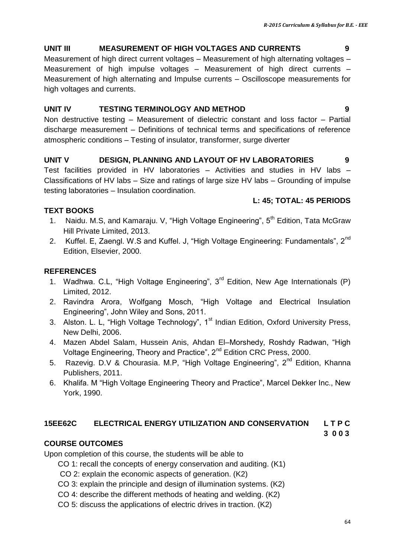## **UNIT III MEASUREMENT OF HIGH VOLTAGES AND CURRENTS 9**

Measurement of high direct current voltages – Measurement of high alternating voltages – Measurement of high impulse voltages – Measurement of high direct currents – Measurement of high alternating and Impulse currents – Oscilloscope measurements for high voltages and currents.

## **UNIT IV TESTING TERMINOLOGY AND METHOD 9**

Non destructive testing – Measurement of dielectric constant and loss factor – Partial discharge measurement – Definitions of technical terms and specifications of reference atmospheric conditions – Testing of insulator, transformer, surge diverter

## **UNIT V DESIGN, PLANNING AND LAYOUT OF HV LABORATORIES 9**

Test facilities provided in HV laboratories – Activities and studies in HV labs – Classifications of HV labs – Size and ratings of large size HV labs – Grounding of impulse testing laboratories – Insulation coordination.

## **L: 45; TOTAL: 45 PERIODS**

## **TEXT BOOKS**

- 1. Naidu. M.S, and Kamaraju. V, "High Voltage Engineering",  $5<sup>th</sup>$  Edition, Tata McGraw Hill Private Limited, 2013.
- 2. Kuffel. E, Zaengl. W.S and Kuffel. J, "High Voltage Engineering: Fundamentals". 2<sup>nd</sup> Edition, Elsevier, 2000.

## **REFERENCES**

- 1. Wadhwa. C.L, "High Voltage Engineering",  $3<sup>rd</sup>$  Edition, New Age Internationals (P) Limited, 2012.
- 2. Ravindra Arora, Wolfgang Mosch, "High Voltage and Electrical Insulation Engineering", John Wiley and Sons, 2011.
- 3. Alston. L. L, "High Voltage Technology", 1<sup>st</sup> Indian Edition, Oxford University Press, New Delhi, 2006.
- 4. Mazen Abdel Salam, Hussein Anis, Ahdan El–Morshedy, Roshdy Radwan, "High Voltage Engineering, Theory and Practice", 2<sup>nd</sup> Edition CRC Press, 2000.
- 5. [Razevig. D.V & Chourasia](http://www.khannapublishers.in/subject_sub_category_detail.php?bookID=75). M.P. "High Voltage Engineering", 2<sup>nd</sup> Edition, Khanna Publishers, 2011.
- 6. Khalifa. M "High Voltage Engineering Theory and Practice", Marcel Dekker Inc., New York, 1990.

## **15EE62C ELECTRICAL ENERGY UTILIZATION AND CONSERVATION L T P C**

## **3 0 0 3**

## **COURSE OUTCOMES**

Upon completion of this course, the students will be able to

- CO 1: recall the concepts of energy conservation and auditing. (K1)
- CO 2: explain the economic aspects of generation. (K2)
- CO 3: explain the principle and design of illumination systems. (K2)
- CO 4: describe the different methods of heating and welding. (K2)
- CO 5: discuss the applications of electric drives in traction. (K2)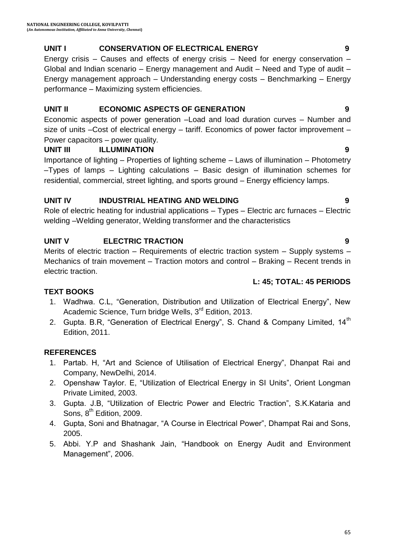## **UNIT I CONSERVATION OF ELECTRICAL ENERGY 9**

Energy crisis – Causes and effects of energy crisis – Need for energy conservation – Global and Indian scenario – Energy management and Audit – Need and Type of audit – Energy management approach – Understanding energy costs – Benchmarking – Energy performance – Maximizing system efficiencies.

## **UNIT II ECONOMIC ASPECTS OF GENERATION 9**

Economic aspects of power generation –Load and load duration curves – Number and size of units –Cost of electrical energy – tariff. Economics of power factor improvement – Power capacitors – power quality.

## **UNIT III ILLUMINATION 9**

Importance of lighting – Properties of lighting scheme – Laws of illumination – Photometry –Types of lamps – Lighting calculations – Basic design of illumination schemes for residential, commercial, street lighting, and sports ground – Energy efficiency lamps.

## **UNIT IV INDUSTRIAL HEATING AND WELDING 9**

Role of electric heating for industrial applications – Types – Electric arc furnaces – Electric welding –Welding generator, Welding transformer and the characteristics

## **UNIT V ELECTRIC TRACTION 9**

Merits of electric traction – Requirements of electric traction system – Supply systems – Mechanics of train movement – Traction motors and control – Braking – Recent trends in electric traction.

## **L: 45; TOTAL: 45 PERIODS**

## **TEXT BOOKS**

- 1. Wadhwa. C.L, "Generation, Distribution and Utilization of Electrical Energy", New Academic Science, Turn bridge Wells, 3<sup>rd</sup> Edition, 2013.
- 2. Gupta. B.R, "Generation of Electrical Energy", S. Chand & Company Limited, 14<sup>th</sup> Edition, 2011.

## **REFERENCES**

- 1. Partab. H, "Art and Science of Utilisation of Electrical Energy", Dhanpat Rai and Company, NewDelhi, 2014.
- 2. Openshaw Taylor. E, "Utilization of Electrical Energy in SI Units", Orient Longman Private Limited, 2003.
- 3. Gupta. J.B, "Utilization of Electric Power and Electric Traction", S.K.Kataria and Sons,  $8<sup>th</sup>$  Edition, 2009.
- 4. Gupta, Soni and Bhatnagar, "A Course in Electrical Power", Dhampat Rai and Sons, 2005.
- 5. Abbi. Y.P and Shashank Jain, "Handbook on Energy Audit and Environment Management", 2006.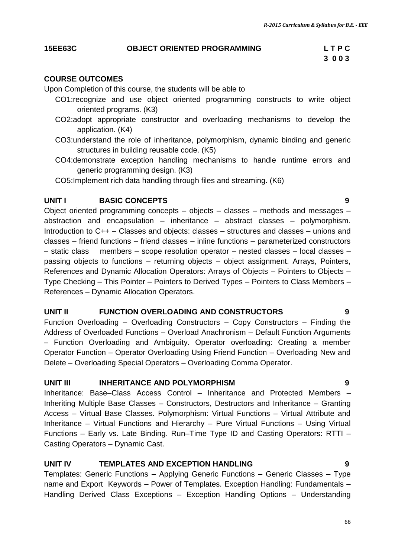#### **15EE63C OBJECT ORIENTED PROGRAMMING L T P C**

# **3 0 0 3**

## **COURSE OUTCOMES**

Upon Completion of this course, the students will be able to

- CO1:recognize and use object oriented programming constructs to write object oriented programs. (K3)
- CO2:adopt appropriate constructor and overloading mechanisms to develop the application. (K4)
- CO3:understand the role of inheritance, polymorphism, dynamic binding and generic structures in building reusable code. (K5)
- CO4:demonstrate exception handling mechanisms to handle runtime errors and generic programming design. (K3)
- CO5:Implement rich data handling through files and streaming. (K6)

## **UNIT I BASIC CONCEPTS 9**

Object oriented programming concepts – objects – classes – methods and messages – abstraction and encapsulation – inheritance – abstract classes – polymorphism. Introduction to C++ – Classes and objects: classes – structures and classes – unions and classes – friend functions – friend classes – inline functions – parameterized constructors – static class members – scope resolution operator – nested classes – local classes – passing objects to functions – returning objects – object assignment. Arrays, Pointers, References and Dynamic Allocation Operators: Arrays of Objects – Pointers to Objects – Type Checking – This Pointer – Pointers to Derived Types – Pointers to Class Members – References – Dynamic Allocation Operators.

## **UNIT II FUNCTION OVERLOADING AND CONSTRUCTORS 9**

Function Overloading – Overloading Constructors – Copy Constructors – Finding the Address of Overloaded Functions – Overload Anachronism – Default Function Arguments – Function Overloading and Ambiguity. Operator overloading: Creating a member Operator Function – Operator Overloading Using Friend Function – Overloading New and Delete – Overloading Special Operators – Overloading Comma Operator.

## **UNIT III** INHERITANCE AND POLYMORPHISM **9**

Inheritance: Base–Class Access Control – Inheritance and Protected Members – Inheriting Multiple Base Classes – Constructors, Destructors and Inheritance – Granting Access – Virtual Base Classes. Polymorphism: Virtual Functions – Virtual Attribute and Inheritance – Virtual Functions and Hierarchy – Pure Virtual Functions – Using Virtual Functions – Early vs. Late Binding. Run–Time Type ID and Casting Operators: RTTI – Casting Operators – Dynamic Cast.

## **UNIT IV TEMPLATES AND EXCEPTION HANDLING 9**

Templates: Generic Functions – Applying Generic Functions – Generic Classes – Type name and Export Keywords – Power of Templates. Exception Handling: Fundamentals – Handling Derived Class Exceptions – Exception Handling Options – Understanding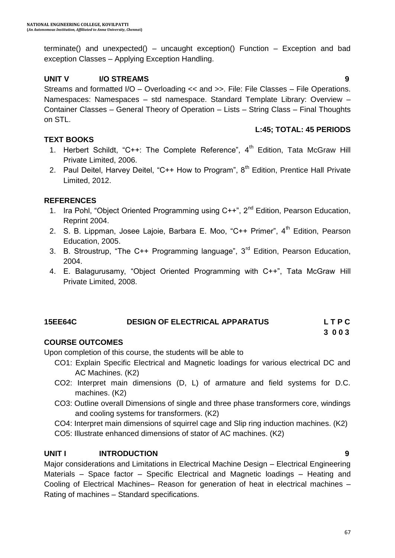terminate() and unexpected() – uncaught exception() Function – Exception and bad exception Classes – Applying Exception Handling.

## **UNIT V I/O STREAMS 9**

Streams and formatted I/O – Overloading << and >>. File: File Classes – File Operations. Namespaces: Namespaces – std namespace. Standard Template Library: Overview – Container Classes – General Theory of Operation – Lists – String Class – Final Thoughts on STL.

#### **L:45; TOTAL: 45 PERIODS**

#### **TEXT BOOKS**

- 1. Herbert Schildt, "C++: The Complete Reference", 4<sup>th</sup> Edition, Tata McGraw Hill Private Limited, 2006.
- 2. Paul Deitel, Harvey Deitel, "C++ How to Program",  $8<sup>th</sup>$  Edition, Prentice Hall Private Limited, 2012.

#### **REFERENCES**

- 1. Ira Pohl, "Object Oriented Programming using C++", 2<sup>nd</sup> Edition, Pearson Education, Reprint 2004.
- 2. S. B. Lippman, Josee Lajoie, Barbara E. Moo, "C++ Primer",  $4<sup>th</sup>$  Edition, Pearson Education, 2005.
- 3. B. Stroustrup, "The C++ Programming language",  $3<sup>rd</sup>$  Edition, Pearson Education, 2004.
- 4. E. Balagurusamy, "Object Oriented Programming with C++", Tata McGraw Hill Private Limited, 2008.

## **15EE64C DESIGN OF ELECTRICAL APPARATUS L T P C**

## **3 0 0 3**

## **COURSE OUTCOMES**

Upon completion of this course, the students will be able to

- CO1: Explain Specific Electrical and Magnetic loadings for various electrical DC and AC Machines. (K2)
- CO2: Interpret main dimensions (D, L) of armature and field systems for D.C. machines. (K2)
- CO3: Outline overall Dimensions of single and three phase transformers core, windings and cooling systems for transformers. (K2)
- CO4: Interpret main dimensions of squirrel cage and Slip ring induction machines. (K2)
- CO5: Illustrate enhanced dimensions of stator of AC machines. (K2)

## **UNIT I INTRODUCTION 9**

Major considerations and Limitations in Electrical Machine Design – Electrical Engineering Materials – Space factor – Specific Electrical and Magnetic loadings – Heating and Cooling of Electrical Machines– Reason for generation of heat in electrical machines – Rating of machines – Standard specifications.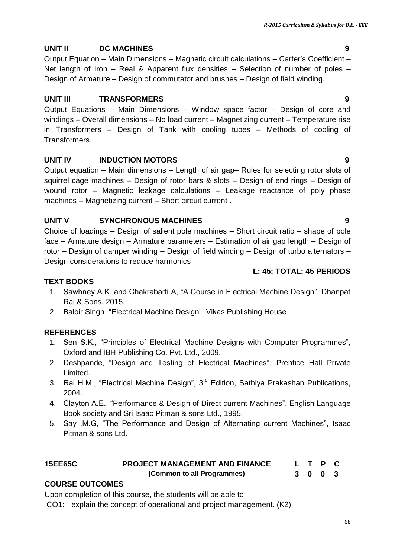## **UNIT II DC MACHINES 9**

Output Equation – Main Dimensions – Magnetic circuit calculations – Carter"s Coefficient – Net length of Iron – Real & Apparent flux densities – Selection of number of poles – Design of Armature – Design of commutator and brushes – Design of field winding.

## **UNIT III TRANSFORMERS 9**

Output Equations – Main Dimensions – Window space factor – Design of core and windings – Overall dimensions – No load current – Magnetizing current – Temperature rise in Transformers – Design of Tank with cooling tubes – Methods of cooling of **Transformers** 

## **UNIT IV INDUCTION MOTORS 9**

Output equation – Main dimensions – Length of air gap– Rules for selecting rotor slots of squirrel cage machines – Design of rotor bars & slots – Design of end rings – Design of wound rotor – Magnetic leakage calculations – Leakage reactance of poly phase machines – Magnetizing current – Short circuit current .

## **UNIT V SYNCHRONOUS MACHINES 9**

Choice of loadings – Design of salient pole machines – Short circuit ratio – shape of pole face – Armature design – Armature parameters – Estimation of air gap length – Design of rotor – Design of damper winding – Design of field winding – Design of turbo alternators – Design considerations to reduce harmonics

## **L: 45; TOTAL: 45 PERIODS**

## **TEXT BOOKS**

- 1. Sawhney A.K. and Chakrabarti A, "A Course in Electrical Machine Design", Dhanpat Rai & Sons, 2015.
- 2. Balbir Singh, "Electrical Machine Design", Vikas Publishing House.

## **REFERENCES**

- 1. Sen S.K., "Principles of Electrical Machine Designs with Computer Programmes", Oxford and IBH Publishing Co. Pvt. Ltd., 2009.
- 2. Deshpande, "Design and Testing of Electrical Machines", Prentice Hall Private Limited.
- 3. Rai H.M., "Electrical Machine Design", 3<sup>rd</sup> Edition, Sathiya Prakashan Publications, 2004.
- 4. Clayton A.E., "Performance & Design of Direct current Machines", English Language Book society and Sri Isaac Pitman & sons Ltd., 1995.
- 5. Say .M.G, "The Performance and Design of Alternating current Machines", Isaac Pitman & sons Ltd.

#### **15EE65C PROJECT MANAGEMENT AND FINANCE (Common to all Programmes) L T P C 3 0 0 3**

## **COURSE OUTCOMES**

Upon completion of this course, the students will be able to

CO1: explain the concept of operational and project management. (K2)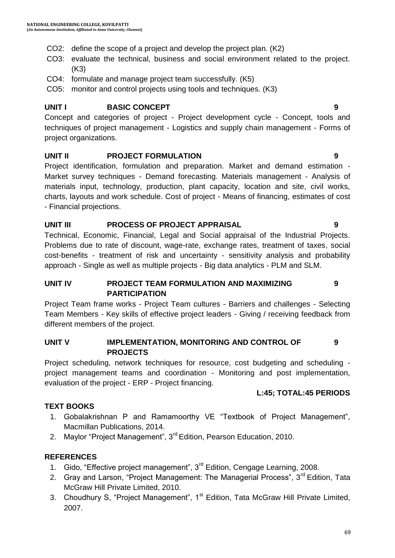- CO2: define the scope of a project and develop the project plan. (K2)
- CO3: evaluate the technical, business and social environment related to the project. (K3)
- CO4: formulate and manage project team successfully. (K5)
- CO5: monitor and control projects using tools and techniques. (K3)

#### **UNIT I BASIC CONCEPT 9**

Concept and categories of project - Project development cycle - Concept, tools and techniques of project management - Logistics and supply chain management - Forms of project organizations.

#### **UNIT II PROJECT FORMULATION 9**

Project identification, formulation and preparation. Market and demand estimation - Market survey techniques - Demand forecasting. Materials management - Analysis of materials input, technology, production, plant capacity, location and site, civil works, charts, layouts and work schedule. Cost of project - Means of financing, estimates of cost - Financial projections.

#### **UNIT III PROCESS OF PROJECT APPRAISAL 9**

Technical, Economic, Financial, Legal and Social appraisal of the Industrial Projects. Problems due to rate of discount, wage-rate, exchange rates, treatment of taxes, social cost-benefits - treatment of risk and uncertainty - sensitivity analysis and probability approach - Single as well as multiple projects - Big data analytics - PLM and SLM.

## **UNIT IV PROJECT TEAM FORMULATION AND MAXIMIZING PARTICIPATION**

Project Team frame works - Project Team cultures - Barriers and challenges - Selecting Team Members - Key skills of effective project leaders - Giving / receiving feedback from different members of the project.

#### **UNIT V IMPLEMENTATION, MONITORING AND CONTROL OF PROJECTS 9**

Project scheduling, network techniques for resource, cost budgeting and scheduling project management teams and coordination - Monitoring and post implementation, evaluation of the project - ERP - Project financing.

## **L:45; TOTAL:45 PERIODS**

## **TEXT BOOKS**

- 1. Gobalakrishnan P and Ramamoorthy VE "Textbook of Project Management", Macmillan Publications, 2014.
- 2. Maylor "Project Management", 3<sup>rd</sup> Edition, Pearson Education, 2010.

## **REFERENCES**

- 1. Gido, "Effective project management", 3<sup>rd</sup> Edition, Cengage Learning, 2008.
- 2. Gray and Larson, "Project Management: The Managerial Process", 3<sup>rd</sup> Edition, Tata McGraw Hill Private Limited, 2010.
- 3. Choudhury S, "Project Management", 1<sup>st</sup> Edition, Tata McGraw Hill Private Limited, 2007.



**9**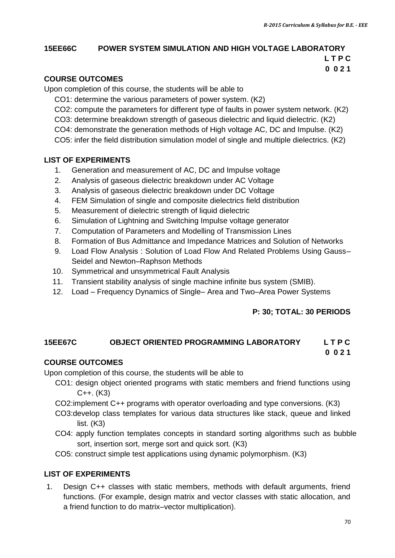## **15EE66C POWER SYSTEM SIMULATION AND HIGH VOLTAGE LABORATORY**

 **L T P C 0 0 2 1**

#### **COURSE OUTCOMES**

Upon completion of this course, the students will be able to

- CO1: determine the various parameters of power system. (K2)
- CO2: compute the parameters for different type of faults in power system network. (K2)
- CO3: determine breakdown strength of gaseous dielectric and liquid dielectric. (K2)
- CO4: demonstrate the generation methods of High voltage AC, DC and Impulse. (K2)
- CO5: infer the field distribution simulation model of single and multiple dielectrics. (K2)

#### **LIST OF EXPERIMENTS**

- 1. Generation and measurement of AC, DC and Impulse voltage
- 2. Analysis of gaseous dielectric breakdown under AC Voltage
- 3. Analysis of gaseous dielectric breakdown under DC Voltage
- 4. FEM Simulation of single and composite dielectrics field distribution
- 5. Measurement of dielectric strength of liquid dielectric
- 6. Simulation of Lightning and Switching Impulse voltage generator
- 7. Computation of Parameters and Modelling of Transmission Lines
- 8. Formation of Bus Admittance and Impedance Matrices and Solution of Networks
- 9. Load Flow Analysis : Solution of Load Flow And Related Problems Using Gauss– Seidel and Newton–Raphson Methods
- 10. Symmetrical and unsymmetrical Fault Analysis
- 11. Transient stability analysis of single machine infinite bus system (SMIB).
- 12. Load Frequency Dynamics of Single– Area and Two–Area Power Systems

## **P: 30; TOTAL: 30 PERIODS**

## **15EE67C OBJECT ORIENTED PROGRAMMING LABORATORY L T P C 0 0 2 1**

## **COURSE OUTCOMES**

Upon completion of this course, the students will be able to

- CO1: design object oriented programs with static members and friend functions using C++. (K3)
- CO2:implement C++ programs with operator overloading and type conversions. (K3)
- CO3:develop class templates for various data structures like stack, queue and linked list. (K3)
- CO4: apply function templates concepts in standard sorting algorithms such as bubble sort, insertion sort, merge sort and quick sort. (K3)
- CO5: construct simple test applications using dynamic polymorphism. (K3)

## **LIST OF EXPERIMENTS**

1. Design C++ classes with static members, methods with default arguments, friend functions. (For example, design matrix and vector classes with static allocation, and a friend function to do matrix–vector multiplication).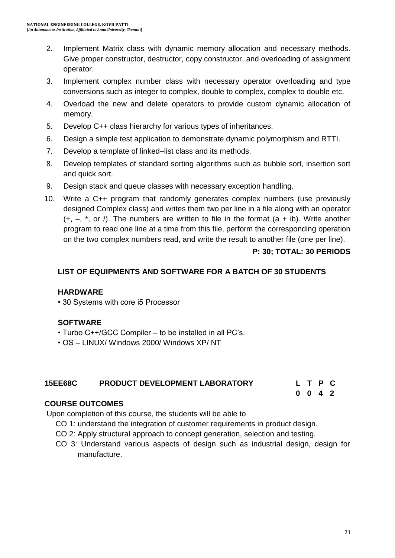- 2. Implement Matrix class with dynamic memory allocation and necessary methods. Give proper constructor, destructor, copy constructor, and overloading of assignment operator.
- 3. Implement complex number class with necessary operator overloading and type conversions such as integer to complex, double to complex, complex to double etc.
- 4. Overload the new and delete operators to provide custom dynamic allocation of memory.
- 5. Develop C++ class hierarchy for various types of inheritances.
- 6. Design a simple test application to demonstrate dynamic polymorphism and RTTI.
- 7. Develop a template of linked–list class and its methods.
- 8. Develop templates of standard sorting algorithms such as bubble sort, insertion sort and quick sort.
- 9. Design stack and queue classes with necessary exception handling.
- 10. Write a C++ program that randomly generates complex numbers (use previously designed Complex class) and writes them two per line in a file along with an operator  $(+, -, *, or /)$ . The numbers are written to file in the format  $(a + ib)$ . Write another program to read one line at a time from this file, perform the corresponding operation on the two complex numbers read, and write the result to another file (one per line).

#### **P: 30; TOTAL: 30 PERIODS**

**0 0 4 2**

#### **LIST OF EQUIPMENTS AND SOFTWARE FOR A BATCH OF 30 STUDENTS**

#### **HARDWARE**

• 30 Systems with core i5 Processor

#### **SOFTWARE**

- Turbo C++/GCC Compiler to be installed in all PC"s.
- OS LINUX/ Windows 2000/ Windows XP/ NT

## **15EE68C PRODUCT DEVELOPMENT LABORATORY L T P C**

#### **COURSE OUTCOMES**

Upon completion of this course, the students will be able to

- CO 1: understand the integration of customer requirements in product design.
- CO 2: Apply structural approach to concept generation, selection and testing.
- CO 3: Understand various aspects of design such as industrial design, design for manufacture.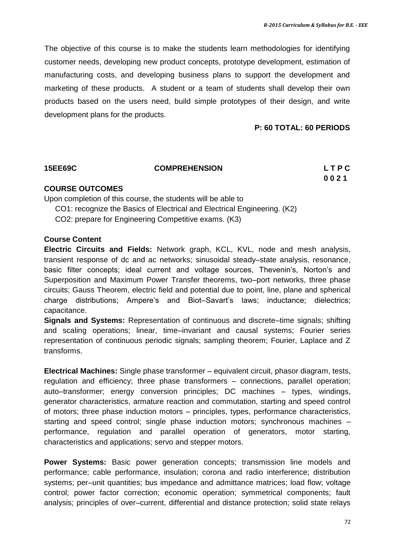The objective of this course is to make the students learn methodologies for identifying customer needs, developing new product concepts, prototype development, estimation of manufacturing costs, and developing business plans to support the development and marketing of these products. A student or a team of students shall develop their own products based on the users need, build simple prototypes of their design, and write development plans for the products.

#### **P: 60 TOTAL: 60 PERIODS**

#### **15EE69C COMPREHENSION L T P C**

**0 0 2 1**

#### **COURSE OUTCOMES**

Upon completion of this course, the students will be able to CO1: recognize the Basics of Electrical and Electrical Engineering. (K2)

CO2: prepare for Engineering Competitive exams. (K3)

#### **Course Content**

**Electric Circuits and Fields:** Network graph, KCL, KVL, node and mesh analysis, transient response of dc and ac networks; sinusoidal steady–state analysis, resonance, basic filter concepts; ideal current and voltage sources, Thevenin"s, Norton"s and Superposition and Maximum Power Transfer theorems, two–port networks, three phase circuits; Gauss Theorem, electric field and potential due to point, line, plane and spherical charge distributions; Ampere's and Biot–Savart's laws; inductance; dielectrics; capacitance.

**Signals and Systems:** Representation of continuous and discrete–time signals; shifting and scaling operations; linear, time–invariant and causal systems; Fourier series representation of continuous periodic signals; sampling theorem; Fourier, Laplace and Z transforms.

**Electrical Machines:** Single phase transformer – equivalent circuit, phasor diagram, tests, regulation and efficiency; three phase transformers – connections, parallel operation; auto–transformer; energy conversion principles; DC machines – types, windings, generator characteristics, armature reaction and commutation, starting and speed control of motors; three phase induction motors – principles, types, performance characteristics, starting and speed control; single phase induction motors; synchronous machines – performance, regulation and parallel operation of generators, motor starting, characteristics and applications; servo and stepper motors.

**Power Systems:** Basic power generation concepts; transmission line models and performance; cable performance, insulation; corona and radio interference; distribution systems; per–unit quantities; bus impedance and admittance matrices; load flow; voltage control; power factor correction; economic operation; symmetrical components; fault analysis; principles of over–current, differential and distance protection; solid state relays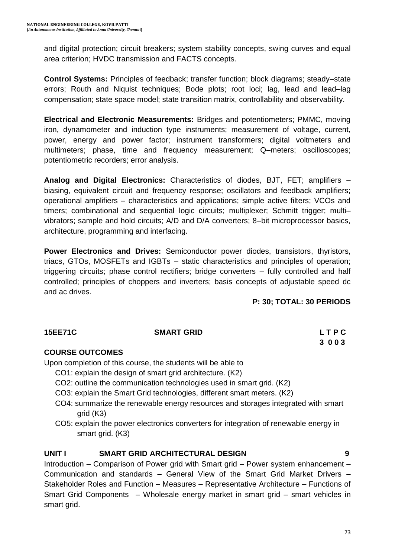and digital protection; circuit breakers; system stability concepts, swing curves and equal area criterion; HVDC transmission and FACTS concepts.

**Control Systems:** Principles of feedback; transfer function; block diagrams; steady–state errors; Routh and Niquist techniques; Bode plots; root loci; lag, lead and lead–lag compensation; state space model; state transition matrix, controllability and observability.

**Electrical and Electronic Measurements:** Bridges and potentiometers; PMMC, moving iron, dynamometer and induction type instruments; measurement of voltage, current, power, energy and power factor; instrument transformers; digital voltmeters and multimeters; phase, time and frequency measurement; Q–meters; oscilloscopes; potentiometric recorders; error analysis.

**Analog and Digital Electronics:** Characteristics of diodes, BJT, FET; amplifiers – biasing, equivalent circuit and frequency response; oscillators and feedback amplifiers; operational amplifiers – characteristics and applications; simple active filters; VCOs and timers; combinational and sequential logic circuits; multiplexer; Schmitt trigger; multi– vibrators; sample and hold circuits; A/D and D/A converters; 8–bit microprocessor basics, architecture, programming and interfacing.

**Power Electronics and Drives:** Semiconductor power diodes, transistors, thyristors, triacs, GTOs, MOSFETs and IGBTs – static characteristics and principles of operation; triggering circuits; phase control rectifiers; bridge converters – fully controlled and half controlled; principles of choppers and inverters; basis concepts of adjustable speed dc and ac drives.

**P: 30; TOTAL: 30 PERIODS**

#### **15EE71C** SMART GRID **CONTACT SMART GRID**

 **3 0 0 3**

### **COURSE OUTCOMES**

Upon completion of this course, the students will be able to

- CO1: explain the design of smart grid architecture. (K2)
- CO2: outline the communication technologies used in smart grid. (K2)
- CO3: explain the Smart Grid technologies, different smart meters. (K2)
- CO4: summarize the renewable energy resources and storages integrated with smart grid (K3)
- CO5: explain the power electronics converters for integration of renewable energy in smart grid. (K3)

### **UNIT I SMART GRID ARCHITECTURAL DESIGN 9**

Introduction – Comparison of Power grid with Smart grid – Power system enhancement – Communication and standards – General View of the Smart Grid Market Drivers – Stakeholder Roles and Function – Measures – Representative Architecture – Functions of Smart Grid Components – Wholesale energy market in smart grid – smart vehicles in smart grid.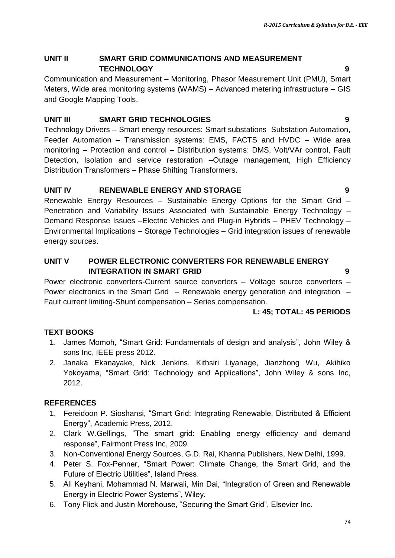#### **UNIT II SMART GRID COMMUNICATIONS AND MEASUREMENT TECHNOLOGY 9**

Communication and Measurement – Monitoring, Phasor Measurement Unit (PMU), Smart Meters, Wide area monitoring systems (WAMS) – Advanced metering infrastructure – GIS and Google Mapping Tools.

# **UNIT III SMART GRID TECHNOLOGIES 9**

Technology Drivers – Smart energy resources: Smart substations Substation Automation, Feeder Automation – Transmission systems: EMS, FACTS and HVDC – Wide area monitoring – Protection and control – Distribution systems: DMS, Volt/VAr control, Fault Detection, Isolation and service restoration –Outage management, High Efficiency Distribution Transformers – Phase Shifting Transformers.

# **UNIT IV RENEWABLE ENERGY AND STORAGE 9**

Renewable Energy Resources – Sustainable Energy Options for the Smart Grid – Penetration and Variability Issues Associated with Sustainable Energy Technology – Demand Response Issues –Electric Vehicles and Plug-in Hybrids – PHEV Technology – Environmental Implications – Storage Technologies – Grid integration issues of renewable energy sources.

### **UNIT V POWER ELECTRONIC CONVERTERS FOR RENEWABLE ENERGY INTEGRATION IN SMART GRID 9**

Power electronic converters-Current source converters – Voltage source converters – Power electronics in the Smart Grid – Renewable energy generation and integration – Fault current limiting-Shunt compensation – Series compensation.

### **L: 45; TOTAL: 45 PERIODS**

# **TEXT BOOKS**

- 1. James Momoh, "Smart Grid: Fundamentals of design and analysis", John Wiley & sons Inc, IEEE press 2012.
- 2. Janaka Ekanayake, Nick Jenkins, Kithsiri Liyanage, Jianzhong Wu, Akihiko Yokoyama, "Smart Grid: Technology and Applications", John Wiley & sons Inc, 2012.

- 1. Fereidoon P. Sioshansi, "Smart Grid: Integrating Renewable, Distributed & Efficient Energy", Academic Press, 2012.
- 2. Clark W.Gellings, "The smart grid: Enabling energy efficiency and demand response", Fairmont Press Inc, 2009.
- 3. Non-Conventional Energy Sources, G.D. Rai, Khanna Publishers, New Delhi, 1999.
- 4. Peter S. Fox-Penner, "Smart Power: Climate Change, the Smart Grid, and the Future of Electric Utilities", Island Press.
- 5. Ali Keyhani, Mohammad N. Marwali, Min Dai, "Integration of Green and Renewable Energy in Electric Power Systems", Wiley.
- 6. Tony Flick and Justin Morehouse, "Securing the Smart Grid", Elsevier Inc.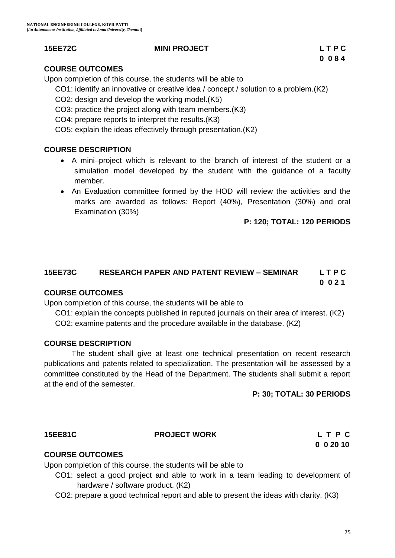#### **15EE72C MINI PROJECT L T P C**

### **COURSE OUTCOMES**

Upon completion of this course, the students will be able to

CO1: identify an innovative or creative idea / concept / solution to a problem.(K2)

- CO2: design and develop the working model.(K5)
- CO3: practice the project along with team members.(K3)
- CO4: prepare reports to interpret the results.(K3)

CO5: explain the ideas effectively through presentation.(K2)

#### **COURSE DESCRIPTION**

- A mini–project which is relevant to the branch of interest of the student or a simulation model developed by the student with the guidance of a faculty member.
- An Evaluation committee formed by the HOD will review the activities and the marks are awarded as follows: Report (40%), Presentation (30%) and oral Examination (30%)

#### **P: 120; TOTAL: 120 PERIODS**

# **15EE73C RESEARCH PAPER AND PATENT REVIEW – SEMINAR L T P C**

#### **0 0 2 1**

#### **COURSE OUTCOMES**

Upon completion of this course, the students will be able to

CO1: explain the concepts published in reputed journals on their area of interest. (K2)

CO2: examine patents and the procedure available in the database. (K2)

#### **COURSE DESCRIPTION**

The student shall give at least one technical presentation on recent research publications and patents related to specialization. The presentation will be assessed by a committee constituted by the Head of the Department. The students shall submit a report at the end of the semester.

#### **P: 30; TOTAL: 30 PERIODS**

#### **15EE81C PROJECT WORK L T P C**

# **0 0 20 10**

#### **COURSE OUTCOMES**

Upon completion of this course, the students will be able to

- CO1: select a good project and able to work in a team leading to development of hardware / software product. (K2)
- CO2: prepare a good technical report and able to present the ideas with clarity. (K3)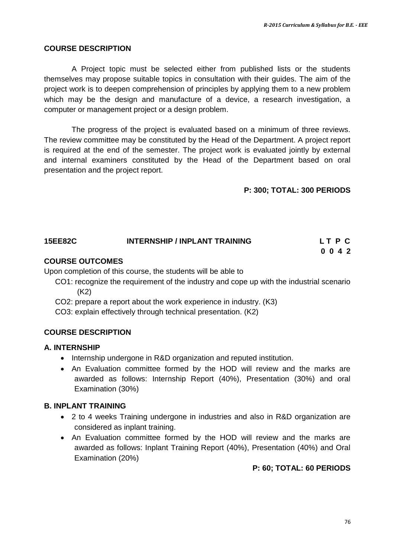#### **COURSE DESCRIPTION**

A Project topic must be selected either from published lists or the students themselves may propose suitable topics in consultation with their guides. The aim of the project work is to deepen comprehension of principles by applying them to a new problem which may be the design and manufacture of a device, a research investigation, a computer or management project or a design problem.

The progress of the project is evaluated based on a minimum of three reviews. The review committee may be constituted by the Head of the Department. A project report is required at the end of the semester. The project work is evaluated jointly by external and internal examiners constituted by the Head of the Department based on oral presentation and the project report.

**P: 300; TOTAL: 300 PERIODS**

#### **15EE82C INTERNSHIP / INPLANT TRAINING L T P C 0 0 4 2**

#### **COURSE OUTCOMES**

Upon completion of this course, the students will be able to

- CO1: recognize the requirement of the industry and cope up with the industrial scenario (K2)
- CO2: prepare a report about the work experience in industry. (K3)

CO3: explain effectively through technical presentation. (K2)

#### **COURSE DESCRIPTION**

#### **A. INTERNSHIP**

- Internship undergone in R&D organization and reputed institution.
- An Evaluation committee formed by the HOD will review and the marks are awarded as follows: Internship Report (40%), Presentation (30%) and oral Examination (30%)

#### **B. INPLANT TRAINING**

- 2 to 4 weeks Training undergone in industries and also in R&D organization are considered as inplant training.
- An Evaluation committee formed by the HOD will review and the marks are awarded as follows: Inplant Training Report (40%), Presentation (40%) and Oral Examination (20%)

**P: 60; TOTAL: 60 PERIODS**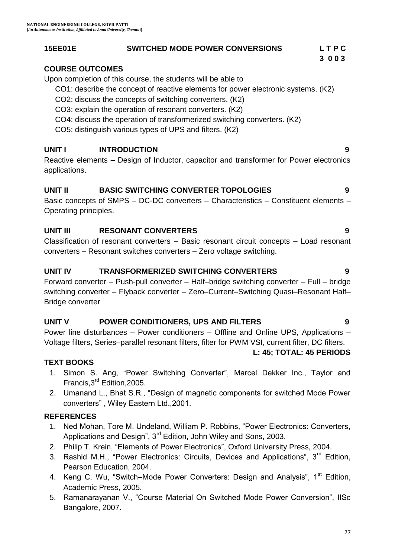#### **15EE01E SWITCHED MODE POWER CONVERSIONS L T P C**

#### **3 0 0 3**

#### **COURSE OUTCOMES**

Upon completion of this course, the students will be able to

CO1: describe the concept of reactive elements for power electronic systems. (K2)

- CO2: discuss the concepts of switching converters. (K2)
- CO3: explain the operation of resonant converters. (K2)
- CO4: discuss the operation of transformerized switching converters. (K2)
- CO5: distinguish various types of UPS and filters. (K2)

### **UNIT I INTRODUCTION 9**

Reactive elements – Design of Inductor, capacitor and transformer for Power electronics applications.

#### **UNIT II BASIC SWITCHING CONVERTER TOPOLOGIES 9**

Basic concepts of SMPS – DC-DC converters – Characteristics – Constituent elements – Operating principles.

### **UNIT III RESONANT CONVERTERS 9**

Classification of resonant converters – Basic resonant circuit concepts – Load resonant converters – Resonant switches converters – Zero voltage switching.

#### **UNIT IV TRANSFORMERIZED SWITCHING CONVERTERS 9**

Forward converter – Push-pull converter – Half–bridge switching converter – Full – bridge switching converter – Flyback converter – Zero–Current–Switching Quasi–Resonant Half– Bridge converter

#### **UNIT V POWER CONDITIONERS, UPS AND FILTERS 9**

Power line disturbances – Power conditioners – Offline and Online UPS, Applications – Voltage filters, Series–parallel resonant filters, filter for PWM VSI, current filter, DC filters.

#### **L: 45; TOTAL: 45 PERIODS**

### **TEXT BOOKS**

- 1. Simon S. Ang, "Power Switching Converter", Marcel Dekker Inc., Taylor and Francis,3rd Edition,2005.
- 2. Umanand L., Bhat S.R., "Design of magnetic components for switched Mode Power converters" , Wiley Eastern Ltd.,2001.

- 1. Ned Mohan, Tore M. Undeland, William P. Robbins, "Power Electronics: Converters, Applications and Design", 3<sup>rd</sup> Edition, John Wiley and Sons, 2003.
- 2. Philip T. Krein, "Elements of Power Electronics", Oxford University Press, 2004.
- 3. Rashid M.H., "Power Electronics: Circuits, Devices and Applications", 3<sup>rd</sup> Edition, Pearson Education, 2004.
- 4. Keng C. Wu, "Switch–Mode Power Converters: Design and Analysis", 1<sup>st</sup> Edition, Academic Press, 2005.
- 5. Ramanarayanan V., "Course Material On Switched Mode Power Conversion", IISc Bangalore, 2007.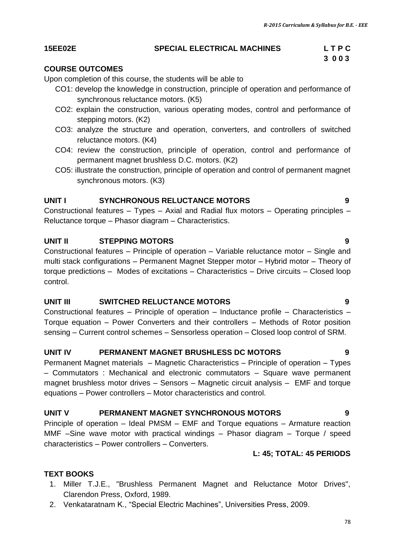#### **15EE02E SPECIAL ELECTRICAL MACHINES L T P C**

# **3 0 0 3**

## **COURSE OUTCOMES**

Upon completion of this course, the students will be able to

- CO1: develop the knowledge in construction, principle of operation and performance of synchronous reluctance motors. (K5)
- CO2: explain the construction, various operating modes, control and performance of stepping motors. (K2)
- CO3: analyze the structure and operation, converters, and controllers of switched reluctance motors. (K4)
- CO4: review the construction, principle of operation, control and performance of permanent magnet brushless D.C. motors. (K2)
- CO5: illustrate the construction, principle of operation and control of permanent magnet synchronous motors. (K3)

# **UNIT I SYNCHRONOUS RELUCTANCE MOTORS 9**

Constructional features – Types – Axial and Radial flux motors – Operating principles – Reluctance torque – Phasor diagram – Characteristics.

# **UNIT II STEPPING MOTORS 9**

Constructional features – Principle of operation – Variable reluctance motor – Single and multi stack configurations – Permanent Magnet Stepper motor – Hybrid motor – Theory of torque predictions – Modes of excitations – Characteristics – Drive circuits – Closed loop control.

### **UNIT III SWITCHED RELUCTANCE MOTORS 9**

Constructional features – Principle of operation – Inductance profile – Characteristics – Torque equation – Power Converters and their controllers – Methods of Rotor position sensing – Current control schemes – Sensorless operation – Closed loop control of SRM.

### **UNIT IV PERMANENT MAGNET BRUSHLESS DC MOTORS 9**

Permanent Magnet materials – Magnetic Characteristics – Principle of operation – Types – Commutators : Mechanical and electronic commutators – Square wave permanent magnet brushless motor drives – Sensors – Magnetic circuit analysis – EMF and torque equations – Power controllers – Motor characteristics and control.

### **UNIT V PERMANENT MAGNET SYNCHRONOUS MOTORS 9**

Principle of operation – Ideal PMSM – EMF and Torque equations – Armature reaction MMF –Sine wave motor with practical windings – Phasor diagram – Torque / speed characteristics – Power controllers – Converters.

### **L: 45; TOTAL: 45 PERIODS**

# **TEXT BOOKS**

- 1. Miller T.J.E., "Brushless Permanent Magnet and Reluctance Motor Drives", Clarendon Press, Oxford, 1989.
- 2. [Venkataratnam](https://www.google.co.in/search?tbo=p&tbm=bks&q=inauthor:%22K.+Venkataratnam%22&source=gbs_metadata_r&cad=3) K., "Special Electric Machines", Universities Press, 2009.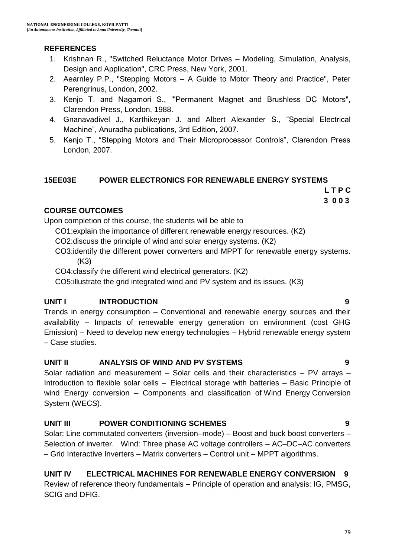#### **REFERENCES**

- 1. Krishnan R., "Switched Reluctance Motor Drives Modeling, Simulation, Analysis, Design and Application", CRC Press, New York, 2001.
- 2. Aearnley P.P., "Stepping Motors A Guide to Motor Theory and Practice", Peter Perengrinus, London, 2002.
- 3. Kenjo T. and Nagamori S., ""Permanent Magnet and Brushless DC Motors", Clarendon Press, London, 1988.
- 4. [Gnanavadivel](https://www.google.co.in/search?tbo=p&tbm=bks&q=inauthor:%22J.+Gnanavadivel%22) J., [Karthikeyan](https://www.google.co.in/search?tbo=p&tbm=bks&q=inauthor:%22J.+Karthikeyan%22) J. and [Albert Alexander](https://www.google.co.in/search?tbo=p&tbm=bks&q=inauthor:%22S.+Albert+Alexander%22) S., "Special Electrical Machine", Anuradha publications, 3rd Edition, 2007.
- 5. Kenjo T., "Stepping Motors and Their Microprocessor Controls", Clarendon Press London, 2007.

#### **15EE03E POWER ELECTRONICS FOR RENEWABLE ENERGY SYSTEMS**

 **L T P C 3 0 0 3**

#### **COURSE OUTCOMES**

Upon completion of this course, the students will be able to

CO1:explain the importance of different renewable energy resources. (K2)

CO2:discuss the principle of wind and solar energy systems. (K2)

CO3:identify the different power converters and MPPT for renewable energy systems. (K3)

CO4:classify the different wind electrical generators. (K2)

CO5:illustrate the grid integrated wind and PV system and its issues. (K3)

### **UNIT I INTRODUCTION 9**

Trends in energy consumption – Conventional and renewable energy sources and their availability – Impacts of renewable energy generation on environment (cost GHG Emission) – Need to develop new energy technologies – Hybrid renewable energy system – Case studies.

#### **UNIT II ANALYSIS OF WIND AND PV SYSTEMS 9**

Solar radiation and measurement – Solar cells and their characteristics – PV arrays – Introduction to flexible solar cells – Electrical storage with batteries – Basic Principle of wind Energy conversion – Components and classification of Wind Energy Conversion System (WECS).

### **UNIT III POWER CONDITIONING SCHEMES 9**

Solar: Line commutated converters (inversion–mode) – Boost and buck boost converters – Selection of inverter. Wind: Three phase AC voltage controllers – AC–DC–AC converters – Grid Interactive Inverters – Matrix converters – Control unit – MPPT algorithms.

# **UNIT IV ELECTRICAL MACHINES FOR RENEWABLE ENERGY CONVERSION 9**

Review of reference theory fundamentals – Principle of operation and analysis: IG, PMSG, SCIG and DFIG.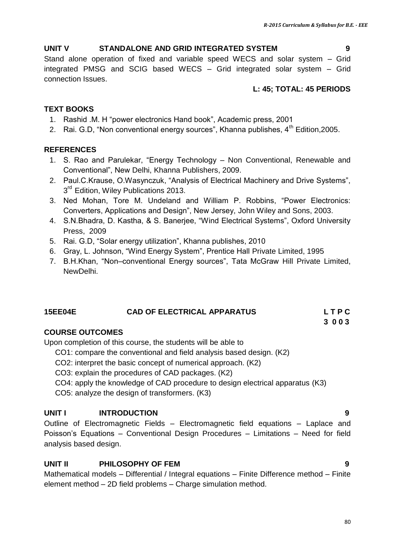#### **UNIT V STANDALONE AND GRID INTEGRATED SYSTEM 9**

Stand alone operation of fixed and variable speed WECS and solar system – Grid integrated PMSG and SCIG based WECS – Grid integrated solar system – Grid connection Issues.

#### **L: 45; TOTAL: 45 PERIODS**

#### **TEXT BOOKS**

- 1. Rashid .M. H "power electronics Hand book", Academic press, 2001
- 2. Rai. G.D, "Non conventional energy sources", Khanna publishes, 4<sup>th</sup> Edition, 2005.

#### **REFERENCES**

- 1. S. Rao and Parulekar, "Energy Technology Non Conventional, Renewable and Conventional", New Delhi, Khanna Publishers, 2009.
- 2. Paul.C.Krause, O.Wasynczuk, "Analysis of Electrical Machinery and Drive Systems", 3<sup>rd</sup> Edition, Wiley Publications 2013.
- 3. Ned Mohan, Tore M. Undeland and William P. Robbins, "Power Electronics: Converters, Applications and Design", New Jersey, John Wiley and Sons, 2003.
- 4. S.N.Bhadra, D. Kastha, & S. Banerjee, "Wind Electrical Systems", Oxford University Press, 2009
- 5. Rai. G.D, "Solar energy utilization", Khanna publishes, 2010
- 6. Gray, L. Johnson, "Wind Energy System", Prentice Hall Private Limited, 1995
- 7. B.H.Khan, "Non–conventional Energy sources", Tata McGraw Hill Private Limited, NewDelhi.

#### **15EE04E CAD OF ELECTRICAL APPARATUS L T P C**

#### **COURSE OUTCOMES**

Upon completion of this course, the students will be able to

- CO1: compare the conventional and field analysis based design. (K2)
- CO2: interpret the basic concept of numerical approach. (K2)
- CO3: explain the procedures of CAD packages. (K2)
- CO4: apply the knowledge of CAD procedure to design electrical apparatus (K3)
- CO5: analyze the design of transformers. (K3)

#### **UNIT I INTRODUCTION 9**

Outline of Electromagnetic Fields – Electromagnetic field equations – Laplace and Poisson"s Equations – Conventional Design Procedures – Limitations – Need for field analysis based design.

#### **UNIT II PHILOSOPHY OF FEM 9**

Mathematical models – Differential / Integral equations – Finite Difference method – Finite element method – 2D field problems – Charge simulation method.

 **3 0 0 3**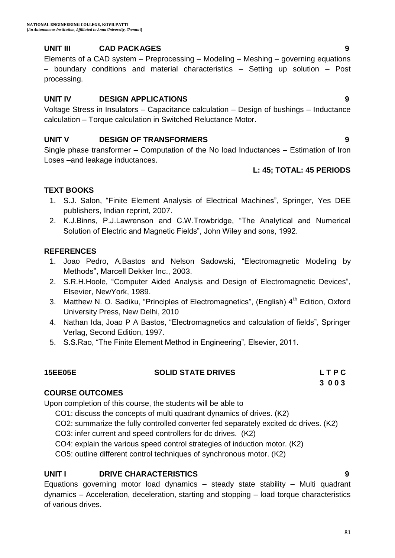# **UNIT III CAD PACKAGES 9**

Elements of a CAD system – Preprocessing – Modeling – Meshing – governing equations – boundary conditions and material characteristics – Setting up solution – Post processing.

#### **UNIT IV DESIGN APPLICATIONS 9**

Voltage Stress in Insulators – Capacitance calculation – Design of bushings – Inductance calculation – Torque calculation in Switched Reluctance Motor.

#### **UNIT V DESIGN OF TRANSFORMERS 9**

Single phase transformer – Computation of the No load Inductances – Estimation of Iron Loses –and leakage inductances.

#### **L: 45; TOTAL: 45 PERIODS**

### **TEXT BOOKS**

- 1. S.J. Salon, "Finite Element Analysis of Electrical Machines", Springer, Yes DEE publishers, Indian reprint, 2007.
- 2. K.J.Binns, P.J.Lawrenson and C.W.Trowbridge, "The Analytical and Numerical Solution of Electric and Magnetic Fields", John Wiley and sons, 1992.

#### **REFERENCES**

- 1. Joao Pedro, A.Bastos and Nelson Sadowski, "Electromagnetic Modeling by Methods", Marcell Dekker Inc., 2003.
- 2. S.R.H.Hoole, "Computer Aided Analysis and Design of Electromagnetic Devices", Elsevier, NewYork, 1989.
- 3. Matthew N. O. Sadiku, "Principles of Electromagnetics", (English) 4<sup>th</sup> Edition, Oxford University Press, New Delhi, 2010
- 4. Nathan Ida, Joao P A Bastos, "Electromagnetics and calculation of fields", Springer Verlag, Second Edition, 1997.
- 5. S.S.Rao, "The Finite Element Method in Engineering", Elsevier, 2011.

# **15EE05E SOLID STATE DRIVES L T P C**

**3 0 0 3**

**COURSE OUTCOMES** Upon completion of this course, the students will be able to

- CO1: discuss the concepts of multi quadrant dynamics of drives. (K2)
- CO2: summarize the fully controlled converter fed separately excited dc drives. (K2)
- CO3: infer current and speed controllers for dc drives. (K2)
- CO4: explain the various speed control strategies of induction motor. (K2)

CO5: outline different control techniques of synchronous motor. (K2)

### **UNIT I DRIVE CHARACTERISTICS 9**

Equations governing motor load dynamics – steady state stability – Multi quadrant dynamics – Acceleration, deceleration, starting and stopping – load torque characteristics of various drives.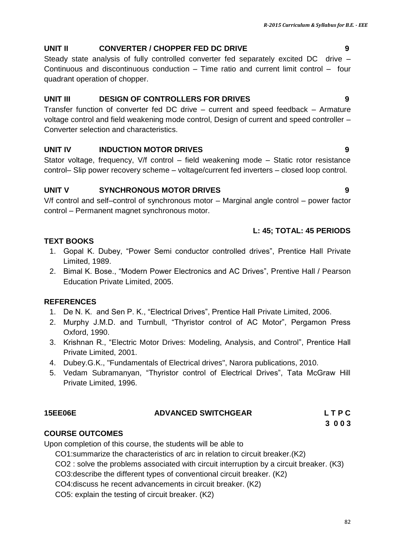#### **UNIT II CONVERTER / CHOPPER FED DC DRIVE 9**

Steady state analysis of fully controlled converter fed separately excited DC drive – Continuous and discontinuous conduction – Time ratio and current limit control – four quadrant operation of chopper.

#### **UNIT III DESIGN OF CONTROLLERS FOR DRIVES 9**

Transfer function of converter fed DC drive – current and speed feedback – Armature voltage control and field weakening mode control, Design of current and speed controller – Converter selection and characteristics.

### **UNIT IV INDUCTION MOTOR DRIVES 9**

Stator voltage, frequency, V/f control – field weakening mode – Static rotor resistance control– Slip power recovery scheme – voltage/current fed inverters – closed loop control.

### **UNIT V SYNCHRONOUS MOTOR DRIVES 9**

V/f control and self–control of synchronous motor – Marginal angle control – power factor control – Permanent magnet synchronous motor.

#### **L: 45; TOTAL: 45 PERIODS**

#### **TEXT BOOKS**

- 1. Gopal K. Dubey, "Power Semi conductor controlled drives", Prentice Hall Private Limited, 1989.
- 2. Bimal K. Bose., "Modern Power Electronics and AC Drives", Prentive Hall / Pearson Education Private Limited, 2005.

#### **REFERENCES**

- 1. De N. K. and Sen P. K., "Electrical Drives", Prentice Hall Private Limited, 2006.
- 2. Murphy J.M.D. and Turnbull, "Thyristor control of AC Motor", Pergamon Press Oxford, 1990.
- 3. Krishnan R., "Electric Motor Drives: Modeling, Analysis, and Control", Prentice Hall Private Limited, 2001.
- 4. Dubey.G.K., "Fundamentals of Electrical drives", Narora publications, 2010.
- 5. Vedam Subramanyan, "Thyristor control of Electrical Drives", Tata McGraw Hill Private Limited, 1996.

# **15EE06E ADVANCED SWITCHGEAR L T P C**

 **3 0 0 3**

### **COURSE OUTCOMES**

Upon completion of this course, the students will be able to

CO1:summarize the characteristics of arc in relation to circuit breaker.(K2)

CO2 : solve the problems associated with circuit interruption by a circuit breaker. (K3)

CO3:describe the different types of conventional circuit breaker. (K2)

CO4:discuss he recent advancements in circuit breaker. (K2)

CO5: explain the testing of circuit breaker. (K2)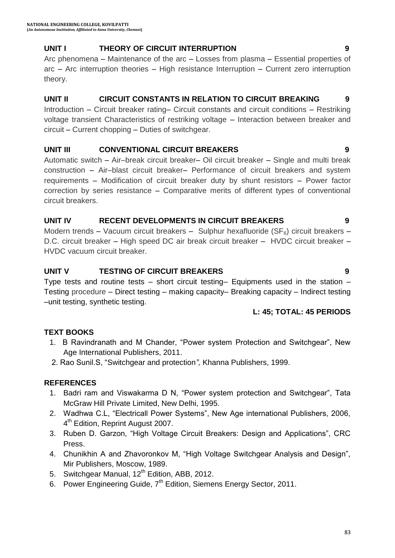### **UNIT I THEORY OF CIRCUIT INTERRUPTION 9**

Arc phenomena – Maintenance of the arc – Losses from plasma – Essential properties of arc – Arc interruption theories – High resistance Interruption – Current zero interruption theory.

#### **UNIT II CIRCUIT CONSTANTS IN RELATION TO CIRCUIT BREAKING 9**

Introduction – Circuit breaker rating– Circuit constants and circuit conditions – Restriking voltage transient Characteristics of restriking voltage – Interaction between breaker and circuit – Current chopping – Duties of switchgear.

#### **UNIT III CONVENTIONAL CIRCUIT BREAKERS 9**

Automatic switch – Air–break circuit breaker– Oil circuit breaker – Single and multi break construction – Air–blast circuit breaker– Performance of circuit breakers and system requirements – Modification of circuit breaker duty by shunt resistors – Power factor correction by series resistance – Comparative merits of different types of conventional circuit breakers.

#### **UNIT IV RECENT DEVELOPMENTS IN CIRCUIT BREAKERS 9**

Modern trends – Vacuum circuit breakers – Sulphur hexafluoride (SF<sub>6</sub>) circuit breakers – D.C. circuit breaker – High speed DC air break circuit breaker – HVDC circuit breaker – HVDC vacuum circuit breaker.

### **UNIT V TESTING OF CIRCUIT BREAKERS 9**

Type tests and routine tests – short circuit testing– Equipments used in the station – Testing procedure – Direct testing – making capacity– Breaking capacity – Indirect testing –unit testing, synthetic testing.

#### **L: 45; TOTAL: 45 PERIODS**

### **TEXT BOOKS**

- 1. B Ravindranath and M Chander, "Power system Protection and Switchgear", New Age International Publishers, 2011.
- 2. Rao Sunil.S, "Switchgear and protection*",* Khanna Publishers, 1999.

- 1. Badri ram and Viswakarma D N, "Power system protection and Switchgear", Tata McGraw Hill Private Limited, New Delhi, 1995.
- 2. Wadhwa C.L, "Electricall Power Systems", New Age international Publishers, 2006, 4<sup>th</sup> Edition, Reprint August 2007.
- 3. Ruben D. Garzon, "High Voltage Circuit Breakers: Design and Applications", CRC Press.
- 4. Chunikhin A and Zhavoronkov M, "High Voltage Switchgear Analysis and Design", Mir Publishers, Moscow, 1989.
- 5. Switchgear Manual, 12<sup>th</sup> Edition, ABB, 2012.
- 6. Power Engineering Guide, 7<sup>th</sup> Edition, Siemens Energy Sector, 2011.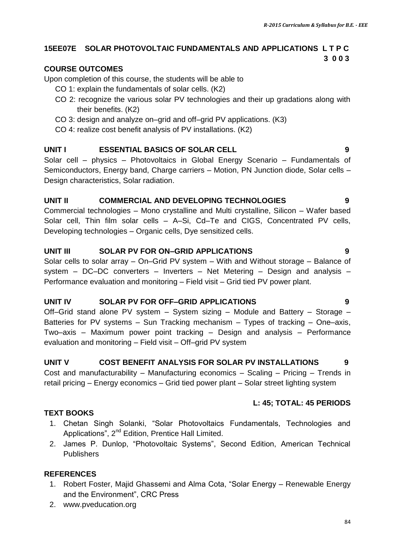#### **15EE07E SOLAR PHOTOVOLTAIC FUNDAMENTALS AND APPLICATIONS L T P C 3 0 0 3**

#### **COURSE OUTCOMES**

Upon completion of this course, the students will be able to

- CO 1: explain the fundamentals of solar cells. (K2)
- CO 2: recognize the various solar PV technologies and their up gradations along with their benefits. (K2)
- CO 3: design and analyze on–grid and off–grid PV applications. (K3)
- CO 4: realize cost benefit analysis of PV installations. (K2)

#### **UNIT I ESSENTIAL BASICS OF SOLAR CELL 9**

Solar cell – physics – Photovoltaics in Global Energy Scenario – Fundamentals of Semiconductors, Energy band, Charge carriers – Motion, PN Junction diode, Solar cells – Design characteristics, Solar radiation.

#### **UNIT II COMMERCIAL AND DEVELOPING TECHNOLOGIES 9**

Commercial technologies – Mono crystalline and Multi crystalline, Silicon – Wafer based Solar cell, Thin film solar cells – A–Si, Cd–Te and CIGS, Concentrated PV cells, Developing technologies – Organic cells, Dye sensitized cells.

#### **UNIT III SOLAR PV FOR ON–GRID APPLICATIONS 9**

Solar cells to solar array – On–Grid PV system – With and Without storage – Balance of system – DC–DC converters – Inverters – Net Metering – Design and analysis – Performance evaluation and monitoring – Field visit – Grid tied PV power plant.

#### **UNIT IV SOLAR PV FOR OFF–GRID APPLICATIONS 9**

Off–Grid stand alone PV system – System sizing – Module and Battery – Storage – Batteries for PV systems – Sun Tracking mechanism – Types of tracking – One–axis, Two–axis – Maximum power point tracking – Design and analysis – Performance evaluation and monitoring – Field visit – Off–grid PV system

#### **UNIT V COST BENEFIT ANALYSIS FOR SOLAR PV INSTALLATIONS 9**

Cost and manufacturability – Manufacturing economics – Scaling – Pricing – Trends in retail pricing – Energy economics – Grid tied power plant – Solar street lighting system

#### **L: 45; TOTAL: 45 PERIODS**

#### 1. Chetan Singh Solanki, "Solar Photovoltaics Fundamentals, Technologies and Applications", 2<sup>nd</sup> Edition, Prentice Hall Limited.

2. James P. Dunlop, "Photovoltaic Systems", Second Edition, American Technical Publishers

#### **REFERENCES**

**TEXT BOOKS**

- 1. Robert Foster, Majid Ghassemi and Alma Cota, "Solar Energy Renewable Energy and the Environment", CRC Press
- 2. www.pveducation.org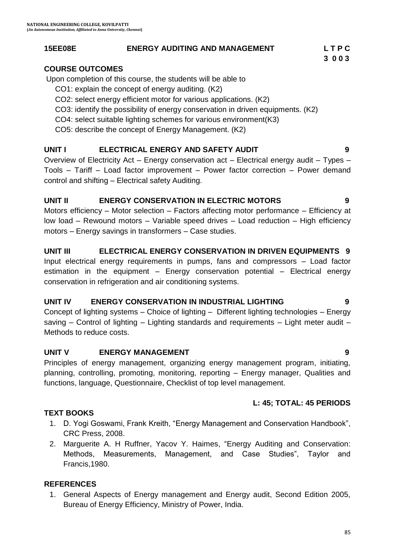### **15EE08E ENERGY AUDITING AND MANAGEMENT L T P C**

#### **COURSE OUTCOMES**

Upon completion of this course, the students will be able to

- CO1: explain the concept of energy auditing. (K2)
- CO2: select energy efficient motor for various applications. (K2)
- CO3: identify the possibility of energy conservation in driven equipments. (K2)
- CO4: select suitable lighting schemes for various environment(K3)
- CO5: describe the concept of Energy Management. (K2)

### **UNIT I ELECTRICAL ENERGY AND SAFETY AUDIT 9**

Overview of Electricity Act – Energy conservation act – Electrical energy audit – Types – Tools – Tariff – Load factor improvement – Power factor correction – Power demand control and shifting – Electrical safety Auditing.

#### **UNIT II ENERGY CONSERVATION IN ELECTRIC MOTORS 9**

Motors efficiency – Motor selection – Factors affecting motor performance – Efficiency at low load – Rewound motors – Variable speed drives – Load reduction – High efficiency motors – Energy savings in transformers – Case studies.

#### **UNIT III ELECTRICAL ENERGY CONSERVATION IN DRIVEN EQUIPMENTS 9**

Input electrical energy requirements in pumps, fans and compressors – Load factor estimation in the equipment – Energy conservation potential – Electrical energy conservation in refrigeration and air conditioning systems.

#### **UNIT IV ENERGY CONSERVATION IN INDUSTRIAL LIGHTING 9**

Concept of lighting systems – Choice of lighting – Different lighting technologies – Energy saving – Control of lighting – Lighting standards and requirements – Light meter audit – Methods to reduce costs.

#### **UNIT V ENERGY MANAGEMENT 9**

Principles of energy management, organizing energy management program, initiating, planning, controlling, promoting, monitoring, reporting – Energy manager, Qualities and functions, language, Questionnaire, Checklist of top level management.

#### **L: 45; TOTAL: 45 PERIODS**

#### **TEXT BOOKS**

- 1. D. Yogi Goswami, Frank Kreith, "Energy Management and Conservation Handbook", CRC Press, 2008.
- 2. [Marguerite A. H Ruffner,](http://www.amazon.in/s/ref=dp_byline_sr_book_2?ie=UTF8&field-author=Marguerite+A.+H+Ruffner&search-alias=stripbooks) [Yacov Y. Haimes](http://www.amazon.in/s/ref=dp_byline_sr_book_1?ie=UTF8&field-author=Yacov+Y.+Haimes&search-alias=stripbooks), "Energy Auditing and Conservation: Methods, Measurements, Management, and Case Studies", Taylor and Francis,1980.

#### **REFERENCES**

1. General Aspects of Energy management and Energy audit, Second Edition 2005, Bureau of Energy Efficiency, Ministry of Power, India.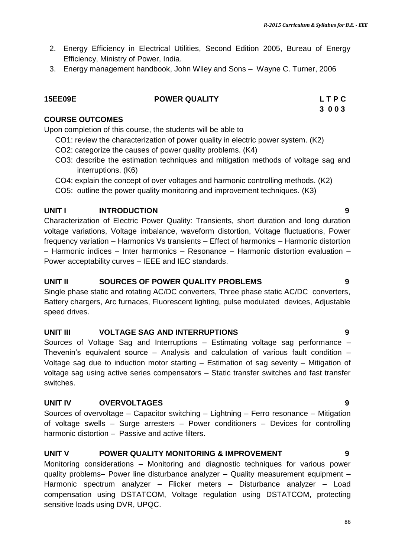- 2. Energy Efficiency in Electrical Utilities, Second Edition 2005, Bureau of Energy Efficiency, Ministry of Power, India.
- 3. Energy management handbook, John Wiley and Sons Wayne C. Turner, 2006

#### **15EE09E POWER QUALITY L T P C**

# **3 0 0 3**

#### **COURSE OUTCOMES**

Upon completion of this course, the students will be able to

- CO1: review the characterization of power quality in electric power system. (K2)
- CO2: categorize the causes of power quality problems. (K4)
- CO3: describe the estimation techniques and mitigation methods of voltage sag and interruptions. (K6)
- CO4: explain the concept of over voltages and harmonic controlling methods. (K2)
- CO5: outline the power quality monitoring and improvement techniques. (K3)

#### **UNIT I INTRODUCTION 9**

Characterization of Electric Power Quality: Transients, short duration and long duration voltage variations, Voltage imbalance, waveform distortion, Voltage fluctuations, Power frequency variation – Harmonics Vs transients – Effect of harmonics – Harmonic distortion – Harmonic indices – Inter harmonics – Resonance – Harmonic distortion evaluation – Power acceptability curves – IEEE and IEC standards.

#### **UNIT II SOURCES OF POWER QUALITY PROBLEMS 9**

Single phase static and rotating AC/DC converters, Three phase static AC/DC converters, Battery chargers, Arc furnaces, Fluorescent lighting, pulse modulated devices, Adjustable speed drives.

#### **UNIT III VOLTAGE SAG AND INTERRUPTIONS 9**

Sources of Voltage Sag and Interruptions – Estimating voltage sag performance – Thevenin's equivalent source  $-$  Analysis and calculation of various fault condition  $-$ Voltage sag due to induction motor starting – Estimation of sag severity – Mitigation of voltage sag using active series compensators – Static transfer switches and fast transfer switches.

#### **UNIT IV OVERVOLTAGES 9**

Sources of overvoltage – Capacitor switching – Lightning – Ferro resonance – Mitigation of voltage swells – Surge arresters – Power conditioners – Devices for controlling harmonic distortion – Passive and active filters.

#### **UNIT V POWER QUALITY MONITORING & IMPROVEMENT 9**

Monitoring considerations – Monitoring and diagnostic techniques for various power quality problems– Power line disturbance analyzer – Quality measurement equipment – Harmonic spectrum analyzer – Flicker meters – Disturbance analyzer – Load compensation using DSTATCOM, Voltage regulation using DSTATCOM, protecting sensitive loads using DVR, UPQC.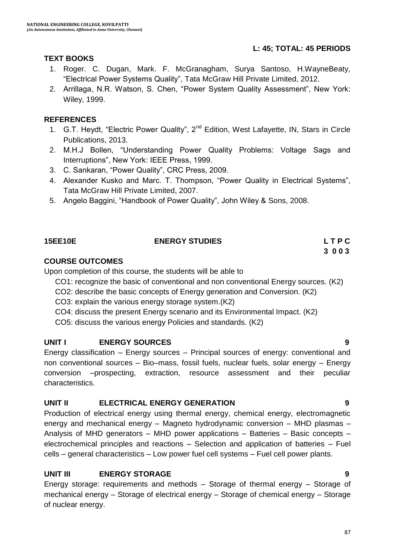#### **L: 45; TOTAL: 45 PERIODS**

#### **TEXT BOOKS**

- 1. Roger. C. Dugan, Mark. F. McGranagham, Surya Santoso, H.WayneBeaty, "Electrical Power Systems Quality", Tata McGraw Hill Private Limited, 2012.
- 2. Arrillaga, N.R. Watson, S. Chen, "Power System Quality Assessment", New York: Wiley, 1999.

#### **REFERENCES**

- 1. G.T. Heydt, "Electric Power Quality", 2<sup>nd</sup> Edition, West Lafayette, IN, Stars in Circle Publications, 2013.
- 2. M.H.J Bollen, "Understanding Power Quality Problems: Voltage Sags and Interruptions", New York: IEEE Press, 1999.
- 3. C. Sankaran, "Power Quality", CRC Press, 2009.
- 4. Alexander Kusko and Marc. T. Thompson, "Power Quality in Electrical Systems", Tata McGraw Hill Private Limited, 2007.
- 5. Angelo Baggini, "Handbook of Power Quality", John Wiley & Sons, 2008.

#### **15EE10E ENERGY STUDIES L T P C 3 0 0 3**

#### **COURSE OUTCOMES**

Upon completion of this course, the students will be able to

- CO1: recognize the basic of conventional and non conventional Energy sources. (K2)
- CO2: describe the basic concepts of Energy generation and Conversion. (K2)
- CO3: explain the various energy storage system.(K2)
- CO4: discuss the present Energy scenario and its Environmental Impact. (K2)
- CO5: discuss the various energy Policies and standards. (K2)

#### **UNIT I ENERGY SOURCES 9**

Energy classification – Energy sources – Principal sources of energy: conventional and non conventional sources – Bio–mass, fossil fuels, nuclear fuels, solar energy – Energy conversion –prospecting, extraction, resource assessment and their peculiar characteristics.

#### **UNIT II ELECTRICAL ENERGY GENERATION 9**

Production of electrical energy using thermal energy, chemical energy, electromagnetic energy and mechanical energy – Magneto hydrodynamic conversion – MHD plasmas – Analysis of MHD generators – MHD power applications – Batteries – Basic concepts – electrochemical principles and reactions – Selection and application of batteries – Fuel cells – general characteristics – Low power fuel cell systems – Fuel cell power plants.

#### **UNIT III ENERGY STORAGE 9**

Energy storage: requirements and methods – Storage of thermal energy – Storage of mechanical energy – Storage of electrical energy – Storage of chemical energy – Storage of nuclear energy.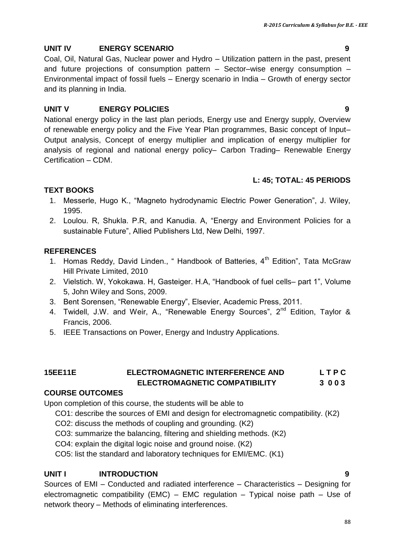# **UNIT IV ENERGY SCENARIO 9**

Coal, Oil, Natural Gas, Nuclear power and Hydro – Utilization pattern in the past, present and future projections of consumption pattern – Sector–wise energy consumption – Environmental impact of fossil fuels – Energy scenario in India – Growth of energy sector and its planning in India.

# **UNIT V ENERGY POLICIES 9**

National energy policy in the last plan periods, Energy use and Energy supply, Overview of renewable energy policy and the Five Year Plan programmes, Basic concept of Input– Output analysis, Concept of energy multiplier and implication of energy multiplier for analysis of regional and national energy policy– Carbon Trading– Renewable Energy Certification – CDM.

# **L: 45; TOTAL: 45 PERIODS**

# **TEXT BOOKS**

- 1. Messerle, Hugo K., "Magneto hydrodynamic Electric Power Generation", J. Wiley, 1995.
- 2. Loulou. R, Shukla. P.R, and Kanudia. A, "Energy and Environment Policies for a sustainable Future", Allied Publishers Ltd, New Delhi, 1997.

# **REFERENCES**

- 1. Homas Reddy, David Linden., " Handbook of Batteries, 4<sup>th</sup> Edition", Tata McGraw Hill Private Limited, 2010
- 2. Vielstich. W, Yokokawa. H, Gasteiger. H.A, "Handbook of fuel cells– part 1", Volume 5, John Wiley and Sons, 2009.
- 3. Bent Sorensen, "Renewable Energy", Elsevier, Academic Press, 2011.
- 4. Twidell, J.W. and Weir, A., "Renewable Energy Sources", 2<sup>nd</sup> Edition, Taylor & Francis, 2006.
- 5. IEEE Transactions on Power, Energy and Industry Applications.

### **15EE11E ELECTROMAGNETIC INTERFERENCE AND L T P C ELECTROMAGNETIC COMPATIBILITY 3 0 0 3**

# **COURSE OUTCOMES**

Upon completion of this course, the students will be able to

CO1: describe the sources of EMI and design for electromagnetic compatibility. (K2)

- CO2: discuss the methods of coupling and grounding. (K2)
- CO3: summarize the balancing, filtering and shielding methods. (K2)
- CO4: explain the digital logic noise and ground noise. (K2)

CO5: list the standard and laboratory techniques for EMI/EMC. (K1)

# **UNIT I INTRODUCTION 9**

Sources of EMI – Conducted and radiated interference – Characteristics – Designing for electromagnetic compatibility (EMC) – EMC regulation – Typical noise path – Use of network theory – Methods of eliminating interferences.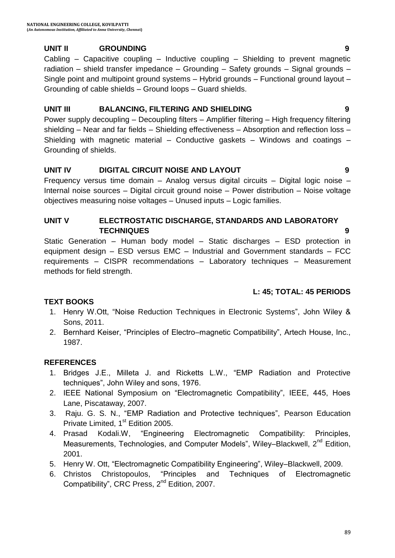#### **UNIT II GROUNDING 9**

Cabling – Capacitive coupling – Inductive coupling – Shielding to prevent magnetic radiation – shield transfer impedance – Grounding – Safety grounds – Signal grounds – Single point and multipoint ground systems – Hybrid grounds – Functional ground layout – Grounding of cable shields – Ground loops – Guard shields.

#### **UNIT III BALANCING, FILTERING AND SHIELDING 9**

Power supply decoupling – Decoupling filters – Amplifier filtering – High frequency filtering shielding – Near and far fields – Shielding effectiveness – Absorption and reflection loss – Shielding with magnetic material – Conductive gaskets – Windows and coatings – Grounding of shields.

#### **UNIT IV DIGITAL CIRCUIT NOISE AND LAYOUT 9**

Frequency versus time domain – Analog versus digital circuits – Digital logic noise – Internal noise sources – Digital circuit ground noise – Power distribution – Noise voltage objectives measuring noise voltages – Unused inputs – Logic families.

#### **UNIT V ELECTROSTATIC DISCHARGE, STANDARDS AND LABORATORY TECHNIQUES 9**

Static Generation – Human body model – Static discharges – ESD protection in equipment design – ESD versus EMC – Industrial and Government standards – FCC requirements – CISPR recommendations – Laboratory techniques – Measurement methods for field strength.

#### **L: 45; TOTAL: 45 PERIODS**

#### **TEXT BOOKS**

- 1. Henry W.Ott, "Noise Reduction Techniques in Electronic Systems", John Wiley & Sons, 2011.
- 2. Bernhard Keiser, "Principles of Electro–magnetic Compatibility", Artech House, Inc., 1987.

- 1. Bridges J.E., Milleta J. and Ricketts L.W., "EMP Radiation and Protective techniques", John Wiley and sons, 1976.
- 2. IEEE National Symposium on "Electromagnetic Compatibility", IEEE, 445, Hoes Lane, Piscataway, 2007.
- 3. [Raju.](http://www.amazon.in/s/ref=dp_byline_sr_book_1?ie=UTF8&field-author=G.+S.+N.+Raju&search-alias=stripbooks) G. S. N., "EMP Radiation and Protective techniques", Pearson Education Private Limited, 1<sup>st</sup> Edition 2005.
- 4. [Prasad Kodali](http://www.amazon.in/s/ref=dp_byline_sr_book_1?ie=UTF8&field-author=W.+Prasad+Kodali&search-alias=stripbooks).W, "Engineering Electromagnetic Compatibility: Principles, Measurements, Technologies, and Computer Models", Wiley–Blackwell, 2<sup>nd</sup> Edition, 2001.
- 5. [Henry W. Ott](http://www.amazon.in/Henry-W.-Ott/e/B001IOFFSE/ref=dp_byline_cont_book_1), "Electromagnetic Compatibility Engineering", Wiley–Blackwell, 2009.
- 6. [Christos Christopoulos](http://www.amazon.in/Christos-Christopoulos/e/B001JSBCEK/ref=dp_byline_cont_book_1), "Principles and Techniques of Electromagnetic Compatibility", CRC Press, 2<sup>nd</sup> Edition, 2007.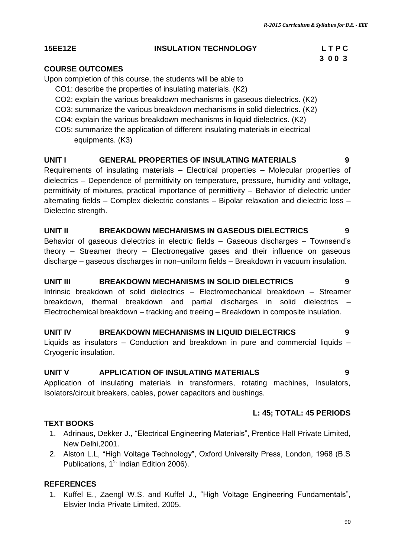#### **15EE12E INSULATION TECHNOLOGY L T P C**

# **3 0 0 3**

#### **COURSE OUTCOMES**

Upon completion of this course, the students will be able to

- CO1: describe the properties of insulating materials. (K2)
- CO2: explain the various breakdown mechanisms in gaseous dielectrics. (K2)
- CO3: summarize the various breakdown mechanisms in solid dielectrics. (K2)
- CO4: explain the various breakdown mechanisms in liquid dielectrics. (K2)
- CO5: summarize the application of different insulating materials in electrical equipments. (K3)

#### **UNIT I GENERAL PROPERTIES OF INSULATING MATERIALS 9**

Requirements of insulating materials – Electrical properties – Molecular properties of dielectrics – Dependence of permittivity on temperature, pressure, humidity and voltage, permittivity of mixtures, practical importance of permittivity – Behavior of dielectric under alternating fields – Complex dielectric constants – Bipolar relaxation and dielectric loss – Dielectric strength.

#### **UNIT II BREAKDOWN MECHANISMS IN GASEOUS DIELECTRICS 9**

Behavior of gaseous dielectrics in electric fields – Gaseous discharges – Townsend"s theory – Streamer theory – Electronegative gases and their influence on gaseous discharge – gaseous discharges in non–uniform fields – Breakdown in vacuum insulation.

#### **UNIT III BREAKDOWN MECHANISMS IN SOLID DIELECTRICS 9**

Intrinsic breakdown of solid dielectrics – Electromechanical breakdown – Streamer breakdown, thermal breakdown and partial discharges in solid dielectrics – Electrochemical breakdown – tracking and treeing – Breakdown in composite insulation.

#### **UNIT IV BREAKDOWN MECHANISMS IN LIQUID DIELECTRICS 9**

Liquids as insulators – Conduction and breakdown in pure and commercial liquids – Cryogenic insulation.

#### **UNIT V APPLICATION OF INSULATING MATERIALS 9**

Application of insulating materials in transformers, rotating machines, Insulators, Isolators/circuit breakers, cables, power capacitors and bushings.

#### **L: 45; TOTAL: 45 PERIODS**

#### **TEXT BOOKS**

- 1. Adrinaus, Dekker J., "Electrical Engineering Materials", Prentice Hall Private Limited, New Delhi,2001.
- 2. Alston L.L, "High Voltage Technology", Oxford University Press, London, 1968 (B.S Publications,  $1<sup>st</sup>$  Indian Edition 2006).

#### **REFERENCES**

1. Kuffel E., Zaengl W.S. and Kuffel J., "High Voltage Engineering Fundamentals", Elsvier India Private Limited, 2005.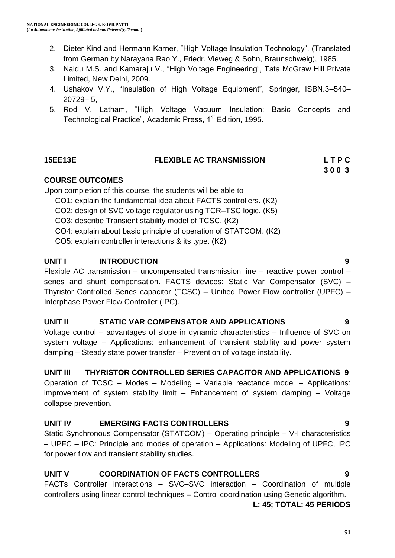- 2. Dieter Kind and Hermann Karner, "High Voltage Insulation Technology", (Translated from German by Narayana Rao Y., Friedr. Vieweg & Sohn, Braunschweig), 1985.
- 3. Naidu M.S. and Kamaraju V., "High Voltage Engineering", Tata McGraw Hill Private Limited, New Delhi, 2009.
- 4. Ushakov V.Y., "Insulation of High Voltage Equipment", Springer, ISBN.3–540– 20729– 5,
- 5. [Rod V. Latham](http://www.amazon.com/s/ref=dp_byline_sr_book_1?ie=UTF8&field-author=Rod+V.+Latham&search-alias=books&text=Rod+V.+Latham&sort=relevancerank), "High Voltage Vacuum Insulation: Basic Concepts and Technological Practice", Academic Press, 1<sup>st</sup> Edition, 1995.

#### **15EE13E FLEXIBLE AC TRANSMISSION L T P C**

 **3 0 0 3**

#### **COURSE OUTCOMES**

Upon completion of this course, the students will be able to

- CO1: explain the fundamental idea about FACTS controllers. (K2)
- CO2: design of SVC voltage regulator using TCR–TSC logic. (K5)
- CO3: describe Transient stability model of TCSC. (K2)
- CO4: explain about basic principle of operation of STATCOM. (K2)
- CO5: explain controller interactions & its type. (K2)

### **UNIT I INTRODUCTION 9**

Flexible AC transmission – uncompensated transmission line – reactive power control – series and shunt compensation. FACTS devices: Static Var Compensator (SVC) – Thyristor Controlled Series capacitor (TCSC) – Unified Power Flow controller (UPFC) – Interphase Power Flow Controller (IPC).

#### **UNIT II STATIC VAR COMPENSATOR AND APPLICATIONS 9**

Voltage control – advantages of slope in dynamic characteristics – Influence of SVC on system voltage – Applications: enhancement of transient stability and power system damping – Steady state power transfer – Prevention of voltage instability.

**UNIT III THYRISTOR CONTROLLED SERIES CAPACITOR AND APPLICATIONS 9** Operation of TCSC – Modes – Modeling – Variable reactance model – Applications:

improvement of system stability limit – Enhancement of system damping – Voltage collapse prevention.

### **UNIT IV EMERGING FACTS CONTROLLERS 9**

Static Synchronous Compensator (STATCOM) – Operating principle – V-I characteristics – UPFC – IPC: Principle and modes of operation – Applications: Modeling of UPFC, IPC for power flow and transient stability studies.

### **UNIT V COORDINATION OF FACTS CONTROLLERS 9**

FACTs Controller interactions – SVC–SVC interaction – Coordination of multiple controllers using linear control techniques – Control coordination using Genetic algorithm. **L: 45; TOTAL: 45 PERIODS**

91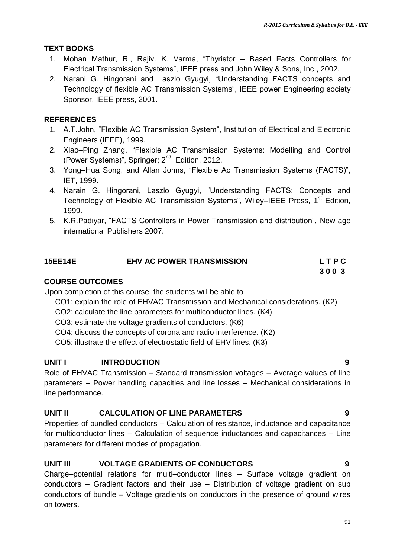#### **TEXT BOOKS**

- 1. Mohan Mathur, R., Rajiv. K. Varma, "Thyristor Based Facts Controllers for Electrical Transmission Systems", IEEE press and John Wiley & Sons, Inc., 2002.
- 2. Narani G. Hingorani and Laszlo Gyugyi, "Understanding FACTS concepts and Technology of flexible AC Transmission Systems", IEEE power Engineering society Sponsor, IEEE press, 2001.

#### **REFERENCES**

- 1. A.T.John, "Flexible AC Transmission System", Institution of Electrical and Electronic Engineers (IEEE), 1999.
- 2. Xiao–[Ping Zhang](http://www.amazon.in/Xiao-Ping-Zhang/e/B001JOX0W6/ref=dp_byline_cont_book_1), "Flexible AC Transmission Systems: Modelling and Control (Power Systems)", Springer; 2<sup>nd</sup> Edition, 2012.
- 3. Yong–[Hua Song,](http://www.google.co.in/search?tbo=p&tbm=bks&q=inauthor:%22Yong-Hua+Song%22) and [Allan Johns](http://www.google.co.in/search?tbo=p&tbm=bks&q=inauthor:%22Allan+Johns%22), "Flexible Ac Transmission Systems (FACTS)", IET, 1999.
- 4. Narain G. Hingorani, Laszlo Gyugyi, "Understanding FACTS: Concepts and Technology of Flexible AC Transmission Systems", Wiley–IEEE Press,  $1<sup>st</sup>$  Edition, 1999.
- 5. K.R.Padiyar, "FACTS Controllers in Power Transmission and distribution", New age international Publishers 2007.

# **15EE14E EHV AC POWER TRANSMISSION L T P C 3 0 0 3 3 0 0 3**

#### **COURSE OUTCOMES**

Upon completion of this course, the students will be able to

- CO1: explain the role of EHVAC Transmission and Mechanical considerations. (K2)
- CO2: calculate the line parameters for multiconductor lines. (K4)
- CO3: estimate the voltage gradients of conductors. (K6)
- CO4: discuss the concepts of corona and radio interference. (K2)
- CO5: illustrate the effect of electrostatic field of EHV lines. (K3)

#### **UNIT I INTRODUCTION 9**

Role of EHVAC Transmission – Standard transmission voltages – Average values of line parameters – Power handling capacities and line losses – Mechanical considerations in line performance.

#### **UNIT II CALCULATION OF LINE PARAMETERS 9**

Properties of bundled conductors – Calculation of resistance, inductance and capacitance for multiconductor lines – Calculation of sequence inductances and capacitances – Line parameters for different modes of propagation.

#### **UNIT III VOLTAGE GRADIENTS OF CONDUCTORS 9**

Charge–potential relations for multi–conductor lines – Surface voltage gradient on conductors – Gradient factors and their use – Distribution of voltage gradient on sub conductors of bundle – Voltage gradients on conductors in the presence of ground wires on towers.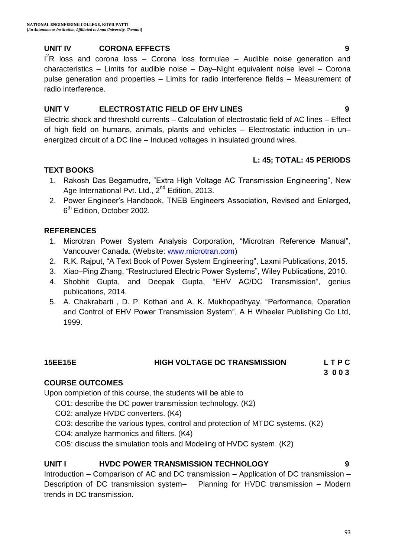#### **UNIT IV CORONA EFFECTS 9**

 $I^2$ R loss and corona loss – Corona loss formulae – Audible noise generation and characteristics – Limits for audible noise – Day–Night equivalent noise level – Corona pulse generation and properties – Limits for radio interference fields – Measurement of radio interference.

#### **UNIT V ELECTROSTATIC FIELD OF EHV LINES 9**

Electric shock and threshold currents – Calculation of electrostatic field of AC lines – Effect of high field on humans, animals, plants and vehicles – Electrostatic induction in un– energized circuit of a DC line – Induced voltages in insulated ground wires.

#### **L: 45; TOTAL: 45 PERIODS**

#### **TEXT BOOKS**

- 1. Rakosh Das Begamudre, "Extra High Voltage AC Transmission Engineering", New Age International Pvt. Ltd., 2<sup>nd</sup> Edition, 2013.
- 2. Power Engineer"s Handbook, TNEB Engineers Association, Revised and Enlarged, 6<sup>th</sup> Edition, October 2002.

#### **REFERENCES**

- 1. Microtran Power System Analysis Corporation, "Microtran Reference Manual", Vancouver Canada. (Website: [www.microtran.com\)](http://www.microtran.com/)
- 2. R.K. Rajput, "A Text Book of Power System Engineering", Laxmi Publications, 2015.
- 3. Xiao–Ping Zhang, "Restructured Electric Power Systems", Wiley Publications, 2010.
- 4. [Shobhit Gupta,](http://www.geniuspublications.com/our-books/Engineering-Books/EE-Branch/ehv-ac-dc-transmission) and [Deepak Gupta](http://www.geniuspublications.com/our-books/Engineering-Books/EE-Branch/ehv-ac-dc-transmission), "EHV AC/DC Transmission", genius publications, 2014.
- 5. [A. Chakrabarti](http://www.amazon.com/s/ref=dp_byline_sr_book_1?ie=UTF8&field-author=A.+Chakrabarti&search-alias=books&text=A.+Chakrabarti&sort=relevancerank) , [D. P. Kothari](http://www.amazon.com/s/ref=dp_byline_sr_book_2?ie=UTF8&field-author=D.+P.+Kothari&search-alias=books&text=D.+P.+Kothari&sort=relevancerank) and [A. K. Mukhopadhyay](http://www.amazon.com/s/ref=dp_byline_sr_book_3?ie=UTF8&field-author=A.+K.+Mukhopadhyay&search-alias=books&text=A.+K.+Mukhopadhyay&sort=relevancerank), "Performance, Operation and Control of EHV Power Transmission System", A H Wheeler Publishing Co Ltd, 1999.

#### **15EE15E HIGH VOLTAGE DC TRANSMISSION L T P C**

 **3 0 0 3**

#### **COURSE OUTCOMES**

Upon completion of this course, the students will be able to

CO1: describe the DC power transmission technology. (K2)

- CO2: analyze HVDC converters. (K4)
- CO3: describe the various types, control and protection of MTDC systems. (K2)
- CO4: analyze harmonics and filters. (K4)

CO5: discuss the simulation tools and Modeling of HVDC system. (K2)

#### **UNIT I HVDC POWER TRANSMISSION TECHNOLOGY 9**

Introduction – Comparison of AC and DC transmission – Application of DC transmission – Description of DC transmission system– Planning for HVDC transmission – Modern trends in DC transmission.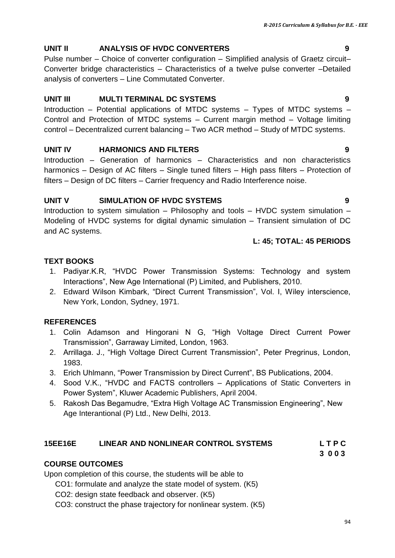# **UNIT II ANALYSIS OF HVDC CONVERTERS 9**

Pulse number – Choice of converter configuration – Simplified analysis of Graetz circuit– Converter bridge characteristics – Characteristics of a twelve pulse converter –Detailed analysis of converters – Line Commutated Converter.

# **UNIT III MULTI TERMINAL DC SYSTEMS 9**

Introduction – Potential applications of MTDC systems – Types of MTDC systems – Control and Protection of MTDC systems – Current margin method – Voltage limiting control – Decentralized current balancing – Two ACR method – Study of MTDC systems.

# **UNIT IV HARMONICS AND FILTERS 9**

Introduction – Generation of harmonics – Characteristics and non characteristics harmonics – Design of AC filters – Single tuned filters – High pass filters – Protection of filters – Design of DC filters – Carrier frequency and Radio Interference noise.

# **UNIT V SIMULATION OF HVDC SYSTEMS 9**

Introduction to system simulation – Philosophy and tools – HVDC system simulation – Modeling of HVDC systems for digital dynamic simulation – Transient simulation of DC and AC systems.

# **L: 45; TOTAL: 45 PERIODS**

# **TEXT BOOKS**

- 1. Padiyar.K.R, "HVDC Power Transmission Systems: Technology and system Interactions", New Age International (P) Limited, and Publishers, 2010.
- 2. Edward Wilson Kimbark, "Direct Current Transmission", Vol. I, Wiley interscience, New York, London, Sydney, 1971.

# **REFERENCES**

- 1. Colin Adamson and Hingorani N G, "High Voltage Direct Current Power Transmission", Garraway Limited, London, 1963.
- 2. Arrillaga. J., "High Voltage Direct Current Transmission", Peter Pregrinus, London, 1983.
- 3. Erich Uhlmann, "Power Transmission by Direct Current", BS Publications, 2004.
- 4. Sood V.K., "HVDC and FACTS controllers Applications of Static Converters in Power System", Kluwer Academic Publishers, April 2004.
- 5. Rakosh Das Begamudre, "Extra High Voltage AC Transmission Engineering", New Age Interantional (P) Ltd., New Delhi, 2013.

# **15EE16E LINEAR AND NONLINEAR CONTROL SYSTEMS L T P C**

 **3 0 0 3**

# **COURSE OUTCOMES**

Upon completion of this course, the students will be able to

CO1: formulate and analyze the state model of system. (K5)

- CO2: design state feedback and observer. (K5)
- CO3: construct the phase trajectory for nonlinear system. (K5)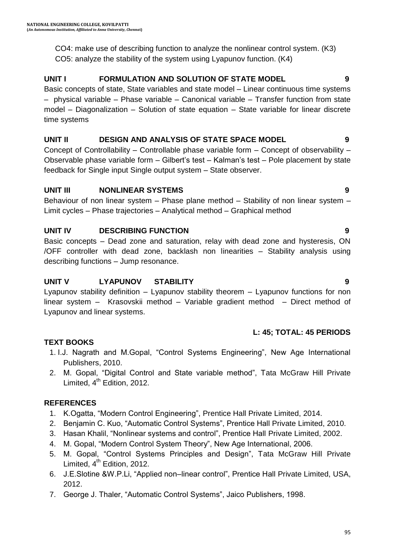CO4: make use of describing function to analyze the nonlinear control system. (K3) CO5: analyze the stability of the system using Lyapunov function. (K4)

# **UNIT I FORMULATION AND SOLUTION OF STATE MODEL 9**

Basic concepts of state, State variables and state model – Linear continuous time systems – physical variable – Phase variable – Canonical variable – Transfer function from state model – Diagonalization – Solution of state equation – State variable for linear discrete time systems

#### **UNIT II DESIGN AND ANALYSIS OF STATE SPACE MODEL 9**

Concept of Controllability – Controllable phase variable form – Concept of observability – Observable phase variable form – Gilbert"s test – Kalman"s test – Pole placement by state feedback for Single input Single output system – State observer.

#### **UNIT III NONLINEAR SYSTEMS 9**

Behaviour of non linear system - Phase plane method - Stability of non linear system -Limit cycles – Phase trajectories – Analytical method – Graphical method

### **UNIT IV DESCRIBING FUNCTION 9**

Basic concepts – Dead zone and saturation, relay with dead zone and hysteresis, ON /OFF controller with dead zone, backlash non linearities – Stability analysis using describing functions – Jump resonance.

#### **UNIT V LYAPUNOV STABILITY 9**

Lyapunov stability definition – Lyapunov stability theorem – Lyapunov functions for non linear system – Krasovskii method – Variable gradient method – Direct method of Lyapunov and linear systems.

### **L: 45; TOTAL: 45 PERIODS**

### **TEXT BOOKS**

- 1. I.J. Nagrath and M.Gopal, "Control Systems Engineering", New Age International Publishers, 2010.
- 2. M. Gopal, "Digital Control and State variable method", Tata McGraw Hill Private Limited,  $4<sup>th</sup>$  Edition, 2012.

- 1. K.Ogatta, "Modern Control Engineering", Prentice Hall Private Limited, 2014.
- 2. Benjamin C. Kuo, "Automatic Control Systems", Prentice Hall Private Limited, 2010.
- 3. Hasan Khalil, "Nonlinear systems and control", Prentice Hall Private Limited, 2002.
- 4. M. Gopal, "Modern Control System Theory", New Age International, 2006.
- 5. M. Gopal, "Control Systems Principles and Design", Tata McGraw Hill Private Limited,  $4<sup>th</sup>$  Edition, 2012.
- 6. J.E.Slotine &W.P.Li, "Applied non–linear control", Prentice Hall Private Limited, USA, 2012.
- 7. George J. Thaler, "Automatic Control Systems", Jaico Publishers, 1998.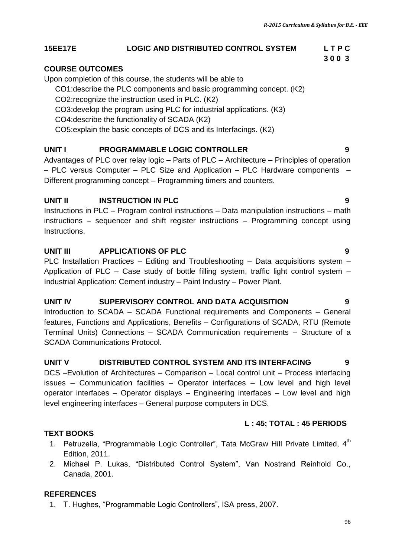#### **15EE17E LOGIC AND DISTRIBUTED CONTROL SYSTEM L T P C**

#### **COURSE OUTCOMES**

Upon completion of this course, the students will be able to

CO1:describe the PLC components and basic programming concept. (K2)

- CO2:recognize the instruction used in PLC. (K2)
- CO3:develop the program using PLC for industrial applications. (K3)
- CO4:describe the functionality of SCADA (K2)
- CO5:explain the basic concepts of DCS and its Interfacings. (K2)

### **UNIT I PROGRAMMABLE LOGIC CONTROLLER 9**

Advantages of PLC over relay logic – Parts of PLC – Architecture – Principles of operation – PLC versus Computer – PLC Size and Application – PLC Hardware components – Different programming concept – Programming timers and counters.

#### **UNIT II INSTRUCTION IN PLC 9**

Instructions in PLC – Program control instructions – Data manipulation instructions – math instructions – sequencer and shift register instructions – Programming concept using **Instructions** 

#### **UNIT III APPLICATIONS OF PLC 9**

PLC Installation Practices – Editing and Troubleshooting – Data acquisitions system – Application of PLC – Case study of bottle filling system, traffic light control system – Industrial Application: Cement industry – Paint Industry – Power Plant.

#### **UNIT IV SUPERVISORY CONTROL AND DATA ACQUISITION 9**

Introduction to SCADA – SCADA Functional requirements and Components – General features, Functions and Applications, Benefits – Configurations of SCADA, RTU (Remote Terminal Units) Connections – SCADA Communication requirements – Structure of a SCADA Communications Protocol.

#### **UNIT V DISTRIBUTED CONTROL SYSTEM AND ITS INTERFACING 9**

DCS –Evolution of Architectures – Comparison – Local control unit – Process interfacing issues – Communication facilities – Operator interfaces – Low level and high level operator interfaces – Operator displays – Engineering interfaces – Low level and high level engineering interfaces – General purpose computers in DCS.

#### **L : 45; TOTAL : 45 PERIODS**

#### **TEXT BOOKS**

- 1. Petruzella, "Programmable Logic Controller", Tata McGraw Hill Private Limited, 4<sup>th</sup> Edition, 2011.
- 2. Michael P. Lukas, "Distributed Control System", Van Nostrand Reinhold Co., Canada, 2001.

#### **REFERENCES**

1. T. Hughes, "Programmable Logic Controllers", ISA press, 2007.

 **3 0 0 3**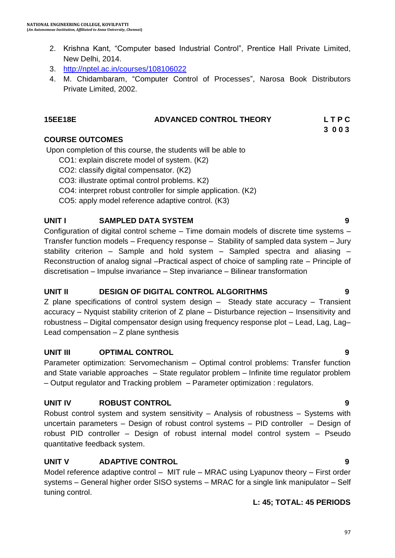- 2. Krishna Kant, "Computer based Industrial Control", Prentice Hall Private Limited, New Delhi, 2014.
- 3. <http://nptel.ac.in/courses/108106022>
- 4. M. Chidambaram, "Computer Control of Processes", Narosa Book Distributors Private Limited, 2002.

#### **15EE18E ADVANCED CONTROL THEORY L T P C 3 0 0 3**

#### **COURSE OUTCOMES**

Upon completion of this course, the students will be able to

- CO1: explain discrete model of system. (K2)
- CO2: classify digital compensator. (K2)
- CO3: illustrate optimal control problems. K2)
- CO4: interpret robust controller for simple application. (K2)
- CO5: apply model reference adaptive control. (K3)

### **UNIT I SAMPLED DATA SYSTEM 9**

Configuration of digital control scheme – Time domain models of discrete time systems – Transfer function models – Frequency response – Stability of sampled data system – Jury stability criterion – Sample and hold system – Sampled spectra and aliasing – Reconstruction of analog signal –Practical aspect of choice of sampling rate – Principle of discretisation – Impulse invariance – Step invariance – Bilinear transformation

### **UNIT II DESIGN OF DIGITAL CONTROL ALGORITHMS 9**

Z plane specifications of control system design – Steady state accuracy – Transient accuracy – Nyquist stability criterion of Z plane – Disturbance rejection – Insensitivity and robustness – Digital compensator design using frequency response plot – Lead, Lag, Lag– Lead compensation – Z plane synthesis

#### **UNIT III OPTIMAL CONTROL 9**

Parameter optimization: Servomechanism – Optimal control problems: Transfer function and State variable approaches – State regulator problem – Infinite time regulator problem – Output regulator and Tracking problem – Parameter optimization : regulators.

### **UNIT IV ROBUST CONTROL 9**

Robust control system and system sensitivity – Analysis of robustness – Systems with uncertain parameters – Design of robust control systems – PID controller – Design of robust PID controller – Design of robust internal model control system – Pseudo quantitative feedback system.

### **UNIT V ADAPTIVE CONTROL 9**

Model reference adaptive control – MIT rule – MRAC using Lyapunov theory – First order systems – General higher order SISO systems – MRAC for a single link manipulator – Self tuning control.

#### **L: 45; TOTAL: 45 PERIODS**

## 97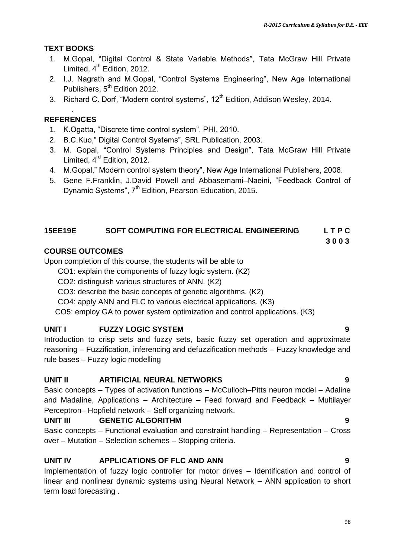#### **TEXT BOOKS**

- 1. M.Gopal, "Digital Control & State Variable Methods", Tata McGraw Hill Private Limited,  $4<sup>th</sup>$  Edition, 2012.
- 2. I.J. Nagrath and M.Gopal, "Control Systems Engineering", New Age International Publishers,  $5<sup>th</sup>$  Edition 2012.
- 3. Richard C. Dorf, "Modern control systems", 12<sup>th</sup> Edition, Addison Wesley, 2014.

#### . **REFERENCES**

- 1. K.Ogatta, "Discrete time control system", PHI, 2010.
- 2. B.C.Kuo," Digital Control Systems", SRL Publication, 2003.
- 3. M. Gopal, "Control Systems Principles and Design", Tata McGraw Hill Private Limited, 4<sup>rd</sup> Edition, 2012.
- 4. M.Gopal," Modern control system theory", New Age International Publishers, 2006.
- 5. Gene F.Franklin, J.David Powell and Abbasemami–Naeini, "Feedback Control of Dynamic Systems", 7<sup>th</sup> Edition, Pearson Education, 2015.

#### **15EE19E SOFT COMPUTING FOR ELECTRICAL ENGINEERING L T P C**

 **3 0 0 3**

#### **COURSE OUTCOMES**

Upon completion of this course, the students will be able to

- CO1: explain the components of fuzzy logic system. (K2)
- CO2: distinguish various structures of ANN. (K2)
- CO3: describe the basic concepts of genetic algorithms. (K2)
- CO4: apply ANN and FLC to various electrical applications. (K3)

CO5: employ GA to power system optimization and control applications. (K3)

#### **UNIT I FUZZY LOGIC SYSTEM 9**

Introduction to crisp sets and fuzzy sets, basic fuzzy set operation and approximate reasoning – Fuzzification, inferencing and defuzzification methods – Fuzzy knowledge and rule bases – Fuzzy logic modelling

#### **UNIT II ARTIFICIAL NEURAL NETWORKS 9**

Basic concepts – Types of activation functions – McCulloch–Pitts neuron model – Adaline and Madaline, Applications – Architecture – Feed forward and Feedback – Multilayer Perceptron– Hopfield network – Self organizing network.

#### **UNIT III GENETIC ALGORITHM 9**

Basic concepts – Functional evaluation and constraint handling – Representation – Cross over – Mutation – Selection schemes – Stopping criteria.

### **UNIT IV APPLICATIONS OF FLC AND ANN 9**

Implementation of fuzzy logic controller for motor drives – Identification and control of linear and nonlinear dynamic systems using Neural Network – ANN application to short term load forecasting .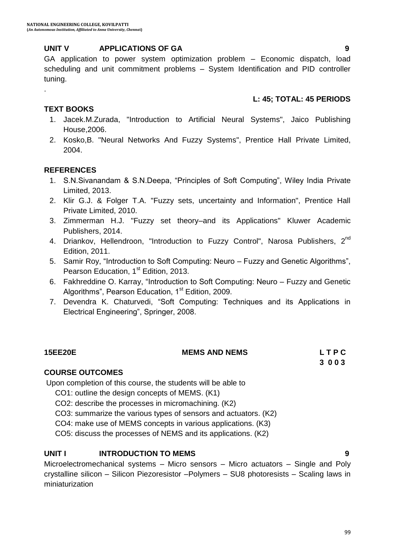#### **UNIT V APPLICATIONS OF GA 9**

GA application to power system optimization problem – Economic dispatch, load scheduling and unit commitment problems – System Identification and PID controller tuning.

#### **L: 45; TOTAL: 45 PERIODS**

#### **TEXT BOOKS**

.

- 1. Jacek.M.Zurada, "Introduction to Artificial Neural Systems", Jaico Publishing House,2006.
- 2. Kosko,B. "Neural Networks And Fuzzy Systems", Prentice Hall Private Limited, 2004.

#### **REFERENCES**

- 1. S.N.Sivanandam & S.N.Deepa, "Principles of Soft Computing", Wiley India Private Limited, 2013.
- 2. Klir G.J. & Folger T.A. "Fuzzy sets, uncertainty and Information", Prentice Hall Private Limited, 2010.
- 3. Zimmerman H.J. "Fuzzy set theory–and its Applications" Kluwer Academic Publishers, 2014.
- 4. Driankov, Hellendroon, "Introduction to Fuzzy Control", Narosa Publishers, 2<sup>nd</sup> Edition, 2011.
- 5. [Samir Roy](http://www.amazon.in/Samir-Roy/e/B00NBJ4Y7W/ref=dp_byline_cont_book_1), "Introduction to Soft Computing: Neuro Fuzzy and Genetic Algorithms", Pearson Education, 1<sup>st</sup> Edition, 2013.
- 6. [Fakhreddine O. Karray](http://www.amazon.in/Fakhreddine-O.-Karray/e/B001HOKNS2/ref=dp_byline_cont_book_1), "Introduction to Soft Computing: Neuro Fuzzy and Genetic Algorithms", Pearson Education, 1<sup>st</sup> Edition, 2009.
- 7. [Devendra K. Chaturvedi](http://www.amazon.in/Devendra-K.-Chaturvedi/e/B001KPCIPO/ref=dp_byline_cont_book_1), "Soft Computing: Techniques and its Applications in Electrical Engineering", Springer, 2008.

| <b>15EE20E</b> | <b>MEMS AND NEMS</b> | LTPC |
|----------------|----------------------|------|
|                |                      | 3003 |

#### **COURSE OUTCOMES**

Upon completion of this course, the students will be able to

CO1: outline the design concepts of MEMS. (K1)

CO2: describe the processes in micromachining. (K2)

CO3: summarize the various types of sensors and actuators. (K2)

CO4: make use of MEMS concepts in various applications. (K3)

CO5: discuss the processes of NEMS and its applications. (K2)

### **UNIT I INTRODUCTION TO MEMS 9**

Microelectromechanical systems – Micro sensors – Micro actuators – Single and Poly crystalline silicon – Silicon Piezoresistor –Polymers – SU8 photoresists – Scaling laws in miniaturization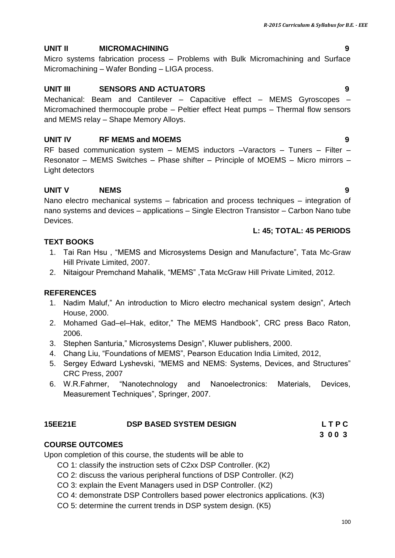## **UNIT II MICROMACHINING 9**

Micro systems fabrication process – Problems with Bulk Micromachining and Surface Micromachining – Wafer Bonding – LIGA process.

#### **UNIT III SENSORS AND ACTUATORS 9**

Mechanical: Beam and Cantilever – Capacitive effect – MEMS Gyroscopes – Micromachined thermocouple probe – Peltier effect Heat pumps – Thermal flow sensors and MEMS relay – Shape Memory Alloys.

#### **UNIT IV RF MEMS and MOEMS 9**

RF based communication system – MEMS inductors –Varactors – Tuners – Filter – Resonator – MEMS Switches – Phase shifter – Principle of MOEMS – Micro mirrors – Light detectors

#### **UNIT V NEMS 9**

Nano electro mechanical systems – fabrication and process techniques – integration of nano systems and devices – applications – Single Electron Transistor – Carbon Nano tube **Devices** 

#### **L: 45; TOTAL: 45 PERIODS**

#### **TEXT BOOKS**

- 1. Tai Ran Hsu , "MEMS and Microsystems Design and Manufacture", Tata Mc-Graw Hill Private Limited, 2007.
- 2. Nitaigour Premchand Mahalik, "MEMS" ,Tata McGraw Hill Private Limited, 2012.

#### **REFERENCES**

- 1. Nadim Maluf," An introduction to Micro electro mechanical system design", Artech House, 2000.
- 2. Mohamed Gad–el–Hak, editor," The MEMS Handbook", CRC press Baco Raton, 2006.
- 3. Stephen Santuria," Microsystems Design", Kluwer publishers, 2000.
- 4. Chang Liu, "Foundations of MEMS", Pearson Education India Limited, 2012,
- 5. Sergey Edward Lyshevski, "MEMS and NEMS: Systems, Devices, and Structures" CRC Press, 2007
- 6. W.R.Fahrner, "Nanotechnology and Nanoelectronics: Materials, Devices, Measurement Techniques", Springer, 2007.

#### **15EE21E DSP BASED SYSTEM DESIGN L T P C**

# **3 0 0 3 3 0 0 3**

#### **COURSE OUTCOMES**

Upon completion of this course, the students will be able to

- CO 1: classify the instruction sets of C2xx DSP Controller. (K2)
- CO 2: discuss the various peripheral functions of DSP Controller. (K2)
- CO 3: explain the Event Managers used in DSP Controller. (K2)
- CO 4: demonstrate DSP Controllers based power electronics applications. (K3)
- CO 5: determine the current trends in DSP system design. (K5)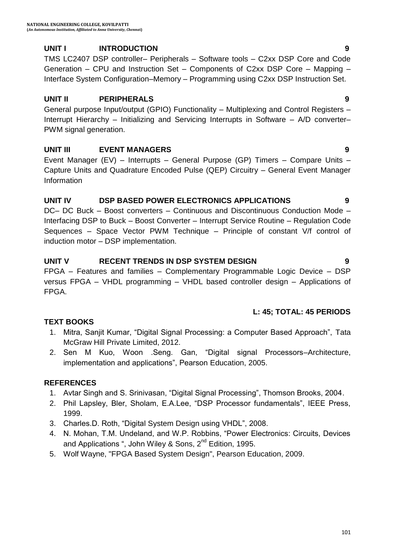#### **UNIT I INTRODUCTION 9**

TMS LC2407 DSP controller– Peripherals – Software tools – C2xx DSP Core and Code Generation – CPU and Instruction Set – Components of C2xx DSP Core – Mapping – Interface System Configuration–Memory – Programming using C2xx DSP Instruction Set.

#### **UNIT II PERIPHERALS 9**

General purpose Input/output (GPIO) Functionality – Multiplexing and Control Registers – Interrupt Hierarchy – Initializing and Servicing Interrupts in Software – A/D converter– PWM signal generation.

### **UNIT III EVENT MANAGERS 9**

Event Manager (EV) – Interrupts – General Purpose (GP) Timers – Compare Units – Capture Units and Quadrature Encoded Pulse (QEP) Circuitry – General Event Manager Information

#### **UNIT IV DSP BASED POWER ELECTRONICS APPLICATIONS 9**

DC– DC Buck – Boost converters – Continuous and Discontinuous Conduction Mode – Interfacing DSP to Buck – Boost Converter – Interrupt Service Routine – Regulation Code Sequences – Space Vector PWM Technique – Principle of constant V/f control of induction motor – DSP implementation.

#### **UNIT V RECENT TRENDS IN DSP SYSTEM DESIGN 9**

FPGA – Features and families – Complementary Programmable Logic Device – DSP versus FPGA – VHDL programming – VHDL based controller design – Applications of FPGA.

### **L: 45; TOTAL: 45 PERIODS**

### **TEXT BOOKS**

- 1. Mitra, Sanjit Kumar, "Digital Signal Processing: a Computer Based Approach", Tata McGraw Hill Private Limited, 2012.
- 2. Sen M Kuo, Woon .Seng. Gan, "Digital signal Processors–Architecture, implementation and applications", Pearson Education, 2005.

- 1. Avtar Singh and S. Srinivasan, "Digital Signal Processing", Thomson Brooks, 2004.
- 2. Phil Lapsley, Bler, Sholam, E.A.Lee, "DSP Processor fundamentals", IEEE Press, 1999.
- 3. Charles.D. Roth, "Digital System Design using VHDL", 2008.
- 4. N. Mohan, T.M. Undeland, and W.P. Robbins, "Power Electronics: Circuits, Devices and Applications ", John Wiley & Sons,  $2^{nd}$  Edition, 1995.
- 5. Wolf Wayne, "FPGA Based System Design", Pearson Education, 2009.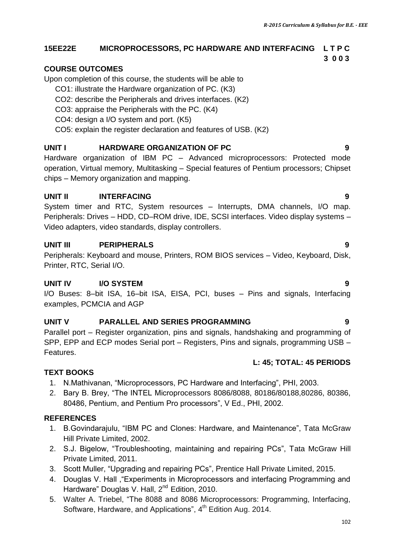# **15EE22E MICROPROCESSORS, PC HARDWARE AND INTERFACING L T P C**

#### **3 0 0 3**

# **COURSE OUTCOMES**

Upon completion of this course, the students will be able to

- CO1: illustrate the Hardware organization of PC. (K3)
- CO2: describe the Peripherals and drives interfaces. (K2)
- CO3: appraise the Peripherals with the PC. (K4)
- CO4: design a I/O system and port. (K5)
- CO5: explain the register declaration and features of USB. (K2)

# **UNIT I HARDWARE ORGANIZATION OF PC 9**

Hardware organization of IBM PC – Advanced microprocessors: Protected mode operation, Virtual memory, Multitasking – Special features of Pentium processors; Chipset chips – Memory organization and mapping.

# **UNIT II** INTERFACING 9

System timer and RTC, System resources – Interrupts, DMA channels, I/O map. Peripherals: Drives – HDD, CD–ROM drive, IDE, SCSI interfaces. Video display systems – Video adapters, video standards, display controllers.

# **UNIT III PERIPHERALS 9**

Peripherals: Keyboard and mouse, Printers, ROM BIOS services – Video, Keyboard, Disk, Printer, RTC, Serial I/O.

# **UNIT IV I/O SYSTEM 9**

I/O Buses: 8–bit ISA, 16–bit ISA, EISA, PCI, buses – Pins and signals, Interfacing examples, PCMCIA and AGP

# **UNIT V PARALLEL AND SERIES PROGRAMMING 9**

Parallel port – Register organization, pins and signals, handshaking and programming of SPP, EPP and ECP modes Serial port – Registers, Pins and signals, programming USB – Features.

### **L: 45; TOTAL: 45 PERIODS**

# **TEXT BOOKS**

- 1. N.Mathivanan, "Microprocessors, PC Hardware and Interfacing", PHI, 2003.
- 2. Bary B. Brey, "The INTEL Microprocessors 8086/8088, 80186/80188,80286, 80386, 80486, Pentium, and Pentium Pro processors", V Ed., PHI, 2002.

- 1. B.Govindarajulu, "IBM PC and Clones: Hardware, and Maintenance", Tata McGraw Hill Private Limited, 2002.
- 2. S.J. Bigelow, "Troubleshooting, maintaining and repairing PCs", Tata McGraw Hill Private Limited, 2011.
- 3. Scott Muller, "Upgrading and repairing PCs", Prentice Hall Private Limited, 2015.
- 4. Douglas V. Hall ,"Experiments in Microprocessors and interfacing Programming and Hardware" Douglas V. Hall, 2<sup>nd</sup> Edition, 2010.
- 5. Walter A. Triebel, "The 8088 and 8086 Microprocessors: Programming, Interfacing, Software, Hardware, and Applications", 4<sup>th</sup> Edition Aug. 2014.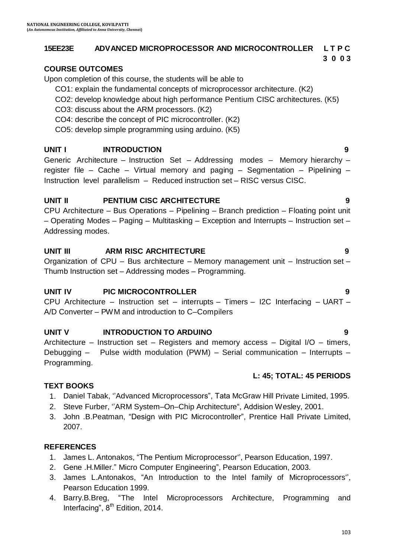#### **15EE23E ADVANCED MICROPROCESSOR AND MICROCONTROLLER L T P C**

#### **3 0 0 3**

#### **COURSE OUTCOMES**

Upon completion of this course, the students will be able to

CO1: explain the fundamental concepts of microprocessor architecture. (K2)

- CO2: develop knowledge about high performance Pentium CISC architectures. (K5)
- CO3: discuss about the ARM processors. (K2)
- CO4: describe the concept of PIC microcontroller. (K2)
- CO5: develop simple programming using arduino. (K5)

#### **UNIT I** INTRODUCTION 9

Generic Architecture – Instruction Set – Addressing modes – Memory hierarchy – register file – Cache – Virtual memory and paging – Segmentation – Pipelining – Instruction level parallelism – Reduced instruction set – RISC versus CISC.

#### **UNIT II PENTIUM CISC ARCHITECTURE 9**

CPU Architecture – Bus Operations – Pipelining – Branch prediction – Floating point unit – Operating Modes – Paging – Multitasking – Exception and Interrupts – Instruction set – Addressing modes.

#### **UNIT III ARM RISC ARCHITECTURE 9**

Organization of CPU – Bus architecture – Memory management unit – Instruction set – Thumb Instruction set – Addressing modes – Programming.

#### **UNIT IV PIC MICROCONTROLLER 9**

CPU Architecture – Instruction set – interrupts – Timers – I2C Interfacing – UART – A/D Converter – PWM and introduction to C–Compilers

#### **UNIT V INTRODUCTION TO ARDUINO 9**

Architecture – Instruction set – Registers and memory access – Digital I/O – timers, Debugging – Pulse width modulation (PWM) – Serial communication – Interrupts – Programming.

#### **L: 45; TOTAL: 45 PERIODS**

#### **TEXT BOOKS**

- 1. Daniel Tabak, ""Advanced Microprocessors", Tata McGraw Hill Private Limited, 1995.
- 2. Steve Furber, "ARM System–On–Chip Architecture", Addision Wesley, 2001.
- 3. John .B.Peatman, "Design with PIC Microcontroller", Prentice Hall Private Limited, 2007.

- 1. James L. Antonakos, "The Pentium Microprocessor"", Pearson Education, 1997.
- 2. Gene .H.Miller." Micro Computer Engineering", Pearson Education, 2003.
- 3. James L.Antonakos, "An Introduction to the Intel family of Microprocessors"", Pearson Education 1999.
- 4. Barry.B.Breg, "The Intel Microprocessors Architecture, Programming and Interfacing",  $8<sup>th</sup>$  Edition, 2014.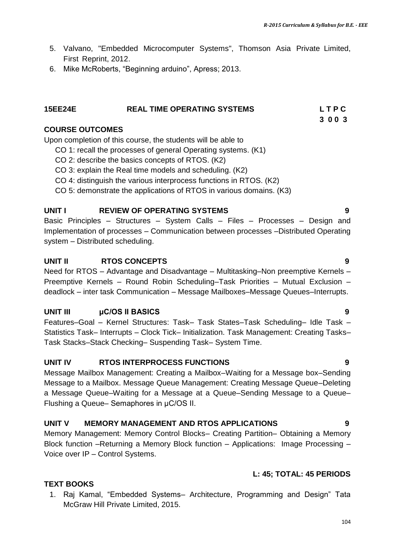- 5. Valvano, "Embedded Microcomputer Systems", Thomson Asia Private Limited, First Reprint, 2012.
- 6. Mike McRoberts, "Beginning arduino", Apress; 2013.

#### **15EE24E REAL TIME OPERATING SYSTEMS L T P C**

# **3 0 0 3**

#### **COURSE OUTCOMES**

Upon completion of this course, the students will be able to

- CO 1: recall the processes of general Operating systems. (K1)
- CO 2: describe the basics concepts of RTOS. (K2)
- CO 3: explain the Real time models and scheduling. (K2)
- CO 4: distinguish the various interprocess functions in RTOS. (K2)
- CO 5: demonstrate the applications of RTOS in various domains. (K3)

#### **UNIT I REVIEW OF OPERATING SYSTEMS 9**

Basic Principles – Structures – System Calls – Files – Processes – Design and Implementation of processes – Communication between processes –Distributed Operating system – Distributed scheduling.

#### **UNIT II RTOS CONCEPTS 9**

Need for RTOS – Advantage and Disadvantage – Multitasking–Non preemptive Kernels – Preemptive Kernels – Round Robin Scheduling–Task Priorities – Mutual Exclusion – deadlock – inter task Communication – Message Mailboxes–Message Queues–Interrupts.

#### **UNIT III μC/OS II BASICS 9**

Features–Goal – Kernel Structures: Task– Task States–Task Scheduling– Idle Task – Statistics Task– Interrupts – Clock Tick– Initialization. Task Management: Creating Tasks– Task Stacks–Stack Checking– Suspending Task– System Time.

#### **UNIT IV RTOS INTERPROCESS FUNCTIONS 9**

Message Mailbox Management: Creating a Mailbox–Waiting for a Message box–Sending Message to a Mailbox. Message Queue Management: Creating Message Queue–Deleting a Message Queue–Waiting for a Message at a Queue–Sending Message to a Queue– Flushing a Queue– Semaphores in μC/OS II.

#### **UNIT V MEMORY MANAGEMENT AND RTOS APPLICATIONS 9**

Memory Management: Memory Control Blocks– Creating Partition– Obtaining a Memory Block function –Returning a Memory Block function – Applications: Image Processing – Voice over IP – Control Systems.

#### **L: 45; TOTAL: 45 PERIODS**

#### **TEXT BOOKS**

1. Raj Kamal, "Embedded Systems– Architecture, Programming and Design" Tata McGraw Hill Private Limited, 2015.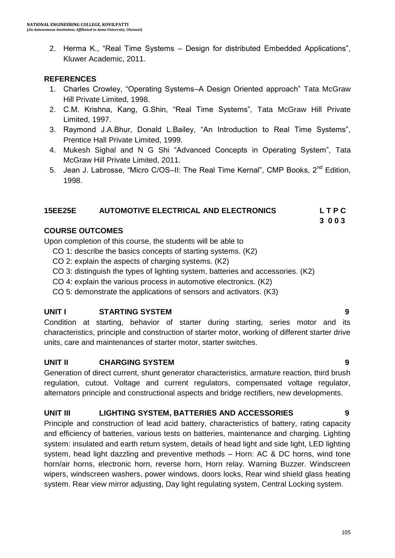2. Herma K., "Real Time Systems – Design for distributed Embedded Applications", Kluwer Academic, 2011.

#### **REFERENCES**

- 1. Charles Crowley, "Operating Systems–A Design Oriented approach" Tata McGraw Hill Private Limited, 1998.
- 2. C.M. Krishna, Kang, G.Shin, "Real Time Systems", Tata McGraw Hill Private Limited, 1997.
- 3. Raymond J.A.Bhur, Donald L.Bailey, "An Introduction to Real Time Systems", Prentice Hall Private Limited, 1999.
- 4. Mukesh Sighal and N G Shi "Advanced Concepts in Operating System", Tata McGraw Hill Private Limited, 2011.
- 5. Jean J. Labrosse, "Micro C/OS-II: The Real Time Kernal", CMP Books, 2<sup>nd</sup> Edition. 1998.

#### **15EE25E AUTOMOTIVE ELECTRICAL AND ELECTRONICS L T P C**

 **3 0 0 3**

#### **COURSE OUTCOMES**

Upon completion of this course, the students will be able to

- CO 1: describe the basics concepts of starting systems. (K2)
- CO 2: explain the aspects of charging systems. (K2)
- CO 3: distinguish the types of lighting system, batteries and accessories. (K2)
- CO 4: explain the various process in automotive electronics. (K2)
- CO 5: demonstrate the applications of sensors and activators. (K3)

### **UNIT I STARTING SYSTEM 9**

Condition at starting, behavior of starter during starting, series motor and its characteristics, principle and construction of starter motor, working of different starter drive units, care and maintenances of starter motor, starter switches.

#### **UNIT II CHARGING SYSTEM 9**

Generation of direct current, shunt generator characteristics, armature reaction, third brush regulation, cutout. Voltage and current regulators, compensated voltage regulator, alternators principle and constructional aspects and bridge rectifiers, new developments.

#### **UNIT III LIGHTING SYSTEM, BATTERIES AND ACCESSORIES 9**

Principle and construction of lead acid battery, characteristics of battery, rating capacity and efficiency of batteries, various tests on batteries, maintenance and charging. Lighting system: insulated and earth return system, details of head light and side light, LED lighting system, head light dazzling and preventive methods – Horn: AC & DC horns, wind tone horn/air horns, electronic horn, reverse horn, Horn relay. Warning Buzzer. Windscreen wipers, windscreen washers, power windows, doors locks, Rear wind shield glass heating system. Rear view mirror adjusting, Day light regulating system, Central Locking system.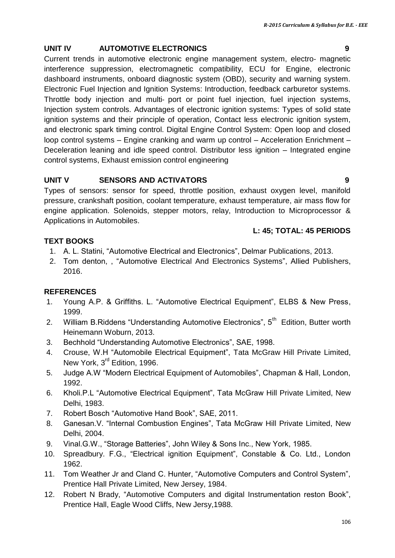#### **UNIT IV AUTOMOTIVE ELECTRONICS 9**

Current trends in automotive electronic engine management system, electro‐ magnetic interference suppression, electromagnetic compatibility, ECU for Engine, electronic dashboard instruments, onboard diagnostic system (OBD), security and warning system. Electronic Fuel Injection and Ignition Systems: Introduction, feedback carburetor systems. Throttle body injection and multi‐ port or point fuel injection, fuel injection systems, Injection system controls. Advantages of electronic ignition systems: Types of solid state ignition systems and their principle of operation, Contact less electronic ignition system, and electronic spark timing control. Digital Engine Control System: Open loop and closed loop control systems – Engine cranking and warm up control – Acceleration Enrichment – Deceleration leaning and idle speed control. Distributor less ignition – Integrated engine control systems, Exhaust emission control engineering

#### **UNIT V SENSORS AND ACTIVATORS 9**

Types of sensors: sensor for speed, throttle position, exhaust oxygen level, manifold pressure, crankshaft position, coolant temperature, exhaust temperature, air mass flow for engine application. Solenoids, stepper motors, relay, Introduction to Microprocessor & Applications in Automobiles.

#### **L: 45; TOTAL: 45 PERIODS**

#### **TEXT BOOKS**

- 1. A. L. Statini, "Automotive Electrical and Electronics", Delmar Publications, 2013.
- 2. Tom denton, , "Automotive Electrical And Electronics Systems", Allied Publishers, 2016.

- 1. Young A.P. & Griffiths. L. "Automotive Electrical Equipment", ELBS & New Press, 1999.
- 2. William B.Riddens "Understanding Automotive Electronics", 5<sup>th</sup> Edition, Butter worth Heinemann Woburn, 2013.
- 3. Bechhold "Understanding Automotive Electronics", SAE, 1998.
- 4. Crouse, W.H "Automobile Electrical Equipment", Tata McGraw Hill Private Limited, New York, 3<sup>rd</sup> Edition, 1996.
- 5. Judge A.W "Modern Electrical Equipment of Automobiles", Chapman & Hall, London, 1992.
- 6. Kholi.P.L "Automotive Electrical Equipment", Tata McGraw Hill Private Limited, New Delhi, 1983.
- 7. Robert Bosch "Automotive Hand Book", SAE, 2011.
- 8. Ganesan.V. "Internal Combustion Engines", Tata McGraw Hill Private Limited, New Delhi, 2004.
- 9. Vinal.G.W., "Storage Batteries", John Wiley & Sons Inc., New York, 1985.
- 10. Spreadbury. F.G., "Electrical ignition Equipment", Constable & Co. Ltd., London 1962.
- 11. Tom Weather Jr and Cland C. Hunter, "Automotive Computers and Control System", Prentice Hall Private Limited, New Jersey, 1984.
- 12. Robert N Brady, "Automotive Computers and digital Instrumentation reston Book", Prentice Hall, Eagle Wood Cliffs, New Jersy,1988.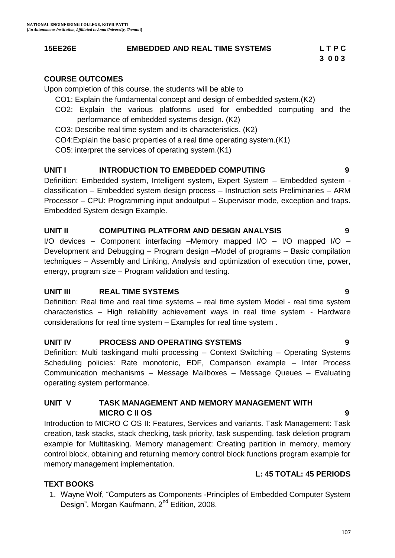#### **15EE26E EMBEDDED AND REAL TIME SYSTEMS L T P C**

 **3 0 0 3**

#### **COURSE OUTCOMES**

Upon completion of this course, the students will be able to

- CO1: Explain the fundamental concept and design of embedded system.(K2)
- CO2: Explain the various platforms used for embedded computing and the performance of embedded systems design. (K2)
- CO3: Describe real time system and its characteristics. (K2)
- CO4:Explain the basic properties of a real time operating system.(K1)

CO5: interpret the services of operating system.(K1)

#### **UNIT I INTRODUCTION TO EMBEDDED COMPUTING 9**

Definition: Embedded system, Intelligent system, Expert System – Embedded system classification – Embedded system design process – Instruction sets Preliminaries – ARM Processor – CPU: Programming input andoutput – Supervisor mode, exception and traps. Embedded System design Example.

#### **UNIT II COMPUTING PLATFORM AND DESIGN ANALYSIS 9**

I/O devices – Component interfacing –Memory mapped I/O – I/O mapped I/O – Development and Debugging – Program design –Model of programs – Basic compilation techniques – Assembly and Linking, Analysis and optimization of execution time, power, energy, program size – Program validation and testing.

#### **UNIT III REAL TIME SYSTEMS 9**

Definition: Real time and real time systems – real time system Model - real time system characteristics – High reliability achievement ways in real time system - Hardware considerations for real time system – Examples for real time system .

#### **UNIT IV PROCESS AND OPERATING SYSTEMS 9**

Definition: Multi taskingand multi processing – Context Switching – Operating Systems Scheduling policies: Rate monotonic, EDF, Comparison example – Inter Process Communication mechanisms – Message Mailboxes – Message Queues – Evaluating operating system performance.

#### **UNIT V TASK MANAGEMENT AND MEMORY MANAGEMENT WITH MICRO C II OS 9**

Introduction to MICRO C OS II: Features, Services and variants. Task Management: Task creation, task stacks, stack checking, task priority, task suspending, task deletion program example for Multitasking. Memory management: Creating partition in memory, memory control block, obtaining and returning memory control block functions program example for memory management implementation.

#### **TEXT BOOKS**

1. Wayne Wolf, "Computers as Components -Principles of Embedded Computer System Design", Morgan Kaufmann, 2<sup>nd</sup> Edition, 2008.

**L: 45 TOTAL: 45 PERIODS**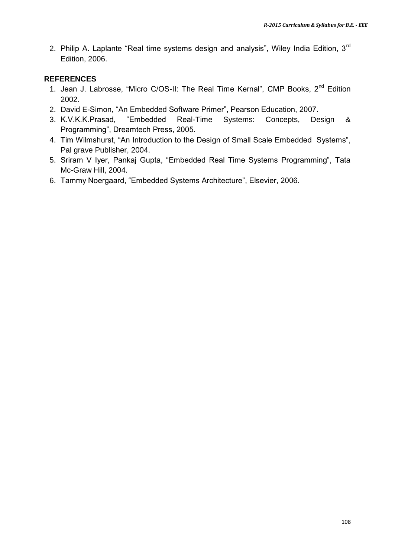2. Philip A. Laplante "Real time systems design and analysis", Wiley India Edition,  $3<sup>rd</sup>$ Edition, 2006.

- 1. Jean J. Labrosse, "Micro C/OS-II: The Real Time Kernal", CMP Books, 2<sup>nd</sup> Edition 2002.
- 2. David E-Simon, "An Embedded Software Primer", Pearson Education, 2007.
- 3. K.V.K.K.Prasad, "Embedded Real-Time Systems: Concepts, Design & Programming", Dreamtech Press, 2005.
- 4. Tim Wilmshurst, "An Introduction to the Design of Small Scale Embedded Systems", Pal grave Publisher, 2004.
- 5. Sriram V Iyer, Pankaj Gupta, "Embedded Real Time Systems Programming", Tata Mc-Graw Hill, 2004.
- 6. Tammy Noergaard, "Embedded Systems Architecture", Elsevier, 2006.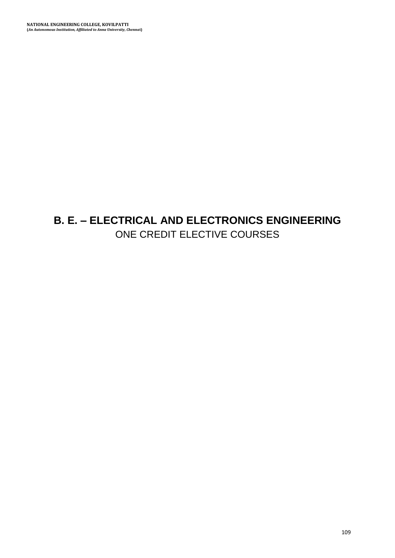## **B. E. – ELECTRICAL AND ELECTRONICS ENGINEERING** ONE CREDIT ELECTIVE COURSES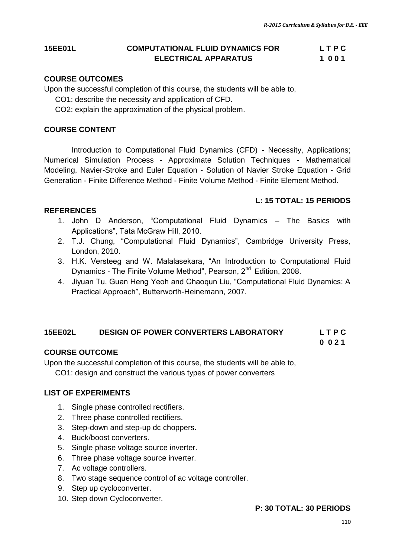#### **15EE01L COMPUTATIONAL FLUID DYNAMICS FOR L T P C ELECTRICAL APPARATUS 1 0 0 1**

#### **COURSE OUTCOMES**

Upon the successful completion of this course, the students will be able to,

CO1: describe the necessity and application of CFD.

CO2: explain the approximation of the physical problem.

#### **COURSE CONTENT**

Introduction to Computational Fluid Dynamics (CFD) - Necessity, Applications; Numerical Simulation Process - Approximate Solution Techniques - Mathematical Modeling, Navier-Stroke and Euler Equation - Solution of Navier Stroke Equation - Grid Generation - Finite Difference Method - Finite Volume Method - Finite Element Method.

#### **L: 15 TOTAL: 15 PERIODS**

#### **REFERENCES**

- 1. John D Anderson, "Computational Fluid Dynamics The Basics with Applications", Tata McGraw Hill, 2010.
- 2. T.J. Chung, "Computational Fluid Dynamics", Cambridge University Press, London, 2010.
- 3. H.K. Versteeg and W. Malalasekara, "An Introduction to Computational Fluid Dynamics - The Finite Volume Method", Pearson, 2<sup>nd</sup> Edition, 2008.
- 4. Jiyuan Tu, Guan Heng Yeoh and Chaoqun Liu, "Computational Fluid Dynamics: A Practical Approach", Butterworth-Heinemann, 2007.

#### **15EE02L DESIGN OF POWER CONVERTERS LABORATORY L T P C**

#### **0 0 2 1**

#### **COURSE OUTCOME**

Upon the successful completion of this course, the students will be able to,

CO1: design and construct the various types of power converters

#### **LIST OF EXPERIMENTS**

- 1. Single phase controlled rectifiers.
- 2. Three phase controlled rectifiers.
- 3. Step-down and step-up dc choppers.
- 4. Buck/boost converters.
- 5. Single phase voltage source inverter.
- 6. Three phase voltage source inverter.
- 7. Ac voltage controllers.
- 8. Two stage sequence control of ac voltage controller.
- 9. Step up cycloconverter.
- 10. Step down Cycloconverter.

#### **P: 30 TOTAL: 30 PERIODS**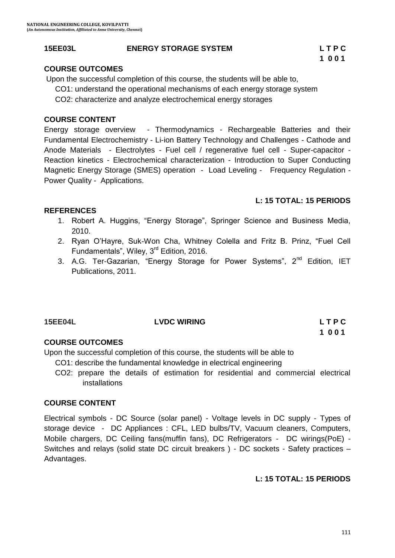#### **15EE03L ENERGY STORAGE SYSTEM L T P C**

#### **COURSE OUTCOMES**

Upon the successful completion of this course, the students will be able to,

CO1: understand the operational mechanisms of each energy storage system

CO2: characterize and analyze electrochemical energy storages

#### **COURSE CONTENT**

Energy storage overview - Thermodynamics - Rechargeable Batteries and their Fundamental Electrochemistry - Li-ion Battery Technology and Challenges - Cathode and Anode Materials - Electrolytes - Fuel cell / regenerative fuel cell - Super-capacitor - Reaction kinetics - Electrochemical characterization - Introduction to Super Conducting Magnetic Energy Storage (SMES) operation - Load Leveling - Frequency Regulation - Power Quality - Applications.

#### **L: 15 TOTAL: 15 PERIODS**

#### **REFERENCES**

- 1. Robert A. Huggins, "Energy Storage", Springer Science and Business Media, 2010.
- 2. Ryan O"Hayre, Suk-Won Cha, Whitney Colella and Fritz B. Prinz, "Fuel Cell Fundamentals", Wiley, 3<sup>rd</sup> Edition, 2016.
- 3. A.G. Ter-Gazarian, "Energy Storage for Power Systems", 2<sup>nd</sup> Edition, IET Publications, 2011.

#### **15EE04L LVDC WIRING L T P C**

# **1 0 0 1**

#### **COURSE OUTCOMES**

Upon the successful completion of this course, the students will be able to

- CO1: describe the fundamental knowledge in electrical engineering
- CO2: prepare the details of estimation for residential and commercial electrical installations

#### **COURSE CONTENT**

Electrical symbols - DC Source (solar panel) - Voltage levels in DC supply - Types of storage device - DC Appliances : CFL, LED bulbs/TV, Vacuum cleaners, Computers, Mobile chargers, DC Ceiling fans(muffin fans), DC Refrigerators - DC wirings(PoE) - Switches and relays (solid state DC circuit breakers ) - DC sockets - Safety practices – Advantages.

#### **L: 15 TOTAL: 15 PERIODS**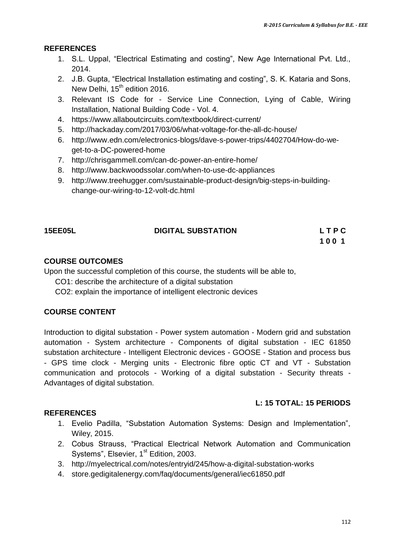#### **REFERENCES**

- 1. S.L. Uppal, "Electrical Estimating and costing", New Age International Pvt. Ltd., 2014.
- 2. J.B. Gupta, "Electrical Installation estimating and costing", S. K. Kataria and Sons, New Delhi, 15<sup>th</sup> edition 2016.
- 3. Relevant IS Code for Service Line Connection, Lying of Cable, Wiring Installation, National Building Code - Vol. 4.
- 4. <https://www.allaboutcircuits.com/textbook/direct-current/>
- 5. <http://hackaday.com/2017/03/06/what-voltage-for-the-all-dc-house/>
- 6. [http://www.edn.com/electronics-blogs/dave-s-power-trips/4402704/How-do-we](http://www.edn.com/electronics-blogs/dave-s-power-trips/4402704/How-do-we-get-to-a-DC-powered-home)[get-to-a-DC-powered-home](http://www.edn.com/electronics-blogs/dave-s-power-trips/4402704/How-do-we-get-to-a-DC-powered-home)
- 7. <http://chrisgammell.com/can-dc-power-an-entire-home/>
- 8. <http://www.backwoodssolar.com/when-to-use-dc-appliances>
- 9. http://www.treehugger.com/sustainable-product-design/big-steps-in-buildingchange-our-wiring-to-12-volt-dc.html

#### **15EE05L DIGITAL SUBSTATION L T P C**

**1 0 0 1**

#### **COURSE OUTCOMES**

Upon the successful completion of this course, the students will be able to,

CO1: describe the architecture of a digital substation

CO2: explain the importance of intelligent electronic devices

#### **COURSE CONTENT**

Introduction to digital substation - Power system automation - Modern grid and substation automation - System architecture - Components of digital substation - IEC 61850 substation architecture - Intelligent Electronic devices - GOOSE - Station and process bus - GPS time clock - Merging units - Electronic fibre optic CT and VT - Substation communication and protocols - Working of a digital substation - Security threats - Advantages of digital substation.

#### **L: 15 TOTAL: 15 PERIODS**

#### **REFERENCES**

- 1. [Evelio Padilla, "Substation Automation Systems: Design and Implementation",](https://www.amazon.com/Substation-Automation-Systems-Design-Implementation/dp/1118987209/ref=pd_sim_14_3?_encoding=UTF8&pd_rd_i=1118987209&pd_rd_r=K5SJ714GN1KJFPC9ZA78&pd_rd_w=jHZug&pd_rd_wg=BHFKo&psc=1&refRID=K5SJ714GN1KJFPC9ZA78)  [Wiley, 2015.](https://www.amazon.com/Substation-Automation-Systems-Design-Implementation/dp/1118987209/ref=pd_sim_14_3?_encoding=UTF8&pd_rd_i=1118987209&pd_rd_r=K5SJ714GN1KJFPC9ZA78&pd_rd_w=jHZug&pd_rd_wg=BHFKo&psc=1&refRID=K5SJ714GN1KJFPC9ZA78)
- 2. Cobus Strauss, "Practical Electrical Network Automation and Communication Systems", Elsevier, 1<sup>st</sup> Edition, 2003.
- 3. <http://myelectrical.com/notes/entryid/245/how-a-digital-substation-works>
- 4. store.gedigitalenergy.com/faq/documents/general/iec61850.pdf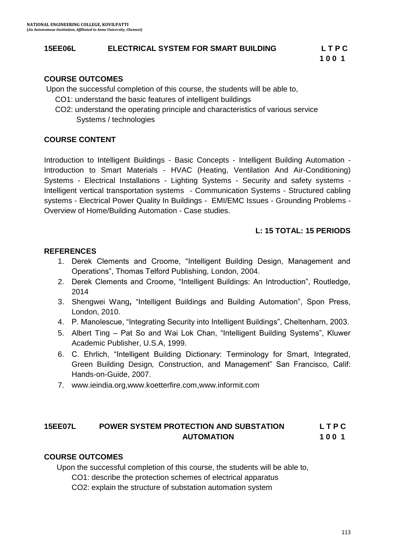#### **15EE06L ELECTRICAL SYSTEM FOR SMART BUILDING L T P C**

#### **COURSE OUTCOMES**

Upon the successful completion of this course, the students will be able to,

- CO1: understand the basic features of intelligent buildings
- CO2: understand the operating principle and characteristics of various service Systems / technologies

#### **COURSE CONTENT**

Introduction to Intelligent Buildings - Basic Concepts - Intelligent Building Automation - Introduction to Smart Materials - HVAC (Heating, Ventilation And Air-Conditioning) Systems - Electrical Installations - Lighting Systems - Security and safety systems - Intelligent vertical transportation systems - Communication Systems - Structured cabling systems - Electrical Power Quality In Buildings - EMI/EMC Issues - Grounding Problems - Overview of Home/Building Automation - Case studies.

#### **L: 15 TOTAL: 15 PERIODS**

#### **REFERENCES**

- 1. Derek Clements and Croome, "Intelligent Building Design, Management and Operations", Thomas Telford Publishing, London, 2004.
- 2. Derek Clements and Croome, "Intelligent Buildings: An Introduction", Routledge, 2014
- 3. Shengwei Wang**,** "Intelligent Buildings and Building Automation", Spon Press, London, 2010.
- 4. P. Manolescue, "Integrating Security into Intelligent Buildings", Cheltenharn, 2003.
- 5. Albert Ting Pat So and Wai Lok Chan, "Intelligent Building Systems", Kluwer Academic Publisher, U.S.A, 1999.
- 6. C. Ehrlich, "Intelligent Building Dictionary: Terminology for Smart, Integrated, Green Building Design*,* Construction, and Management" San Francisco, Calif: Hands-on-Guide, 2007.
- 7. www.ieindia.org,www.koetterfire.com,www.informit.com

#### **15EE07L POWER SYSTEM PROTECTION AND SUBSTATION L T P C AUTOMATION 1 0 0 1**

#### **COURSE OUTCOMES**

Upon the successful completion of this course, the students will be able to,

CO1: describe the protection schemes of electrical apparatus

CO2: explain the structure of substation automation system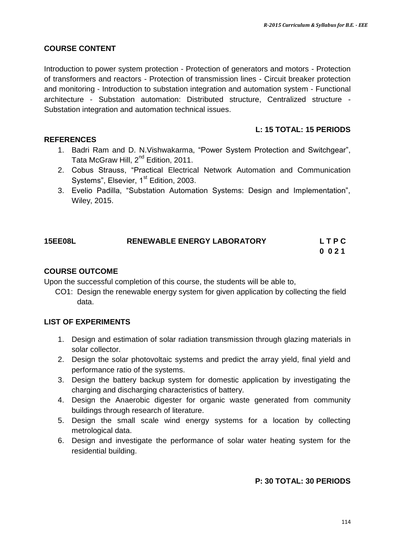#### **COURSE CONTENT**

Introduction to power system protection - Protection of generators and motors - Protection of transformers and reactors - Protection of transmission lines - Circuit breaker protection and monitoring - Introduction to substation integration and automation system - Functional architecture - Substation automation: Distributed structure, Centralized structure - Substation integration and automation technical issues.

#### **L: 15 TOTAL: 15 PERIODS**

#### **REFERENCES**

- 1. [Badri Ram](https://www.google.co.in/search?tbo=p&tbm=bks&q=inauthor:%22Badri+Ram%22) and [D. N.Vishwakarma](https://www.google.co.in/search?tbo=p&tbm=bks&q=inauthor:%22D.+N.+Vishwakarma%22), "Power System Protection and Switchgear", Tata McGraw Hill, 2<sup>nd</sup> Edition, 2011.
- 2. Cobus Strauss, "Practical Electrical Network Automation and Communication Systems", Elsevier, 1<sup>st</sup> Edition, 2003[.](https://www.amazon.com/Substation-Automation-Systems-Design-Implementation/dp/1118987209/ref=pd_sim_14_3?_encoding=UTF8&pd_rd_i=1118987209&pd_rd_r=K5SJ714GN1KJFPC9ZA78&pd_rd_w=jHZug&pd_rd_wg=BHFKo&psc=1&refRID=K5SJ714GN1KJFPC9ZA78)
- 3. [Evelio Padilla, "Substation Automation Systems: Design and Implementation",](https://www.amazon.com/Substation-Automation-Systems-Design-Implementation/dp/1118987209/ref=pd_sim_14_3?_encoding=UTF8&pd_rd_i=1118987209&pd_rd_r=K5SJ714GN1KJFPC9ZA78&pd_rd_w=jHZug&pd_rd_wg=BHFKo&psc=1&refRID=K5SJ714GN1KJFPC9ZA78)  [Wiley, 2015.](https://www.amazon.com/Substation-Automation-Systems-Design-Implementation/dp/1118987209/ref=pd_sim_14_3?_encoding=UTF8&pd_rd_i=1118987209&pd_rd_r=K5SJ714GN1KJFPC9ZA78&pd_rd_w=jHZug&pd_rd_wg=BHFKo&psc=1&refRID=K5SJ714GN1KJFPC9ZA78)

## **15EE08L RENEWABLE ENERGY LABORATORY L T P C**

**0 0 2 1**

#### **COURSE OUTCOME**

Upon the successful completion of this course, the students will be able to,

CO1: Design the renewable energy system for given application by collecting the field data.

#### **LIST OF EXPERIMENTS**

- 1. Design and estimation of solar radiation transmission through glazing materials in solar collector.
- 2. Design the solar photovoltaic systems and predict the array yield, final yield and performance ratio of the systems.
- 3. Design the battery backup system for domestic application by investigating the charging and discharging characteristics of battery.
- 4. Design the Anaerobic digester for organic waste generated from community buildings through research of literature.
- 5. Design the small scale wind energy systems for a location by collecting metrological data.
- 6. Design and investigate the performance of solar water heating system for the residential building.

#### **P: 30 TOTAL: 30 PERIODS**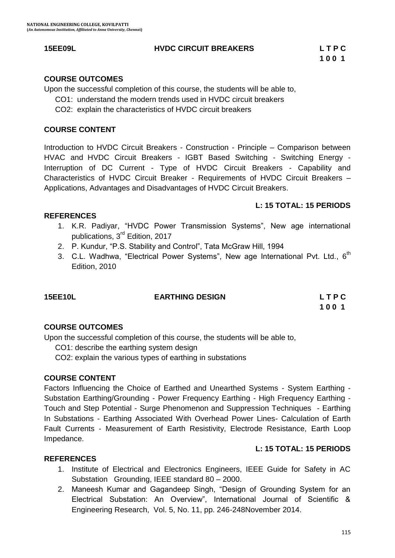#### **15EE09L HVDC CIRCUIT BREAKERS L T P C**

#### **COURSE OUTCOMES**

Upon the successful completion of this course, the students will be able to,

- CO1: understand the modern trends used in HVDC circuit breakers
- CO2: explain the characteristics of HVDC circuit breakers

#### **COURSE CONTENT**

Introduction to HVDC Circuit Breakers - Construction - Principle – Comparison between HVAC and HVDC Circuit Breakers - IGBT Based Switching - Switching Energy - Interruption of DC Current - Type of HVDC Circuit Breakers - Capability and Characteristics of HVDC Circuit Breaker - Requirements of HVDC Circuit Breakers – Applications, Advantages and Disadvantages of HVDC Circuit Breakers.

#### **L: 15 TOTAL: 15 PERIODS**

#### **REFERENCES**

- 1. K.R. [Padiyar](http://www.newagepublishers.com/servlet/nadispinfo?offset=0&searchtype=Author&text1=Padiyar,%20K.R.&ordby=Publication%20Year), "HVDC Power Transmission Systems", New age international publications, 3<sup>rd</sup> Edition, 2017
- 2. P. Kundur, "P.S. Stability and Control", Tata McGraw Hill, 1994
- 3. C.L. Wadhwa, "Electrical Power Systems", New age International Pvt. Ltd.,  $6<sup>th</sup>$ Edition, 2010

#### **15EE10L EARTHING DESIGN L T P C**

**100 1 100 1** 

#### **COURSE OUTCOMES**

Upon the successful completion of this course, the students will be able to,

CO1: describe the earthing system design

CO2: explain the various types of earthing in substations

#### **COURSE CONTENT**

Factors Influencing the Choice of Earthed and Unearthed Systems - System Earthing - Substation Earthing/Grounding - Power Frequency Earthing - High Frequency Earthing - Touch and Step Potential - Surge Phenomenon and Suppression Techniques - Earthing In Substations - Earthing Associated With Overhead Power Lines- Calculation of Earth Fault Currents - Measurement of Earth Resistivity, Electrode Resistance, Earth Loop Impedance.

#### **L: 15 TOTAL: 15 PERIODS**

#### **REFERENCES**

- 1. Institute of Electrical and Electronics Engineers, IEEE Guide for Safety in AC Substation Grounding, IEEE standard 80 – 2000.
- 2. Maneesh Kumar and Gagandeep Singh, "Design of Grounding System for an Electrical Substation: An Overview", International Journal of Scientific & Engineering Research, Vol. 5, No. 11, pp. 246-248November 2014.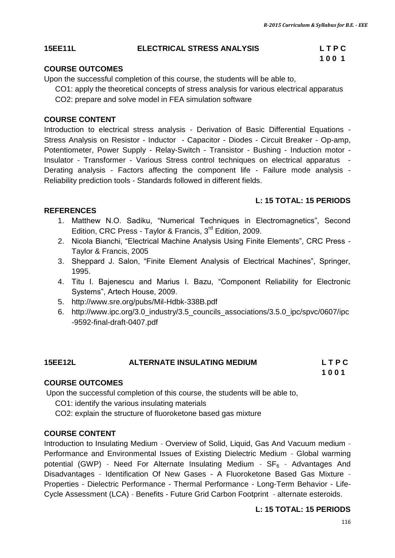#### **15EE11L ELECTRICAL STRESS ANALYSIS L T P C**

# **100 1 100 1**

### **COURSE OUTCOMES**

Upon the successful completion of this course, the students will be able to,

CO1: apply the theoretical concepts of stress analysis for various electrical apparatus CO2: prepare and solve model in FEA simulation software

#### **COURSE CONTENT**

Introduction to electrical stress analysis - Derivation of Basic Differential Equations - Stress Analysis on Resistor - Inductor - Capacitor - Diodes - Circuit Breaker - Op-amp, Potentiometer, Power Supply - Relay-Switch - Transistor - Bushing - Induction motor - Insulator - Transformer - Various Stress control techniques on electrical apparatus - Derating analysis - Factors affecting the component life - Failure mode analysis - Reliability prediction tools - Standards followed in different fields.

### **L: 15 TOTAL: 15 PERIODS**

### **REFERENCES**

- 1. Matthew N.O. Sadiku, "Numerical Techniques in Electromagnetics", Second Edition, CRC Press - Taylor & Francis, 3<sup>rd</sup> Edition, 2009.
- 2. Nicola Bianchi, "Electrical Machine Analysis Using Finite Elements", CRC Press Taylor & Francis, 2005
- 3. Sheppard J. Salon, "Finite Element Analysis of Electrical Machines", Springer, 1995.
- 4. Titu I. Bajenescu and Marius I. Bazu, "Component Reliability for Electronic Systems", Artech House, 2009.
- 5. <http://www.sre.org/pubs/Mil-Hdbk-338B.pdf>
- 6. http://www.ipc.org/3.0\_industry/3.5\_councils\_associations/3.5.0\_ipc/spvc/0607/ipc -9592-final-draft-0407.pdf

#### **15EE12L ALTERNATE INSULATING MEDIUM L T P C 1 0 0 1**

## **COURSE OUTCOMES**

Upon the successful completion of this course, the students will be able to,

CO1: identify the various insulating materials

CO2: explain the structure of fluoroketone based gas mixture

### **COURSE CONTENT**

Introduction to Insulating Medium *-* Overview of Solid, Liquid, Gas And Vacuum medium *-* Performance and Environmental Issues of Existing Dielectric Medium *-* Global warming potential (GWP) *-* Need For Alternate Insulating Medium *-* SF<sup>6</sup> *-* Advantages And Disadvantages *-* Identification Of New Gases - A Fluoroketone Based Gas Mixture *-* Properties - Dielectric Performance - Thermal Performance - Long-Term Behavior - Life-Cycle Assessment (LCA) *-* Benefits - Future Grid Carbon Footprint *-* alternate esteroids.

### **L: 15 TOTAL: 15 PERIODS**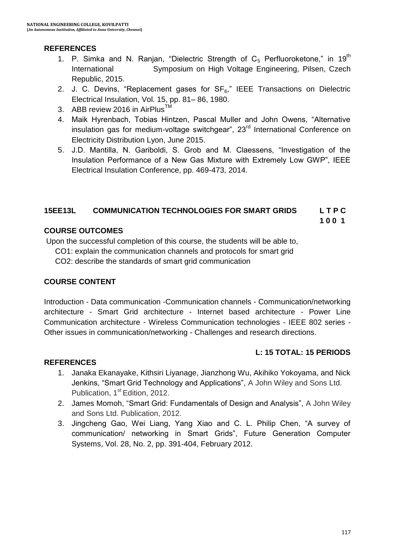#### **REFERENCES**

- 1. P. Simka and N. Ranjan, "Dielectric Strength of  $C_5$  Perfluoroketone," in 19<sup>th</sup> International Symposium on High Voltage Engineering, Pilsen, Czech Republic, 2015.
- 2. J. C. Devins, "Replacement gases for  $SF_6$ ," IEEE Transactions on Dielectric Electrical Insulation, Vol. 15, pp. 81– 86, 1980.
- 3. ABB review 2016 in AirPlus™
- 4. Maik Hyrenbach, Tobias Hintzen, Pascal Muller and John Owens, "Alternative insulation gas for medium-voltage switchgear",  $23<sup>rd</sup>$  International Conference on Electricity Distribution Lyon, June 2015.
- 5. J.D. Mantilla, N. Gariboldi, S. Grob and M. Claessens, "Investigation of the Insulation Performance of a New Gas Mixture with Extremely Low GWP", IEEE Electrical Insulation Conference, pp. 469-473, 2014.

#### **15EE13L COMMUNICATION TECHNOLOGIES FOR SMART GRIDS L T P C**

**100 1 100 1** 

#### **COURSE OUTCOMES**

Upon the successful completion of this course, the students will be able to,

CO1: explain the communication channels and protocols for smart grid

CO2: describe the standards of smart grid communication

#### **COURSE CONTENT**

Introduction - Data communication -Communication channels - Communication/networking architecture - Smart Grid architecture - Internet based architecture - Power Line Communication architecture - Wireless Communication technologies - IEEE 802 series - Other issues in communication/networking - Challenges and research directions.

#### **L: 15 TOTAL: 15 PERIODS**

#### **REFERENCES**

- 1. Janaka Ekanayake, Kithsiri Liyanage, Jianzhong Wu, Akihiko Yokoyama, and Nick Jenkins, "Smart Grid Technology and Applications", A John Wiley and Sons Ltd. Publication, 1<sup>st</sup> Edition, 2012.
- 2. James Momoh, "Smart Grid: Fundamentals of Design and Analysis", A John Wiley and Sons Ltd. Publication, 2012.
- 3. Jingcheng Gao, Wei Liang, Yang Xiao and C. L. Philip Chen, "A survey of communication/ networking in Smart Grids", Future Generation Computer Systems, Vol. 28, No. 2, pp. 391-404, February 2012.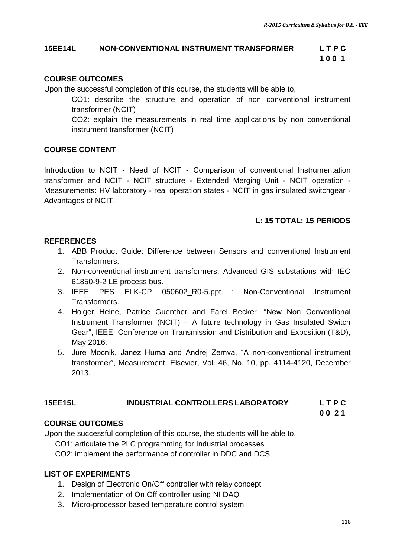#### **15EE14L NON-CONVENTIONAL INSTRUMENT TRANSFORMER L T P C**

**100 1 100 1** 

### **COURSE OUTCOMES**

Upon the successful completion of this course, the students will be able to,

CO1: describe the structure and operation of non conventional instrument transformer (NCIT)

CO2: explain the measurements in real time applications by non conventional instrument transformer (NCIT)

### **COURSE CONTENT**

Introduction to NCIT - Need of NCIT - Comparison of conventional Instrumentation transformer and NCIT - NCIT structure - Extended Merging Unit - NCIT operation - Measurements: HV laboratory - real operation states - NCIT in gas insulated switchgear - Advantages of NCIT.

### **L: 15 TOTAL: 15 PERIODS**

## **REFERENCES**

- 1. ABB Product Guide: Difference between Sensors and conventional Instrument Transformers.
- 2. Non-conventional instrument transformers: Advanced GIS substations with IEC 61850-9-2 LE process bus.
- 3. IEEE PES ELK-CP 050602 R0-5.ppt : Non-Conventional Instrument Transformers.
- 4. [Holger Heine,](http://ieeexplore.ieee.org/search/searchresult.jsp?searchWithin=%22Authors%22:.QT.Holger%20Heine.QT.&newsearch=true) [Patrice Guenther](http://ieeexplore.ieee.org/search/searchresult.jsp?searchWithin=%22Authors%22:.QT.Patrice%20Guenther.QT.&newsearch=true) and [Farel Becker](http://ieeexplore.ieee.org/search/searchresult.jsp?searchWithin=%22Authors%22:.QT.Farel%20Becker.QT.&newsearch=true), "New Non Conventional Instrument Transformer (NCIT) – A future technology in Gas Insulated Switch Gear", IEEE Conference on [Transmission and Distribution and Exposition \(T&D\),](http://ieeexplore.ieee.org/xpl/mostRecentIssue.jsp?punumber=7513513) May 2016.
- 5. Jure Mocnik, Janez Huma and Andrej Zemva, "A non-conventional instrument transformer", [Measurement,](http://www.sciencedirect.com/science/journal/02632241) Elsevier, Vol. 46, No. 10, pp. 4114-4120, December 2013.

### **15EE15L INDUSTRIAL CONTROLLERS LABORATORY L T P C**

 **0 0 2 1**

## **COURSE OUTCOMES**

Upon the successful completion of this course, the students will be able to,

CO1: articulate the PLC programming for Industrial processes

CO2: implement the performance of controller in DDC and DCS

### **LIST OF EXPERIMENTS**

- 1. Design of Electronic On/Off controller with relay concept
- 2. Implementation of On Off controller using NI DAQ
- 3. Micro-processor based temperature control system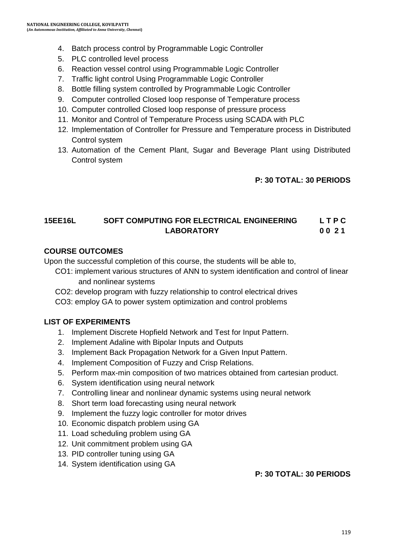- 4. Batch process control by Programmable Logic Controller
- 5. PLC controlled level process
- 6. Reaction vessel control using Programmable Logic Controller
- 7. Traffic light control Using Programmable Logic Controller
- 8. Bottle filling system controlled by Programmable Logic Controller
- 9. Computer controlled Closed loop response of Temperature process
- 10. Computer controlled Closed loop response of pressure process
- 11. Monitor and Control of Temperature Process using SCADA with PLC
- 12. Implementation of Controller for Pressure and Temperature process in Distributed Control system
- 13. Automation of the Cement Plant, Sugar and Beverage Plant using Distributed Control system

#### **P: 30 TOTAL: 30 PERIODS**

#### **15EE16L SOFT COMPUTING FOR ELECTRICAL ENGINEERING L T P C LABORATORY 0 0 2 1**

#### **COURSE OUTCOMES**

Upon the successful completion of this course, the students will be able to,

- CO1: implement various structures of ANN to system identification and control of linear and nonlinear systems
- CO2: develop program with fuzzy relationship to control electrical drives
- CO3: employ GA to power system optimization and control problems

#### **LIST OF EXPERIMENTS**

- 1. Implement Discrete Hopfield Network and Test for Input Pattern.
- 2. Implement Adaline with Bipolar Inputs and Outputs
- 3. Implement Back Propagation Network for a Given Input Pattern.
- 4. Implement Composition of Fuzzy and Crisp Relations.
- 5. Perform max-min composition of two matrices obtained from cartesian product.
- 6. System identification using neural network
- 7. Controlling linear and nonlinear dynamic systems using neural network
- 8. Short term load forecasting using neural network
- 9. Implement the fuzzy logic controller for motor drives
- 10. Economic dispatch problem using GA
- 11. Load scheduling problem using GA
- 12. Unit commitment problem using GA
- 13. PID controller tuning using GA
- 14. System identification using GA

#### **P: 30 TOTAL: 30 PERIODS**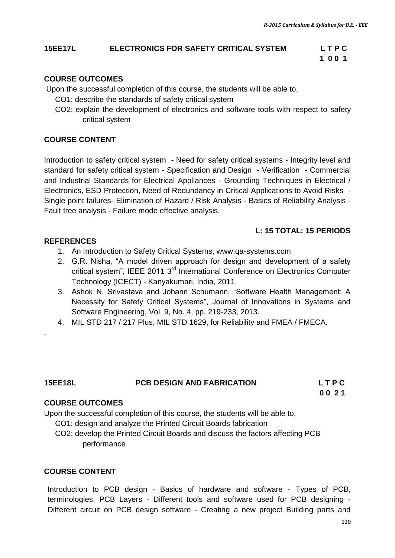#### **15EE17L ELECTRONICS FOR SAFETY CRITICAL SYSTEM L T P C**

**1 0 0 1** 

### **COURSE OUTCOMES**

Upon the successful completion of this course, the students will be able to,

- CO1: describe the standards of safety critical system
- CO2: explain the development of electronics and software tools with respect to safety critical system

### **COURSE CONTENT**

Introduction to safety critical system - Need for safety critical systems - Integrity level and standard for safety critical system - Specification and Design - Verification - Commercial and Industrial Standards for Electrical Appliances - Grounding Techniques in Electrical / Electronics, ESD Protection, Need of Redundancy in Critical Applications to Avoid Risks - Single point failures- Elimination of Hazard / Risk Analysis - Basics of Reliability Analysis - Fault tree analysis - Failure mode effective analysis.

### **L: 15 TOTAL: 15 PERIODS**

#### **REFERENCES**

.

- 1. An Introduction to Safety Critical Systems, www.qa-systems.com
- 2. G.R. Nisha, "A model driven approach for design and development of a safety critical system", IEEE 2011 3<sup>rd</sup> International Conference on Electronics Computer Technology (ICECT) - Kanyakumari, India, 2011.
- 3. Ashok N. Srivastava and Johann Schumann, "Software Health Management: A Necessity for Safety Critical Systems", Journal of Innovations in Systems and Software Engineering, Vol. 9, No. 4, pp. 219-233, 2013.
- 4. MIL STD 217 / 217 Plus, MIL STD 1629, for Reliability and FMEA / FMECA.

| <b>15EE18L</b> | <b>PCB DESIGN AND FABRICATION</b> | <b>LTPC</b> |
|----------------|-----------------------------------|-------------|
|                |                                   | 0021        |

#### **COURSE OUTCOMES**

Upon the successful completion of this course, the students will be able to,

- CO1: design and analyze the Printed Circuit Boards fabrication
- CO2: develop the Printed Circuit Boards and discuss the factors affecting PCB performance

#### **COURSE CONTENT**

Introduction to PCB design - Basics of hardware and software - Types of PCB, terminologies, PCB Layers - Different tools and software used for PCB designing - Different circuit on PCB design software - Creating a new project Building parts and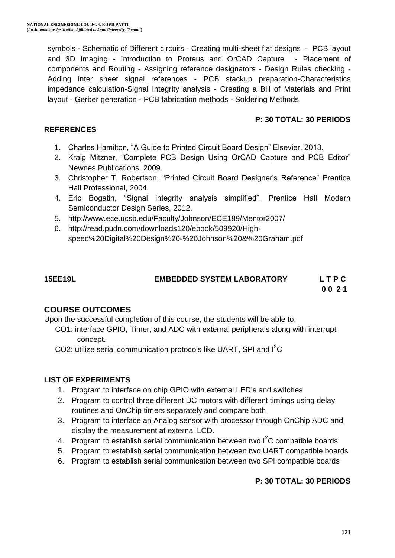symbols - Schematic of Different circuits - Creating multi-sheet flat designs - PCB layout and 3D Imaging - Introduction to Proteus and OrCAD Capture - Placement of components and Routing - Assigning reference designators - Design Rules checking - Adding inter sheet signal references - PCB stackup preparation-Characteristics impedance calculation-Signal Integrity analysis - Creating a Bill of Materials and Print layout - Gerber generation - PCB fabrication methods - Soldering Methods.

#### **P: 30 TOTAL: 30 PERIODS**

#### **REFERENCES**

- 1. Charles Hamilton, "A Guide to Printed Circuit Board Design" Elsevier, 2013.
- 2. Kraig Mitzner, "Complete PCB Design Using OrCAD Capture and PCB Editor" Newnes Publications, 2009.
- 3. Christopher T. Robertson, "Printed Circuit Board Designer's Reference" Prentice Hall Professional, 2004.
- 4. Eric Bogatin, "Signal integrity analysis simplified", Prentice Hall Modern Semiconductor Design Series, 2012.
- 5. <http://www.ece.ucsb.edu/Faculty/Johnson/ECE189/Mentor2007/>
- 6. http://read.pudn.com/downloads120/ebook/509920/Highspeed%20Digital%20Design%20-%20Johnson%20&%20Graham.pdf

## **15EE19L EMBEDDED SYSTEM LABORATORY L T P C**

 **0 0 2 1** 

### **COURSE OUTCOMES**

Upon the successful completion of this course, the students will be able to,

- CO1: interface GPIO, Timer, and ADC with external peripherals along with interrupt concept.
- CO2: utilize serial communication protocols like UART, SPI and I<sup>2</sup>C

#### **LIST OF EXPERIMENTS**

- 1. Program to interface on chip GPIO with external LED"s and switches
- 2. Program to control three different DC motors with different timings using delay routines and OnChip timers separately and compare both
- 3. Program to interface an Analog sensor with processor through OnChip ADC and display the measurement at external LCD.
- 4. Program to establish serial communication between two  $I<sup>2</sup>C$  compatible boards
- 5. Program to establish serial communication between two UART compatible boards
- 6. Program to establish serial communication between two SPI compatible boards

#### **P: 30 TOTAL: 30 PERIODS**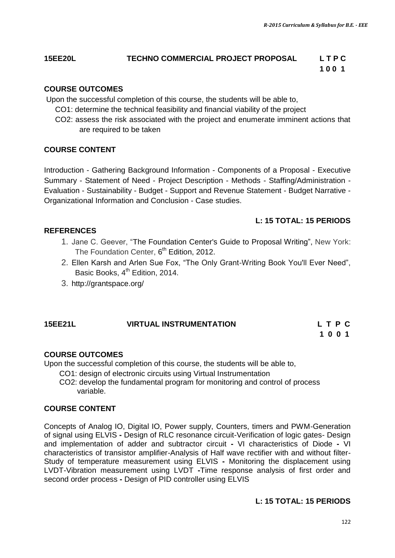## **15EE20L TECHNO COMMERCIAL PROJECT PROPOSAL L T P C**

## **100 1**

#### **COURSE OUTCOMES**

Upon the successful completion of this course, the students will be able to,

- CO1: determine the technical feasibility and financial viability of the project
- CO2: assess the risk associated with the project and enumerate imminent actions that are required to be taken

#### **COURSE CONTENT**

[Introduction](http://grantspace.org/training/self-paced-elearning/proposal-writing-short-course#introduction) - [Gathering Background Information](http://grantspace.org/training/self-paced-elearning/proposal-writing-short-course#gathering) - [Components of a Proposal](http://grantspace.org/training/self-paced-elearning/proposal-writing-short-course#components) - [Executive](http://grantspace.org/training/self-paced-elearning/proposal-writing-short-course#executive)  [Summary](http://grantspace.org/training/self-paced-elearning/proposal-writing-short-course#executive) - [Statement of Need](http://grantspace.org/training/self-paced-elearning/proposal-writing-short-course#statement) - [Project Description](http://grantspace.org/training/self-paced-elearning/proposal-writing-short-course#project) - [Methods](http://grantspace.org/training/self-paced-elearning/proposal-writing-short-course#methods) - [Staffing/Administration](http://grantspace.org/training/self-paced-elearning/proposal-writing-short-course#staffing) - [Evaluation](http://grantspace.org/training/self-paced-elearning/proposal-writing-short-course#evaluation) - [Sustainability](http://grantspace.org/training/self-paced-elearning/proposal-writing-short-course#sustainability) - [Budget](http://grantspace.org/training/self-paced-elearning/proposal-writing-short-course#budget) - [Support and Revenue Statement](http://grantspace.org/training/self-paced-elearning/proposal-writing-short-course#support) - [Budget Narrative](http://grantspace.org/training/self-paced-elearning/proposal-writing-short-course#narrative) - [Organizational Information](http://grantspace.org/training/self-paced-elearning/proposal-writing-short-course#organization) and Conclusion - Case studies.

#### **L: 15 TOTAL: 15 PERIODS**

#### **REFERENCES**

- 1. Jane C. Geever, "The Foundation Center's Guide to Proposal Writing", New York: The Foundation Center, 6<sup>th</sup> Edition, 2012.
- 2. Ellen Karsh and Arlen Sue Fox, "The Only Grant-Writing Book You'll Ever Need", Basic Books, 4<sup>th</sup> Edition, 2014.
- 3. http://grantspace.org/

## **15EE21L VIRTUAL INSTRUMENTATION L T P C**

## **1 0 0 1**

#### **COURSE OUTCOMES**

Upon the successful completion of this course, the students will be able to,

CO1: design of electronic circuits using Virtual Instrumentation

 CO2: develop the fundamental program for monitoring and control of process variable.

#### **COURSE CONTENT**

Concepts of Analog IO, Digital IO, Power supply, Counters, timers and PWM-Generation of signal using ELVIS **-** Design of RLC resonance circuit-Verification of logic gates- Design and implementation of adder and subtractor circuit **-** VI characteristics of Diode **-** VI characteristics of transistor amplifier-Analysis of Half wave rectifier with and without filter-Study of temperature measurement using ELVIS **-** Monitoring the displacement using LVDT-Vibration measurement using LVDT **-**Time response analysis of first order and second order process **-** Design of PID controller using ELVIS

#### **L: 15 TOTAL: 15 PERIODS**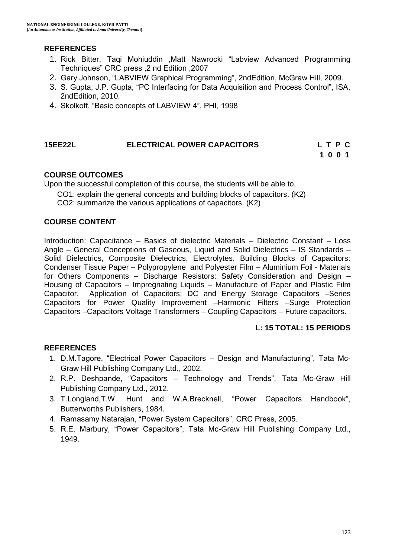#### **REFERENCES**

- 1. Rick Bitter, Taqi Mohiuddin ,Matt Nawrocki "Labview Advanced Programming Techniques" CRC press ,2 nd Edition ,2007
- 2. Gary Johnson, "LABVIEW Graphical Programming", 2ndEdition, McGraw Hill, 2009.
- 3. S. Gupta, J.P. Gupta, "PC Interfacing for Data Acquisition and Process Control", ISA, 2ndEdition, 2010.
- 4. Skolkoff, "Basic concepts of LABVIEW 4", PHI, 1998

### **15EE22L ELECTRICAL POWER CAPACITORS L T P C**

**1 0 0 1 1 0 0 1** 

#### **COURSE OUTCOMES**

Upon the successful completion of this course, the students will be able to,

CO1: explain the general concepts and building blocks of capacitors. (K2)

CO2: summarize the various applications of capacitors. (K2)

#### **COURSE CONTENT**

Introduction: Capacitance – Basics of dielectric Materials – Dielectric Constant – Loss Angle – General Conceptions of Gaseous, Liquid and Solid Dielectrics – IS Standards – Solid Dielectrics, Composite Dielectrics, Electrolytes. Building Blocks of Capacitors: Condenser Tissue Paper – Polypropylene and Polyester Film – Aluminium Foil - Materials for Others Components – Discharge Resistors: Safety Consideration and Design – Housing of Capacitors – Impregnating Liquids – Manufacture of Paper and Plastic Film Capacitor. Application of Capacitors: DC and Energy Storage Capacitors –Series Capacitors for Power Quality Improvement –Harmonic Filters –Surge Protection Capacitors –Capacitors Voltage Transformers – Coupling Capacitors – Future capacitors.

#### **L: 15 TOTAL: 15 PERIODS**

#### **REFERENCES**

- 1. D.M.Tagore, "Electrical Power Capacitors Design and Manufacturing", Tata Mc-Graw Hill Publishing Company Ltd., 2002.
- 2. R.P. Deshpande, "Capacitors Technology and Trends", Tata Mc-Graw Hill Publishing Company Ltd., 2012.
- 3. T.Longland,T.W. Hunt and W.A.Brecknell, "Power Capacitors Handbook", Butterworths Publishers, 1984.
- 4. Ramasamy Natarajan, "Power System Capacitors", CRC Press, 2005.
- 5. R.E. Marbury, "Power Capacitors", Tata Mc-Graw Hill Publishing Company Ltd., 1949.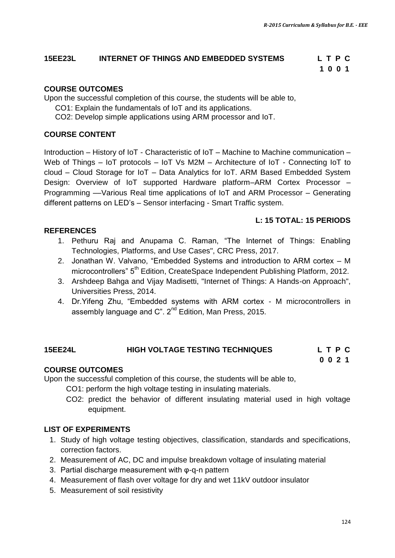#### **15EE23L INTERNET OF THINGS AND EMBEDDED SYSTEMS L T P C**

# **1 0 0 1**

#### **COURSE OUTCOMES**

Upon the successful completion of this course, the students will be able to,

- CO1: Explain the fundamentals of IoT and its applications.
- CO2: Develop simple applications using ARM processor and IoT.

#### **COURSE CONTENT**

Introduction – History of IoT - Characteristic of IoT – Machine to Machine communication – Web of Things – IoT protocols – IoT Vs M2M – Architecture of IoT - Connecting IoT to cloud – Cloud Storage for IoT – Data Analytics for IoT. ARM Based Embedded System Design: Overview of IoT supported Hardware platform–ARM Cortex Processor – Programming ––Various Real time applications of IoT and ARM Processor – Generating different patterns on LED's - Sensor interfacing - Smart Traffic system.

#### **L: 15 TOTAL: 15 PERIODS**

#### **REFERENCES**

- 1. Pethuru Raj and Anupama C. Raman, "The Internet of Things: Enabling Technologies, Platforms, and Use Cases", CRC Press, 2017.
- 2. Jonathan W. Valvano, "Embedded Systems and introduction to ARM cortex M microcontrollers" 5<sup>th</sup> Edition, CreateSpace Independent Publishing Platform, 2012.
- 3. Arshdeep Bahga and Vijay Madisetti, "Internet of Things: A Hands-on Approach", Universities Press, 2014.
- 4. Dr.Yifeng Zhu, "Embedded systems with ARM cortex M microcontrollers in assembly language and  $C$ ".  $2^{nd}$  Edition, Man Press, 2015.

#### **15EE24L HIGH VOLTAGE TESTING TECHNIQUES L T P C 0 0 2 1**

#### **COURSE OUTCOMES**

Upon the successful completion of this course, the students will be able to,

CO1: perform the high voltage testing in insulating materials.

CO2: predict the behavior of different insulating material used in high voltage equipment.

#### **LIST OF EXPERIMENTS**

- 1. Study of high voltage testing objectives, classification, standards and specifications, correction factors.
- 2. Measurement of AC, DC and impulse breakdown voltage of insulating material
- 3. Partial discharge measurement with φ-q-n pattern
- 4. Measurement of flash over voltage for dry and wet 11kV outdoor insulator
- 5. Measurement of soil resistivity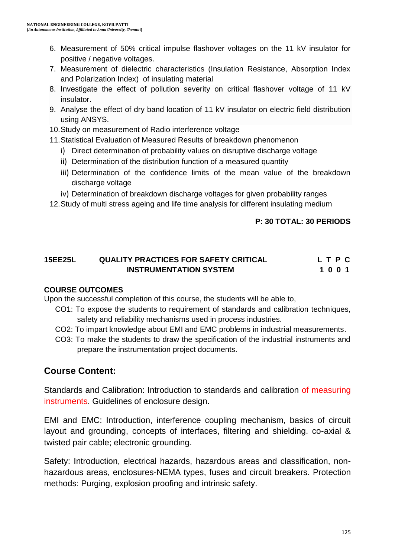- 6. Measurement of 50% critical impulse flashover voltages on the 11 kV insulator for positive / negative voltages.
- 7. Measurement of dielectric characteristics (Insulation Resistance, Absorption Index and Polarization Index) of insulating material
- 8. Investigate the effect of pollution severity on critical flashover voltage of 11 kV insulator.
- 9. Analyse the effect of dry band location of 11 kV insulator on electric field distribution using ANSYS.
- 10.Study on measurement of Radio interference voltage
- 11.Statistical Evaluation of Measured Results of breakdown phenomenon
	- i) Direct determination of probability values on disruptive discharge voltage
	- ii) Determination of the distribution function of a measured quantity
	- iii) Determination of the confidence limits of the mean value of the breakdown discharge voltage
	- iv) Determination of breakdown discharge voltages for given probability ranges
- 12.Study of multi stress ageing and life time analysis for different insulating medium

#### **P: 30 TOTAL: 30 PERIODS**

### **15EE25L QUALITY PRACTICES FOR SAFETY CRITICAL L T P C INSTRUMENTATION SYSTEM** 1 0 0 1

#### **COURSE OUTCOMES**

Upon the successful completion of this course, the students will be able to,

- CO1: To expose the students to requirement of standards and calibration techniques, safety and reliability mechanisms used in process industries.
- CO2: To impart knowledge about EMI and EMC problems in industrial measurements.
- CO3: To make the students to draw the specification of the industrial instruments and prepare the instrumentation project documents.

## **Course Content:**

Standards and Calibration: Introduction to standards and calibration of measuring instruments. Guidelines of enclosure design.

EMI and EMC: Introduction, interference coupling mechanism, basics of circuit layout and grounding, concepts of interfaces, filtering and shielding. co-axial & twisted pair cable; electronic grounding.

Safety: Introduction, electrical hazards, hazardous areas and classification, nonhazardous areas, enclosures-NEMA types, fuses and circuit breakers. Protection methods: Purging, explosion proofing and intrinsic safety.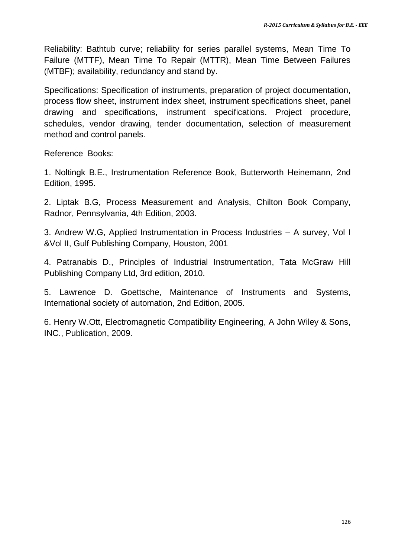Reliability: Bathtub curve; reliability for series parallel systems, Mean Time To Failure (MTTF), Mean Time To Repair (MTTR), Mean Time Between Failures (MTBF); availability, redundancy and stand by.

Specifications: Specification of instruments, preparation of project documentation, process flow sheet, instrument index sheet, instrument specifications sheet, panel drawing and specifications, instrument specifications. Project procedure, schedules, vendor drawing, tender documentation, selection of measurement method and control panels.

Reference Books:

1. Noltingk B.E., Instrumentation Reference Book, Butterworth Heinemann, 2nd Edition, 1995.

2. Liptak B.G, Process Measurement and Analysis, Chilton Book Company, Radnor, Pennsylvania, 4th Edition, 2003.

3. Andrew W.G, Applied Instrumentation in Process Industries – A survey, Vol I &Vol II, Gulf Publishing Company, Houston, 2001

4. Patranabis D., Principles of Industrial Instrumentation, Tata McGraw Hill Publishing Company Ltd, 3rd edition, 2010.

5. Lawrence D. Goettsche, Maintenance of Instruments and Systems, International society of automation, 2nd Edition, 2005.

6. Henry W.Ott, Electromagnetic Compatibility Engineering, A John Wiley & Sons, INC., Publication, 2009.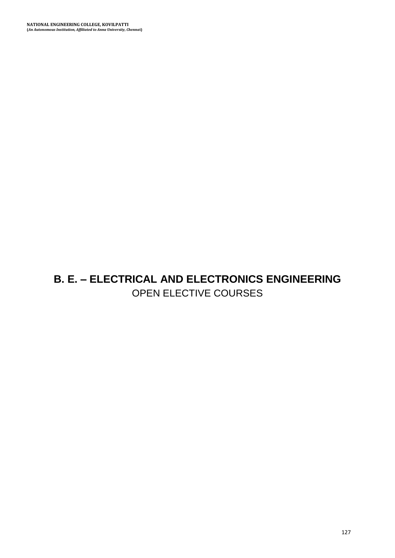## **B. E. – ELECTRICAL AND ELECTRONICS ENGINEERING** OPEN ELECTIVE COURSES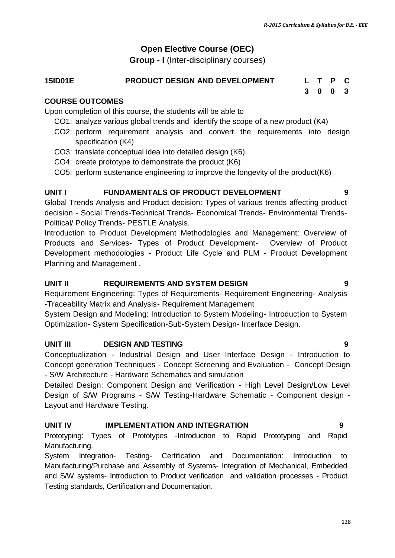### **Open Elective Course (OEC)**

**Group - I** (Inter-disciplinary courses)

#### **15ID01E PRODUCT DESIGN AND DEVELOPMENT L T P C**

#### **COURSE OUTCOMES**

Upon completion of this course, the students will be able to

- CO1: analyze various global trends and identify the scope of a new product (K4)
- CO2: perform requirement analysis and convert the requirements into design specification (K4)
- CO3: translate conceptual idea into detailed design (K6)
- CO4: create prototype to demonstrate the product (K6)
- CO5: perform sustenance engineering to improve the longevity of the product(K6)

#### **UNIT I FUNDAMENTALS OF PRODUCT DEVELOPMENT 9**

Global Trends Analysis and Product decision: Types of various trends affecting product decision - Social Trends-Technical Trends- Economical Trends- Environmental Trends-Political/ Policy Trends- PESTLE Analysis.

Introduction to Product Development Methodologies and Management: Overview of Products and Services- Types of Product Development- Overview of Product Development methodologies - Product Life Cycle and PLM - Product Development Planning and Management .

#### **UNIT II REQUIREMENTS AND SYSTEM DESIGN 9**

Requirement Engineering: Types of Requirements- Requirement Engineering- Analysis -Traceability Matrix and Analysis- Requirement Management

System Design and Modeling: Introduction to System Modeling- Introduction to System Optimization- System Specification-Sub-System Design- Interface Design.

#### **UNIT III DESIGN AND TESTING 9**

Conceptualization - Industrial Design and User Interface Design - Introduction to Concept generation Techniques - Concept Screening and Evaluation - Concept Design - S/W Architecture - Hardware Schematics and simulation

Detailed Design: Component Design and Verification - High Level Design/Low Level Design of S/W Programs - S/W Testing-Hardware Schematic - Component design - Layout and Hardware Testing.

#### **UNIT IV IMPLEMENTATION AND INTEGRATION 9**

Prototyping: Types of Prototypes -Introduction to Rapid Prototyping and Rapid Manufacturing.

System Integration- Testing- Certification and Documentation: Introduction to Manufacturing/Purchase and Assembly of Systems- Integration of Mechanical, Embedded and S/W systems- Introduction to Product verification and validation processes - Product Testing standards, Certification and Documentation.

**3 0 0 3**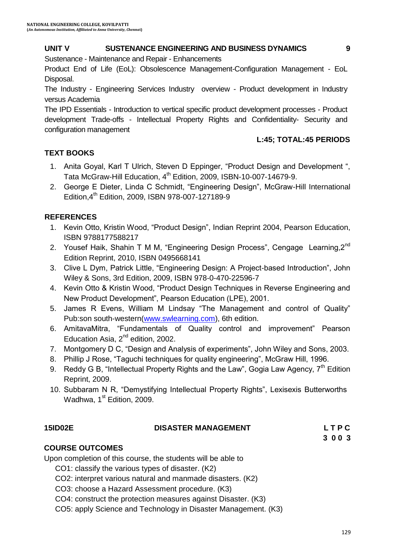#### **UNIT V SUSTENANCE ENGINEERING AND BUSINESS DYNAMICS 9**

Sustenance - Maintenance and Repair - Enhancements

Product End of Life (EoL): Obsolescence Management-Configuration Management - EoL Disposal.

The Industry - Engineering Services Industry overview - Product development in Industry versus Academia

The IPD Essentials - Introduction to vertical specific product development processes - Product development Trade-offs - Intellectual Property Rights and Confidentiality- Security and configuration management

#### **L:45; TOTAL:45 PERIODS**

#### **TEXT BOOKS**

- 1. Anita Goyal, Karl T Ulrich, Steven D Eppinger, "Product Design and Development ", Tata McGraw-Hill Education, 4<sup>th</sup> Edition, 2009, ISBN-10-007-14679-9.
- 2. George E Dieter, Linda C Schmidt, "Engineering Design", McGraw-Hill International Edition,4th Edition, 2009, ISBN 978-007-127189-9

#### **REFERENCES**

- 1. Kevin Otto, Kristin Wood, "Product Design", Indian Reprint 2004, Pearson Education, ISBN 9788177588217
- 2. Yousef Haik, Shahin T M M, "Engineering Design Process", Cengage Learning.2<sup>nd</sup> Edition Reprint, 2010, ISBN 0495668141
- 3. Clive L Dym, Patrick Little, "Engineering Design: A Project-based Introduction", John Wiley & Sons, 3rd Edition, 2009, ISBN 978-0-470-22596-7
- 4. Kevin Otto & Kristin Wood, "Product Design Techniques in Reverse Engineering and New Product Development", Pearson Education (LPE), 2001.
- 5. James R Evens, William M Lindsay "The Management and control of Quality" Pub:son south-western[\(www.swlearning.com\)](http://www.swlearning.com/), 6th edition.
- 6. AmitavaMitra, "Fundamentals of Quality control and improvement" Pearson Education Asia,  $2^{nd}$  edition, 2002.
- 7. Montgomery D C, "Design and Analysis of experiments", John Wiley and Sons, 2003.
- 8. Phillip J Rose, "Taguchi techniques for quality engineering", McGraw Hill, 1996.
- 9. Reddy G B, "Intellectual Property Rights and the Law", Gogia Law Agency,  $7<sup>th</sup>$  Edition Reprint, 2009.
- 10. Subbaram N R, "Demystifying Intellectual Property Rights", Lexisexis Butterworths Wadhwa, 1<sup>st</sup> Edition, 2009.

#### **15ID02E DISASTER MANAGEMENT L T P C**

**3 0 0 3**

#### **COURSE OUTCOMES**

Upon completion of this course, the students will be able to

- CO1: classify the various types of disaster. (K2)
- CO2: interpret various natural and manmade disasters. (K2)
- CO3: choose a Hazard Assessment procedure. (K3)
- CO4: construct the protection measures against Disaster. (K3)
- CO5: apply Science and Technology in Disaster Management. (K3)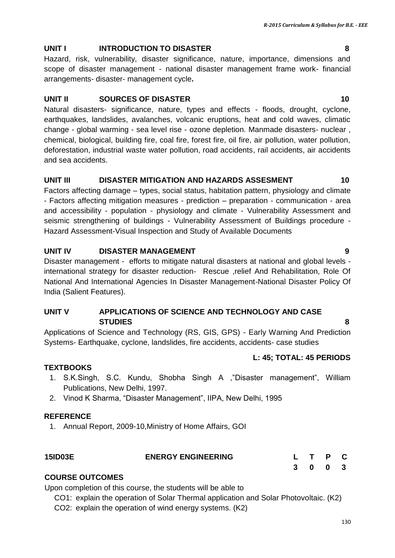#### **UNIT I INTRODUCTION TO DISASTER 8**

Hazard, risk, vulnerability, disaster significance, nature, importance, dimensions and scope of disaster management - national disaster management frame work- financial arrangements- disaster- management cycle**.**

#### **UNIT II SOURCES OF DISASTER 10**

Natural disasters- significance, nature, types and effects - floods, drought, cyclone, earthquakes, landslides, avalanches, volcanic eruptions, heat and cold waves, climatic change - global warming - sea level rise - ozone depletion. Manmade disasters- nuclear , chemical, biological, building fire, coal fire, forest fire, oil fire, air pollution, water pollution, deforestation, industrial waste water pollution, road accidents, rail accidents, air accidents and sea accidents.

#### **UNIT III** DISASTER MITIGATION AND HAZARDS ASSESMENT 10

Factors affecting damage – types, social status, habitation pattern, physiology and climate - Factors affecting mitigation measures - prediction – preparation - communication - area and accessibility - population - physiology and climate - Vulnerability Assessment and seismic strengthening of buildings - Vulnerability Assessment of Buildings procedure - Hazard Assessment-Visual Inspection and Study of Available Documents

#### **UNIT IV DISASTER MANAGEMENT 9**

Disaster management - efforts to mitigate natural disasters at national and global levels international strategy for disaster reduction- Rescue ,relief And Rehabilitation, Role Of National And International Agencies In Disaster Management-National Disaster Policy Of India (Salient Features).

#### **UNIT V APPLICATIONS OF SCIENCE AND TECHNOLOGY AND CASE STUDIES 8**

Applications of Science and Technology (RS, GIS, GPS) - Early Warning And Prediction Systems- Earthquake, cyclone, landslides, fire accidents, accidents- case studies

#### **L: 45; TOTAL: 45 PERIODS**

#### **TEXTBOOKS**

- 1. S.K.Singh, S.C. Kundu, Shobha Singh A ,"Disaster management", William Publications, New Delhi, 1997.
- 2. Vinod K Sharma, "Disaster Management", IIPA, New Delhi, 1995

#### **REFERENCE**

1. Annual Report, 2009-10,Ministry of Home Affairs, GOI

| <b>15ID03E</b> | <b>ENERGY ENGINEERING</b> | L T P C |         |  |
|----------------|---------------------------|---------|---------|--|
|                |                           |         | 3 0 0 3 |  |

#### **COURSE OUTCOMES**

Upon completion of this course, the students will be able to

CO1: explain the operation of Solar Thermal application and Solar Photovoltaic. (K2)

CO2: explain the operation of wind energy systems. (K2)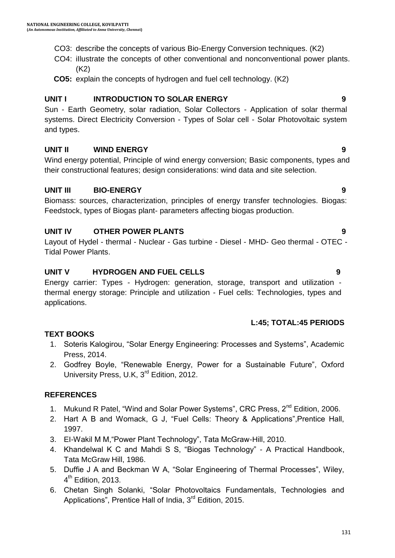- CO3: describe the concepts of various Bio-Energy Conversion techniques. (K2)
- CO4: iIlustrate the concepts of other conventional and nonconventional power plants. (K2)
- **CO5:** explain the concepts of hydrogen and fuel cell technology. (K2)

#### **UNIT I INTRODUCTION TO SOLAR ENERGY 9**

Sun - Earth Geometry, solar radiation, Solar Collectors - Application of solar thermal systems. Direct Electricity Conversion - Types of Solar cell - Solar Photovoltaic system and types.

#### **UNIT II WIND ENERGY 9**

Wind energy potential, Principle of wind energy conversion; Basic components, types and their constructional features; design considerations: wind data and site selection.

#### **UNIT III BIO-ENERGY 9**

Biomass: sources, characterization, principles of energy transfer technologies. Biogas: Feedstock, types of Biogas plant- parameters affecting biogas production.

#### **UNIT IV OTHER POWER PLANTS 9**

Layout of Hydel - thermal - Nuclear - Gas turbine - Diesel - MHD- Geo thermal - OTEC - Tidal Power Plants.

#### **UNIT V HYDROGEN AND FUEL CELLS 9**

Energy carrier: Types - Hydrogen: generation, storage, transport and utilization thermal energy storage: Principle and utilization - Fuel cells: Technologies, types and applications.

#### **L:45; TOTAL:45 PERIODS**

#### **TEXT BOOKS**

- 1. Soteris Kalogirou, "Solar Energy Engineering: Processes and Systems", Academic Press, 2014.
- 2. Godfrey Boyle, "Renewable Energy, Power for a Sustainable Future", Oxford University Press, U.K, 3<sup>rd</sup> Edition, 2012.

#### **REFERENCES**

- 1. Mukund R Patel, "Wind and Solar Power Systems", CRC Press, 2<sup>nd</sup> Edition, 2006.
- 2. Hart A B and Womack, G J, "Fuel Cells: Theory & Applications",Prentice Hall, 1997.
- 3. EI-Wakil M M,"Power Plant Technology", Tata McGraw-Hill, 2010.
- 4. Khandelwal K C and Mahdi S S, "Biogas Technology" A Practical Handbook, Tata McGraw Hill, 1986.
- 5. Duffie J A and Beckman W A, "Solar Engineering of Thermal Processes", Wiley, 4<sup>th</sup> Edition, 2013.
- 6. Chetan Singh Solanki, "Solar Photovoltaics Fundamentals, Technologies and Applications", Prentice Hall of India,  $3<sup>rd</sup>$  Edition, 2015.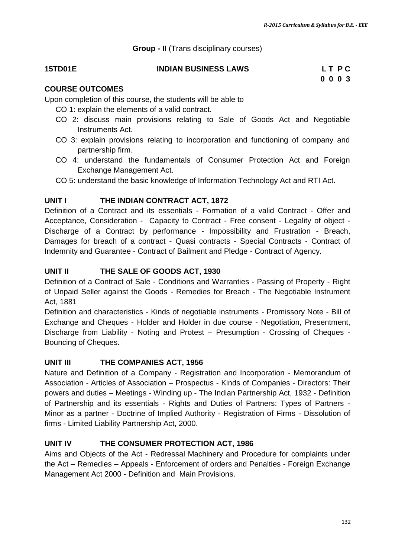**Group - II** (Trans disciplinary courses)

#### **15TD01E INDIAN BUSINESS LAWS L T P C**

## **0 0 0 3**

#### **COURSE OUTCOMES**

Upon completion of this course, the students will be able to

- CO 1: explain the elements of a valid contract.
- CO 2: discuss main provisions relating to Sale of Goods Act and Negotiable Instruments Act.
- CO 3: explain provisions relating to incorporation and functioning of company and partnership firm.
- CO 4: understand the fundamentals of Consumer Protection Act and Foreign Exchange Management Act.
- CO 5: understand the basic knowledge of Information Technology Act and RTI Act.

#### **UNIT I THE INDIAN CONTRACT ACT, 1872**

Definition of a Contract and its essentials - Formation of a valid Contract - Offer and Acceptance, Consideration - Capacity to Contract - Free consent - Legality of object - Discharge of a Contract by performance - Impossibility and Frustration - Breach, Damages for breach of a contract - Quasi contracts - Special Contracts - Contract of Indemnity and Guarantee - Contract of Bailment and Pledge - Contract of Agency.

#### **UNIT II THE SALE OF GOODS ACT, 1930**

Definition of a Contract of Sale - Conditions and Warranties - Passing of Property - Right of Unpaid Seller against the Goods - Remedies for Breach - The Negotiable Instrument Act, 1881

Definition and characteristics - Kinds of negotiable instruments - Promissory Note - Bill of Exchange and Cheques - Holder and Holder in due course - Negotiation, Presentment, Discharge from Liability - Noting and Protest – Presumption - Crossing of Cheques - Bouncing of Cheques.

#### **UNIT III THE COMPANIES ACT, 1956**

Nature and Definition of a Company - Registration and Incorporation - Memorandum of Association - Articles of Association – Prospectus - Kinds of Companies - Directors: Their powers and duties – Meetings - Winding up - The Indian Partnership Act, 1932 - Definition of Partnership and its essentials - Rights and Duties of Partners: Types of Partners - Minor as a partner - Doctrine of Implied Authority - Registration of Firms - Dissolution of firms - Limited Liability Partnership Act, 2000.

#### **UNIT IV THE CONSUMER PROTECTION ACT, 1986**

Aims and Objects of the Act - Redressal Machinery and Procedure for complaints under the Act – Remedies – Appeals - Enforcement of orders and Penalties - Foreign Exchange Management Act 2000 - Definition and Main Provisions.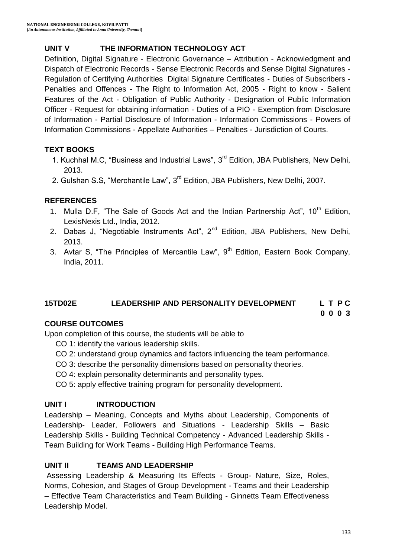### **UNIT V THE INFORMATION TECHNOLOGY ACT**

Definition, Digital Signature - Electronic Governance – Attribution - Acknowledgment and Dispatch of Electronic Records - Sense Electronic Records and Sense Digital Signatures - Regulation of Certifying Authorities Digital Signature Certificates - Duties of Subscribers - Penalties and Offences - The Right to Information Act, 2005 - Right to know - Salient Features of the Act - Obligation of Public Authority - Designation of Public Information Officer - Request for obtaining information - Duties of a PIO - Exemption from Disclosure of Information - Partial Disclosure of Information - Information Commissions - Powers of Information Commissions - Appellate Authorities – Penalties - Jurisdiction of Courts.

#### **TEXT BOOKS**

- 1. Kuchhal M.C, "Business and Industrial Laws", 3<sup>rd</sup> Edition, JBA Publishers, New Delhi, 2013.
- 2. Gulshan S.S, "Merchantile Law", 3<sup>rd</sup> Edition, JBA Publishers, New Delhi, 2007.

#### **REFERENCES**

- 1. Mulla D.F, "The Sale of Goods Act and the Indian Partnership Act",  $10^{th}$  Edition, LexisNexis Ltd., India, 2012.
- 2. Dabas J, "Negotiable Instruments Act",  $2^{nd}$  Edition, JBA Publishers, New Delhi, 2013.
- 3. Avtar S, "The Principles of Mercantile Law", 9<sup>th</sup> Edition, Eastern Book Company, India, 2011.

#### **15TD02E LEADERSHIP AND PERSONALITY DEVELOPMENT L T P C**

**0 0 0 3**

#### **COURSE OUTCOMES**

Upon completion of this course, the students will be able to

- CO 1: identify the various leadership skills.
- CO 2: understand group dynamics and factors influencing the team performance.
- CO 3: describe the personality dimensions based on personality theories.
- CO 4: explain personality determinants and personality types.
- CO 5: apply effective training program for personality development.

#### **UNIT I INTRODUCTION**

Leadership – Meaning, Concepts and Myths about Leadership, Components of Leadership- Leader, Followers and Situations - Leadership Skills – Basic Leadership Skills - Building Technical Competency - Advanced Leadership Skills - Team Building for Work Teams - Building High Performance Teams.

#### **UNIT II TEAMS AND LEADERSHIP**

Assessing Leadership & Measuring Its Effects - Group- Nature, Size, Roles, Norms, Cohesion, and Stages of Group Development - Teams and their Leadership – Effective Team Characteristics and Team Building - Ginnetts Team Effectiveness Leadership Model.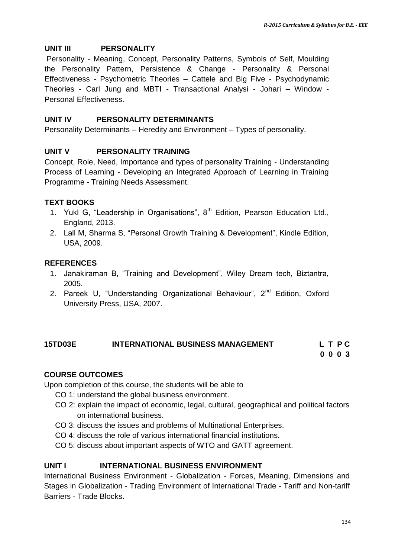#### **UNIT III PERSONALITY**

Personality - Meaning, Concept, Personality Patterns, Symbols of Self, Moulding the Personality Pattern, Persistence & Change - Personality & Personal Effectiveness - Psychometric Theories – Cattele and Big Five - Psychodynamic Theories - Carl Jung and MBTI - Transactional Analysi - Johari – Window - Personal Effectiveness.

#### **UNIT IV PERSONALITY DETERMINANTS**

Personality Determinants – Heredity and Environment – Types of personality.

#### **UNIT V PERSONALITY TRAINING**

Concept, Role, Need, Importance and types of personality Training - Understanding Process of Learning - Developing an Integrated Approach of Learning in Training Programme - Training Needs Assessment.

#### **TEXT BOOKS**

- 1. Yukl G, "Leadership in Organisations",  $8<sup>th</sup>$  Edition, Pearson Education Ltd., England, 2013.
- 2. Lall M, Sharma S, "Personal Growth Training & Development", Kindle Edition, USA, 2009.

#### **REFERENCES**

- 1. Janakiraman B, "Training and Development", Wiley Dream tech, Biztantra, 2005.
- 2. Pareek U, "Understanding Organizational Behaviour", 2<sup>nd</sup> Edition, Oxford University Press, USA, 2007.

## **15TD03E INTERNATIONAL BUSINESS MANAGEMENT L T P C**

**0 0 0 3**

#### **COURSE OUTCOMES**

Upon completion of this course, the students will be able to

- CO 1: understand the global business environment.
- CO 2: explain the impact of economic, legal, cultural, geographical and political factors on international business.
- CO 3: discuss the issues and problems of Multinational Enterprises.
- CO 4: discuss the role of various international financial institutions.
- CO 5: discuss about important aspects of WTO and GATT agreement.

#### **UNIT I INTERNATIONAL BUSINESS ENVIRONMENT**

International Business Environment - Globalization - Forces, Meaning, Dimensions and Stages in Globalization - Trading Environment of International Trade - Tariff and Non-tariff Barriers - Trade Blocks.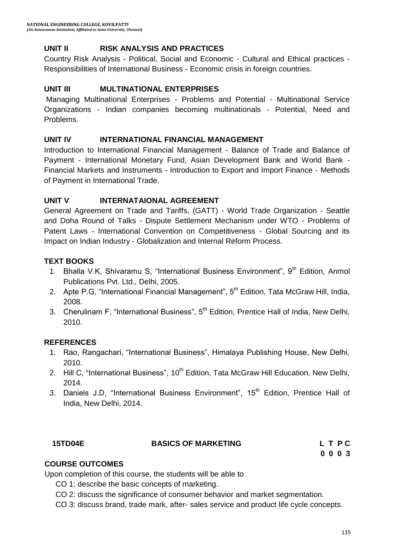#### **UNIT II RISK ANALYSIS AND PRACTICES**

Country Risk Analysis - Political, Social and Economic - Cultural and Ethical practices - Responsibilities of International Business - Economic crisis in foreign countries.

#### **UNIT III MULTINATIONAL ENTERPRISES**

Managing Multinational Enterprises - Problems and Potential - Multinational Service Organizations - Indian companies becoming multinationals - Potential, Need and Problems.

#### **UNIT IV INTERNATIONAL FINANCIAL MANAGEMENT**

Introduction to International Financial Management - Balance of Trade and Balance of Payment - International Monetary Fund, Asian Development Bank and World Bank - Financial Markets and Instruments - Introduction to Export and Import Finance - Methods of Payment in International Trade.

#### **UNIT V INTERNATAIONAL AGREEMENT**

General Agreement on Trade and Tariffs, (GATT) - World Trade Organization - Seattle and Doha Round of Talks - Dispute Settlement Mechanism under WTO - Problems of Patent Laws - International Convention on Competitiveness - Global Sourcing and its Impact on Indian Industry - Globalization and Internal Reform Process.

#### **TEXT BOOKS**

- 1. Bhalla V.K, Shivaramu S, "International Business Environment", 9<sup>th</sup> Edition, Anmol Publications Pvt. Ltd., Delhi, 2005.
- 2. Apte P.G, "International Financial Management", 5<sup>th</sup> Edition, Tata McGraw Hill, India, 2008.
- 3. Cherulinam F, "International Business", 5<sup>th</sup> Edition, Prentice Hall of India, New Delhi, 2010.

#### **REFERENCES**

- 1. Rao, Rangachari, "International Business", Himalaya Publishing House, New Delhi, 2010.
- 2. Hill C, "International Business", 10<sup>th</sup> Edition, Tata McGraw Hill Education, New Delhi, 2014.
- 3. Daniels J.D, "International Business Environment", 15<sup>th</sup> Edition, Prentice Hall of India, New Delhi, 2014.

#### **15TD04E BASICS OF MARKETING L T P C**

**0 0 0 3**

#### **COURSE OUTCOMES**

Upon completion of this course, the students will be able to

- CO 1: describe the basic concepts of marketing.
- CO 2: discuss the significance of consumer behavior and market segmentation.

CO 3: discuss brand, trade mark, after- sales service and product life cycle concepts.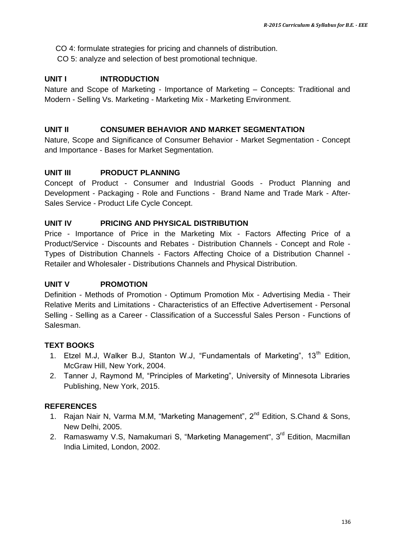CO 4: formulate strategies for pricing and channels of distribution.

CO 5: analyze and selection of best promotional technique.

#### **UNIT I INTRODUCTION**

Nature and Scope of Marketing - Importance of Marketing – Concepts: Traditional and Modern - Selling Vs. Marketing - Marketing Mix - Marketing Environment.

#### **UNIT II CONSUMER BEHAVIOR AND MARKET SEGMENTATION**

Nature, Scope and Significance of Consumer Behavior - Market Segmentation - Concept and Importance - Bases for Market Segmentation.

#### **UNIT III PRODUCT PLANNING**

Concept of Product - Consumer and Industrial Goods - Product Planning and Development - Packaging - Role and Functions - Brand Name and Trade Mark - After-Sales Service - Product Life Cycle Concept.

#### **UNIT IV PRICING AND PHYSICAL DISTRIBUTION**

Price - Importance of Price in the Marketing Mix - Factors Affecting Price of a Product/Service - Discounts and Rebates - Distribution Channels - Concept and Role - Types of Distribution Channels - Factors Affecting Choice of a Distribution Channel - Retailer and Wholesaler - Distributions Channels and Physical Distribution.

#### **UNIT V PROMOTION**

Definition - Methods of Promotion - Optimum Promotion Mix - Advertising Media - Their Relative Merits and Limitations - Characteristics of an Effective Advertisement - Personal Selling - Selling as a Career - Classification of a Successful Sales Person - Functions of Salesman.

#### **TEXT BOOKS**

- 1. Etzel M.J, Walker B.J, Stanton W.J, "Fundamentals of Marketing", 13<sup>th</sup> Edition, McGraw Hill, New York, 2004.
- 2. Tanner J, Raymond M, "Principles of Marketing", University of Minnesota Libraries Publishing, New York, 2015.

#### **REFERENCES**

- 1. [Rajan Nair N, Varma](https://www.google.co.in/search?tbo=p&tbm=bks&q=inauthor:%22N+RAJAN+NAIR+%26+MM+VARMA%22&source=gbs_metadata_r&cad=3) M.M, "Marketing Management",  $2^{nd}$  Edition, S.Chand & Sons, New Delhi, 2005.
- 2. [Ramaswamy](https://www.google.co.in/search?tbo=p&tbm=bks&q=inauthor:%22V.+S.+Ramaswamy%22&source=gbs_metadata_r&cad=3) V.S, [Namakumari](https://www.google.co.in/search?tbo=p&tbm=bks&q=inauthor:%22S.+Namakumari%22&source=gbs_metadata_r&cad=3) S, "Marketing Management", 3<sup>rd</sup> Edition, Macmillan India Limited, London, 2002.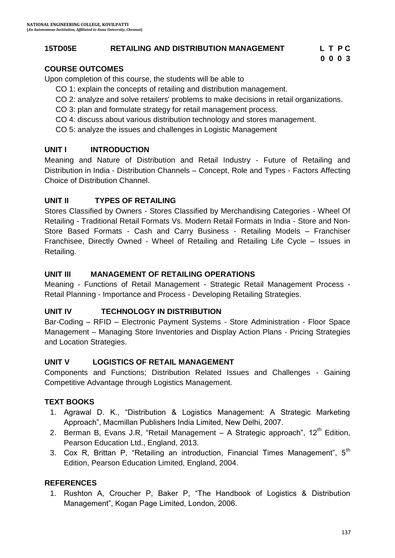#### **15TD05E RETAILING AND DISTRIBUTION MANAGEMENT L T P C**

**0 0 0 3**

#### **COURSE OUTCOMES**

Upon completion of this course, the students will be able to

- CO 1: explain the concepts of retailing and distribution management.
- CO 2: analyze and solve retailers' problems to make decisions in retail organizations.
- CO 3: plan and formulate strategy for retail management process.
- CO 4: discuss about various distribution technology and stores management.
- CO 5: analyze the issues and challenges in Logistic Management

#### **UNIT I INTRODUCTION**

Meaning and Nature of Distribution and Retail Industry - Future of Retailing and Distribution in India - Distribution Channels – Concept, Role and Types - Factors Affecting Choice of Distribution Channel.

#### **UNIT II TYPES OF RETAILING**

Stores Classified by Owners - Stores Classified by Merchandising Categories - Wheel Of Retailing - Traditional Retail Formats Vs. Modern Retail Formats in India - Store and Non-Store Based Formats - Cash and Carry Business - Retailing Models – Franchiser Franchisee, Directly Owned - Wheel of Retailing and Retailing Life Cycle – Issues in Retailing.

#### **UNIT III MANAGEMENT OF RETAILING OPERATIONS**

Meaning - Functions of Retail Management - Strategic Retail Management Process - Retail Planning - Importance and Process - Developing Retailing Strategies.

#### **UNIT IV TECHNOLOGY IN DISTRIBUTION**

Bar-Coding – RFID – Electronic Payment Systems - Store Administration - Floor Space Management – Managing Store Inventories and Display Action Plans - Pricing Strategies and Location Strategies.

#### **UNIT V LOGISTICS OF RETAIL MANAGEMENT**

Components and Functions; Distribution Related Issues and Challenges - Gaining Competitive Advantage through Logistics Management.

#### **TEXT BOOKS**

- 1. Agrawal D. K., "Distribution & Logistics Management: A Strategic Marketing Approach", Macmillan Publishers India Limited, New Delhi, 2007.
- 2. [Berman](http://www.amazon.com/s/ref=dp_byline_sr_book_1?ie=UTF8&text=Barry+R.+Berman&search-alias=books&field-author=Barry+R.+Berman&sort=relevancerank) B, [Evans](http://www.amazon.com/Joel-R.-Evans/e/B001ILMBZW/ref=dp_byline_cont_book_2) J.R, "Retail Management A Strategic approach",  $12<sup>th</sup>$  Edition, Pearson Education Ltd., England, 2013.
- 3. Cox R, Brittan P, "Retailing an introduction, Financial Times Management",  $5<sup>th</sup>$ Edition, Pearson Education Limited, England, 2004.

#### **REFERENCES**

1. Rushton A, Croucher P, Baker P, "The Handbook of Logistics & Distribution Management", Kogan Page Limited, London, 2006.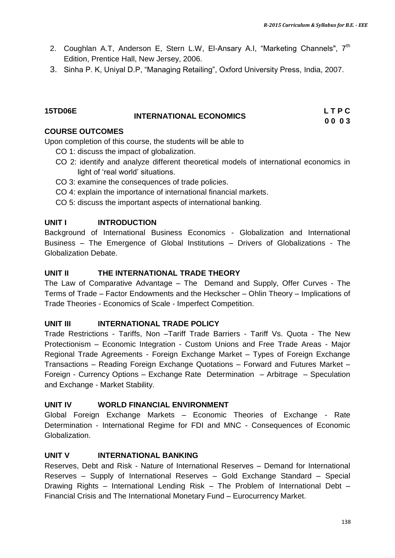- 2. Coughlan A.T, Anderson E, Stern L.W, El-Ansary A.I, "Marketing Channels",  $7<sup>th</sup>$ Edition, Prentice Hall, New Jersey, 2006.
- 3. Sinha P. K, Uniyal D.P, "Managing Retailing", Oxford University Press, India, 2007.

#### **15TD06E**

#### **INTERNATIONAL ECONOMICS**

**L T P C 0 0 0 3**

#### **COURSE OUTCOMES**

Upon completion of this course, the students will be able to

- CO 1: discuss the impact of globalization.
- CO 2: identify and analyze different theoretical models of international economics in light of 'real world' situations.
- CO 3: examine the consequences of trade policies.
- CO 4: explain the importance of international financial markets.
- CO 5: discuss the important aspects of international banking.

#### **UNIT I INTRODUCTION**

Background of International Business Economics - Globalization and International Business – The Emergence of Global Institutions – Drivers of Globalizations - The Globalization Debate.

#### **UNIT II THE INTERNATIONAL TRADE THEORY**

The Law of Comparative Advantage – The Demand and Supply, Offer Curves - The Terms of Trade – Factor Endowments and the Heckscher – Ohlin Theory – Implications of Trade Theories - Economics of Scale - Imperfect Competition.

#### **UNIT III INTERNATIONAL TRADE POLICY**

Trade Restrictions - Tariffs, Non –Tariff Trade Barriers - Tariff Vs. Quota - The New Protectionism – Economic Integration - Custom Unions and Free Trade Areas - Major Regional Trade Agreements - Foreign Exchange Market – Types of Foreign Exchange Transactions – Reading Foreign Exchange Quotations – Forward and Futures Market – Foreign - Currency Options – Exchange Rate Determination – Arbitrage – Speculation and Exchange - Market Stability.

#### **UNIT IV WORLD FINANCIAL ENVIRONMENT**

Global Foreign Exchange Markets – Economic Theories of Exchange - Rate Determination - International Regime for FDI and MNC - Consequences of Economic Globalization.

#### **UNIT V INTERNATIONAL BANKING**

Reserves, Debt and Risk - Nature of International Reserves – Demand for International Reserves – Supply of International Reserves – Gold Exchange Standard – Special Drawing Rights – International Lending Risk – The Problem of International Debt – Financial Crisis and The International Monetary Fund – Eurocurrency Market.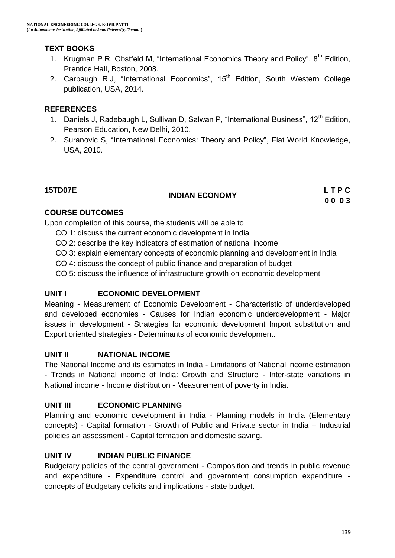### **TEXT BOOKS**

- 1. Krugman P.R, Obstfeld M, "International Economics Theory and Policy",  $8<sup>th</sup>$  Edition, Prentice Hall, Boston, 2008.
- 2. Carbaugh R.J, "International Economics", 15<sup>th</sup> Edition, South Western College publication, USA, 2014.

#### **REFERENCES**

- 1. Daniels J, Radebaugh L, Sullivan D, Salwan P, "International Business", 12<sup>th</sup> Edition, Pearson Education, New Delhi, 2010.
- 2. Suranovic S, "International Economics: Theory and Policy", Flat World Knowledge, USA, 2010.

# **15TD07E INDIAN ECONOMY L T P C**

**0 0 0 3**

### **COURSE OUTCOMES**

Upon completion of this course, the students will be able to

- CO 1: discuss the current economic development in India
- CO 2: describe the key indicators of estimation of national income
- CO 3: explain elementary concepts of economic planning and development in India
- CO 4: discuss the concept of public finance and preparation of budget
- CO 5: discuss the influence of infrastructure growth on economic development

### **UNIT I ECONOMIC DEVELOPMENT**

Meaning - Measurement of Economic Development - Characteristic of underdeveloped and developed economies - Causes for Indian economic underdevelopment - Major issues in development - Strategies for economic development Import substitution and Export oriented strategies - Determinants of economic development.

#### **UNIT II NATIONAL INCOME**

The National Income and its estimates in India - Limitations of National income estimation - Trends in National income of India: Growth and Structure - Inter-state variations in National income - Income distribution - Measurement of poverty in India.

#### **UNIT III ECONOMIC PLANNING**

Planning and economic development in India - Planning models in India (Elementary concepts) - Capital formation - Growth of Public and Private sector in India – Industrial policies an assessment - Capital formation and domestic saving.

### **UNIT IV INDIAN PUBLIC FINANCE**

Budgetary policies of the central government - Composition and trends in public revenue and expenditure - Expenditure control and government consumption expenditure concepts of Budgetary deficits and implications - state budget.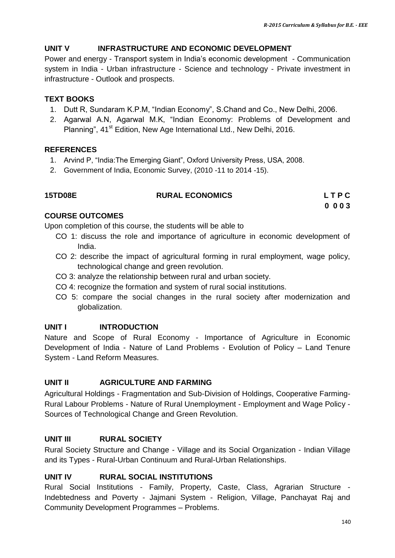### **UNIT V INFRASTRUCTURE AND ECONOMIC DEVELOPMENT**

Power and energy - Transport system in India"s economic development - Communication system in India - Urban infrastructure - Science and technology - Private investment in infrastructure - Outlook and prospects.

#### **TEXT BOOKS**

- 1. Dutt R, Sundaram K.P.M, "Indian Economy", S.Chand and Co., New Delhi, 2006.
- 2. Agarwal A.N, Agarwal M.K, "Indian Economy: Problems of Development and Planning", 41<sup>st</sup> Edition, New Age International Ltd., New Delhi, 2016.

#### **REFERENCES**

- 1. Arvind P, "India:The Emerging Giant", Oxford University Press, USA, 2008.
- 2. Government of India, Economic Survey, (2010 -11 to 2014 -15).

### **15TD08E RURAL ECONOMICS L T P C**

**0 0 0 3**

### **COURSE OUTCOMES**

Upon completion of this course, the students will be able to

- CO 1: discuss the role and importance of agriculture in economic development of India.
- CO 2: describe the impact of agricultural forming in rural employment, wage policy, technological change and green revolution.
- CO 3: analyze the relationship between rural and urban society.
- CO 4: recognize the formation and system of rural social institutions.
- CO 5: compare the social changes in the rural society after modernization and globalization.

### **UNIT I INTRODUCTION**

Nature and Scope of Rural Economy - Importance of Agriculture in Economic Development of India - Nature of Land Problems - Evolution of Policy – Land Tenure System - Land Reform Measures.

### **UNIT II AGRICULTURE AND FARMING**

Agricultural Holdings - Fragmentation and Sub-Division of Holdings, Cooperative Farming-Rural Labour Problems - Nature of Rural Unemployment - Employment and Wage Policy - Sources of Technological Change and Green Revolution.

## **UNIT III RURAL SOCIETY**

Rural Society Structure and Change - Village and its Social Organization - Indian Village and its Types - Rural-Urban Continuum and Rural-Urban Relationships.

### **UNIT IV RURAL SOCIAL INSTITUTIONS**

Rural Social Institutions - Family, Property, Caste, Class, Agrarian Structure - Indebtedness and Poverty - Jajmani System - Religion, Village, Panchayat Raj and Community Development Programmes – Problems.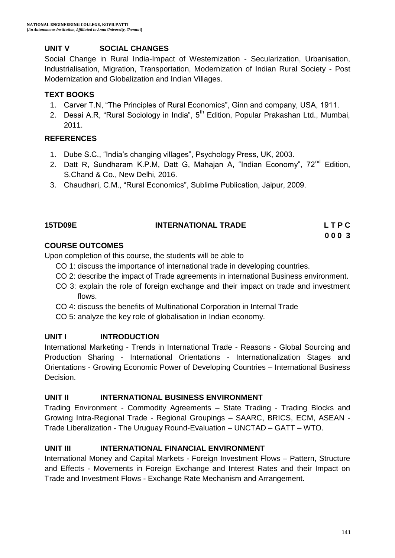#### **UNIT V SOCIAL CHANGES**

Social Change in Rural India-Impact of Westernization - Secularization, Urbanisation, Industrialisation, Migration, Transportation, Modernization of Indian Rural Society - Post Modernization and Globalization and Indian Villages.

#### **TEXT BOOKS**

- 1. Carver T.N, "The Principles of Rural Economics", Ginn and company, USA, 1911.
- 2. Desai A.R, "Rural Sociology in India", 5<sup>th</sup> Edition, Popular Prakashan Ltd., Mumbai, 2011.

#### **REFERENCES**

- 1. Dube S.C., "India"s changing villages", Psychology Press, UK, 2003.
- 2. [Datt R](https://www.google.co.in/search?tbo=p&tbm=bks&q=inauthor:%22Datt+Ruddar%22), Sundharam K.P.M, Datt G, Mahajan A, "Indian Economy", 72<sup>nd</sup> Edition, S.Chand & Co., New Delhi, 2016.
- 3. Chaudhari, C.M., "Rural Economics", Sublime Publication, Jaipur, 2009.

| <b>15TD09E</b> | <b>INTERNATIONAL TRADE</b> | LTPC |
|----------------|----------------------------|------|

**0 0 0 3**

#### **COURSE OUTCOMES**

Upon completion of this course, the students will be able to

- CO 1: discuss the importance of international trade in developing countries.
- CO 2: describe the impact of Trade agreements in international Business environment.
- CO 3: explain the role of foreign exchange and their impact on trade and investment flows.
- CO 4: discuss the benefits of Multinational Corporation in Internal Trade
- CO 5: analyze the key role of globalisation in Indian economy.

#### **UNIT I INTRODUCTION**

International Marketing - Trends in International Trade - Reasons - Global Sourcing and Production Sharing - International Orientations - Internationalization Stages and Orientations - Growing Economic Power of Developing Countries – International Business Decision.

#### **UNIT II INTERNATIONAL BUSINESS ENVIRONMENT**

Trading Environment - Commodity Agreements – State Trading - Trading Blocks and Growing Intra-Regional Trade - Regional Groupings – SAARC, BRICS, ECM, ASEAN - Trade Liberalization - The Uruguay Round-Evaluation – UNCTAD – GATT – WTO.

#### **UNIT III INTERNATIONAL FINANCIAL ENVIRONMENT**

International Money and Capital Markets - Foreign Investment Flows – Pattern, Structure and Effects - Movements in Foreign Exchange and Interest Rates and their Impact on Trade and Investment Flows - Exchange Rate Mechanism and Arrangement.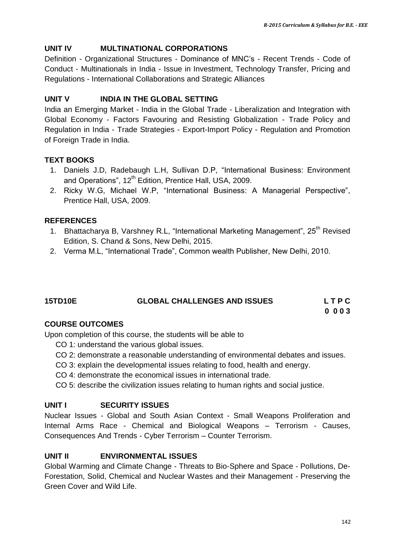#### **UNIT IV MULTINATIONAL CORPORATIONS**

Definition - Organizational Structures - Dominance of MNC"s - Recent Trends - Code of Conduct - Multinationals in India - Issue in Investment, Technology Transfer, Pricing and Regulations - International Collaborations and Strategic Alliances

#### **UNIT V INDIA IN THE GLOBAL SETTING**

India an Emerging Market - India in the Global Trade - Liberalization and Integration with Global Economy - Factors Favouring and Resisting Globalization - Trade Policy and Regulation in India - Trade Strategies - Export-Import Policy - Regulation and Promotion of Foreign Trade in India.

#### **TEXT BOOKS**

- 1. Daniels J.D, Radebaugh L.H, Sullivan D.P, "International Business: Environment and Operations", 12<sup>th</sup> Edition, Prentice Hall, USA, 2009.
- 2. Ricky W.G, Michael W.P, "International Business: A Managerial Perspective", Prentice Hall, USA, 2009.

#### **REFERENCES**

- 1. Bhattacharya B, Varshney R.L, "International Marketing Management", 25<sup>th</sup> Revised Edition, S. Chand & Sons, New Delhi, 2015.
- 2. Verma M.L, "International Trade", Common wealth Publisher, New Delhi, 2010.

## **15TD10E GLOBAL CHALLENGES AND ISSUES L T P C**

**0 0 0 3**

#### **COURSE OUTCOMES**

Upon completion of this course, the students will be able to

- CO 1: understand the various global issues.
- CO 2: demonstrate a reasonable understanding of environmental debates and issues.
- CO 3: explain the developmental issues relating to food, health and energy.
- CO 4: demonstrate the economical issues in international trade.
- CO 5: describe the civilization issues relating to human rights and social justice.

#### **UNIT I SECURITY ISSUES**

Nuclear Issues - Global and South Asian Context - Small Weapons Proliferation and Internal Arms Race - Chemical and Biological Weapons – Terrorism - Causes, Consequences And Trends - Cyber Terrorism – Counter Terrorism.

#### **UNIT II ENVIRONMENTAL ISSUES**

Global Warming and Climate Change - Threats to Bio-Sphere and Space - Pollutions, De-Forestation, Solid, Chemical and Nuclear Wastes and their Management - Preserving the Green Cover and Wild Life.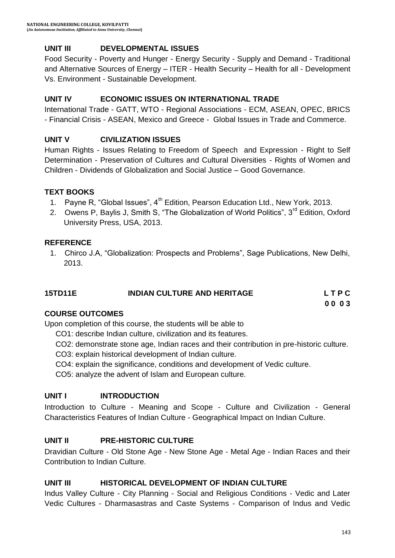#### **UNIT III DEVELOPMENTAL ISSUES**

Food Security - Poverty and Hunger - Energy Security - Supply and Demand - Traditional and Alternative Sources of Energy – ITER - Health Security – Health for all - Development Vs. Environment - Sustainable Development.

#### **UNIT IV ECONOMIC ISSUES ON INTERNATIONAL TRADE**

International Trade - GATT, WTO - Regional Associations - ECM, ASEAN, OPEC, BRICS - Financial Crisis - ASEAN, Mexico and Greece - Global Issues in Trade and Commerce.

#### **UNIT V CIVILIZATION ISSUES**

Human Rights - Issues Relating to Freedom of Speech and Expression - Right to Self Determination - Preservation of Cultures and Cultural Diversities - Rights of Women and Children - Dividends of Globalization and Social Justice – Good Governance.

#### **TEXT BOOKS**

- 1. Payne R, "Global Issues", 4<sup>th</sup> Edition, Pearson Education Ltd., New York, 2013.
- 2. Owens P, Baylis J, Smith S, "The Globalization of World Politics", 3<sup>rd</sup> Edition, Oxford University Press, USA, 2013.

#### **REFERENCE**

1. Chirco J.A, "Globalization: Prospects and Problems", Sage Publications, New Delhi, 2013.

| 15TD11E | <b>INDIAN CULTURE AND HERITAGE</b> | LTPC |
|---------|------------------------------------|------|
|         |                                    | 0003 |

#### **COURSE OUTCOMES**

Upon completion of this course, the students will be able to

- CO1: describe Indian culture, civilization and its features.
- CO2: demonstrate stone age, Indian races and their contribution in pre-historic culture.
- CO3: explain historical development of Indian culture.
- CO4: explain the significance, conditions and development of Vedic culture.

CO5: analyze the advent of Islam and European culture.

### **UNIT I INTRODUCTION**

Introduction to Culture - Meaning and Scope - Culture and Civilization - General Characteristics Features of Indian Culture - Geographical Impact on Indian Culture.

#### **UNIT II PRE-HISTORIC CULTURE**

Dravidian Culture - Old Stone Age - New Stone Age - Metal Age - Indian Races and their Contribution to Indian Culture.

#### **UNIT III HISTORICAL DEVELOPMENT OF INDIAN CULTURE**

Indus Valley Culture - City Planning - Social and Religious Conditions - Vedic and Later Vedic Cultures - Dharmasastras and Caste Systems - Comparison of Indus and Vedic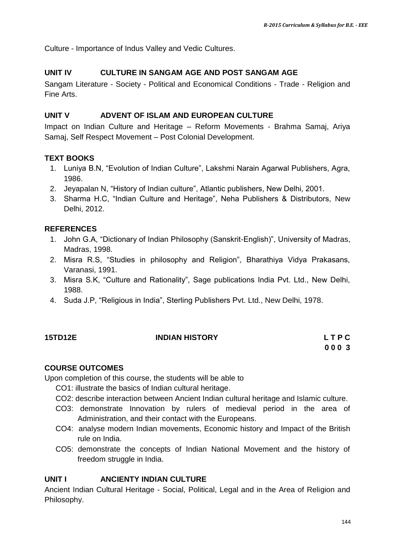Culture - Importance of Indus Valley and Vedic Cultures.

#### **UNIT IV CULTURE IN SANGAM AGE AND POST SANGAM AGE**

Sangam Literature - Society - Political and Economical Conditions - Trade - Religion and Fine Arts.

#### **UNIT V ADVENT OF ISLAM AND EUROPEAN CULTURE**

Impact on Indian Culture and Heritage – Reform Movements - Brahma Samaj, Ariya Samaj, Self Respect Movement – Post Colonial Development.

#### **TEXT BOOKS**

- 1. Luniya B.N, "Evolution of Indian Culture", Lakshmi Narain Agarwal Publishers, Agra, 1986.
- 2. Jeyapalan N, "History of Indian culture", Atlantic publishers, New Delhi, 2001.
- 3. Sharma H.C, "Indian Culture and Heritage", Neha Publishers & Distributors, New Delhi, 2012.

#### **REFERENCES**

- 1. John G.A, "Dictionary of Indian Philosophy (Sanskrit-English)", University of Madras, Madras, 1998.
- 2. Misra R.S, "Studies in philosophy and Religion", Bharathiya Vidya Prakasans, Varanasi, 1991.
- 3. Misra S.K, "Culture and Rationality", Sage publications India Pvt. Ltd., New Delhi, 1988.
- 4. Suda J.P, "Religious in India", Sterling Publishers Pvt. Ltd., New Delhi, 1978.

#### **15TD12E INDIAN HISTORY L T P C**

# **0 0 0 3**

#### **COURSE OUTCOMES**

Upon completion of this course, the students will be able to

- CO1: illustrate the basics of Indian cultural heritage.
- CO2: describe interaction between Ancient Indian cultural heritage and Islamic culture.
- CO3: demonstrate Innovation by rulers of medieval period in the area of Administration, and their contact with the Europeans.
- CO4: analyse modern Indian movements, Economic history and Impact of the British rule on India.
- CO5: demonstrate the concepts of Indian National Movement and the history of freedom struggle in India.

#### **UNIT I ANCIENTY INDIAN CULTURE**

Ancient Indian Cultural Heritage - Social, Political, Legal and in the Area of Religion and Philosophy.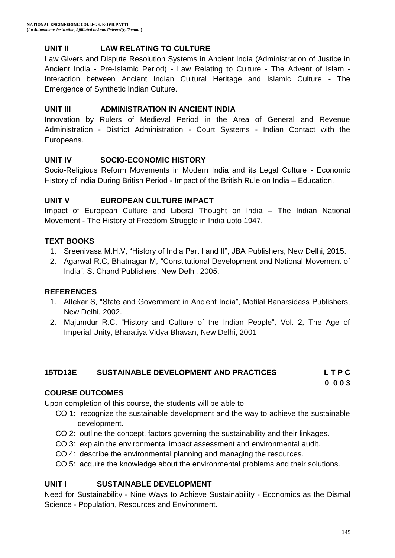# **UNIT II LAW RELATING TO CULTURE**

Law Givers and Dispute Resolution Systems in Ancient India (Administration of Justice in Ancient India - Pre-Islamic Period) - Law Relating to Culture - The Advent of Islam - Interaction between Ancient Indian Cultural Heritage and Islamic Culture - The Emergence of Synthetic Indian Culture.

### **UNIT III ADMINISTRATION IN ANCIENT INDIA**

Innovation by Rulers of Medieval Period in the Area of General and Revenue Administration - District Administration - Court Systems - Indian Contact with the Europeans.

## **UNIT IV SOCIO-ECONOMIC HISTORY**

Socio-Religious Reform Movements in Modern India and its Legal Culture - Economic History of India During British Period - Impact of the British Rule on India – Education.

### **UNIT V EUROPEAN CULTURE IMPACT**

Impact of European Culture and Liberal Thought on India – The Indian National Movement - The History of Freedom Struggle in India upto 1947.

### **TEXT BOOKS**

- 1. Sreenivasa M.H.V, "History of India Part I and II", JBA Publishers, New Delhi, 2015.
- 2. Agarwal R.C, Bhatnagar M, "Constitutional Development and National Movement of India", S. Chand Publishers, New Delhi, 2005.

## **REFERENCES**

- 1. Altekar S, "State and Government in Ancient India", Motilal Banarsidass Publishers, New Delhi, 2002.
- 2. Majumdur R.C, "History and Culture of the Indian People", Vol. 2, The Age of Imperial Unity, Bharatiya Vidya Bhavan, New Delhi, 2001

## **15TD13E SUSTAINABLE DEVELOPMENT AND PRACTICES L T P C**

**0 0 0 3**

## **COURSE OUTCOMES**

Upon completion of this course, the students will be able to

- CO 1: recognize the sustainable development and the way to achieve the sustainable development.
- CO 2: outline the concept, factors governing the sustainability and their linkages.
- CO 3: explain the environmental impact assessment and environmental audit.
- CO 4: describe the environmental planning and managing the resources.
- CO 5: acquire the knowledge about the environmental problems and their solutions.

## **UNIT I SUSTAINABLE DEVELOPMENT**

Need for Sustainability - Nine Ways to Achieve Sustainability - Economics as the Dismal Science - Population, Resources and Environment.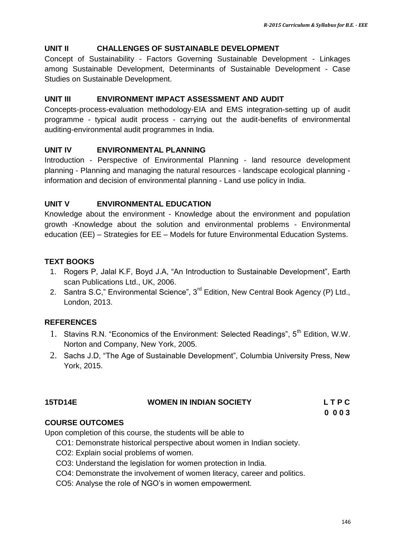#### **UNIT II CHALLENGES OF SUSTAINABLE DEVELOPMENT**

Concept of Sustainability - Factors Governing Sustainable Development - Linkages among Sustainable Development, Determinants of Sustainable Development - Case Studies on Sustainable Development.

#### **UNIT III ENVIRONMENT IMPACT ASSESSMENT AND AUDIT**

Concepts-process-evaluation methodology-EIA and EMS integration-setting up of audit programme - typical audit process - carrying out the audit-benefits of environmental auditing-environmental audit programmes in India.

#### **UNIT IV ENVIRONMENTAL PLANNING**

Introduction - Perspective of Environmental Planning - land resource development planning - Planning and managing the natural resources - landscape ecological planning information and decision of environmental planning - Land use policy in India.

#### **UNIT V ENVIRONMENTAL EDUCATION**

Knowledge about the environment - Knowledge about the environment and population growth -Knowledge about the solution and environmental problems - Environmental education (EE) – Strategies for EE – Models for future Environmental Education Systems.

### **TEXT BOOKS**

- 1. Rogers P, Jalal K.F, Boyd J.A, "An Introduction to Sustainable Development", Earth scan Publications Ltd., UK, 2006.
- 2. Santra S.C," Environmental Science", 3<sup>rd</sup> Edition, New Central Book Agency (P) Ltd., London, 2013.

#### **REFERENCES**

- 1. Stavins R.N. "Economics of the Environment: Selected Readings", 5<sup>th</sup> Edition, W.W. Norton and Company, New York, 2005.
- 2. Sachs J.D, "The Age of Sustainable Development", Columbia University Press, New York, 2015.

| <b>15TD14E</b> | <b>WOMEN IN INDIAN SOCIETY</b> | LTPC  |
|----------------|--------------------------------|-------|
|                |                                | 0.003 |

## **COURSE OUTCOMES**

Upon completion of this course, the students will be able to

- CO1: Demonstrate historical perspective about women in Indian society.
- CO2: Explain social problems of women.
- CO3: Understand the legislation for women protection in India.
- CO4: Demonstrate the involvement of women literacy, career and politics.
- CO5: Analyse the role of NGO"s in women empowerment.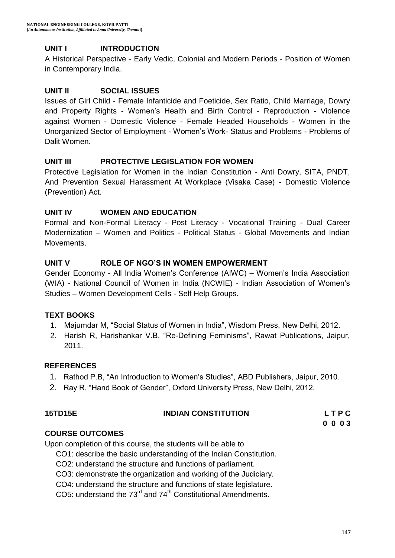# **UNIT I INTRODUCTION**

A Historical Perspective - Early Vedic, Colonial and Modern Periods - Position of Women in Contemporary India.

### **UNIT II SOCIAL ISSUES**

Issues of Girl Child - Female Infanticide and Foeticide, Sex Ratio, Child Marriage, Dowry and Property Rights - Women"s Health and Birth Control - Reproduction - Violence against Women - Domestic Violence - Female Headed Households - Women in the Unorganized Sector of Employment - Women"s Work- Status and Problems - Problems of Dalit Women.

### **UNIT III PROTECTIVE LEGISLATION FOR WOMEN**

Protective Legislation for Women in the Indian Constitution - Anti Dowry, SITA, PNDT, And Prevention Sexual Harassment At Workplace (Visaka Case) - Domestic Violence (Prevention) Act.

### **UNIT IV WOMEN AND EDUCATION**

Formal and Non-Formal Literacy - Post Literacy - Vocational Training - Dual Career Modernization – Women and Politics - Political Status - Global Movements and Indian Movements.

### **UNIT V ROLE OF NGO'S IN WOMEN EMPOWERMENT**

Gender Economy - All India Women"s Conference (AIWC) – Women"s India Association (WIA) - National Council of Women in India (NCWIE) - Indian Association of Women"s Studies – Women Development Cells - Self Help Groups.

## **TEXT BOOKS**

- 1. Majumdar M, "Social Status of Women in India", Wisdom Press, New Delhi, 2012.
- 2. Harish R, Harishankar V.B, "Re-Defining Feminisms", Rawat Publications, Jaipur, 2011.

#### **REFERENCES**

- 1. Rathod P.B, "An Introduction to Women"s Studies", ABD Publishers, Jaipur, 2010.
- 2. Ray R, "Hand Book of Gender", Oxford University Press, New Delhi, 2012.

| <b>15TD15E</b> | <b>INDIAN CONSTITUTION</b> | LTPC |
|----------------|----------------------------|------|
|                |                            |      |

**0 0 0 3**

## **COURSE OUTCOMES**

Upon completion of this course, the students will be able to

CO1: describe the basic understanding of the Indian Constitution.

- CO2: understand the structure and functions of parliament.
- CO3: demonstrate the organization and working of the Judiciary.
- CO4: understand the structure and functions of state legislature.

CO5: understand the  $73^{\text{rd}}$  and  $74^{\text{th}}$  Constitutional Amendments.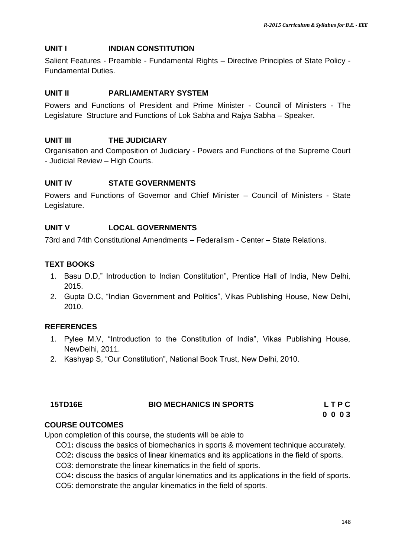### **UNIT I INDIAN CONSTITUTION**

Salient Features - Preamble - Fundamental Rights – Directive Principles of State Policy - Fundamental Duties.

### **UNIT II PARLIAMENTARY SYSTEM**

Powers and Functions of President and Prime Minister - Council of Ministers - The Legislature Structure and Functions of Lok Sabha and Rajya Sabha – Speaker.

### **UNIT III THE JUDICIARY**

Organisation and Composition of Judiciary - Powers and Functions of the Supreme Court - Judicial Review – High Courts.

## **UNIT IV STATE GOVERNMENTS**

Powers and Functions of Governor and Chief Minister – Council of Ministers - State Legislature.

### **UNIT V LOCAL GOVERNMENTS**

73rd and 74th Constitutional Amendments – Federalism - Center – State Relations.

### **TEXT BOOKS**

- 1. Basu D.D," Introduction to Indian Constitution", Prentice Hall of India, New Delhi, 2015.
- 2. Gupta D.C, "Indian Government and Politics", Vikas Publishing House, New Delhi, 2010.

### **REFERENCES**

- 1. Pylee M.V, "Introduction to the Constitution of India", Vikas Publishing House, NewDelhi, 2011.
- 2. Kashyap S, "Our Constitution", National Book Trust, New Delhi, 2010.

| 15TD16E | <b>BIO MECHANICS IN SPORTS</b> | LTPC |
|---------|--------------------------------|------|
|         |                                | 0003 |

### **COURSE OUTCOMES**

Upon completion of this course, the students will be able to

CO1**:** discuss the basics of biomechanics in sports & movement technique accurately.

CO2**:** discuss the basics of linear kinematics and its applications in the field of sports.

CO3: demonstrate the linear kinematics in the field of sports.

CO4**:** discuss the basics of angular kinematics and its applications in the field of sports.

CO5: demonstrate the angular kinematics in the field of sports.